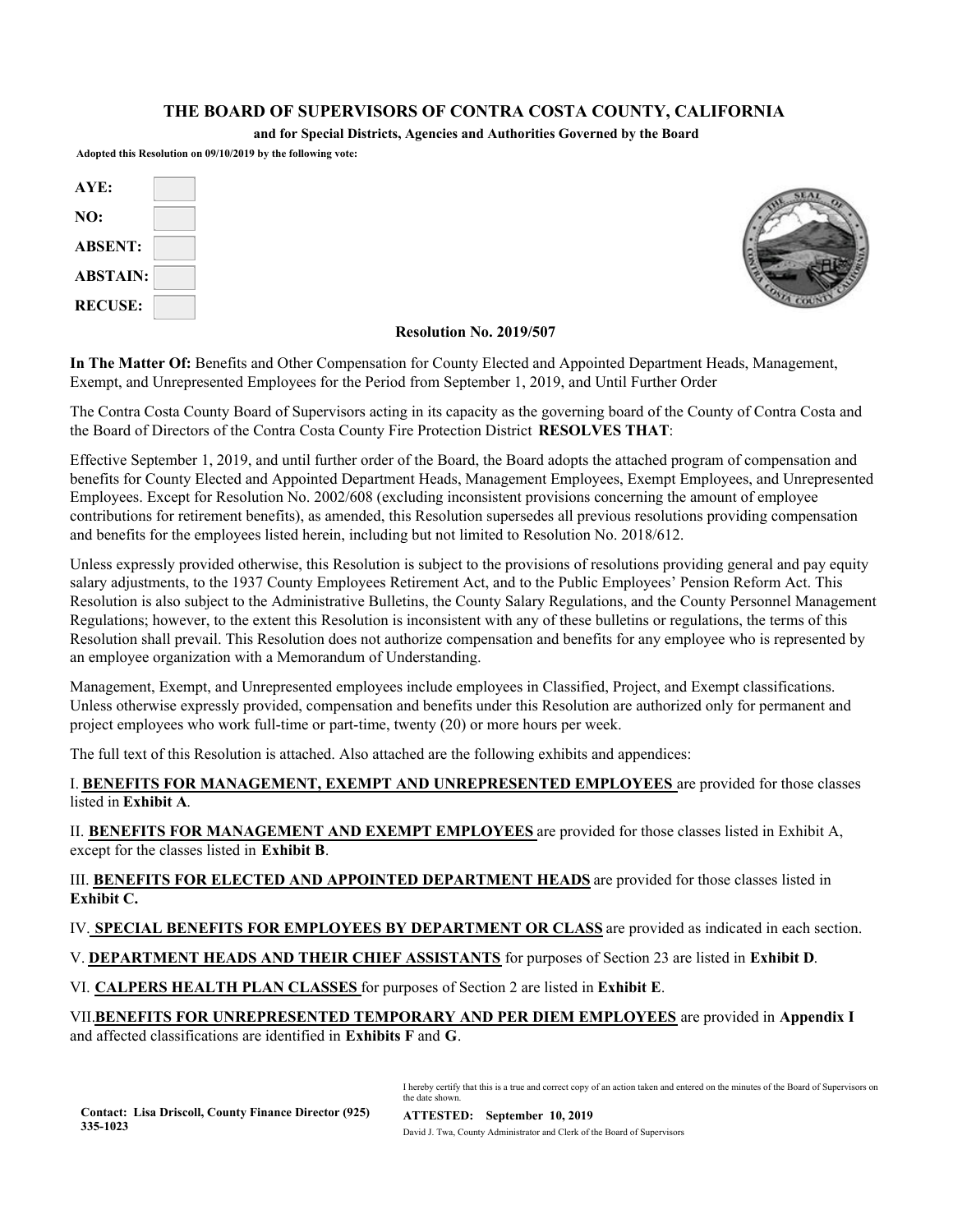#### **THE BOARD OF SUPERVISORS OF CONTRA COSTA COUNTY, CALIFORNIA**

**and for Special Districts, Agencies and Authorities Governed by the Board**

**Adopted this Resolution on 09/10/2019 by the following vote:**

| AYE:            |  |
|-----------------|--|
| NO:             |  |
| <b>ABSENT:</b>  |  |
| <b>ABSTAIN:</b> |  |
| <b>RECUSE:</b>  |  |



#### **Resolution No. 2019/507**

**In The Matter Of:** Benefits and Other Compensation for County Elected and Appointed Department Heads, Management, Exempt, and Unrepresented Employees for the Period from September 1, 2019, and Until Further Order

The Contra Costa County Board of Supervisors acting in its capacity as the governing board of the County of Contra Costa and the Board of Directors of the Contra Costa County Fire Protection District **RESOLVES THAT**:

Effective September 1, 2019, and until further order of the Board, the Board adopts the attached program of compensation and benefits for County Elected and Appointed Department Heads, Management Employees, Exempt Employees, and Unrepresented Employees. Except for Resolution No. 2002/608 (excluding inconsistent provisions concerning the amount of employee contributions for retirement benefits), as amended, this Resolution supersedes all previous resolutions providing compensation and benefits for the employees listed herein, including but not limited to Resolution No. 2018/612.

Unless expressly provided otherwise, this Resolution is subject to the provisions of resolutions providing general and pay equity salary adjustments, to the 1937 County Employees Retirement Act, and to the Public Employees' Pension Reform Act. This Resolution is also subject to the Administrative Bulletins, the County Salary Regulations, and the County Personnel Management Regulations; however, to the extent this Resolution is inconsistent with any of these bulletins or regulations, the terms of this Resolution shall prevail. This Resolution does not authorize compensation and benefits for any employee who is represented by an employee organization with a Memorandum of Understanding.

Management, Exempt, and Unrepresented employees include employees in Classified, Project, and Exempt classifications. Unless otherwise expressly provided, compensation and benefits under this Resolution are authorized only for permanent and project employees who work full-time or part-time, twenty (20) or more hours per week.

The full text of this Resolution is attached. Also attached are the following exhibits and appendices:

I. **BENEFITS FOR MANAGEMENT, EXEMPT AND UNREPRESENTED EMPLOYEES** are provided for those classes listed in **Exhibit A**.

II. **BENEFITS FOR MANAGEMENT AND EXEMPT EMPLOYEES** are provided for those classes listed in Exhibit A, except for the classes listed in **Exhibit B**.

III. **BENEFITS FOR ELECTED AND APPOINTED DEPARTMENT HEADS** are provided for those classes listed in **Exhibit C.**

IV. **SPECIAL BENEFITS FOR EMPLOYEES BY DEPARTMENT OR CLASS** are provided as indicated in each section.

V. **DEPARTMENT HEADS AND THEIR CHIEF ASSISTANTS** for purposes of Section 23 are listed in **Exhibit D**.

VI. **CALPERS HEALTH PLAN CLASSES** for purposes of Section 2 are listed in **Exhibit E**.

VII.**BENEFITS FOR UNREPRESENTED TEMPORARY AND PER DIEM EMPLOYEES** are provided in **Appendix I** and affected classifications are identified in **Exhibits F** and **G**.

> I hereby certify that this is a true and correct copy of an action taken and entered on the minutes of the Board of Supervisors on the date shown.

**ATTESTED: September 10, 2019**  David J. Twa, County Administrator and Clerk of the Board of Supervisors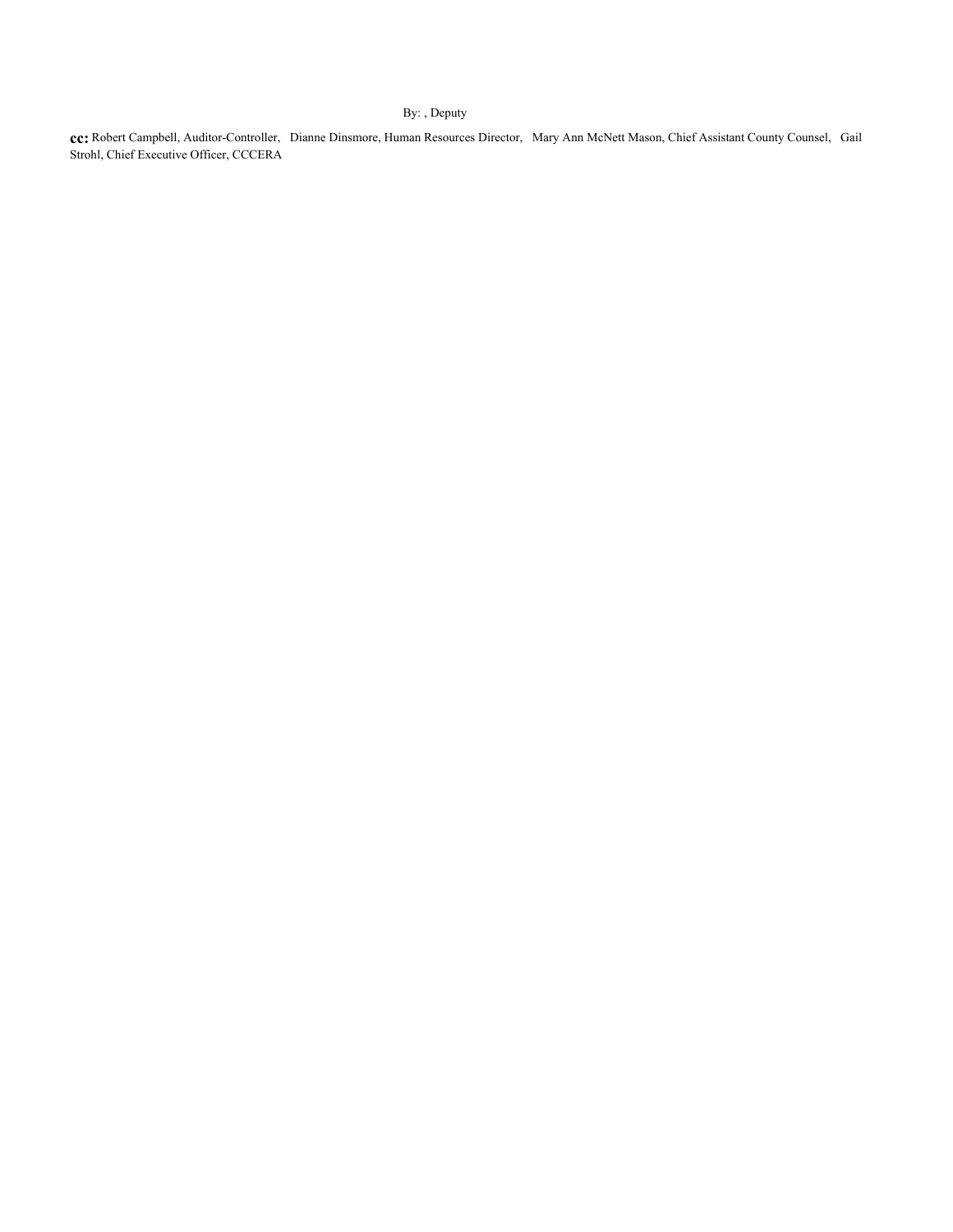#### By: , Deputy

**cc:** Robert Campbell, Auditor-Controller, Dianne Dinsmore, Human Resources Director, Mary Ann McNett Mason, Chief Assistant County Counsel, Gail Strohl, Chief Executive Officer, CCCERA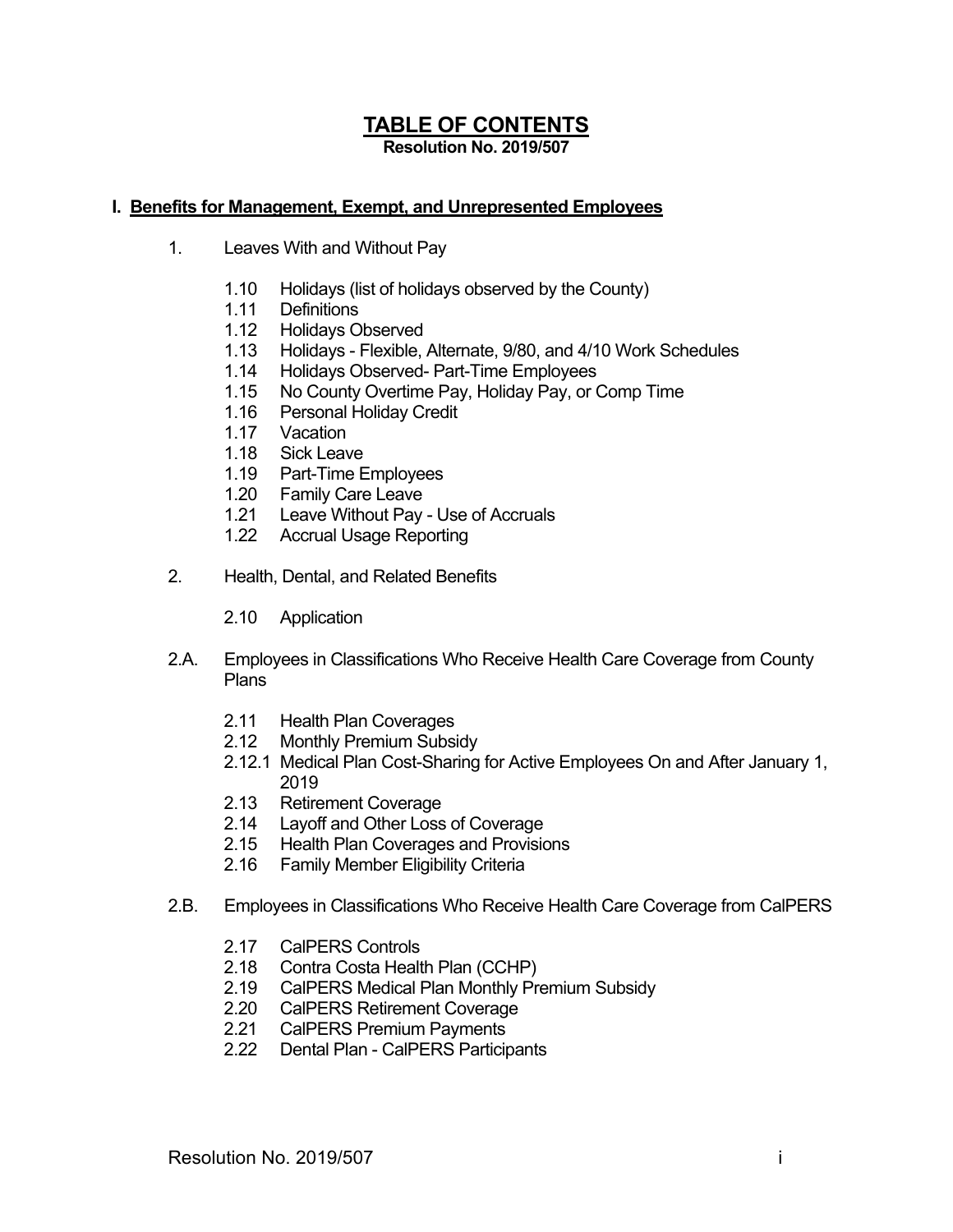# **TABLE OF CONTENTS Resolution No. 2019/507**

# **I. Benefits for Management, Exempt, and Unrepresented Employees**

- 1. Leaves With and Without Pay
	- 1.10 Holidays (list of holidays observed by the County)
	- 1.11 Definitions
	- 1.12 Holidays Observed
	- 1.13 Holidays Flexible, Alternate, 9/80, and 4/10 Work Schedules
	- 1.14 Holidays Observed- Part-Time Employees
	- 1.15 No County Overtime Pay, Holiday Pay, or Comp Time
	- 1.16 Personal Holiday Credit
	- 1.17 Vacation
	- 1.18 Sick Leave
	- 1.19 Part-Time Employees
	- 1.20 Family Care Leave
	- 1.21 Leave Without Pay Use of Accruals
	- 1.22 Accrual Usage Reporting
- 2. Health, Dental, and Related Benefits
	- 2.10 Application
- 2.A. Employees in Classifications Who Receive Health Care Coverage from County Plans
	- 2.11 Health Plan Coverages
	- 2.12 Monthly Premium Subsidy
	- 2.12.1 Medical Plan Cost-Sharing for Active Employees On and After January 1, 2019
	- 2.13 Retirement Coverage
	- 2.14 Layoff and Other Loss of Coverage
	- 2.15 Health Plan Coverages and Provisions
	- 2.16 Family Member Eligibility Criteria
- 2.B. Employees in Classifications Who Receive Health Care Coverage from CalPERS
	- 2.17 CalPERS Controls
	- 2.18 Contra Costa Health Plan (CCHP)
	- 2.19 CalPERS Medical Plan Monthly Premium Subsidy
	- 2.20 CalPERS Retirement Coverage
	- 2.21 CalPERS Premium Payments
	- 2.22 Dental Plan CalPERS Participants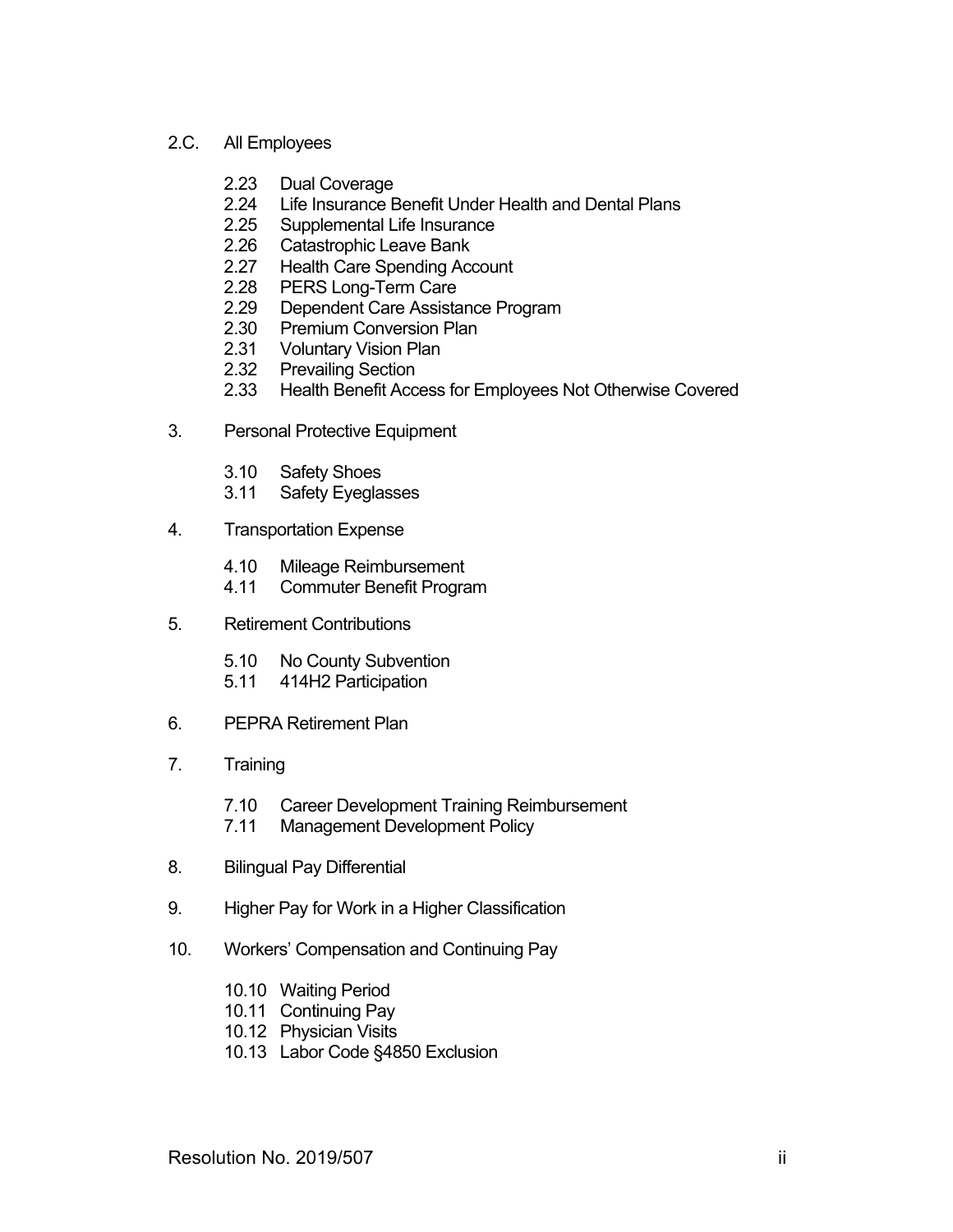# 2.C. All Employees

- 2.23 Dual Coverage
- 2.24 Life Insurance Benefit Under Health and Dental Plans
- 2.25 Supplemental Life Insurance
- 2.26 Catastrophic Leave Bank
- 2.27 Health Care Spending Account
- 2.28 PERS Long-Term Care
- 2.29 Dependent Care Assistance Program
- 2.30 Premium Conversion Plan
- 2.31 Voluntary Vision Plan
- 2.32 Prevailing Section
- 2.33 Health Benefit Access for Employees Not Otherwise Covered
- 3. Personal Protective Equipment
	- 3.10 Safety Shoes
	- 3.11 Safety Eyeglasses
- 4. Transportation Expense
	- 4.10 Mileage Reimbursement
	- 4.11 Commuter Benefit Program
- 5. Retirement Contributions
	- 5.10 No County Subvention
	- 5.11 414H2 Participation
- 6. PEPRA Retirement Plan
- 7. Training
	- 7.10 Career Development Training Reimbursement
	- 7.11 Management Development Policy
- 8. Bilingual Pay Differential
- 9. Higher Pay for Work in a Higher Classification
- 10. Workers' Compensation and Continuing Pay
	- 10.10 Waiting Period
	- 10.11 Continuing Pay
	- 10.12 Physician Visits
	- 10.13 Labor Code §4850 Exclusion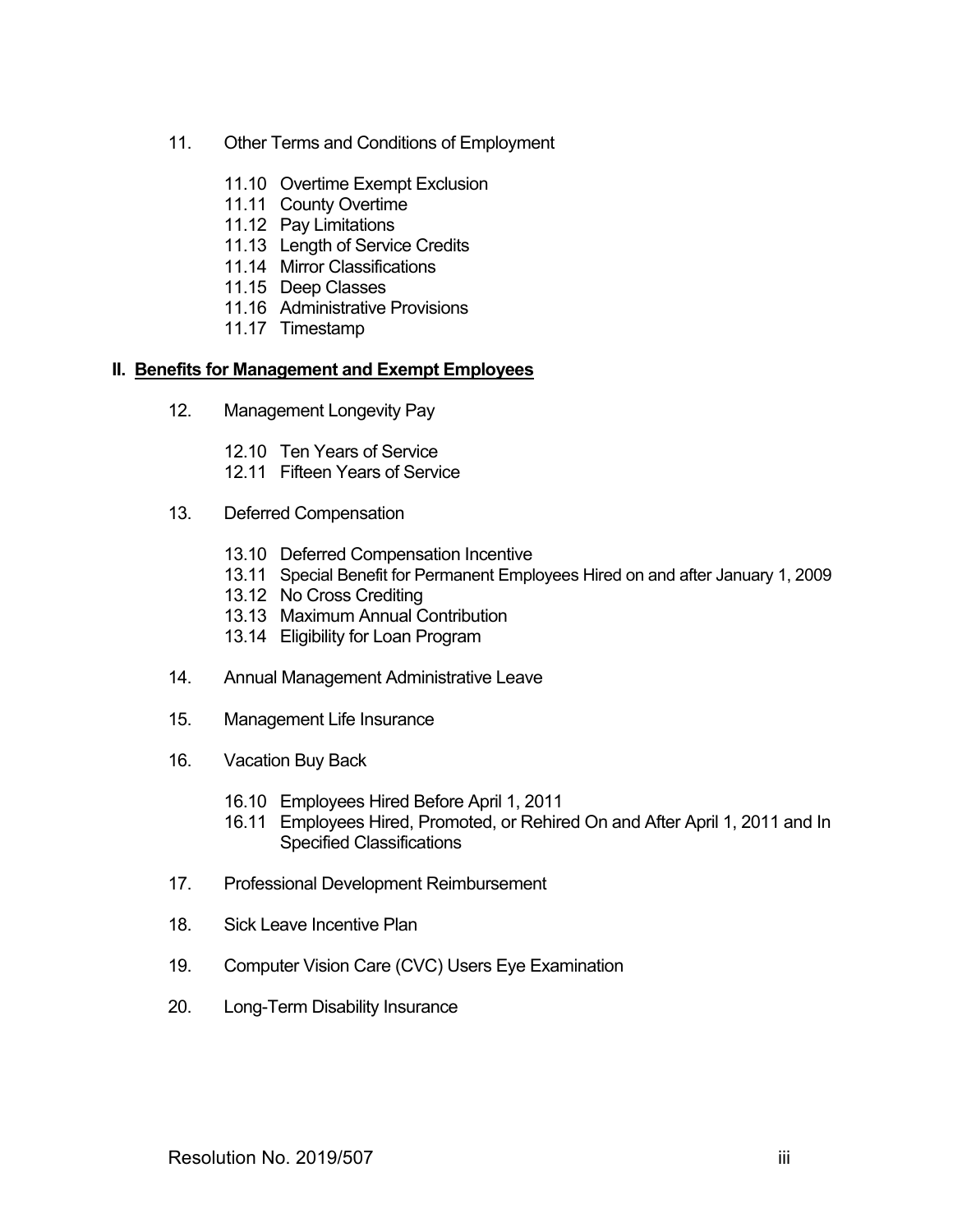- 11. Other Terms and Conditions of Employment
	- 11.10 Overtime Exempt Exclusion
	- 11.11 County Overtime
	- 11.12 Pay Limitations
	- 11.13 Length of Service Credits
	- 11.14 Mirror Classifications
	- 11.15 Deep Classes
	- 11.16 Administrative Provisions
	- 11.17 Timestamp

#### **II. Benefits for Management and Exempt Employees**

- 12. Management Longevity Pay
	- 12.10 Ten Years of Service
	- 12.11 Fifteen Years of Service
- 13. Deferred Compensation
	- 13.10 Deferred Compensation Incentive
	- 13.11 Special Benefit for Permanent Employees Hired on and after January 1, 2009
	- 13.12 No Cross Crediting
	- 13.13 Maximum Annual Contribution
	- 13.14 Eligibility for Loan Program
- 14. Annual Management Administrative Leave
- 15. Management Life Insurance
- 16. Vacation Buy Back
	- 16.10 Employees Hired Before April 1, 2011
	- 16.11 Employees Hired, Promoted, or Rehired On and After April 1, 2011 and In Specified Classifications
- 17. Professional Development Reimbursement
- 18. Sick Leave Incentive Plan
- 19. Computer Vision Care (CVC) Users Eye Examination
- 20. Long-Term Disability Insurance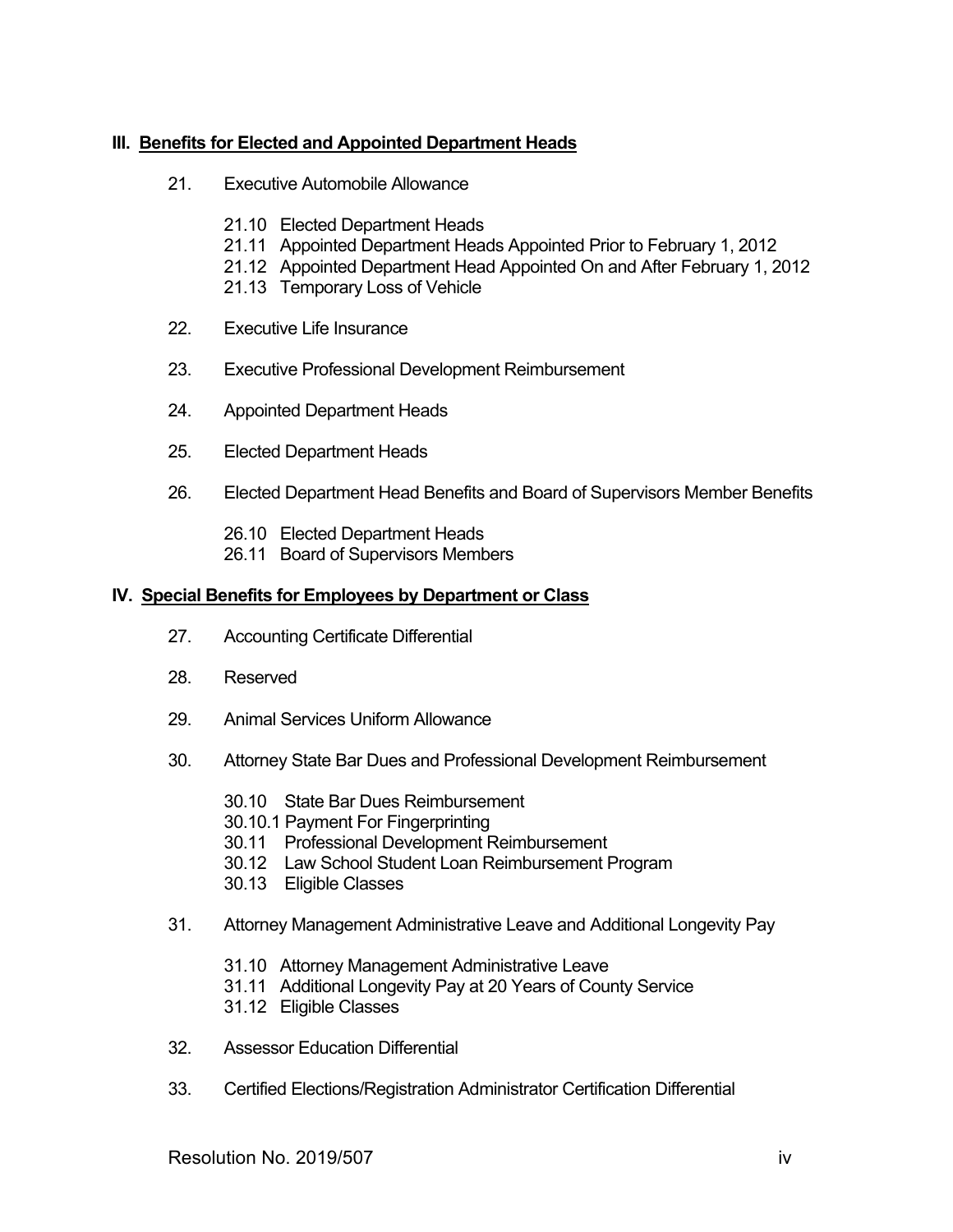# **III. Benefits for Elected and Appointed Department Heads**

- 21. Executive Automobile Allowance
	- 21.10 Elected Department Heads
	- 21.11 Appointed Department Heads Appointed Prior to February 1, 2012
	- 21.12 Appointed Department Head Appointed On and After February 1, 2012
	- 21.13 Temporary Loss of Vehicle
- 22. Executive Life Insurance
- 23. Executive Professional Development Reimbursement
- 24. Appointed Department Heads
- 25. Elected Department Heads
- 26. Elected Department Head Benefits and Board of Supervisors Member Benefits
	- 26.10 Elected Department Heads
	- 26.11 Board of Supervisors Members

#### **IV. Special Benefits for Employees by Department or Class**

- 27. Accounting Certificate Differential
- 28. Reserved
- 29. Animal Services Uniform Allowance
- 30. Attorney State Bar Dues and Professional Development Reimbursement
	- 30.10 State Bar Dues Reimbursement
	- 30.10.1 Payment For Fingerprinting
	- 30.11 Professional Development Reimbursement
	- 30.12 Law School Student Loan Reimbursement Program
	- 30.13 Eligible Classes
- 31. Attorney Management Administrative Leave and Additional Longevity Pay
	- 31.10 Attorney Management Administrative Leave
	- 31.11 Additional Longevity Pay at 20 Years of County Service
	- 31.12 Eligible Classes
- 32. Assessor Education Differential
- 33. Certified Elections/Registration Administrator Certification Differential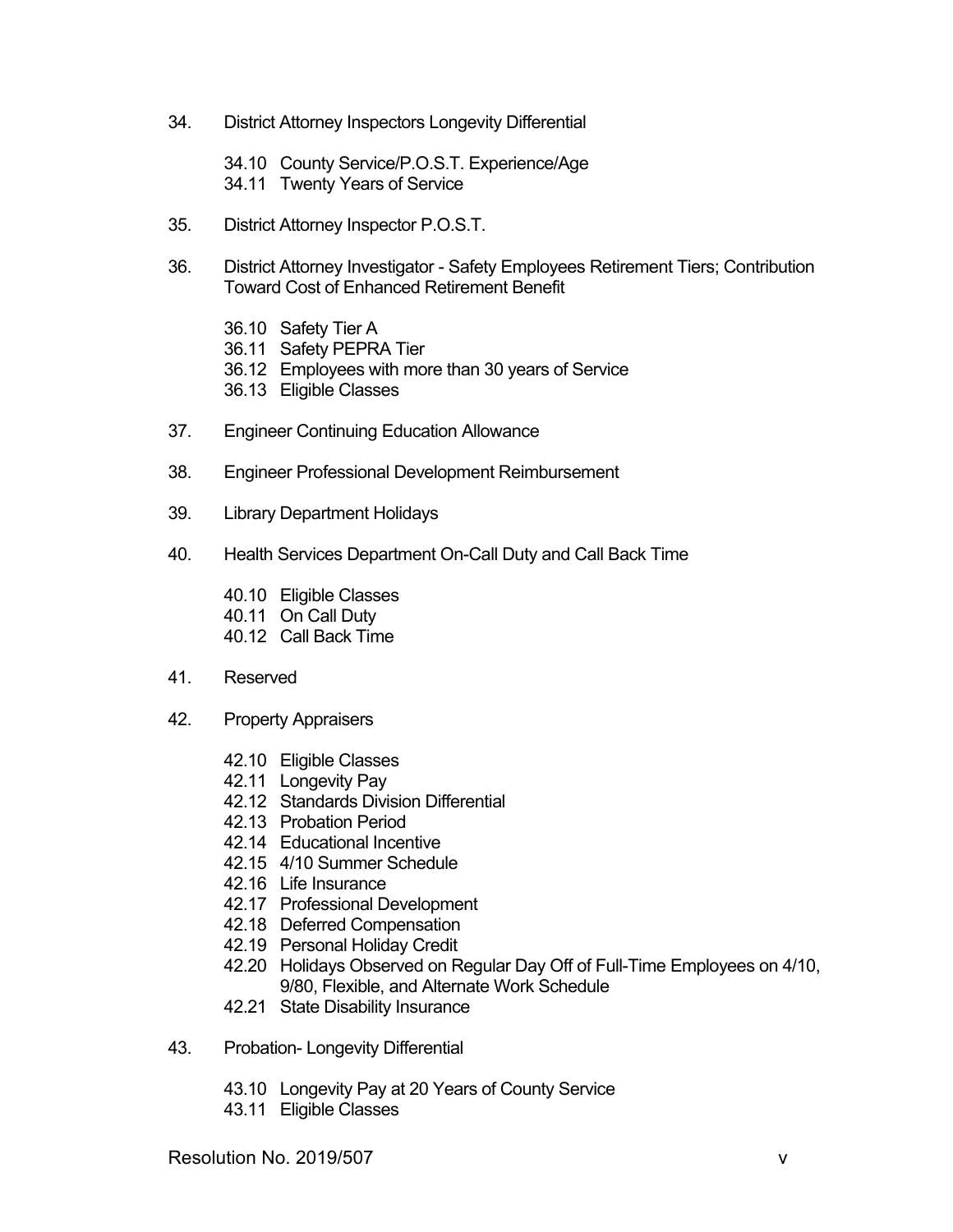- 34. District Attorney Inspectors Longevity Differential
	- 34.10 County Service/P.O.S.T. Experience/Age
	- 34.11 Twenty Years of Service
- 35. District Attorney Inspector P.O.S.T.
- 36. District Attorney Investigator Safety Employees Retirement Tiers; Contribution Toward Cost of Enhanced Retirement Benefit
	- 36.10 Safety Tier A
	- 36.11 Safety PEPRA Tier
	- 36.12 Employees with more than 30 years of Service
	- 36.13 Eligible Classes
- 37. Engineer Continuing Education Allowance
- 38. Engineer Professional Development Reimbursement
- 39. Library Department Holidays
- 40. Health Services Department On-Call Duty and Call Back Time
	- 40.10 Eligible Classes
	- 40.11 On Call Duty
	- 40.12 Call Back Time
- 41. Reserved
- 42. Property Appraisers
	- 42.10 Eligible Classes
	- 42.11 Longevity Pay
	- 42.12 Standards Division Differential
	- 42.13 Probation Period
	- 42.14 Educational Incentive
	- 42.15 4/10 Summer Schedule
	- 42.16 Life Insurance
	- 42.17 Professional Development
	- 42.18 Deferred Compensation
	- 42.19 Personal Holiday Credit
	- 42.20 Holidays Observed on Regular Day Off of Full-Time Employees on 4/10, 9/80, Flexible, and Alternate Work Schedule
	- 42.21 State Disability Insurance
- 43. Probation- Longevity Differential
	- 43.10 Longevity Pay at 20 Years of County Service
	- 43.11 Eligible Classes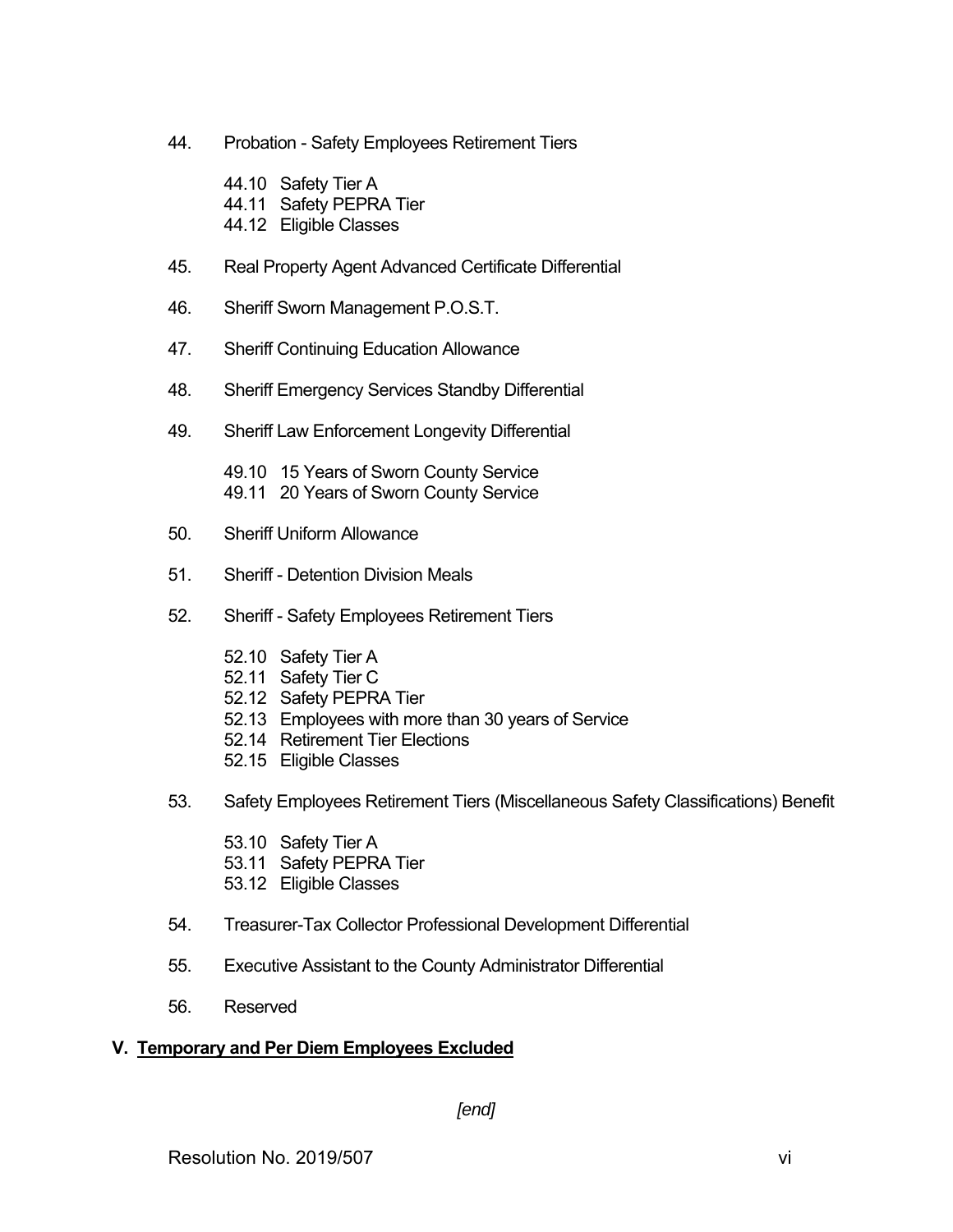- 44. Probation Safety Employees Retirement Tiers
	- 44.10 Safety Tier A 44.11 Safety PEPRA Tier 44.12 Eligible Classes
- 45. Real Property Agent Advanced Certificate Differential
- 46. Sheriff Sworn Management P.O.S.T.
- 47. Sheriff Continuing Education Allowance
- 48. Sheriff Emergency Services Standby Differential
- 49. Sheriff Law Enforcement Longevity Differential

 49.10 15 Years of Sworn County Service 49.11 20 Years of Sworn County Service

- 50. Sheriff Uniform Allowance
- 51. Sheriff Detention Division Meals
- 52. Sheriff Safety Employees Retirement Tiers
	- 52.10 Safety Tier A
	- 52.11 Safety Tier C
	- 52.12 Safety PEPRA Tier
	- 52.13 Employees with more than 30 years of Service
	- 52.14 Retirement Tier Elections
	- 52.15 Eligible Classes
- 53. Safety Employees Retirement Tiers (Miscellaneous Safety Classifications) Benefit
	- 53.10 Safety Tier A
	- 53.11 Safety PEPRA Tier
	- 53.12 Eligible Classes
- 54. Treasurer-Tax Collector Professional Development Differential
- 55. Executive Assistant to the County Administrator Differential
- 56. Reserved

# **V. Temporary and Per Diem Employees Excluded**

# *[end]*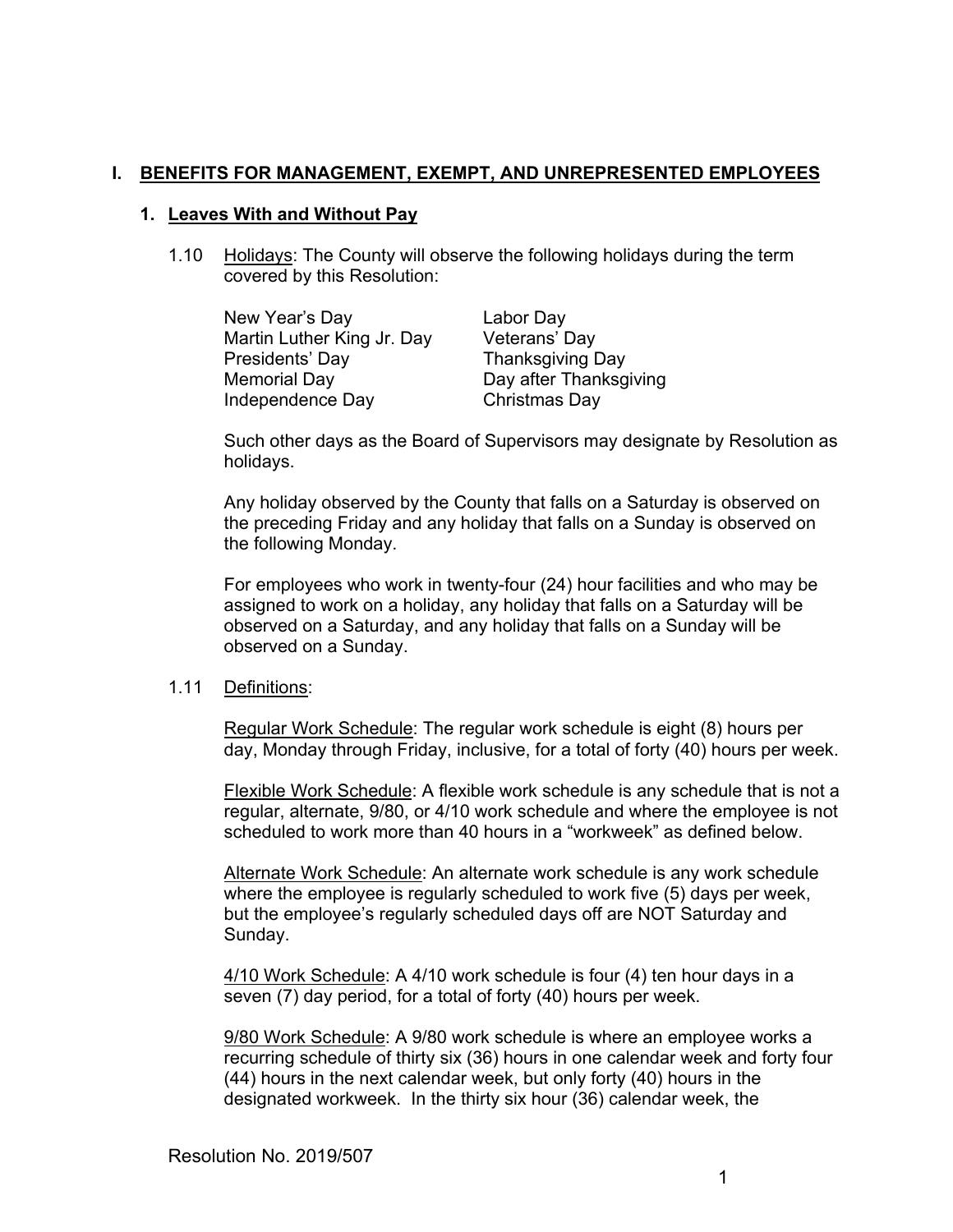# **I. BENEFITS FOR MANAGEMENT, EXEMPT, AND UNREPRESENTED EMPLOYEES**

#### **1. Leaves With and Without Pay**

1.10 Holidays: The County will observe the following holidays during the term covered by this Resolution:

| New Year's Day             | Labor Day              |
|----------------------------|------------------------|
| Martin Luther King Jr. Day | Veterans' Day          |
| Presidents' Day            | Thanksgiving Day       |
| Memorial Day               | Day after Thanksgiving |
| Independence Day           | Christmas Day          |

Such other days as the Board of Supervisors may designate by Resolution as holidays.

Any holiday observed by the County that falls on a Saturday is observed on the preceding Friday and any holiday that falls on a Sunday is observed on the following Monday.

For employees who work in twenty-four (24) hour facilities and who may be assigned to work on a holiday, any holiday that falls on a Saturday will be observed on a Saturday, and any holiday that falls on a Sunday will be observed on a Sunday.

#### 1.11 Definitions:

Regular Work Schedule: The regular work schedule is eight (8) hours per day, Monday through Friday, inclusive, for a total of forty (40) hours per week.

Flexible Work Schedule: A flexible work schedule is any schedule that is not a regular, alternate, 9/80, or 4/10 work schedule and where the employee is not scheduled to work more than 40 hours in a "workweek" as defined below.

Alternate Work Schedule: An alternate work schedule is any work schedule where the employee is regularly scheduled to work five (5) days per week, but the employee's regularly scheduled days off are NOT Saturday and Sunday.

4/10 Work Schedule: A 4/10 work schedule is four (4) ten hour days in a seven (7) day period, for a total of forty (40) hours per week.

9/80 Work Schedule: A 9/80 work schedule is where an employee works a recurring schedule of thirty six (36) hours in one calendar week and forty four (44) hours in the next calendar week, but only forty (40) hours in the designated workweek. In the thirty six hour (36) calendar week, the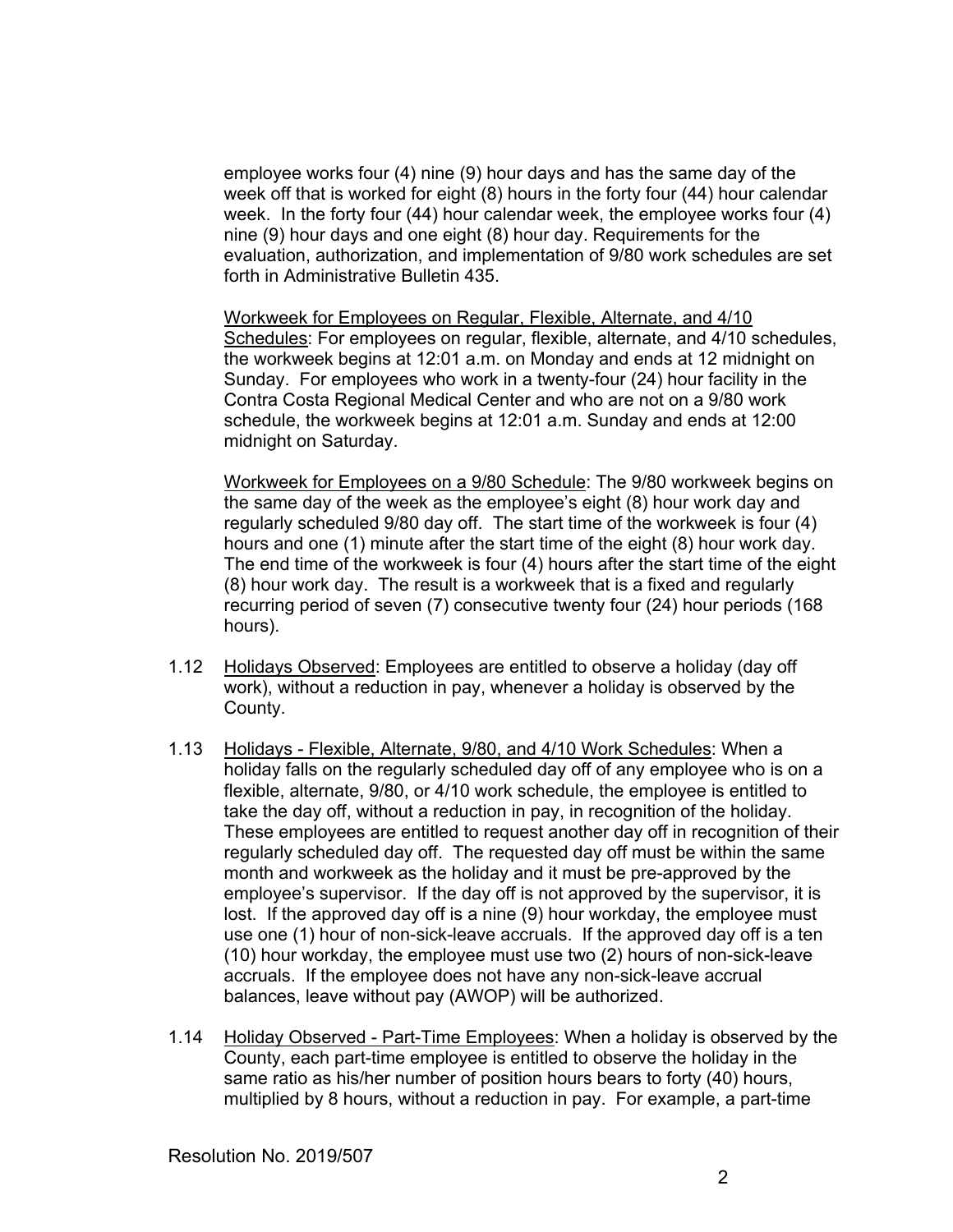employee works four (4) nine (9) hour days and has the same day of the week off that is worked for eight (8) hours in the forty four (44) hour calendar week. In the forty four (44) hour calendar week, the employee works four (4) nine (9) hour days and one eight (8) hour day. Requirements for the evaluation, authorization, and implementation of 9/80 work schedules are set forth in Administrative Bulletin 435.

Workweek for Employees on Regular, Flexible, Alternate, and 4/10 Schedules: For employees on regular, flexible, alternate, and 4/10 schedules, the workweek begins at 12:01 a.m. on Monday and ends at 12 midnight on Sunday. For employees who work in a twenty-four (24) hour facility in the Contra Costa Regional Medical Center and who are not on a 9/80 work schedule, the workweek begins at 12:01 a.m. Sunday and ends at 12:00 midnight on Saturday.

Workweek for Employees on a 9/80 Schedule: The 9/80 workweek begins on the same day of the week as the employee's eight (8) hour work day and regularly scheduled 9/80 day off. The start time of the workweek is four (4) hours and one (1) minute after the start time of the eight (8) hour work day. The end time of the workweek is four (4) hours after the start time of the eight (8) hour work day. The result is a workweek that is a fixed and regularly recurring period of seven (7) consecutive twenty four (24) hour periods (168 hours).

- 1.12 Holidays Observed: Employees are entitled to observe a holiday (day off work), without a reduction in pay, whenever a holiday is observed by the County.
- 1.13 Holidays Flexible, Alternate, 9/80, and 4/10 Work Schedules: When a holiday falls on the regularly scheduled day off of any employee who is on a flexible, alternate, 9/80, or 4/10 work schedule, the employee is entitled to take the day off, without a reduction in pay, in recognition of the holiday. These employees are entitled to request another day off in recognition of their regularly scheduled day off. The requested day off must be within the same month and workweek as the holiday and it must be pre-approved by the employee's supervisor. If the day off is not approved by the supervisor, it is lost. If the approved day off is a nine (9) hour workday, the employee must use one (1) hour of non-sick-leave accruals. If the approved day off is a ten (10) hour workday, the employee must use two (2) hours of non-sick-leave accruals. If the employee does not have any non-sick-leave accrual balances, leave without pay (AWOP) will be authorized.
- 1.14 Holiday Observed Part-Time Employees: When a holiday is observed by the County, each part-time employee is entitled to observe the holiday in the same ratio as his/her number of position hours bears to forty (40) hours, multiplied by 8 hours, without a reduction in pay. For example, a part-time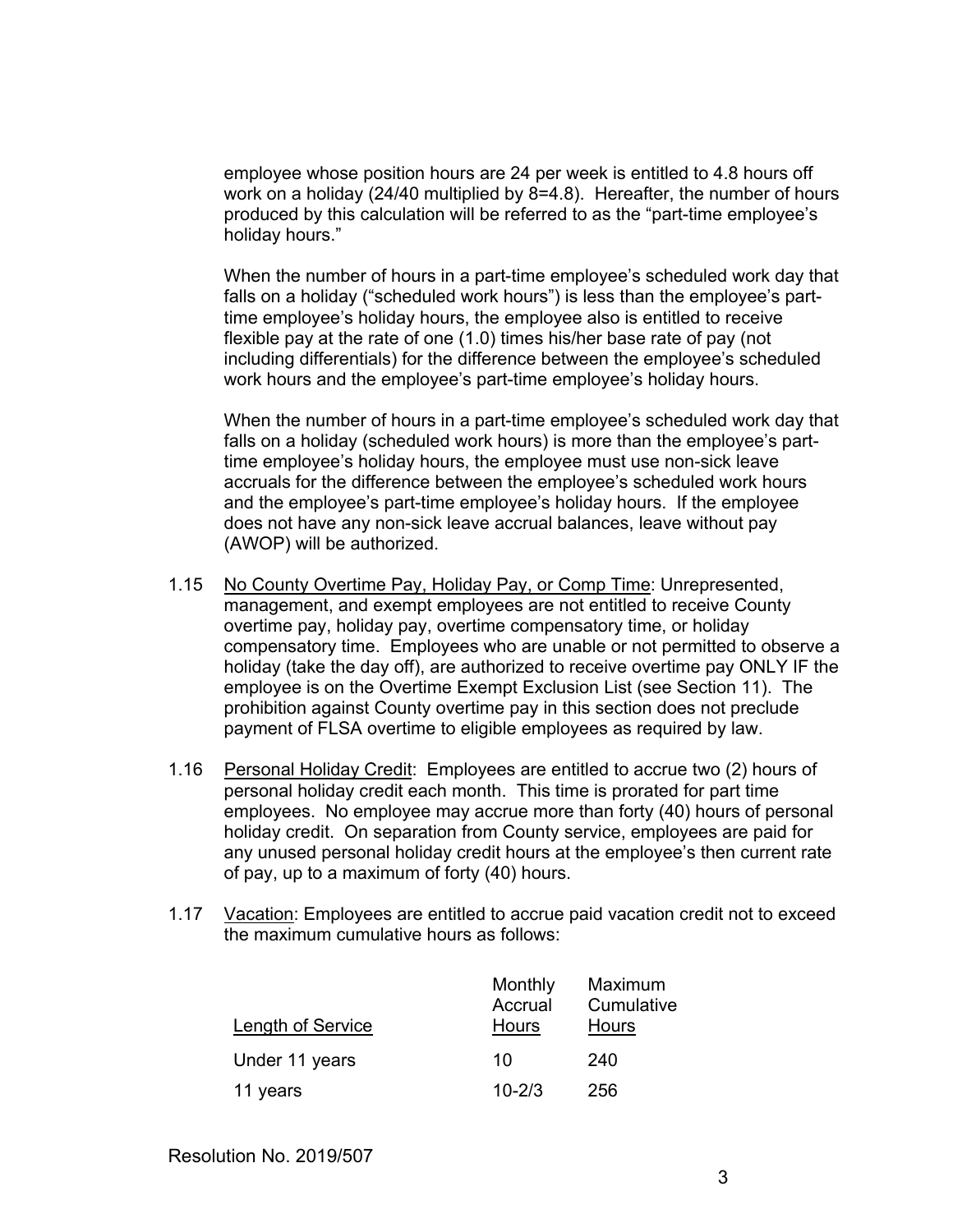employee whose position hours are 24 per week is entitled to 4.8 hours off work on a holiday (24/40 multiplied by 8=4.8). Hereafter, the number of hours produced by this calculation will be referred to as the "part-time employee's holiday hours."

 When the number of hours in a part-time employee's scheduled work day that falls on a holiday ("scheduled work hours") is less than the employee's parttime employee's holiday hours, the employee also is entitled to receive flexible pay at the rate of one (1.0) times his/her base rate of pay (not including differentials) for the difference between the employee's scheduled work hours and the employee's part-time employee's holiday hours.

When the number of hours in a part-time employee's scheduled work day that falls on a holiday (scheduled work hours) is more than the employee's parttime employee's holiday hours, the employee must use non-sick leave accruals for the difference between the employee's scheduled work hours and the employee's part-time employee's holiday hours. If the employee does not have any non-sick leave accrual balances, leave without pay (AWOP) will be authorized.

- 1.15 No County Overtime Pay, Holiday Pay, or Comp Time: Unrepresented, management, and exempt employees are not entitled to receive County overtime pay, holiday pay, overtime compensatory time, or holiday compensatory time. Employees who are unable or not permitted to observe a holiday (take the day off), are authorized to receive overtime pay ONLY IF the employee is on the Overtime Exempt Exclusion List (see Section 11). The prohibition against County overtime pay in this section does not preclude payment of FLSA overtime to eligible employees as required by law.
- 1.16 Personal Holiday Credit: Employees are entitled to accrue two (2) hours of personal holiday credit each month. This time is prorated for part time employees. No employee may accrue more than forty (40) hours of personal holiday credit. On separation from County service, employees are paid for any unused personal holiday credit hours at the employee's then current rate of pay, up to a maximum of forty (40) hours.
- 1.17 Vacation: Employees are entitled to accrue paid vacation credit not to exceed the maximum cumulative hours as follows:

| Length of Service | Monthly<br>Accrual<br><b>Hours</b> | Maximum<br>Cumulative<br><b>Hours</b> |
|-------------------|------------------------------------|---------------------------------------|
| Under 11 years    | 10                                 | 240                                   |
| 11 years          | $10 - 2/3$                         | 256                                   |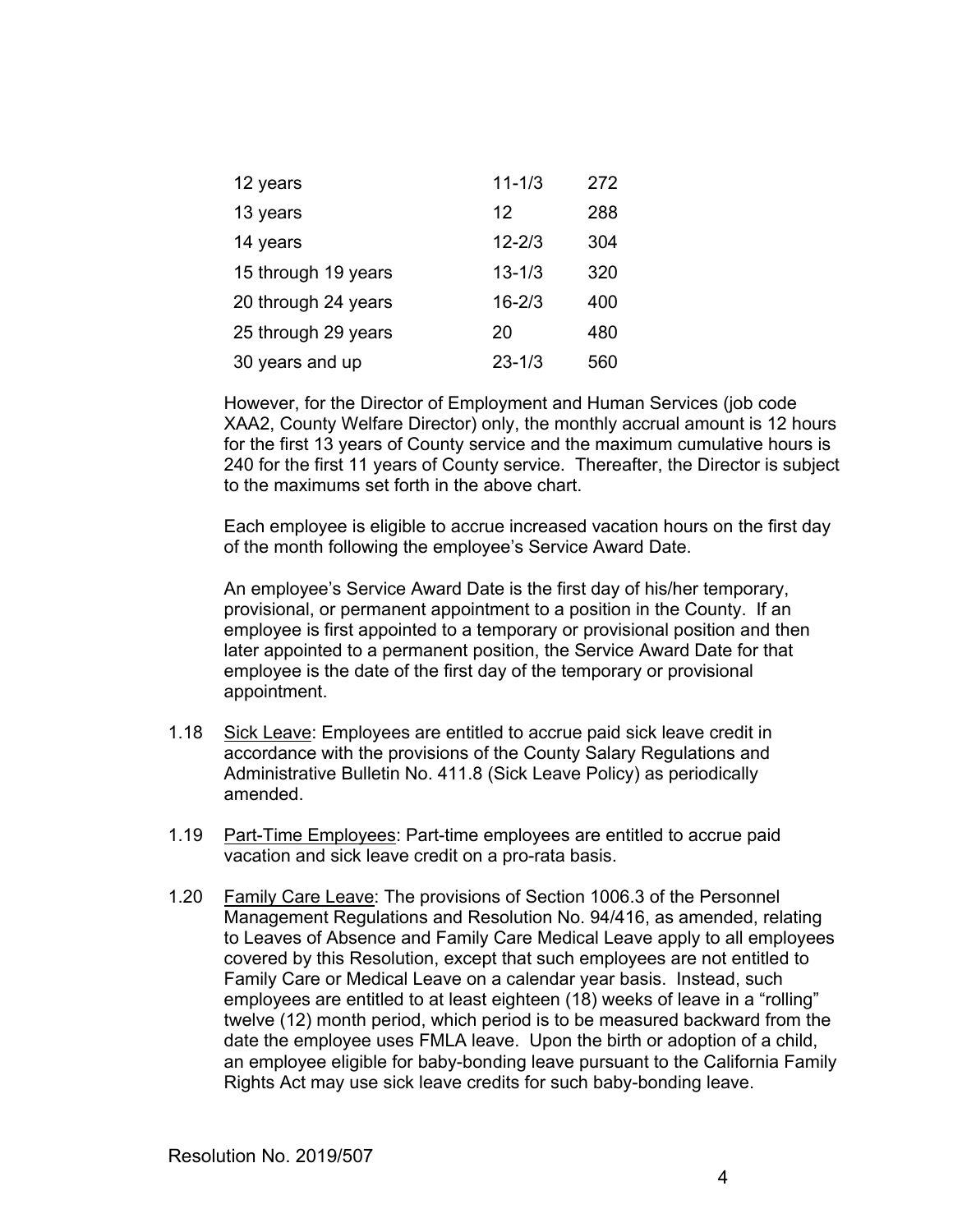| 12 years            | $11 - 1/3$ | 272 |
|---------------------|------------|-----|
| 13 years            | 12         | 288 |
| 14 years            | $12 - 2/3$ | 304 |
| 15 through 19 years | $13 - 1/3$ | 320 |
| 20 through 24 years | $16 - 2/3$ | 400 |
| 25 through 29 years | 20         | 480 |
| 30 years and up     | $23 - 1/3$ | 560 |

However, for the Director of Employment and Human Services (job code XAA2, County Welfare Director) only, the monthly accrual amount is 12 hours for the first 13 years of County service and the maximum cumulative hours is 240 for the first 11 years of County service. Thereafter, the Director is subject to the maximums set forth in the above chart.

Each employee is eligible to accrue increased vacation hours on the first day of the month following the employee's Service Award Date.

An employee's Service Award Date is the first day of his/her temporary, provisional, or permanent appointment to a position in the County. If an employee is first appointed to a temporary or provisional position and then later appointed to a permanent position, the Service Award Date for that employee is the date of the first day of the temporary or provisional appointment.

- 1.18 Sick Leave: Employees are entitled to accrue paid sick leave credit in accordance with the provisions of the County Salary Regulations and Administrative Bulletin No. 411.8 (Sick Leave Policy) as periodically amended.
- 1.19 Part-Time Employees: Part-time employees are entitled to accrue paid vacation and sick leave credit on a pro-rata basis.
- 1.20 Family Care Leave: The provisions of Section 1006.3 of the Personnel Management Regulations and Resolution No. 94/416, as amended, relating to Leaves of Absence and Family Care Medical Leave apply to all employees covered by this Resolution, except that such employees are not entitled to Family Care or Medical Leave on a calendar year basis. Instead, such employees are entitled to at least eighteen (18) weeks of leave in a "rolling" twelve (12) month period, which period is to be measured backward from the date the employee uses FMLA leave. Upon the birth or adoption of a child, an employee eligible for baby-bonding leave pursuant to the California Family Rights Act may use sick leave credits for such baby-bonding leave.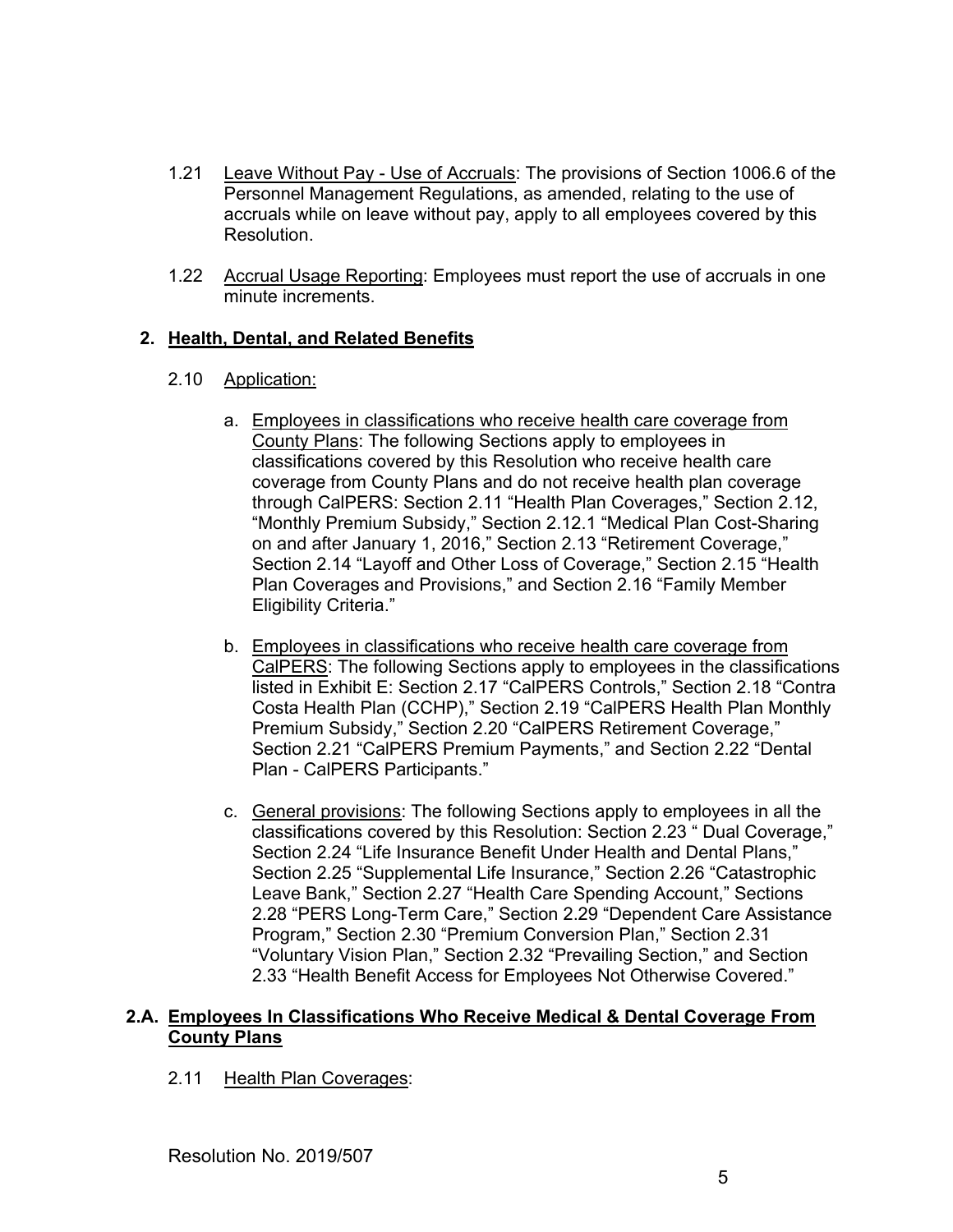- 1.21 Leave Without Pay Use of Accruals: The provisions of Section 1006.6 of the Personnel Management Regulations, as amended, relating to the use of accruals while on leave without pay, apply to all employees covered by this Resolution.
- 1.22 Accrual Usage Reporting: Employees must report the use of accruals in one minute increments.

# **2. Health, Dental, and Related Benefits**

- 2.10 Application:
	- a. Employees in classifications who receive health care coverage from County Plans: The following Sections apply to employees in classifications covered by this Resolution who receive health care coverage from County Plans and do not receive health plan coverage through CalPERS: Section 2.11 "Health Plan Coverages," Section 2.12, "Monthly Premium Subsidy," Section 2.12.1 "Medical Plan Cost-Sharing on and after January 1, 2016," Section 2.13 "Retirement Coverage," Section 2.14 "Layoff and Other Loss of Coverage," Section 2.15 "Health Plan Coverages and Provisions," and Section 2.16 "Family Member Eligibility Criteria."
	- b. Employees in classifications who receive health care coverage from CalPERS: The following Sections apply to employees in the classifications listed in Exhibit E: Section 2.17 "CalPERS Controls," Section 2.18 "Contra Costa Health Plan (CCHP)," Section 2.19 "CalPERS Health Plan Monthly Premium Subsidy," Section 2.20 "CalPERS Retirement Coverage," Section 2.21 "CalPERS Premium Payments," and Section 2.22 "Dental Plan - CalPERS Participants."
	- c. General provisions: The following Sections apply to employees in all the classifications covered by this Resolution: Section 2.23 " Dual Coverage," Section 2.24 "Life Insurance Benefit Under Health and Dental Plans," Section 2.25 "Supplemental Life Insurance," Section 2.26 "Catastrophic Leave Bank," Section 2.27 "Health Care Spending Account," Sections 2.28 "PERS Long-Term Care," Section 2.29 "Dependent Care Assistance Program," Section 2.30 "Premium Conversion Plan," Section 2.31 "Voluntary Vision Plan," Section 2.32 "Prevailing Section," and Section 2.33 "Health Benefit Access for Employees Not Otherwise Covered."

### **2.A. Employees In Classifications Who Receive Medical & Dental Coverage From County Plans**

2.11 Health Plan Coverages: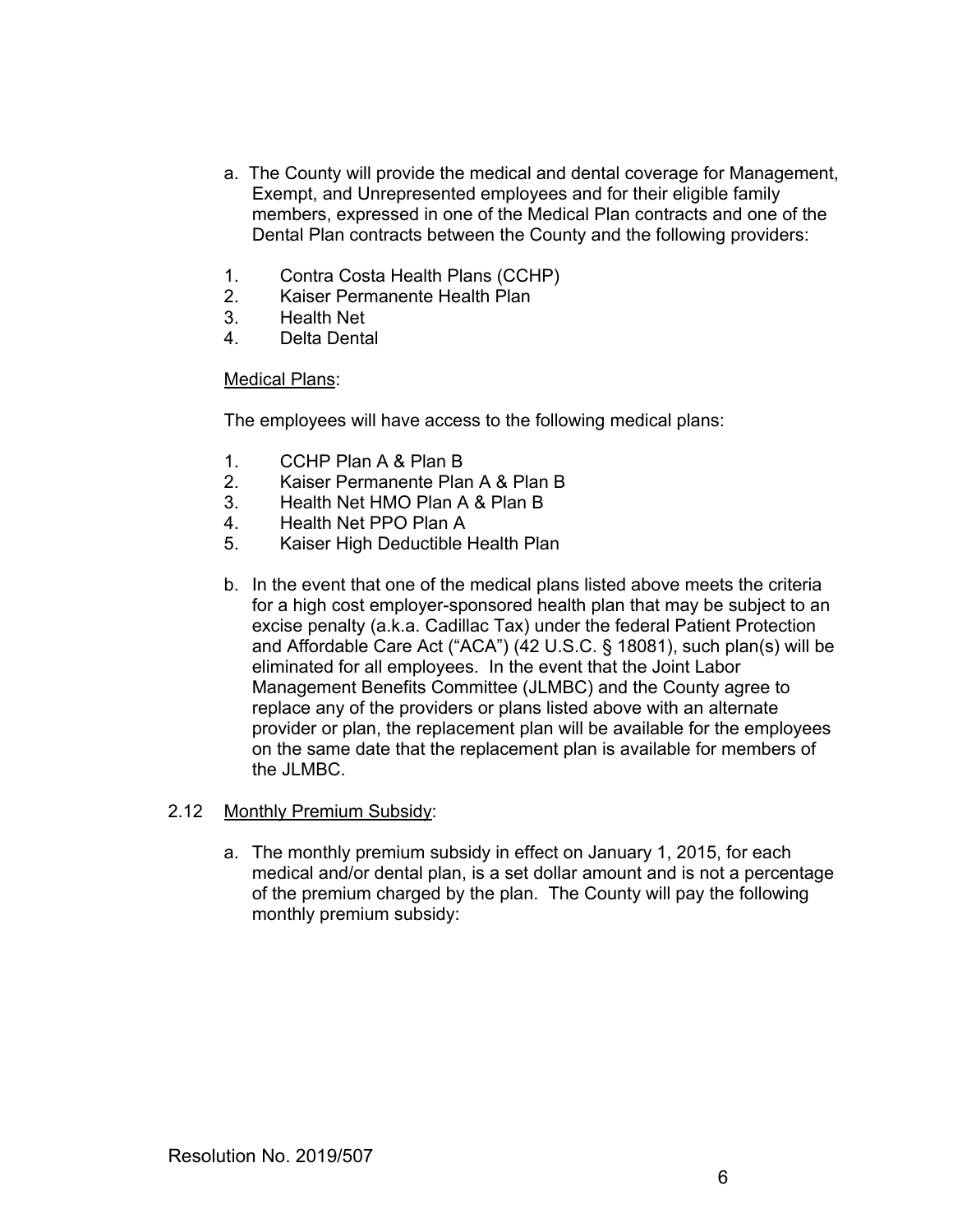- a. The County will provide the medical and dental coverage for Management, Exempt, and Unrepresented employees and for their eligible family members, expressed in one of the Medical Plan contracts and one of the Dental Plan contracts between the County and the following providers:
- 1. Contra Costa Health Plans (CCHP)
- 2. Kaiser Permanente Health Plan
- 3. Health Net
- 4. Delta Dental

#### Medical Plans:

The employees will have access to the following medical plans:

- 1. CCHP Plan A & Plan B
- 2. Kaiser Permanente Plan A & Plan B
- 3. Health Net HMO Plan A & Plan B
- 4. Health Net PPO Plan A
- 5. Kaiser High Deductible Health Plan
- b. In the event that one of the medical plans listed above meets the criteria for a high cost employer-sponsored health plan that may be subject to an excise penalty (a.k.a. Cadillac Tax) under the federal Patient Protection and Affordable Care Act ("ACA") (42 U.S.C. § 18081), such plan(s) will be eliminated for all employees. In the event that the Joint Labor Management Benefits Committee (JLMBC) and the County agree to replace any of the providers or plans listed above with an alternate provider or plan, the replacement plan will be available for the employees on the same date that the replacement plan is available for members of the JLMBC.

### 2.12 Monthly Premium Subsidy:

a. The monthly premium subsidy in effect on January 1, 2015, for each medical and/or dental plan, is a set dollar amount and is not a percentage of the premium charged by the plan. The County will pay the following monthly premium subsidy: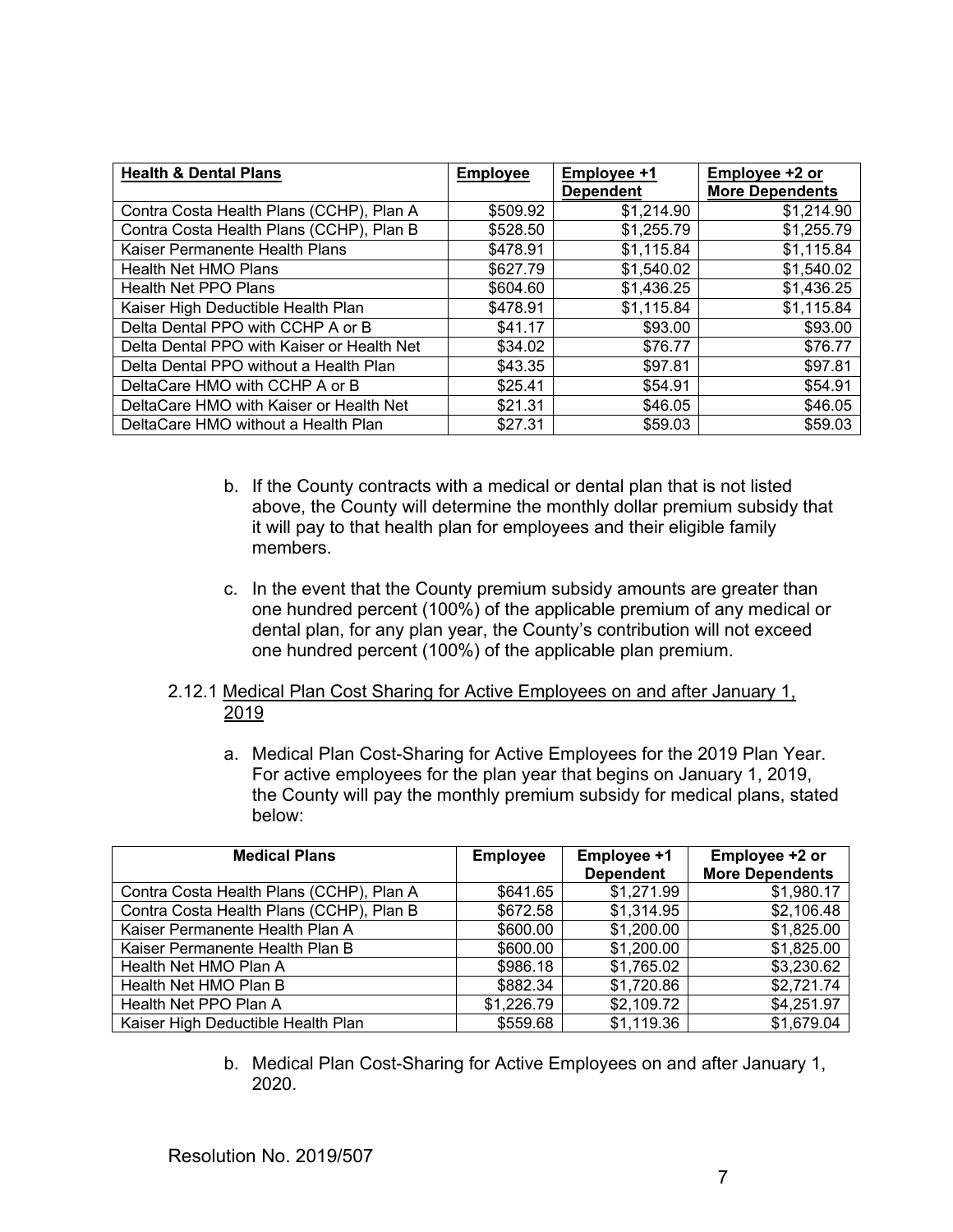| <b>Health &amp; Dental Plans</b>           | <b>Employee</b> | Employee +1<br><b>Dependent</b> | Employee +2 or<br><b>More Dependents</b> |
|--------------------------------------------|-----------------|---------------------------------|------------------------------------------|
| Contra Costa Health Plans (CCHP), Plan A   | \$509.92        | \$1,214.90                      | \$1,214.90                               |
| Contra Costa Health Plans (CCHP), Plan B   | \$528.50        | \$1,255.79                      | \$1,255.79                               |
| Kaiser Permanente Health Plans             | \$478.91        | \$1,115.84                      | \$1,115.84                               |
| Health Net HMO Plans                       | \$627.79        | \$1,540.02                      | \$1,540.02                               |
| Health Net PPO Plans                       | \$604.60        | \$1,436.25                      | \$1,436.25                               |
| Kaiser High Deductible Health Plan         | \$478.91        | \$1,115.84                      | \$1,115.84                               |
| Delta Dental PPO with CCHP A or B          | \$41.17         | \$93.00                         | \$93.00                                  |
| Delta Dental PPO with Kaiser or Health Net | \$34.02         | \$76.77                         | \$76.77                                  |
| Delta Dental PPO without a Health Plan     | \$43.35         | \$97.81                         | \$97.81                                  |
| DeltaCare HMO with CCHP A or B             | \$25.41         | \$54.91                         | \$54.91                                  |
| DeltaCare HMO with Kaiser or Health Net    | \$21.31         | \$46.05                         | \$46.05                                  |
| DeltaCare HMO without a Health Plan        | \$27.31         | \$59.03                         | \$59.03                                  |

- b. If the County contracts with a medical or dental plan that is not listed above, the County will determine the monthly dollar premium subsidy that it will pay to that health plan for employees and their eligible family members.
- c. In the event that the County premium subsidy amounts are greater than one hundred percent (100%) of the applicable premium of any medical or dental plan, for any plan year, the County's contribution will not exceed one hundred percent (100%) of the applicable plan premium.
- 2.12.1 Medical Plan Cost Sharing for Active Employees on and after January 1, 2019
	- a. Medical Plan Cost-Sharing for Active Employees for the 2019 Plan Year. For active employees for the plan year that begins on January 1, 2019, the County will pay the monthly premium subsidy for medical plans, stated below:

| <b>Medical Plans</b>                     | <b>Employee</b> | Employee +1      | Employee +2 or         |
|------------------------------------------|-----------------|------------------|------------------------|
|                                          |                 | <b>Dependent</b> | <b>More Dependents</b> |
| Contra Costa Health Plans (CCHP), Plan A | \$641.65        | \$1,271.99       | \$1,980.17             |
| Contra Costa Health Plans (CCHP), Plan B | \$672.58        | \$1,314.95       | \$2,106.48             |
| Kaiser Permanente Health Plan A          | \$600.00        | \$1,200.00       | \$1,825.00             |
| Kaiser Permanente Health Plan B          | \$600.00        | \$1,200.00       | \$1,825.00             |
| Health Net HMO Plan A                    | \$986.18        | \$1,765.02       | \$3,230.62             |
| Health Net HMO Plan B                    | \$882.34        | \$1,720.86       | \$2,721.74             |
| Health Net PPO Plan A                    | \$1,226.79      | \$2,109.72       | \$4,251.97             |
| Kaiser High Deductible Health Plan       | \$559.68        | \$1,119.36       | \$1,679.04             |

b. Medical Plan Cost-Sharing for Active Employees on and after January 1, 2020.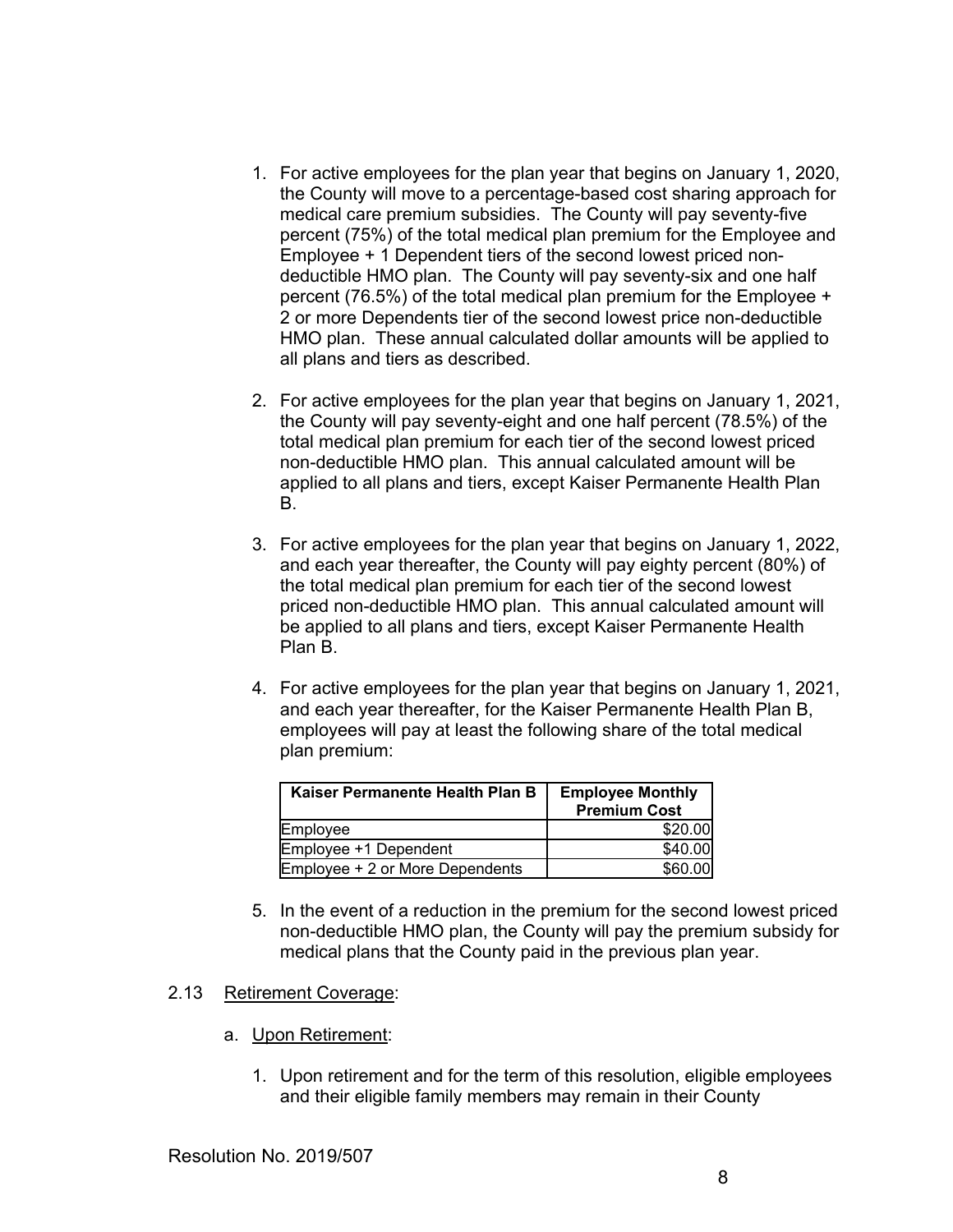- 1. For active employees for the plan year that begins on January 1, 2020, the County will move to a percentage-based cost sharing approach for medical care premium subsidies. The County will pay seventy-five percent (75%) of the total medical plan premium for the Employee and Employee + 1 Dependent tiers of the second lowest priced nondeductible HMO plan. The County will pay seventy-six and one half percent (76.5%) of the total medical plan premium for the Employee + 2 or more Dependents tier of the second lowest price non-deductible HMO plan. These annual calculated dollar amounts will be applied to all plans and tiers as described.
- 2. For active employees for the plan year that begins on January 1, 2021, the County will pay seventy-eight and one half percent (78.5%) of the total medical plan premium for each tier of the second lowest priced non-deductible HMO plan. This annual calculated amount will be applied to all plans and tiers, except Kaiser Permanente Health Plan B.
- 3. For active employees for the plan year that begins on January 1, 2022, and each year thereafter, the County will pay eighty percent (80%) of the total medical plan premium for each tier of the second lowest priced non-deductible HMO plan. This annual calculated amount will be applied to all plans and tiers, except Kaiser Permanente Health Plan B.
- 4. For active employees for the plan year that begins on January 1, 2021, and each year thereafter, for the Kaiser Permanente Health Plan B, employees will pay at least the following share of the total medical plan premium:

| Kaiser Permanente Health Plan B | <b>Employee Monthly</b><br><b>Premium Cost</b> |
|---------------------------------|------------------------------------------------|
| Employee                        | \$20.00                                        |
| Employee +1 Dependent           | \$40.00                                        |
| Employee + 2 or More Dependents | \$60,00                                        |

5. In the event of a reduction in the premium for the second lowest priced non-deductible HMO plan, the County will pay the premium subsidy for medical plans that the County paid in the previous plan year.

### 2.13 Retirement Coverage:

- a. Upon Retirement:
	- 1. Upon retirement and for the term of this resolution, eligible employees and their eligible family members may remain in their County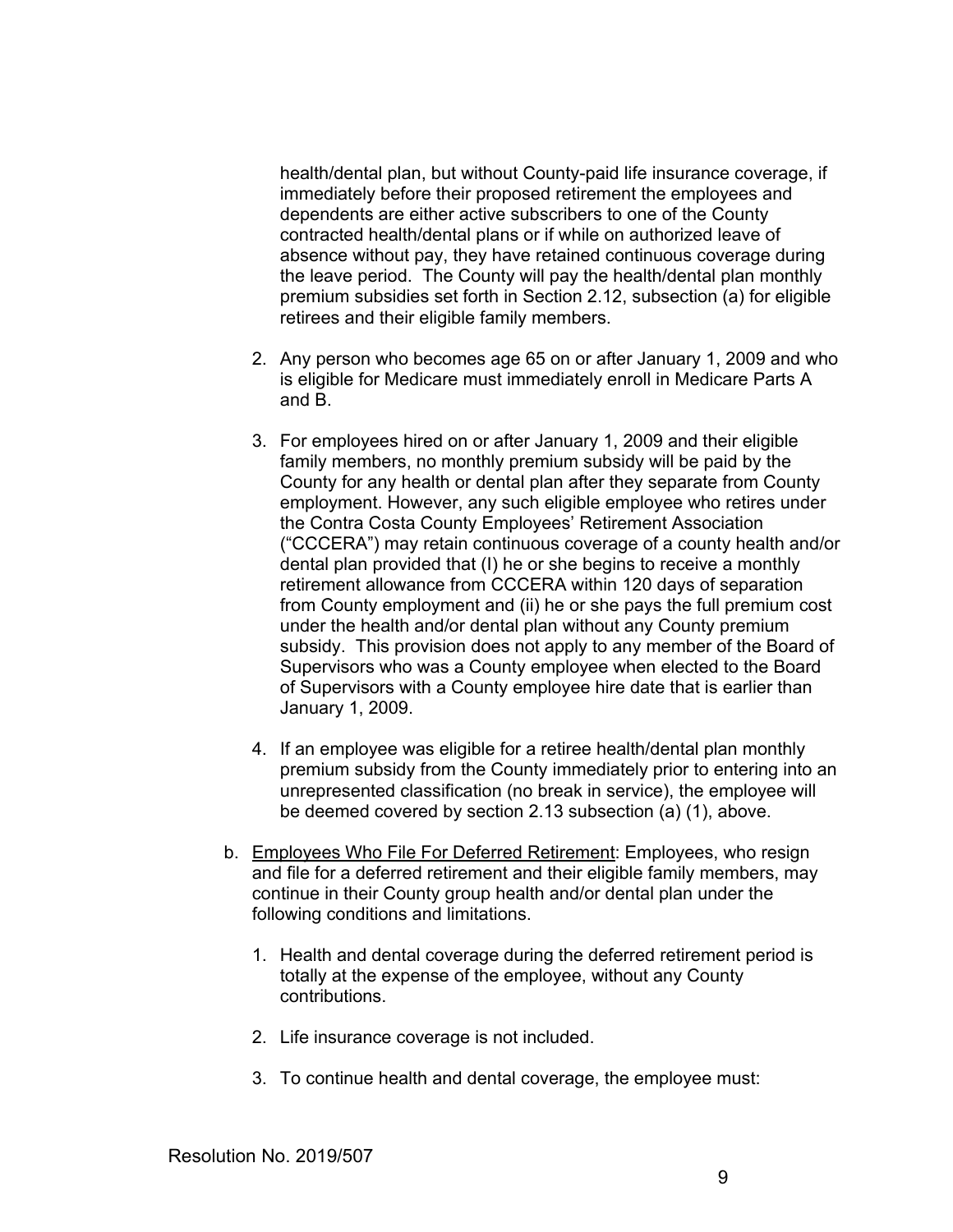health/dental plan, but without County-paid life insurance coverage, if immediately before their proposed retirement the employees and dependents are either active subscribers to one of the County contracted health/dental plans or if while on authorized leave of absence without pay, they have retained continuous coverage during the leave period. The County will pay the health/dental plan monthly premium subsidies set forth in Section 2.12, subsection (a) for eligible retirees and their eligible family members.

- 2. Any person who becomes age 65 on or after January 1, 2009 and who is eligible for Medicare must immediately enroll in Medicare Parts A and B.
- 3. For employees hired on or after January 1, 2009 and their eligible family members, no monthly premium subsidy will be paid by the County for any health or dental plan after they separate from County employment. However, any such eligible employee who retires under the Contra Costa County Employees' Retirement Association ("CCCERA") may retain continuous coverage of a county health and/or dental plan provided that (I) he or she begins to receive a monthly retirement allowance from CCCERA within 120 days of separation from County employment and (ii) he or she pays the full premium cost under the health and/or dental plan without any County premium subsidy. This provision does not apply to any member of the Board of Supervisors who was a County employee when elected to the Board of Supervisors with a County employee hire date that is earlier than January 1, 2009.
- 4. If an employee was eligible for a retiree health/dental plan monthly premium subsidy from the County immediately prior to entering into an unrepresented classification (no break in service), the employee will be deemed covered by section 2.13 subsection (a) (1), above.
- b. Employees Who File For Deferred Retirement: Employees, who resign and file for a deferred retirement and their eligible family members, may continue in their County group health and/or dental plan under the following conditions and limitations.
	- 1. Health and dental coverage during the deferred retirement period is totally at the expense of the employee, without any County contributions.
	- 2. Life insurance coverage is not included.
	- 3. To continue health and dental coverage, the employee must: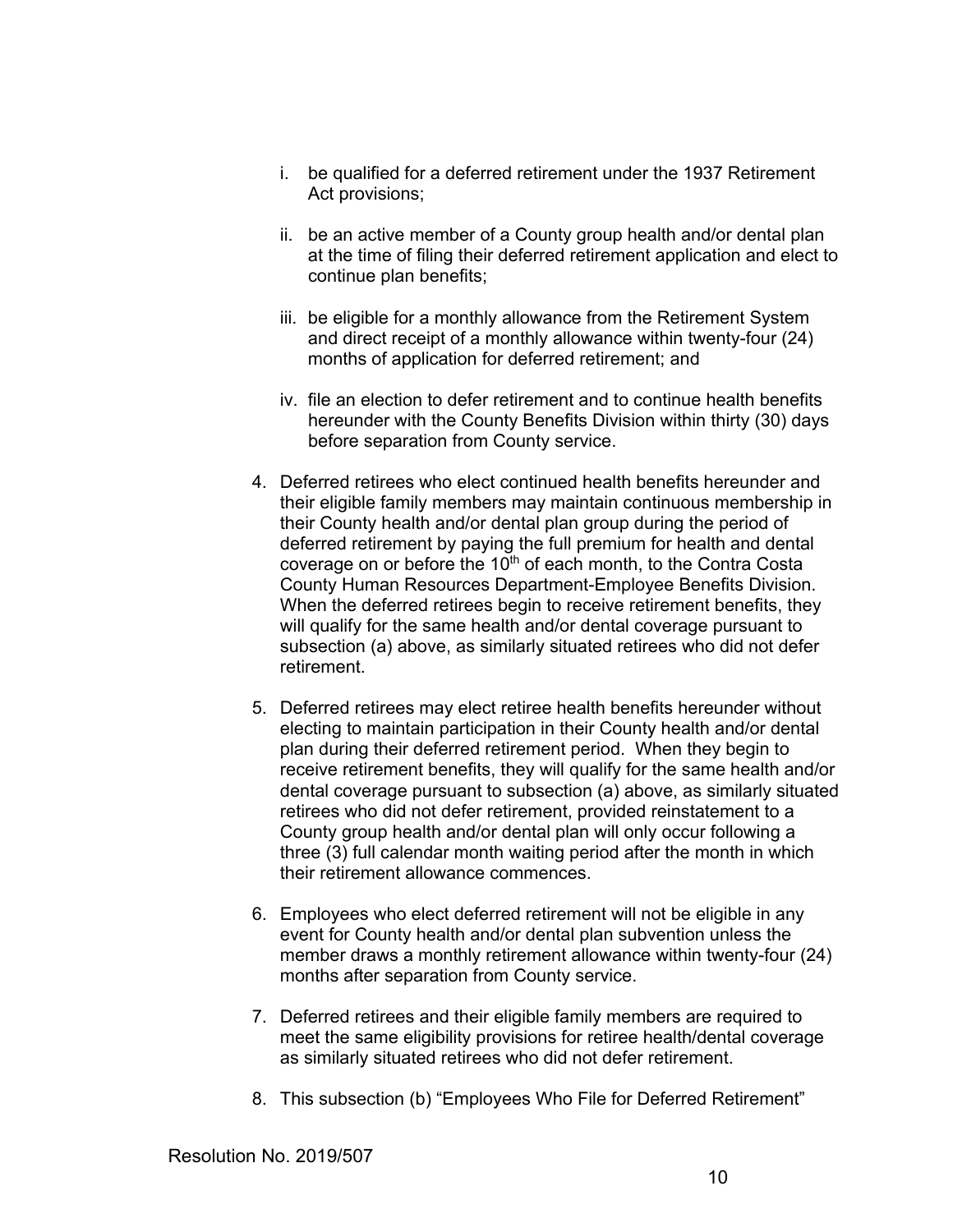- i. be qualified for a deferred retirement under the 1937 Retirement Act provisions;
- ii. be an active member of a County group health and/or dental plan at the time of filing their deferred retirement application and elect to continue plan benefits;
- iii. be eligible for a monthly allowance from the Retirement System and direct receipt of a monthly allowance within twenty-four (24) months of application for deferred retirement; and
- iv. file an election to defer retirement and to continue health benefits hereunder with the County Benefits Division within thirty (30) days before separation from County service.
- 4. Deferred retirees who elect continued health benefits hereunder and their eligible family members may maintain continuous membership in their County health and/or dental plan group during the period of deferred retirement by paying the full premium for health and dental coverage on or before the 10<sup>th</sup> of each month, to the Contra Costa County Human Resources Department-Employee Benefits Division. When the deferred retirees begin to receive retirement benefits, they will qualify for the same health and/or dental coverage pursuant to subsection (a) above, as similarly situated retirees who did not defer retirement.
- 5. Deferred retirees may elect retiree health benefits hereunder without electing to maintain participation in their County health and/or dental plan during their deferred retirement period. When they begin to receive retirement benefits, they will qualify for the same health and/or dental coverage pursuant to subsection (a) above, as similarly situated retirees who did not defer retirement, provided reinstatement to a County group health and/or dental plan will only occur following a three (3) full calendar month waiting period after the month in which their retirement allowance commences.
- 6. Employees who elect deferred retirement will not be eligible in any event for County health and/or dental plan subvention unless the member draws a monthly retirement allowance within twenty-four (24) months after separation from County service.
- 7. Deferred retirees and their eligible family members are required to meet the same eligibility provisions for retiree health/dental coverage as similarly situated retirees who did not defer retirement.
- 8. This subsection (b) "Employees Who File for Deferred Retirement"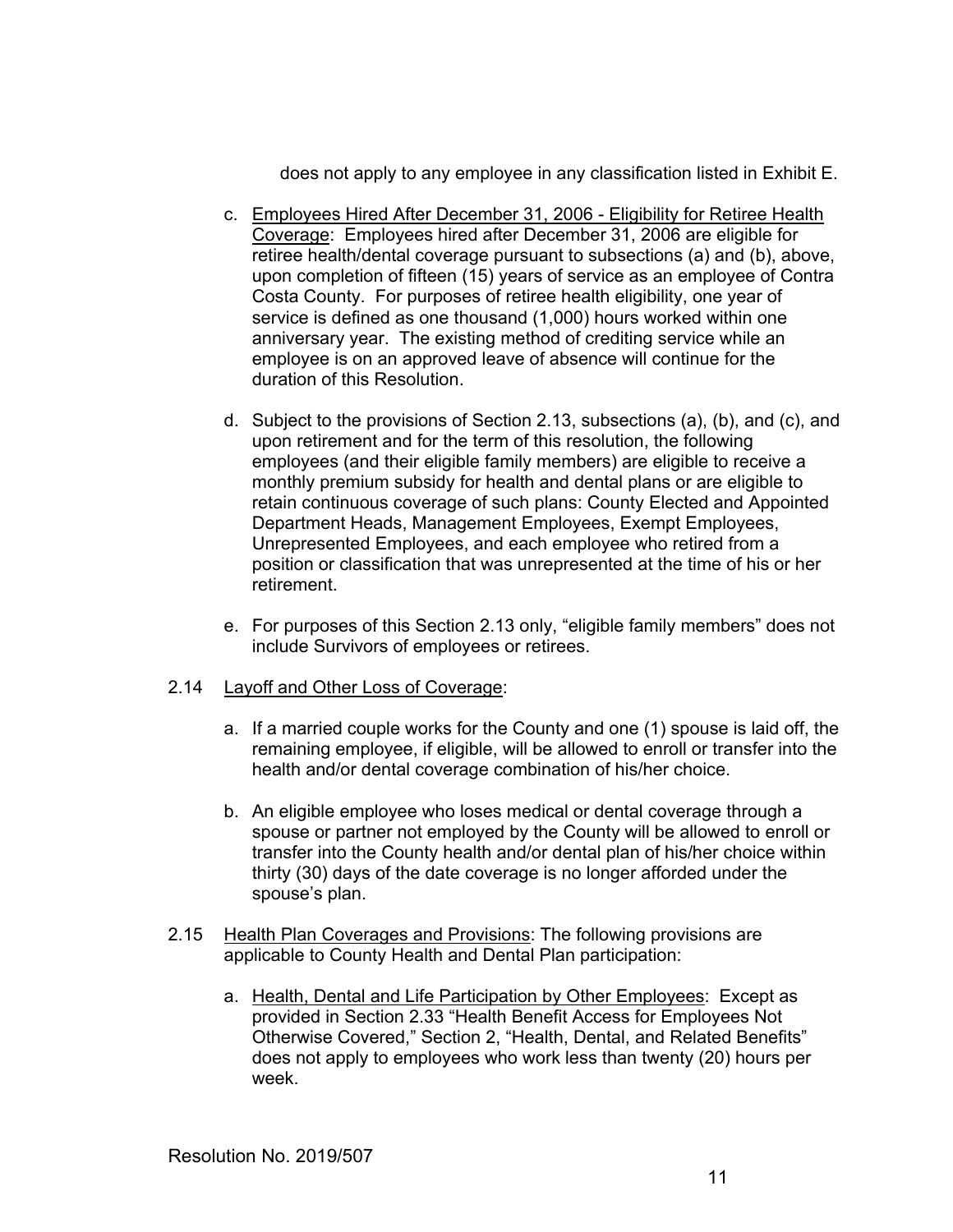does not apply to any employee in any classification listed in Exhibit E.

- c. Employees Hired After December 31, 2006 Eligibility for Retiree Health Coverage: Employees hired after December 31, 2006 are eligible for retiree health/dental coverage pursuant to subsections (a) and (b), above, upon completion of fifteen (15) years of service as an employee of Contra Costa County. For purposes of retiree health eligibility, one year of service is defined as one thousand (1,000) hours worked within one anniversary year. The existing method of crediting service while an employee is on an approved leave of absence will continue for the duration of this Resolution.
- d. Subject to the provisions of Section 2.13, subsections (a), (b), and (c), and upon retirement and for the term of this resolution, the following employees (and their eligible family members) are eligible to receive a monthly premium subsidy for health and dental plans or are eligible to retain continuous coverage of such plans: County Elected and Appointed Department Heads, Management Employees, Exempt Employees, Unrepresented Employees, and each employee who retired from a position or classification that was unrepresented at the time of his or her retirement.
- e. For purposes of this Section 2.13 only, "eligible family members" does not include Survivors of employees or retirees.

### 2.14 Layoff and Other Loss of Coverage:

- a. If a married couple works for the County and one (1) spouse is laid off, the remaining employee, if eligible, will be allowed to enroll or transfer into the health and/or dental coverage combination of his/her choice.
- b. An eligible employee who loses medical or dental coverage through a spouse or partner not employed by the County will be allowed to enroll or transfer into the County health and/or dental plan of his/her choice within thirty (30) days of the date coverage is no longer afforded under the spouse's plan.
- 2.15 Health Plan Coverages and Provisions: The following provisions are applicable to County Health and Dental Plan participation:
	- a. Health, Dental and Life Participation by Other Employees: Except as provided in Section 2.33 "Health Benefit Access for Employees Not Otherwise Covered," Section 2, "Health, Dental, and Related Benefits" does not apply to employees who work less than twenty (20) hours per week.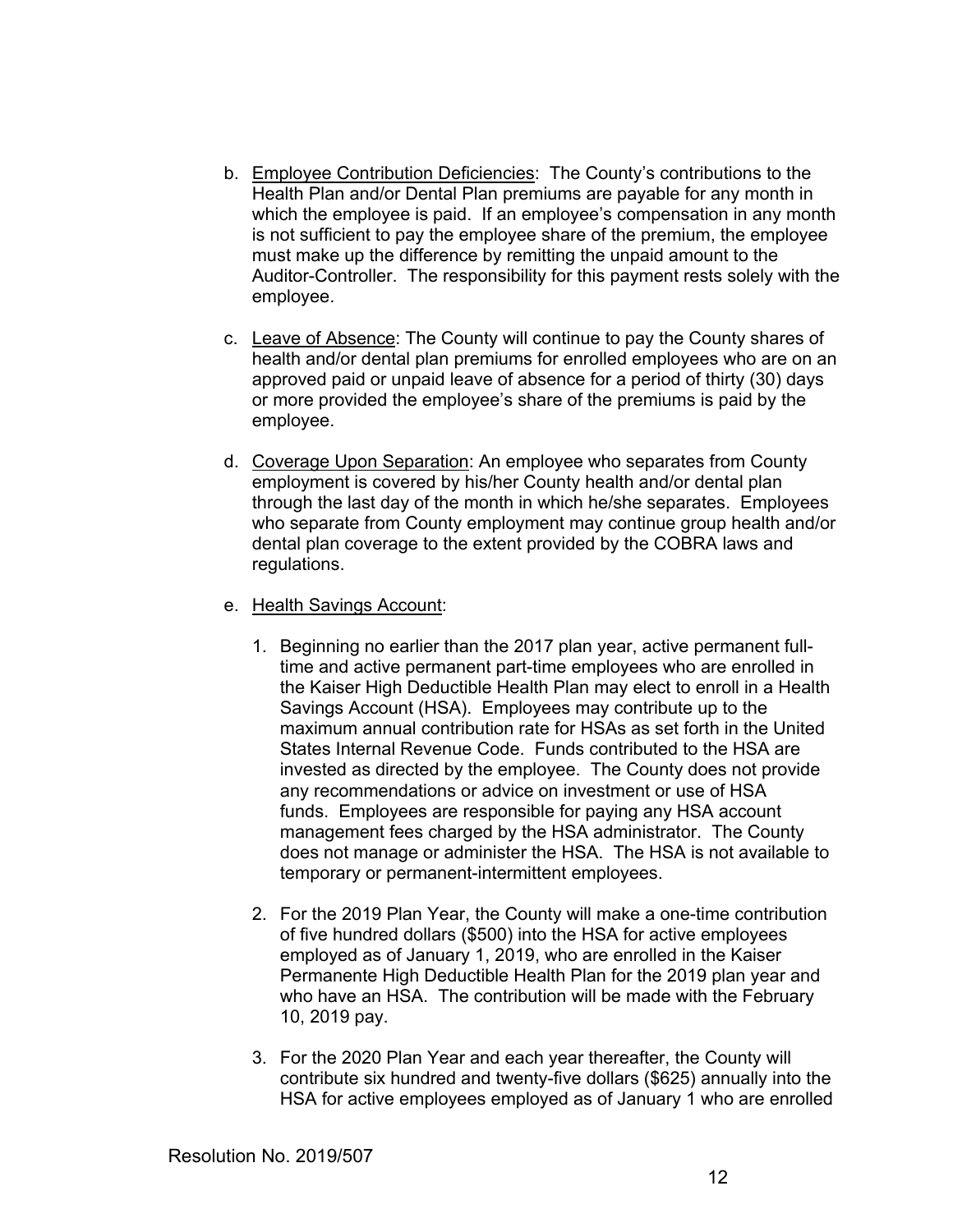- b. Employee Contribution Deficiencies: The County's contributions to the Health Plan and/or Dental Plan premiums are payable for any month in which the employee is paid. If an employee's compensation in any month is not sufficient to pay the employee share of the premium, the employee must make up the difference by remitting the unpaid amount to the Auditor-Controller. The responsibility for this payment rests solely with the employee.
- c. Leave of Absence: The County will continue to pay the County shares of health and/or dental plan premiums for enrolled employees who are on an approved paid or unpaid leave of absence for a period of thirty (30) days or more provided the employee's share of the premiums is paid by the employee.
- d. Coverage Upon Separation: An employee who separates from County employment is covered by his/her County health and/or dental plan through the last day of the month in which he/she separates. Employees who separate from County employment may continue group health and/or dental plan coverage to the extent provided by the COBRA laws and regulations.
- e. Health Savings Account:
	- 1. Beginning no earlier than the 2017 plan year, active permanent fulltime and active permanent part-time employees who are enrolled in the Kaiser High Deductible Health Plan may elect to enroll in a Health Savings Account (HSA). Employees may contribute up to the maximum annual contribution rate for HSAs as set forth in the United States Internal Revenue Code. Funds contributed to the HSA are invested as directed by the employee. The County does not provide any recommendations or advice on investment or use of HSA funds. Employees are responsible for paying any HSA account management fees charged by the HSA administrator. The County does not manage or administer the HSA. The HSA is not available to temporary or permanent-intermittent employees.
	- 2. For the 2019 Plan Year, the County will make a one-time contribution of five hundred dollars (\$500) into the HSA for active employees employed as of January 1, 2019, who are enrolled in the Kaiser Permanente High Deductible Health Plan for the 2019 plan year and who have an HSA. The contribution will be made with the February 10, 2019 pay.
	- 3. For the 2020 Plan Year and each year thereafter, the County will contribute six hundred and twenty-five dollars (\$625) annually into the HSA for active employees employed as of January 1 who are enrolled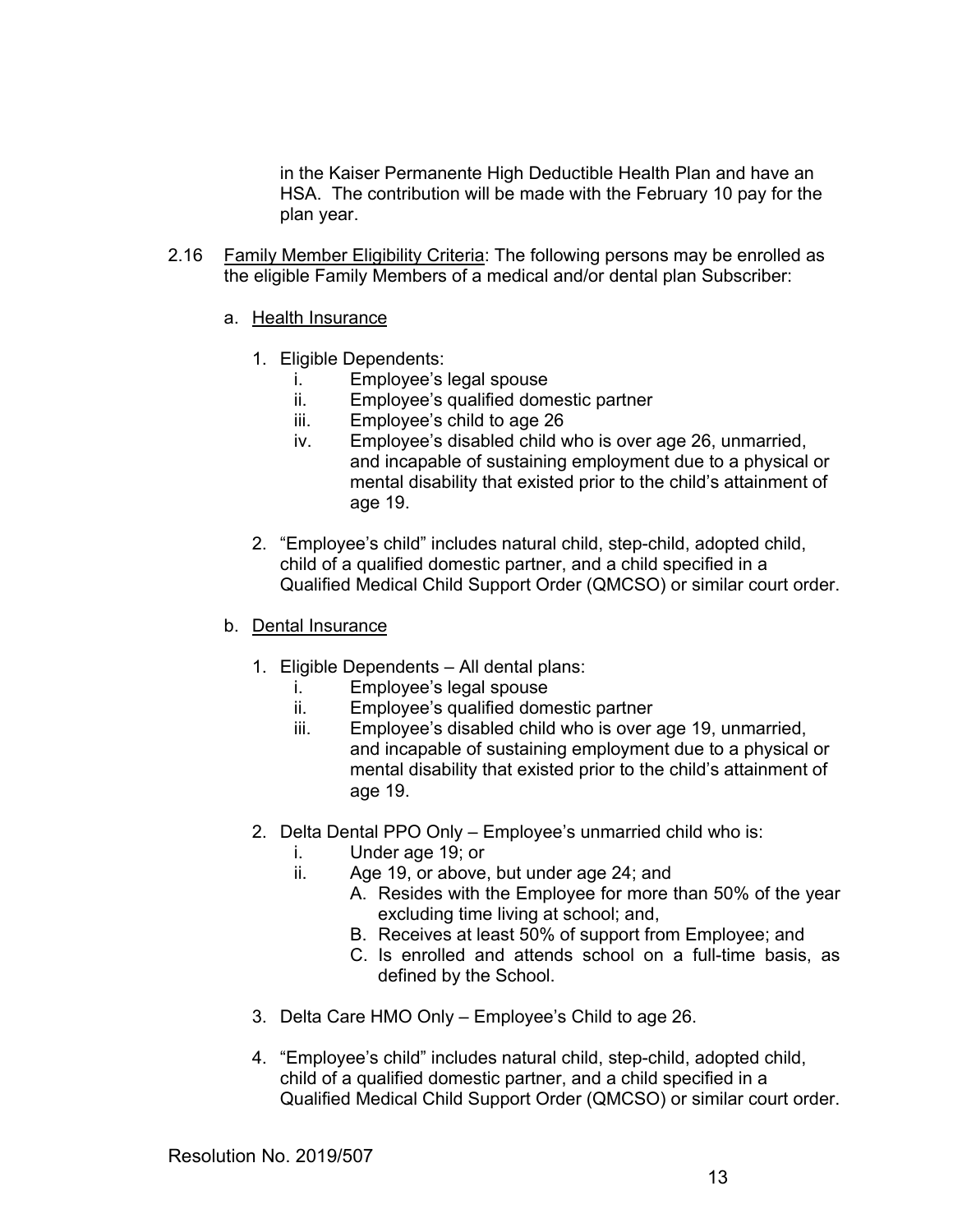in the Kaiser Permanente High Deductible Health Plan and have an HSA. The contribution will be made with the February 10 pay for the plan year.

- 2.16 Family Member Eligibility Criteria: The following persons may be enrolled as the eligible Family Members of a medical and/or dental plan Subscriber:
	- a. Health Insurance
		- 1. Eligible Dependents:
			- i. Employee's legal spouse
			- ii. Employee's qualified domestic partner
			- iii. Employee's child to age 26
			- iv. Employee's disabled child who is over age 26, unmarried, and incapable of sustaining employment due to a physical or mental disability that existed prior to the child's attainment of age 19.
		- 2. "Employee's child" includes natural child, step-child, adopted child, child of a qualified domestic partner, and a child specified in a Qualified Medical Child Support Order (QMCSO) or similar court order.
	- b. Dental Insurance
		- 1. Eligible Dependents All dental plans:
			- i. Employee's legal spouse
			- ii. Employee's qualified domestic partner
			- iii. Employee's disabled child who is over age 19, unmarried, and incapable of sustaining employment due to a physical or mental disability that existed prior to the child's attainment of age 19.
		- 2. Delta Dental PPO Only Employee's unmarried child who is:
			- i. Under age 19; or
			- ii. Age 19, or above, but under age 24; and
				- A. Resides with the Employee for more than 50% of the year excluding time living at school; and,
					- B. Receives at least 50% of support from Employee; and
					- C. Is enrolled and attends school on a full-time basis, as defined by the School.
		- 3. Delta Care HMO Only Employee's Child to age 26.
		- 4. "Employee's child" includes natural child, step-child, adopted child, child of a qualified domestic partner, and a child specified in a Qualified Medical Child Support Order (QMCSO) or similar court order.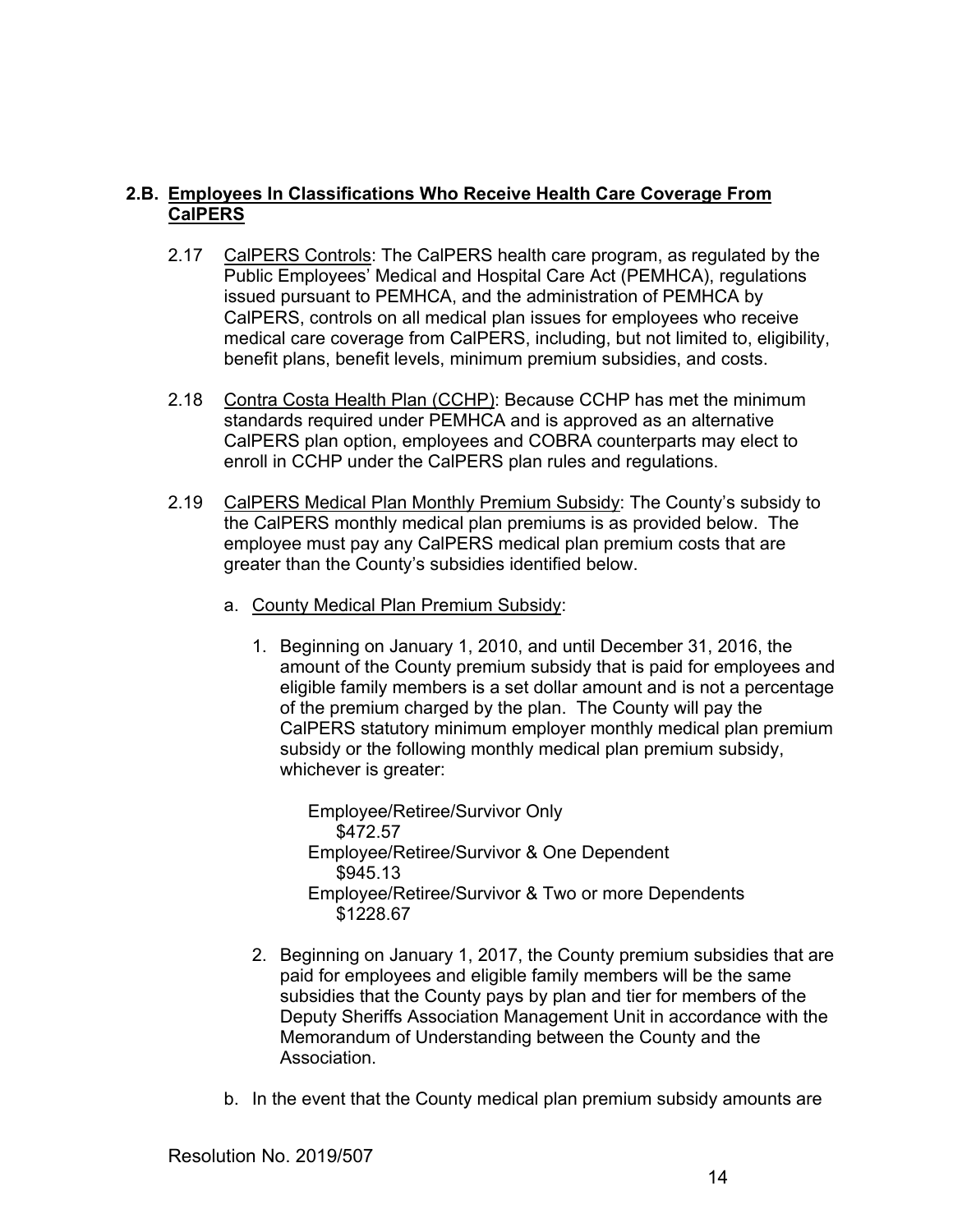# **2.B. Employees In Classifications Who Receive Health Care Coverage From CalPERS**

- 2.17 CalPERS Controls: The CalPERS health care program, as regulated by the Public Employees' Medical and Hospital Care Act (PEMHCA), regulations issued pursuant to PEMHCA, and the administration of PEMHCA by CalPERS, controls on all medical plan issues for employees who receive medical care coverage from CalPERS, including, but not limited to, eligibility, benefit plans, benefit levels, minimum premium subsidies, and costs.
- 2.18 Contra Costa Health Plan (CCHP): Because CCHP has met the minimum standards required under PEMHCA and is approved as an alternative CalPERS plan option, employees and COBRA counterparts may elect to enroll in CCHP under the CalPERS plan rules and regulations.
- 2.19 CalPERS Medical Plan Monthly Premium Subsidy: The County's subsidy to the CalPERS monthly medical plan premiums is as provided below. The employee must pay any CalPERS medical plan premium costs that are greater than the County's subsidies identified below.
	- a. County Medical Plan Premium Subsidy:
		- 1. Beginning on January 1, 2010, and until December 31, 2016, the amount of the County premium subsidy that is paid for employees and eligible family members is a set dollar amount and is not a percentage of the premium charged by the plan. The County will pay the CalPERS statutory minimum employer monthly medical plan premium subsidy or the following monthly medical plan premium subsidy, whichever is greater:

Employee/Retiree/Survivor Only \$472.57 Employee/Retiree/Survivor & One Dependent \$945.13 Employee/Retiree/Survivor & Two or more Dependents \$1228.67

- 2. Beginning on January 1, 2017, the County premium subsidies that are paid for employees and eligible family members will be the same subsidies that the County pays by plan and tier for members of the Deputy Sheriffs Association Management Unit in accordance with the Memorandum of Understanding between the County and the Association.
- b. In the event that the County medical plan premium subsidy amounts are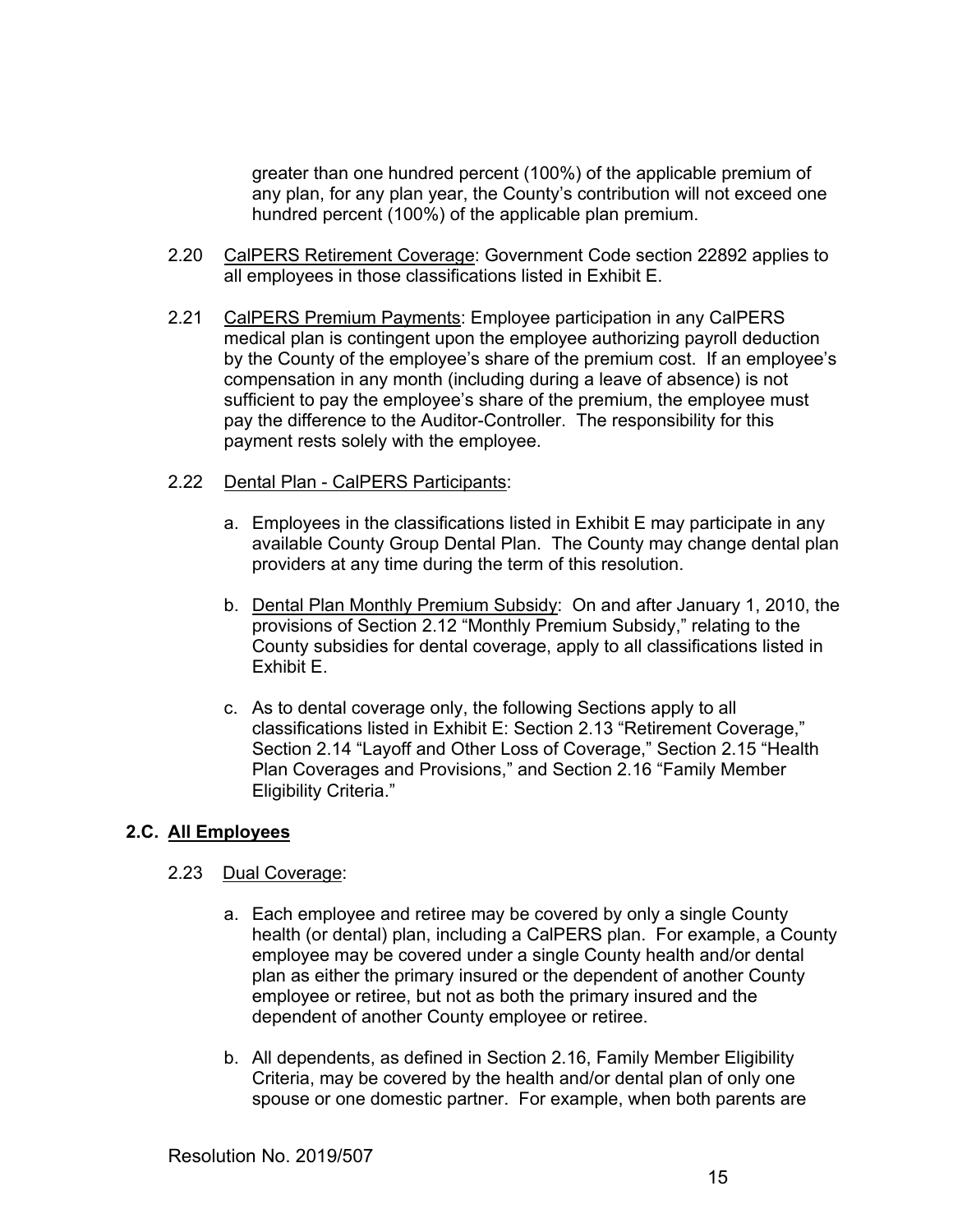greater than one hundred percent (100%) of the applicable premium of any plan, for any plan year, the County's contribution will not exceed one hundred percent (100%) of the applicable plan premium.

- 2.20 CalPERS Retirement Coverage: Government Code section 22892 applies to all employees in those classifications listed in Exhibit E.
- 2.21 CalPERS Premium Payments: Employee participation in any CalPERS medical plan is contingent upon the employee authorizing payroll deduction by the County of the employee's share of the premium cost. If an employee's compensation in any month (including during a leave of absence) is not sufficient to pay the employee's share of the premium, the employee must pay the difference to the Auditor-Controller. The responsibility for this payment rests solely with the employee.

### 2.22 Dental Plan - CalPERS Participants:

- a. Employees in the classifications listed in Exhibit E may participate in any available County Group Dental Plan. The County may change dental plan providers at any time during the term of this resolution.
- b. Dental Plan Monthly Premium Subsidy: On and after January 1, 2010, the provisions of Section 2.12 "Monthly Premium Subsidy," relating to the County subsidies for dental coverage, apply to all classifications listed in Exhibit E.
- c. As to dental coverage only, the following Sections apply to all classifications listed in Exhibit E: Section 2.13 "Retirement Coverage," Section 2.14 "Layoff and Other Loss of Coverage," Section 2.15 "Health Plan Coverages and Provisions," and Section 2.16 "Family Member Eligibility Criteria."

#### **2.C. All Employees**

### 2.23 Dual Coverage:

- a. Each employee and retiree may be covered by only a single County health (or dental) plan, including a CalPERS plan. For example, a County employee may be covered under a single County health and/or dental plan as either the primary insured or the dependent of another County employee or retiree, but not as both the primary insured and the dependent of another County employee or retiree.
- b. All dependents, as defined in Section 2.16, Family Member Eligibility Criteria, may be covered by the health and/or dental plan of only one spouse or one domestic partner. For example, when both parents are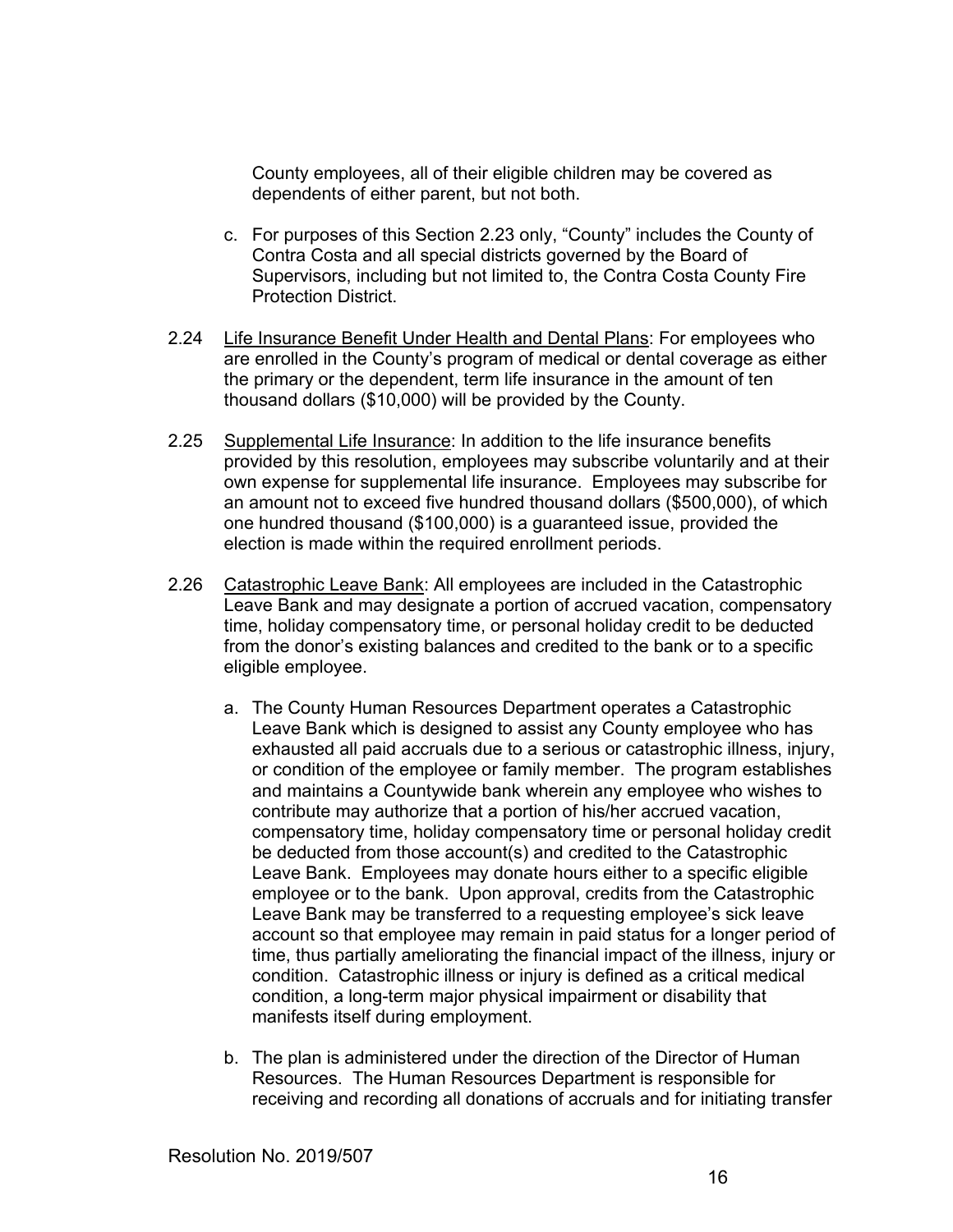County employees, all of their eligible children may be covered as dependents of either parent, but not both.

- c. For purposes of this Section 2.23 only, "County" includes the County of Contra Costa and all special districts governed by the Board of Supervisors, including but not limited to, the Contra Costa County Fire Protection District.
- 2.24 Life Insurance Benefit Under Health and Dental Plans: For employees who are enrolled in the County's program of medical or dental coverage as either the primary or the dependent, term life insurance in the amount of ten thousand dollars (\$10,000) will be provided by the County.
- 2.25 Supplemental Life Insurance: In addition to the life insurance benefits provided by this resolution, employees may subscribe voluntarily and at their own expense for supplemental life insurance. Employees may subscribe for an amount not to exceed five hundred thousand dollars (\$500,000), of which one hundred thousand (\$100,000) is a guaranteed issue, provided the election is made within the required enrollment periods.
- 2.26 Catastrophic Leave Bank: All employees are included in the Catastrophic Leave Bank and may designate a portion of accrued vacation, compensatory time, holiday compensatory time, or personal holiday credit to be deducted from the donor's existing balances and credited to the bank or to a specific eligible employee.
	- a. The County Human Resources Department operates a Catastrophic Leave Bank which is designed to assist any County employee who has exhausted all paid accruals due to a serious or catastrophic illness, injury, or condition of the employee or family member. The program establishes and maintains a Countywide bank wherein any employee who wishes to contribute may authorize that a portion of his/her accrued vacation, compensatory time, holiday compensatory time or personal holiday credit be deducted from those account(s) and credited to the Catastrophic Leave Bank. Employees may donate hours either to a specific eligible employee or to the bank. Upon approval, credits from the Catastrophic Leave Bank may be transferred to a requesting employee's sick leave account so that employee may remain in paid status for a longer period of time, thus partially ameliorating the financial impact of the illness, injury or condition. Catastrophic illness or injury is defined as a critical medical condition, a long-term major physical impairment or disability that manifests itself during employment.
	- b. The plan is administered under the direction of the Director of Human Resources. The Human Resources Department is responsible for receiving and recording all donations of accruals and for initiating transfer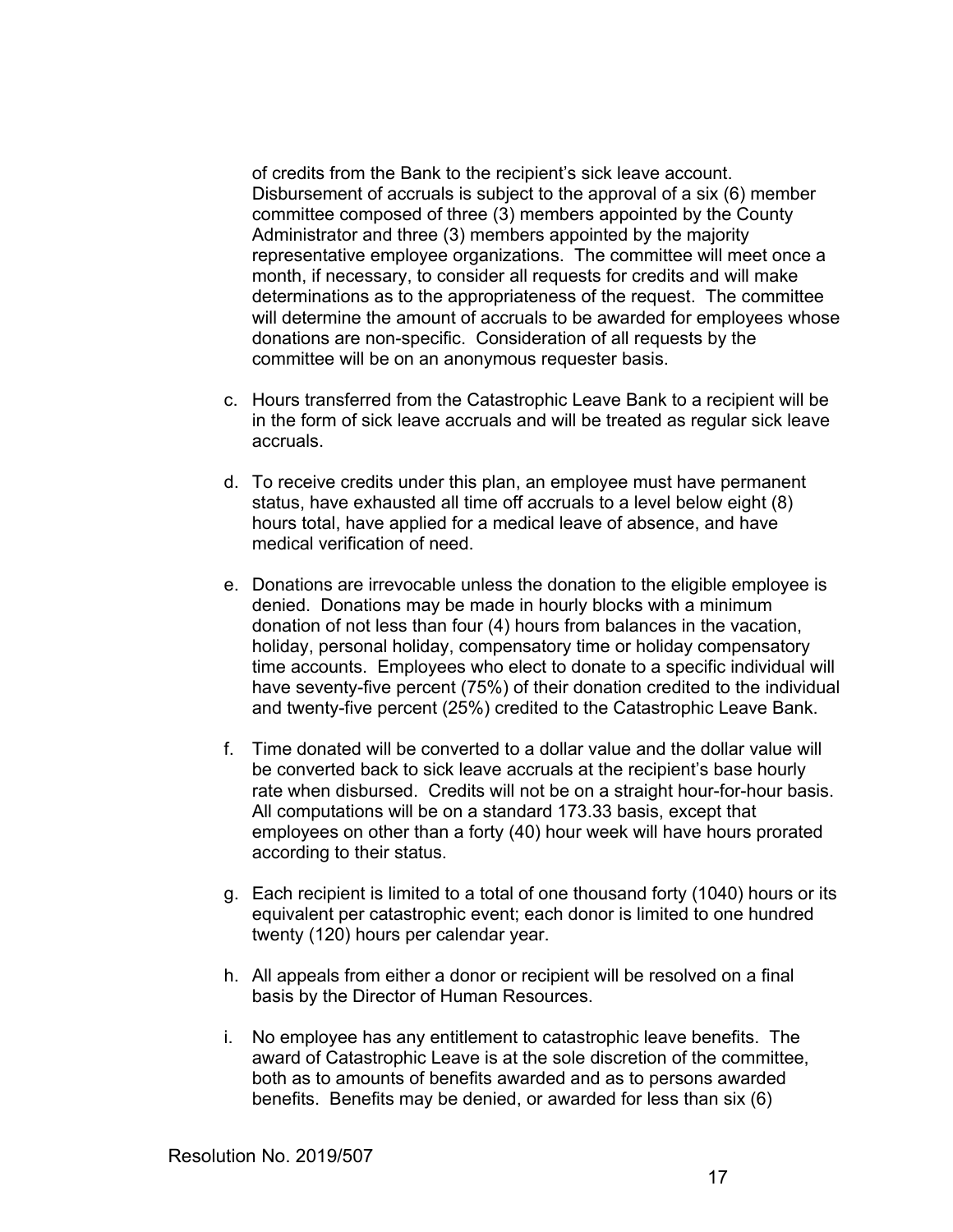of credits from the Bank to the recipient's sick leave account. Disbursement of accruals is subject to the approval of a six (6) member committee composed of three (3) members appointed by the County Administrator and three (3) members appointed by the majority representative employee organizations. The committee will meet once a month, if necessary, to consider all requests for credits and will make determinations as to the appropriateness of the request. The committee will determine the amount of accruals to be awarded for employees whose donations are non-specific. Consideration of all requests by the committee will be on an anonymous requester basis.

- c. Hours transferred from the Catastrophic Leave Bank to a recipient will be in the form of sick leave accruals and will be treated as regular sick leave accruals.
- d. To receive credits under this plan, an employee must have permanent status, have exhausted all time off accruals to a level below eight (8) hours total, have applied for a medical leave of absence, and have medical verification of need.
- e. Donations are irrevocable unless the donation to the eligible employee is denied. Donations may be made in hourly blocks with a minimum donation of not less than four (4) hours from balances in the vacation, holiday, personal holiday, compensatory time or holiday compensatory time accounts. Employees who elect to donate to a specific individual will have seventy-five percent (75%) of their donation credited to the individual and twenty-five percent (25%) credited to the Catastrophic Leave Bank.
- f. Time donated will be converted to a dollar value and the dollar value will be converted back to sick leave accruals at the recipient's base hourly rate when disbursed. Credits will not be on a straight hour-for-hour basis. All computations will be on a standard 173.33 basis, except that employees on other than a forty (40) hour week will have hours prorated according to their status.
- g. Each recipient is limited to a total of one thousand forty (1040) hours or its equivalent per catastrophic event; each donor is limited to one hundred twenty (120) hours per calendar year.
- h. All appeals from either a donor or recipient will be resolved on a final basis by the Director of Human Resources.
- i. No employee has any entitlement to catastrophic leave benefits. The award of Catastrophic Leave is at the sole discretion of the committee, both as to amounts of benefits awarded and as to persons awarded benefits. Benefits may be denied, or awarded for less than six (6)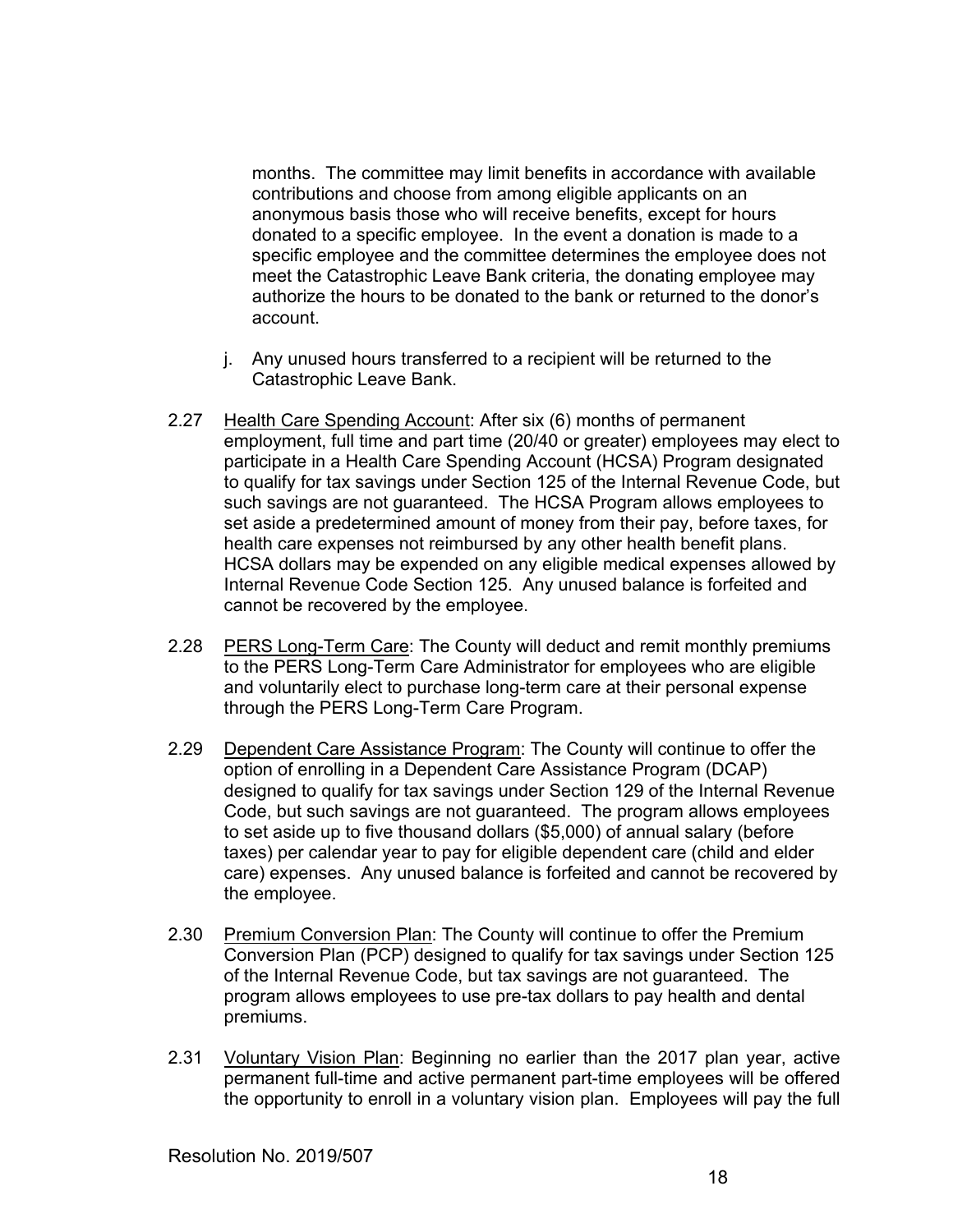months. The committee may limit benefits in accordance with available contributions and choose from among eligible applicants on an anonymous basis those who will receive benefits, except for hours donated to a specific employee. In the event a donation is made to a specific employee and the committee determines the employee does not meet the Catastrophic Leave Bank criteria, the donating employee may authorize the hours to be donated to the bank or returned to the donor's account.

- j. Any unused hours transferred to a recipient will be returned to the Catastrophic Leave Bank.
- 2.27 Health Care Spending Account: After six (6) months of permanent employment, full time and part time (20/40 or greater) employees may elect to participate in a Health Care Spending Account (HCSA) Program designated to qualify for tax savings under Section 125 of the Internal Revenue Code, but such savings are not guaranteed. The HCSA Program allows employees to set aside a predetermined amount of money from their pay, before taxes, for health care expenses not reimbursed by any other health benefit plans. HCSA dollars may be expended on any eligible medical expenses allowed by Internal Revenue Code Section 125. Any unused balance is forfeited and cannot be recovered by the employee.
- 2.28 PERS Long-Term Care: The County will deduct and remit monthly premiums to the PERS Long-Term Care Administrator for employees who are eligible and voluntarily elect to purchase long-term care at their personal expense through the PERS Long-Term Care Program.
- 2.29 Dependent Care Assistance Program: The County will continue to offer the option of enrolling in a Dependent Care Assistance Program (DCAP) designed to qualify for tax savings under Section 129 of the Internal Revenue Code, but such savings are not guaranteed. The program allows employees to set aside up to five thousand dollars (\$5,000) of annual salary (before taxes) per calendar year to pay for eligible dependent care (child and elder care) expenses. Any unused balance is forfeited and cannot be recovered by the employee.
- 2.30 Premium Conversion Plan: The County will continue to offer the Premium Conversion Plan (PCP) designed to qualify for tax savings under Section 125 of the Internal Revenue Code, but tax savings are not guaranteed. The program allows employees to use pre-tax dollars to pay health and dental premiums.
- 2.31 Voluntary Vision Plan: Beginning no earlier than the 2017 plan year, active permanent full-time and active permanent part-time employees will be offered the opportunity to enroll in a voluntary vision plan. Employees will pay the full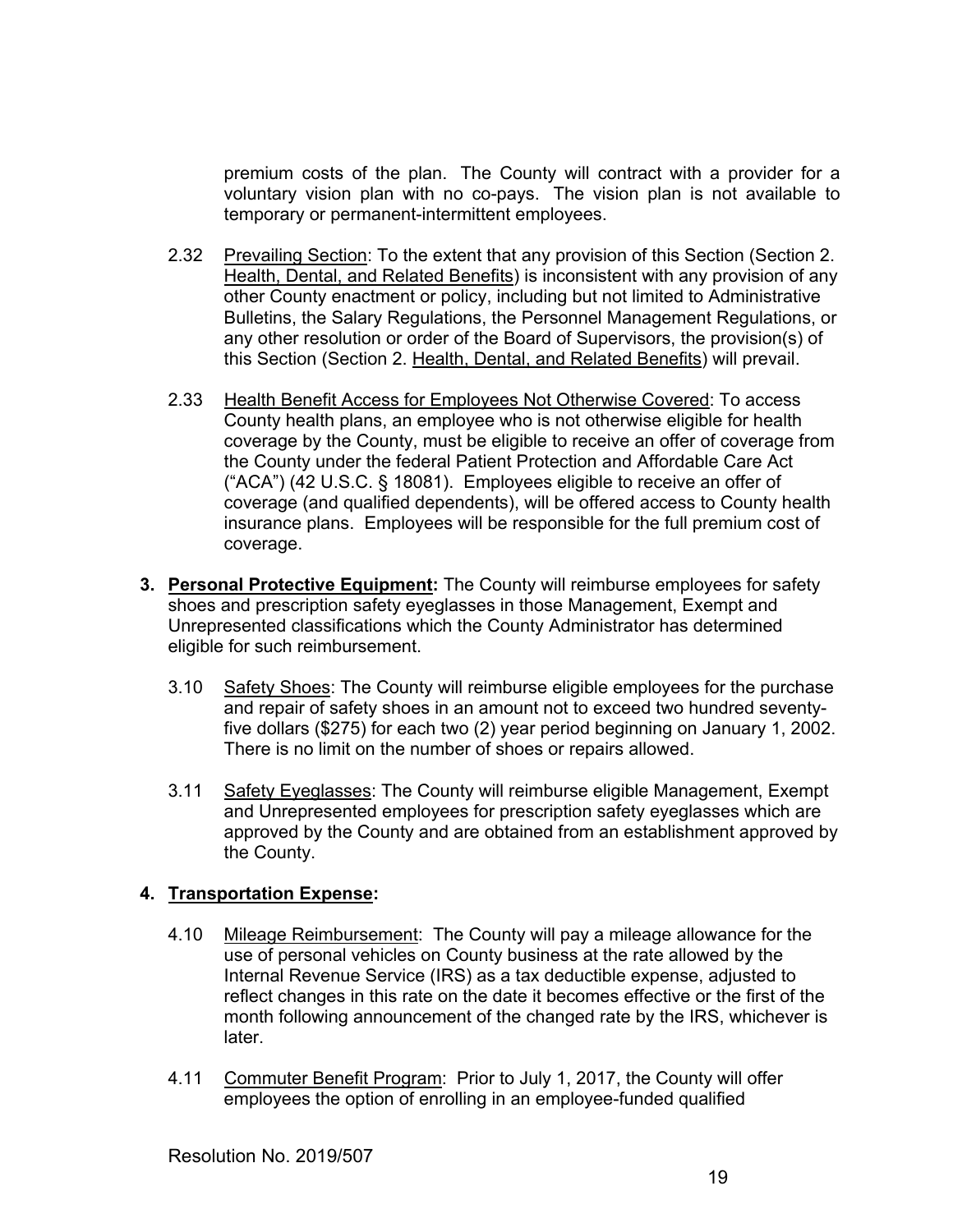premium costs of the plan. The County will contract with a provider for a voluntary vision plan with no co-pays. The vision plan is not available to temporary or permanent-intermittent employees.

- 2.32 Prevailing Section: To the extent that any provision of this Section (Section 2. Health, Dental, and Related Benefits) is inconsistent with any provision of any other County enactment or policy, including but not limited to Administrative Bulletins, the Salary Regulations, the Personnel Management Regulations, or any other resolution or order of the Board of Supervisors, the provision(s) of this Section (Section 2. Health, Dental, and Related Benefits) will prevail.
- 2.33 Health Benefit Access for Employees Not Otherwise Covered: To access County health plans, an employee who is not otherwise eligible for health coverage by the County, must be eligible to receive an offer of coverage from the County under the federal Patient Protection and Affordable Care Act ("ACA") (42 U.S.C. § 18081). Employees eligible to receive an offer of coverage (and qualified dependents), will be offered access to County health insurance plans. Employees will be responsible for the full premium cost of coverage.
- **3. Personal Protective Equipment:** The County will reimburse employees for safety shoes and prescription safety eyeglasses in those Management, Exempt and Unrepresented classifications which the County Administrator has determined eligible for such reimbursement.
	- 3.10 Safety Shoes: The County will reimburse eligible employees for the purchase and repair of safety shoes in an amount not to exceed two hundred seventyfive dollars (\$275) for each two (2) year period beginning on January 1, 2002. There is no limit on the number of shoes or repairs allowed.
	- 3.11 Safety Eyeglasses: The County will reimburse eligible Management, Exempt and Unrepresented employees for prescription safety eyeglasses which are approved by the County and are obtained from an establishment approved by the County.

# **4. Transportation Expense:**

- 4.10 Mileage Reimbursement: The County will pay a mileage allowance for the use of personal vehicles on County business at the rate allowed by the Internal Revenue Service (IRS) as a tax deductible expense, adjusted to reflect changes in this rate on the date it becomes effective or the first of the month following announcement of the changed rate by the IRS, whichever is later.
- 4.11 Commuter Benefit Program: Prior to July 1, 2017, the County will offer employees the option of enrolling in an employee-funded qualified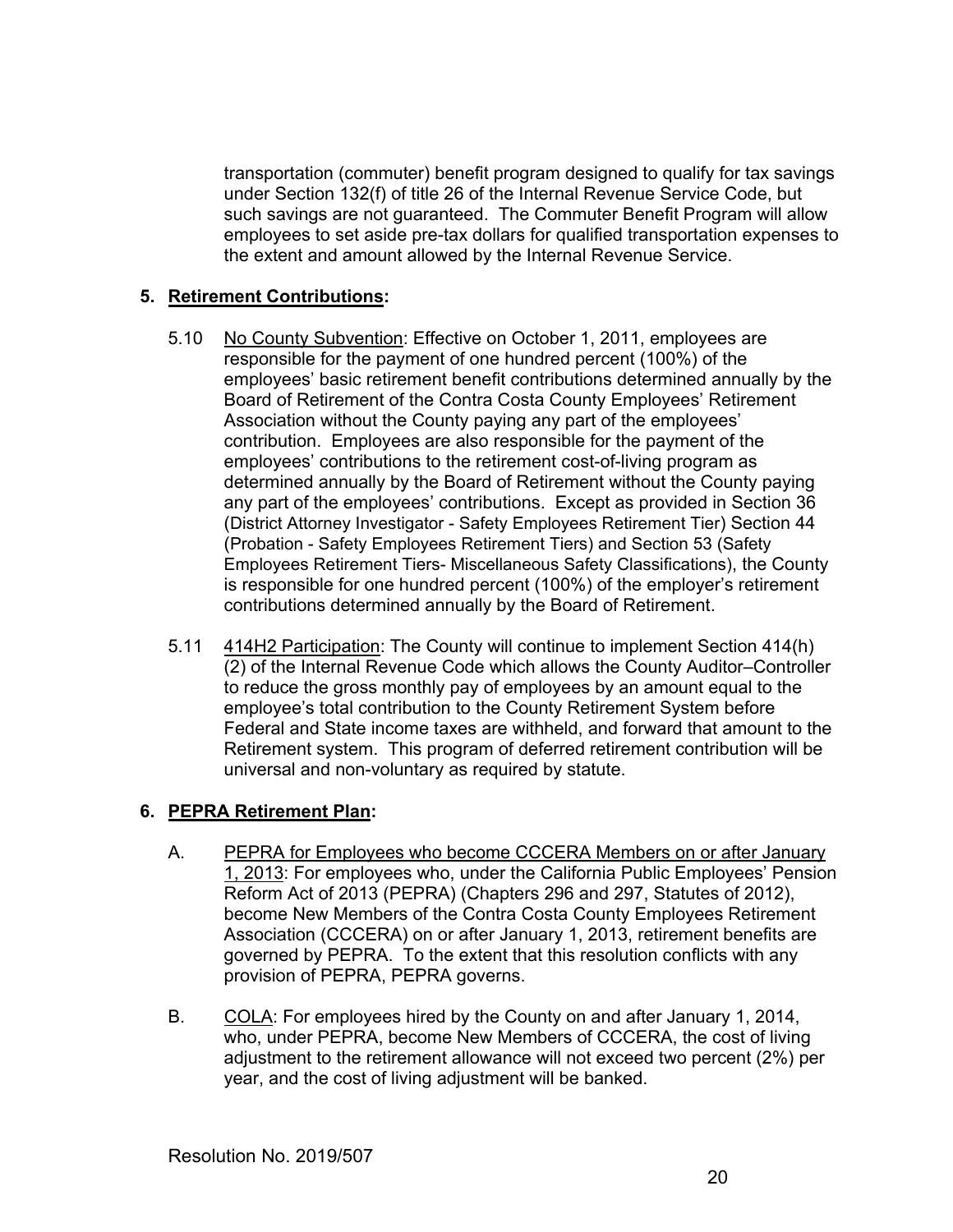transportation (commuter) benefit program designed to qualify for tax savings under Section 132(f) of title 26 of the Internal Revenue Service Code, but such savings are not guaranteed. The Commuter Benefit Program will allow employees to set aside pre-tax dollars for qualified transportation expenses to the extent and amount allowed by the Internal Revenue Service.

# **5. Retirement Contributions:**

- 5.10 No County Subvention: Effective on October 1, 2011, employees are responsible for the payment of one hundred percent (100%) of the employees' basic retirement benefit contributions determined annually by the Board of Retirement of the Contra Costa County Employees' Retirement Association without the County paying any part of the employees' contribution. Employees are also responsible for the payment of the employees' contributions to the retirement cost-of-living program as determined annually by the Board of Retirement without the County paying any part of the employees' contributions. Except as provided in Section 36 (District Attorney Investigator - Safety Employees Retirement Tier) Section 44 (Probation - Safety Employees Retirement Tiers) and Section 53 (Safety Employees Retirement Tiers- Miscellaneous Safety Classifications), the County is responsible for one hundred percent (100%) of the employer's retirement contributions determined annually by the Board of Retirement.
- 5.11 414H2 Participation: The County will continue to implement Section 414(h) (2) of the Internal Revenue Code which allows the County Auditor–Controller to reduce the gross monthly pay of employees by an amount equal to the employee's total contribution to the County Retirement System before Federal and State income taxes are withheld, and forward that amount to the Retirement system. This program of deferred retirement contribution will be universal and non-voluntary as required by statute.

# **6. PEPRA Retirement Plan:**

- A. PEPRA for Employees who become CCCERA Members on or after January 1, 2013: For employees who, under the California Public Employees' Pension Reform Act of 2013 (PEPRA) (Chapters 296 and 297, Statutes of 2012), become New Members of the Contra Costa County Employees Retirement Association (CCCERA) on or after January 1, 2013, retirement benefits are governed by PEPRA. To the extent that this resolution conflicts with any provision of PEPRA, PEPRA governs.
- B. COLA: For employees hired by the County on and after January 1, 2014, who, under PEPRA, become New Members of CCCERA, the cost of living adjustment to the retirement allowance will not exceed two percent (2%) per year, and the cost of living adjustment will be banked.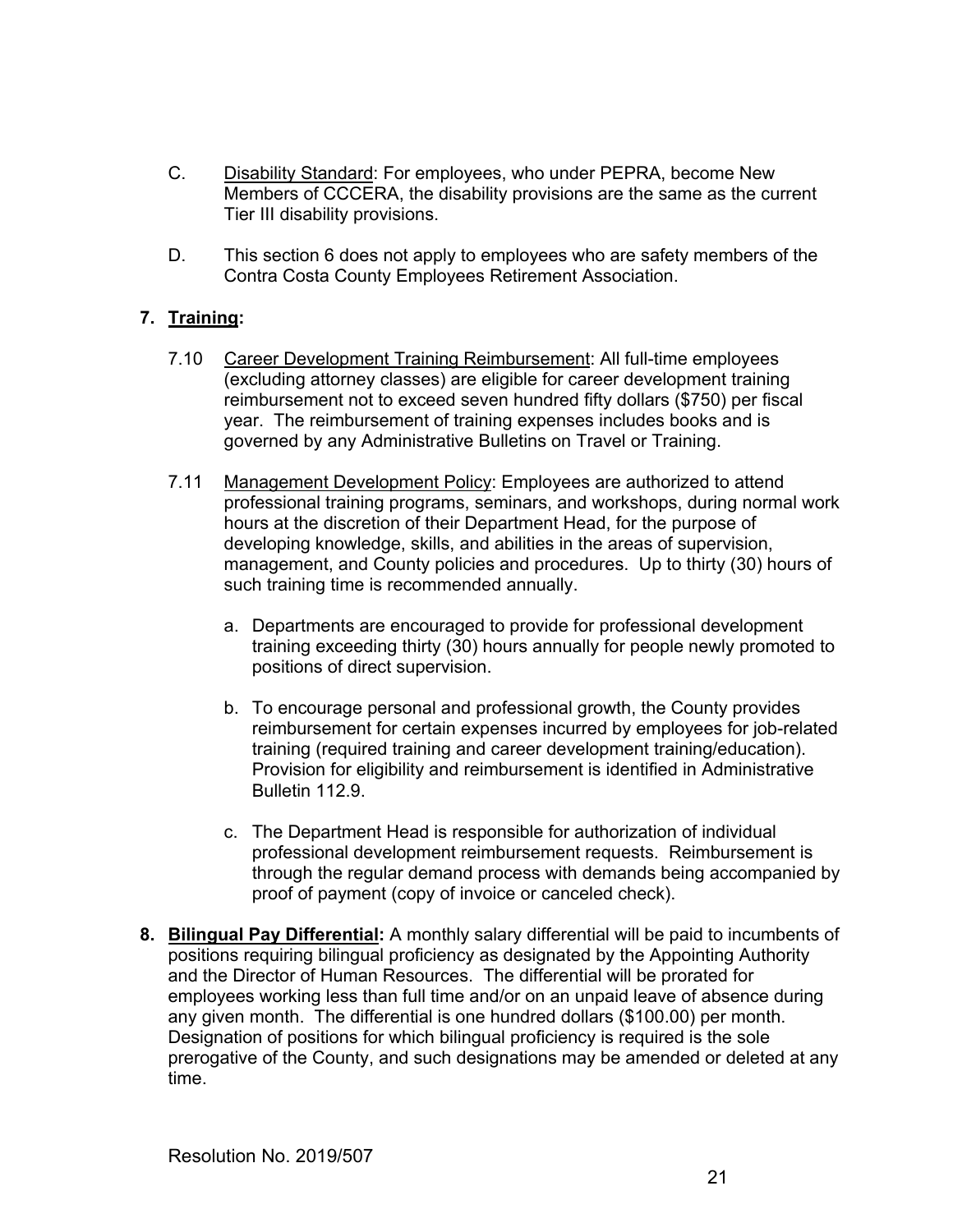- C. Disability Standard: For employees, who under PEPRA, become New Members of CCCERA, the disability provisions are the same as the current Tier III disability provisions.
- D. This section 6 does not apply to employees who are safety members of the Contra Costa County Employees Retirement Association.

# **7. Training:**

- 7.10 Career Development Training Reimbursement: All full-time employees (excluding attorney classes) are eligible for career development training reimbursement not to exceed seven hundred fifty dollars (\$750) per fiscal year. The reimbursement of training expenses includes books and is governed by any Administrative Bulletins on Travel or Training.
- 7.11 Management Development Policy: Employees are authorized to attend professional training programs, seminars, and workshops, during normal work hours at the discretion of their Department Head, for the purpose of developing knowledge, skills, and abilities in the areas of supervision, management, and County policies and procedures. Up to thirty (30) hours of such training time is recommended annually.
	- a. Departments are encouraged to provide for professional development training exceeding thirty (30) hours annually for people newly promoted to positions of direct supervision.
	- b. To encourage personal and professional growth, the County provides reimbursement for certain expenses incurred by employees for job-related training (required training and career development training/education). Provision for eligibility and reimbursement is identified in Administrative Bulletin 112.9.
	- c. The Department Head is responsible for authorization of individual professional development reimbursement requests. Reimbursement is through the regular demand process with demands being accompanied by proof of payment (copy of invoice or canceled check).
- **8. Bilingual Pay Differential:** A monthly salary differential will be paid to incumbents of positions requiring bilingual proficiency as designated by the Appointing Authority and the Director of Human Resources. The differential will be prorated for employees working less than full time and/or on an unpaid leave of absence during any given month. The differential is one hundred dollars (\$100.00) per month. Designation of positions for which bilingual proficiency is required is the sole prerogative of the County, and such designations may be amended or deleted at any time.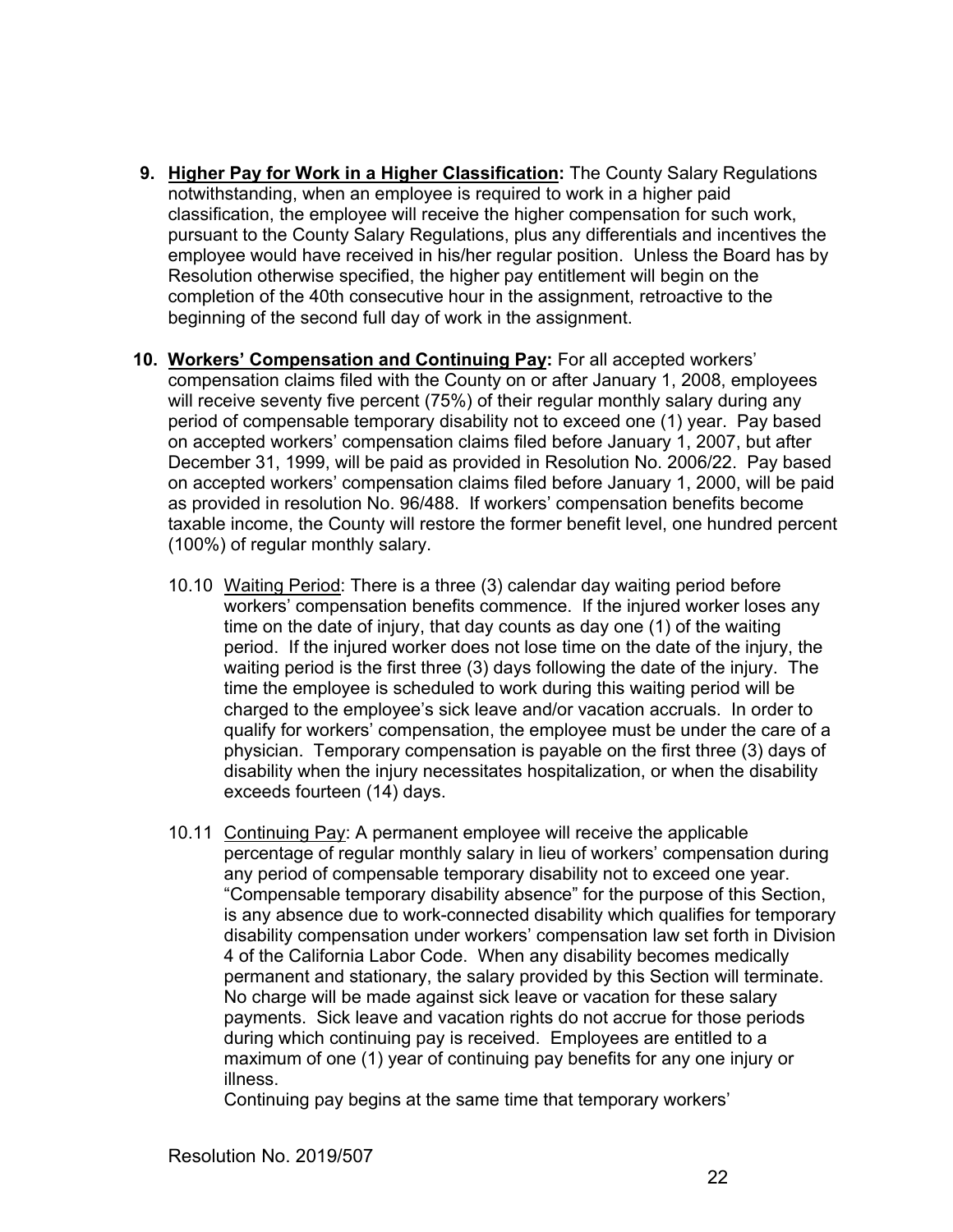- **9. Higher Pay for Work in a Higher Classification:** The County Salary Regulations notwithstanding, when an employee is required to work in a higher paid classification, the employee will receive the higher compensation for such work, pursuant to the County Salary Regulations, plus any differentials and incentives the employee would have received in his/her regular position. Unless the Board has by Resolution otherwise specified, the higher pay entitlement will begin on the completion of the 40th consecutive hour in the assignment, retroactive to the beginning of the second full day of work in the assignment.
- **10. Workers' Compensation and Continuing Pay:** For all accepted workers' compensation claims filed with the County on or after January 1, 2008, employees will receive seventy five percent (75%) of their regular monthly salary during any period of compensable temporary disability not to exceed one (1) year. Pay based on accepted workers' compensation claims filed before January 1, 2007, but after December 31, 1999, will be paid as provided in Resolution No. 2006/22. Pay based on accepted workers' compensation claims filed before January 1, 2000, will be paid as provided in resolution No. 96/488. If workers' compensation benefits become taxable income, the County will restore the former benefit level, one hundred percent (100%) of regular monthly salary.
	- 10.10 Waiting Period: There is a three (3) calendar day waiting period before workers' compensation benefits commence. If the injured worker loses any time on the date of injury, that day counts as day one (1) of the waiting period. If the injured worker does not lose time on the date of the injury, the waiting period is the first three (3) days following the date of the injury. The time the employee is scheduled to work during this waiting period will be charged to the employee's sick leave and/or vacation accruals. In order to qualify for workers' compensation, the employee must be under the care of a physician. Temporary compensation is payable on the first three (3) days of disability when the injury necessitates hospitalization, or when the disability exceeds fourteen (14) days.
	- 10.11 Continuing Pay: A permanent employee will receive the applicable percentage of regular monthly salary in lieu of workers' compensation during any period of compensable temporary disability not to exceed one year. "Compensable temporary disability absence" for the purpose of this Section, is any absence due to work-connected disability which qualifies for temporary disability compensation under workers' compensation law set forth in Division 4 of the California Labor Code. When any disability becomes medically permanent and stationary, the salary provided by this Section will terminate. No charge will be made against sick leave or vacation for these salary payments. Sick leave and vacation rights do not accrue for those periods during which continuing pay is received. Employees are entitled to a maximum of one (1) year of continuing pay benefits for any one injury or illness.

Continuing pay begins at the same time that temporary workers'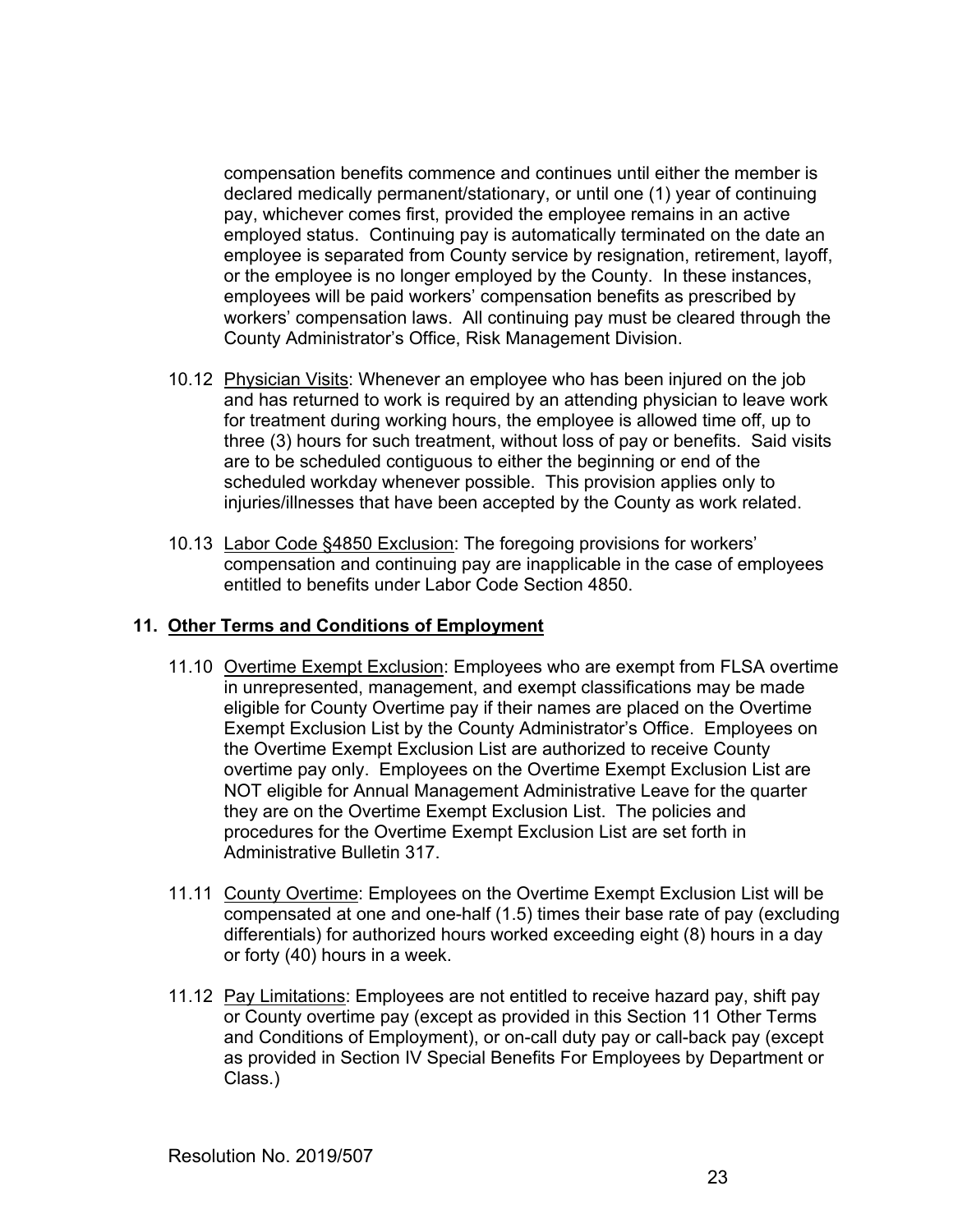compensation benefits commence and continues until either the member is declared medically permanent/stationary, or until one (1) year of continuing pay, whichever comes first, provided the employee remains in an active employed status. Continuing pay is automatically terminated on the date an employee is separated from County service by resignation, retirement, layoff, or the employee is no longer employed by the County. In these instances, employees will be paid workers' compensation benefits as prescribed by workers' compensation laws. All continuing pay must be cleared through the County Administrator's Office, Risk Management Division.

- 10.12 Physician Visits: Whenever an employee who has been injured on the job and has returned to work is required by an attending physician to leave work for treatment during working hours, the employee is allowed time off, up to three (3) hours for such treatment, without loss of pay or benefits. Said visits are to be scheduled contiguous to either the beginning or end of the scheduled workday whenever possible. This provision applies only to injuries/illnesses that have been accepted by the County as work related.
- 10.13 Labor Code §4850 Exclusion: The foregoing provisions for workers' compensation and continuing pay are inapplicable in the case of employees entitled to benefits under Labor Code Section 4850.

# **11. Other Terms and Conditions of Employment**

- 11.10 Overtime Exempt Exclusion: Employees who are exempt from FLSA overtime in unrepresented, management, and exempt classifications may be made eligible for County Overtime pay if their names are placed on the Overtime Exempt Exclusion List by the County Administrator's Office. Employees on the Overtime Exempt Exclusion List are authorized to receive County overtime pay only. Employees on the Overtime Exempt Exclusion List are NOT eligible for Annual Management Administrative Leave for the quarter they are on the Overtime Exempt Exclusion List. The policies and procedures for the Overtime Exempt Exclusion List are set forth in Administrative Bulletin 317.
- 11.11 County Overtime: Employees on the Overtime Exempt Exclusion List will be compensated at one and one-half (1.5) times their base rate of pay (excluding differentials) for authorized hours worked exceeding eight (8) hours in a day or forty (40) hours in a week.
- 11.12 Pay Limitations: Employees are not entitled to receive hazard pay, shift pay or County overtime pay (except as provided in this Section 11 Other Terms and Conditions of Employment), or on-call duty pay or call-back pay (except as provided in Section IV Special Benefits For Employees by Department or Class.)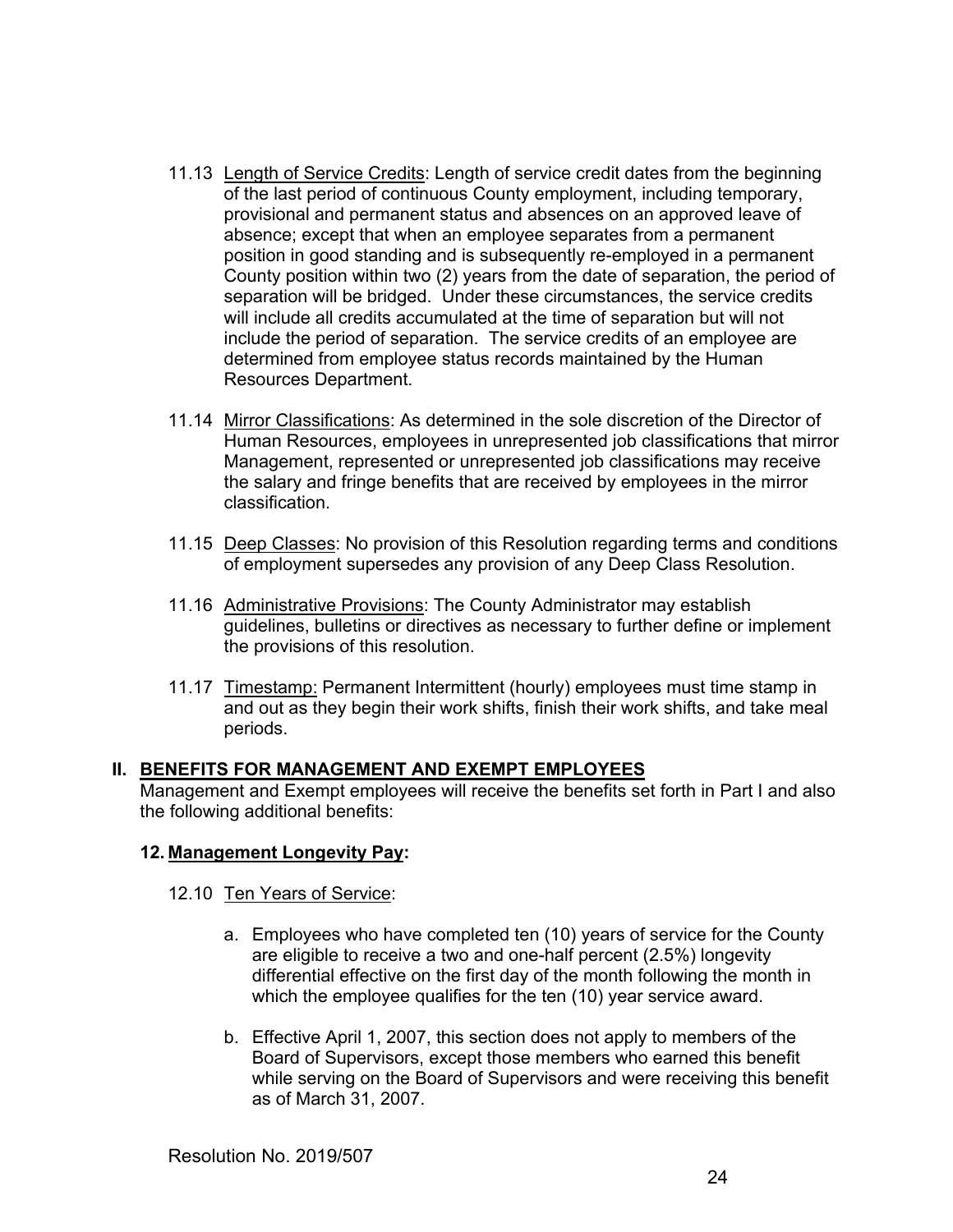- 11.13 Length of Service Credits: Length of service credit dates from the beginning of the last period of continuous County employment, including temporary, provisional and permanent status and absences on an approved leave of absence; except that when an employee separates from a permanent position in good standing and is subsequently re-employed in a permanent County position within two (2) years from the date of separation, the period of separation will be bridged. Under these circumstances, the service credits will include all credits accumulated at the time of separation but will not include the period of separation. The service credits of an employee are determined from employee status records maintained by the Human Resources Department.
- 11.14 Mirror Classifications: As determined in the sole discretion of the Director of Human Resources, employees in unrepresented job classifications that mirror Management, represented or unrepresented job classifications may receive the salary and fringe benefits that are received by employees in the mirror classification.
- 11.15 Deep Classes: No provision of this Resolution regarding terms and conditions of employment supersedes any provision of any Deep Class Resolution.
- 11.16 Administrative Provisions: The County Administrator may establish guidelines, bulletins or directives as necessary to further define or implement the provisions of this resolution.
- 11.17 Timestamp: Permanent Intermittent (hourly) employees must time stamp in and out as they begin their work shifts, finish their work shifts, and take meal periods.

# **II. BENEFITS FOR MANAGEMENT AND EXEMPT EMPLOYEES**

Management and Exempt employees will receive the benefits set forth in Part I and also the following additional benefits:

# **12. Management Longevity Pay:**

### 12.10 Ten Years of Service:

- a. Employees who have completed ten (10) years of service for the County are eligible to receive a two and one-half percent (2.5%) longevity differential effective on the first day of the month following the month in which the employee qualifies for the ten (10) year service award.
- b. Effective April 1, 2007, this section does not apply to members of the Board of Supervisors, except those members who earned this benefit while serving on the Board of Supervisors and were receiving this benefit as of March 31, 2007.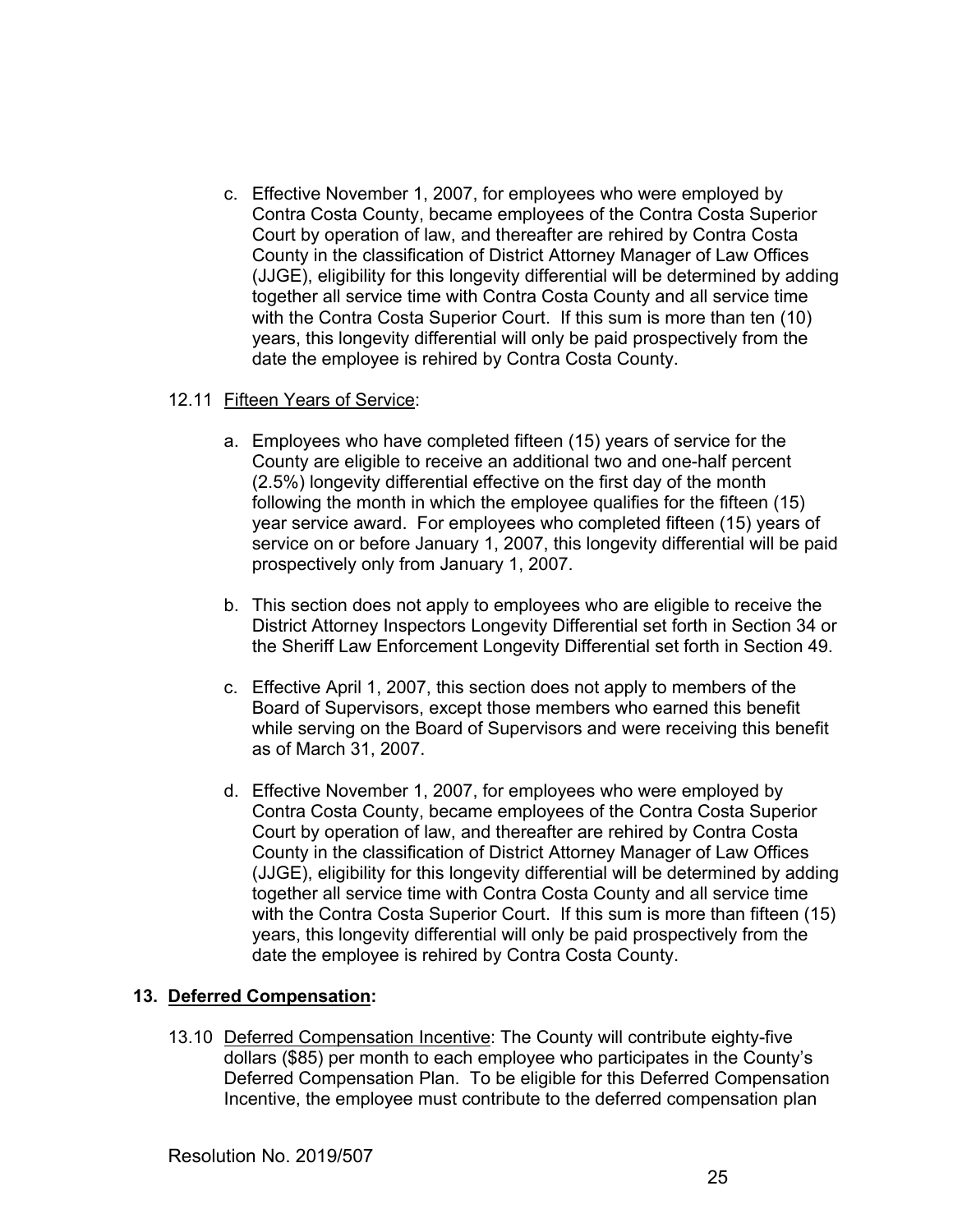c. Effective November 1, 2007, for employees who were employed by Contra Costa County, became employees of the Contra Costa Superior Court by operation of law, and thereafter are rehired by Contra Costa County in the classification of District Attorney Manager of Law Offices (JJGE), eligibility for this longevity differential will be determined by adding together all service time with Contra Costa County and all service time with the Contra Costa Superior Court. If this sum is more than ten (10) years, this longevity differential will only be paid prospectively from the date the employee is rehired by Contra Costa County.

### 12.11 Fifteen Years of Service:

- a. Employees who have completed fifteen (15) years of service for the County are eligible to receive an additional two and one-half percent (2.5%) longevity differential effective on the first day of the month following the month in which the employee qualifies for the fifteen (15) year service award. For employees who completed fifteen (15) years of service on or before January 1, 2007, this longevity differential will be paid prospectively only from January 1, 2007.
- b. This section does not apply to employees who are eligible to receive the District Attorney Inspectors Longevity Differential set forth in Section 34 or the Sheriff Law Enforcement Longevity Differential set forth in Section 49.
- c. Effective April 1, 2007, this section does not apply to members of the Board of Supervisors, except those members who earned this benefit while serving on the Board of Supervisors and were receiving this benefit as of March 31, 2007.
- d. Effective November 1, 2007, for employees who were employed by Contra Costa County, became employees of the Contra Costa Superior Court by operation of law, and thereafter are rehired by Contra Costa County in the classification of District Attorney Manager of Law Offices (JJGE), eligibility for this longevity differential will be determined by adding together all service time with Contra Costa County and all service time with the Contra Costa Superior Court. If this sum is more than fifteen (15) years, this longevity differential will only be paid prospectively from the date the employee is rehired by Contra Costa County.

### **13. Deferred Compensation:**

13.10 Deferred Compensation Incentive: The County will contribute eighty-five dollars (\$85) per month to each employee who participates in the County's Deferred Compensation Plan. To be eligible for this Deferred Compensation Incentive, the employee must contribute to the deferred compensation plan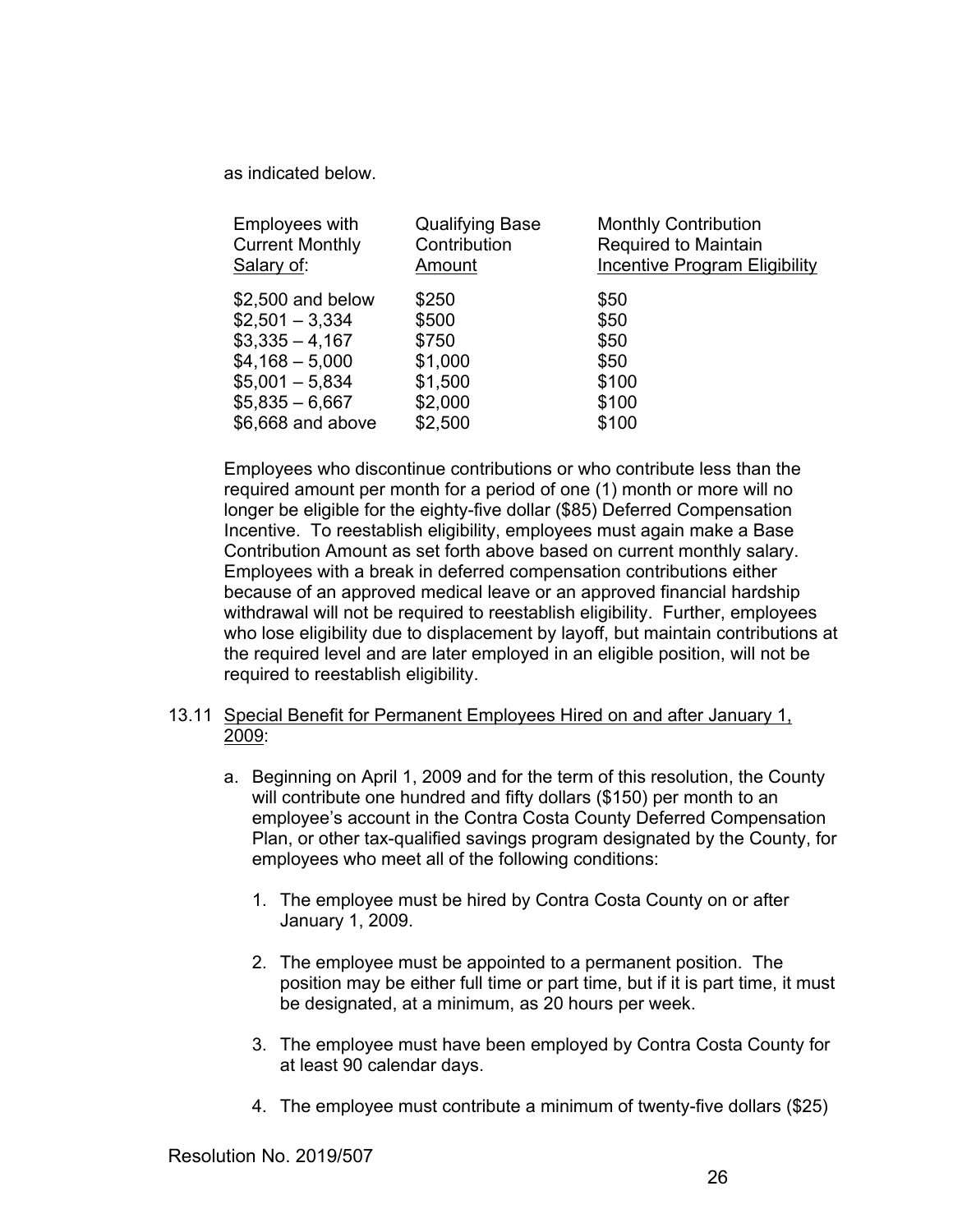as indicated below.

| <b>Employees with</b>  | <b>Qualifying Base</b> | <b>Monthly Contribution</b>   |
|------------------------|------------------------|-------------------------------|
| <b>Current Monthly</b> | Contribution           | Required to Maintain          |
| Salary of:             | Amount                 | Incentive Program Eligibility |
| \$2,500 and below      | \$250                  | \$50                          |
| $$2,501 - 3,334$       | \$500                  | \$50                          |
| $$3,335 - 4,167$       | \$750                  | \$50                          |
| $$4,168 - 5,000$       | \$1,000                | \$50                          |
| $$5,001 - 5,834$       | \$1,500                | \$100                         |
| $$5,835 - 6,667$       | \$2,000                | \$100                         |
| \$6,668 and above      | \$2,500                | \$100                         |

Employees who discontinue contributions or who contribute less than the required amount per month for a period of one (1) month or more will no longer be eligible for the eighty-five dollar (\$85) Deferred Compensation Incentive. To reestablish eligibility, employees must again make a Base Contribution Amount as set forth above based on current monthly salary. Employees with a break in deferred compensation contributions either because of an approved medical leave or an approved financial hardship withdrawal will not be required to reestablish eligibility. Further, employees who lose eligibility due to displacement by layoff, but maintain contributions at the required level and are later employed in an eligible position, will not be required to reestablish eligibility.

# 13.11 Special Benefit for Permanent Employees Hired on and after January 1, 2009:

- a. Beginning on April 1, 2009 and for the term of this resolution, the County will contribute one hundred and fifty dollars (\$150) per month to an employee's account in the Contra Costa County Deferred Compensation Plan, or other tax-qualified savings program designated by the County, for employees who meet all of the following conditions:
	- 1. The employee must be hired by Contra Costa County on or after January 1, 2009.
	- 2. The employee must be appointed to a permanent position. The position may be either full time or part time, but if it is part time, it must be designated, at a minimum, as 20 hours per week.
	- 3. The employee must have been employed by Contra Costa County for at least 90 calendar days.
	- 4. The employee must contribute a minimum of twenty-five dollars (\$25)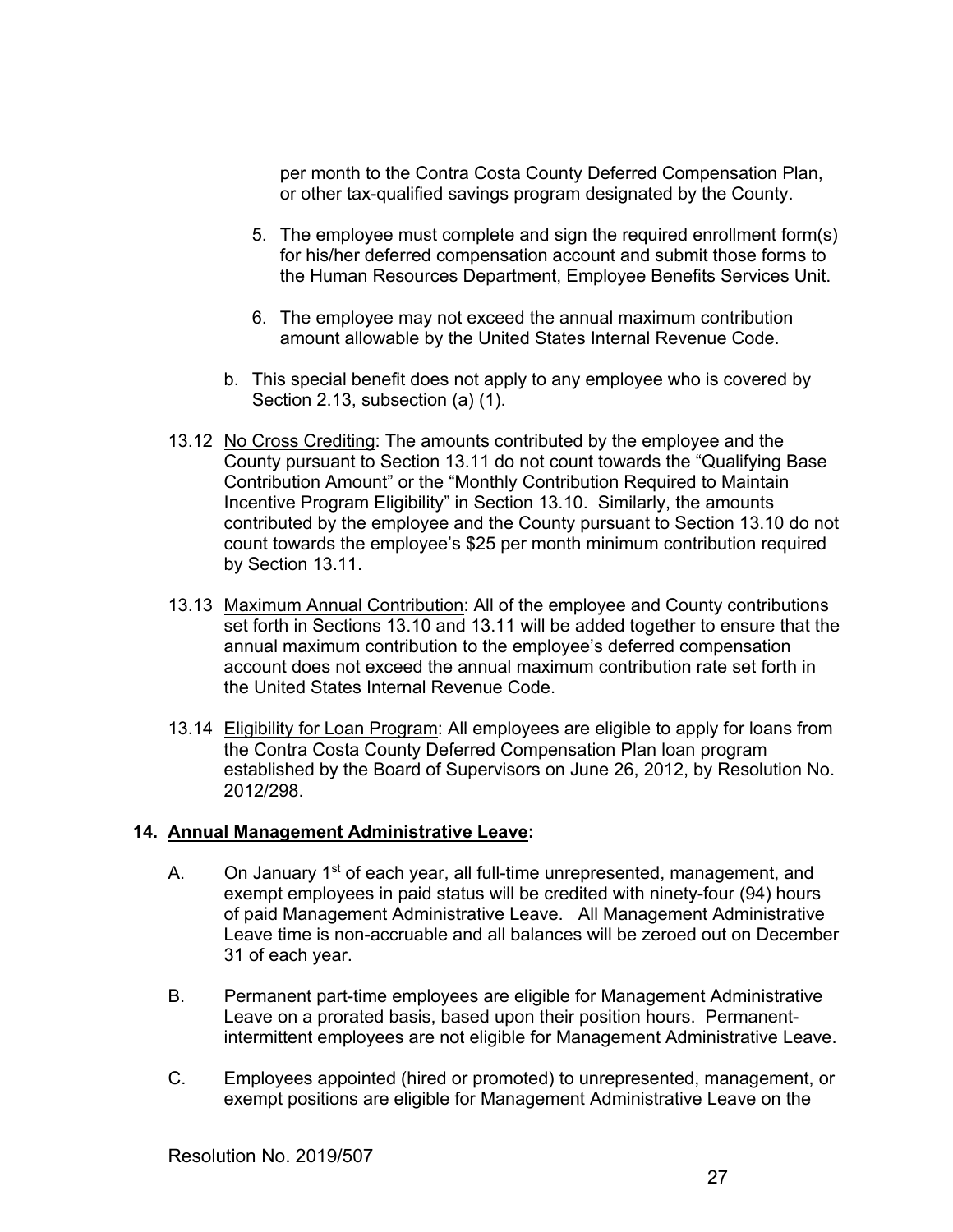per month to the Contra Costa County Deferred Compensation Plan, or other tax-qualified savings program designated by the County.

- 5. The employee must complete and sign the required enrollment form(s) for his/her deferred compensation account and submit those forms to the Human Resources Department, Employee Benefits Services Unit.
- 6. The employee may not exceed the annual maximum contribution amount allowable by the United States Internal Revenue Code.
- b. This special benefit does not apply to any employee who is covered by Section 2.13, subsection (a) (1).
- 13.12 No Cross Crediting: The amounts contributed by the employee and the County pursuant to Section 13.11 do not count towards the "Qualifying Base Contribution Amount" or the "Monthly Contribution Required to Maintain Incentive Program Eligibility" in Section 13.10. Similarly, the amounts contributed by the employee and the County pursuant to Section 13.10 do not count towards the employee's \$25 per month minimum contribution required by Section 13.11.
- 13.13 Maximum Annual Contribution: All of the employee and County contributions set forth in Sections 13.10 and 13.11 will be added together to ensure that the annual maximum contribution to the employee's deferred compensation account does not exceed the annual maximum contribution rate set forth in the United States Internal Revenue Code.
- 13.14 Eligibility for Loan Program: All employees are eligible to apply for loans from the Contra Costa County Deferred Compensation Plan loan program established by the Board of Supervisors on June 26, 2012, by Resolution No. 2012/298.

### **14. Annual Management Administrative Leave:**

- A. On January 1<sup>st</sup> of each year, all full-time unrepresented, management, and exempt employees in paid status will be credited with ninety-four (94) hours of paid Management Administrative Leave. All Management Administrative Leave time is non-accruable and all balances will be zeroed out on December 31 of each year.
- B. Permanent part-time employees are eligible for Management Administrative Leave on a prorated basis, based upon their position hours. Permanentintermittent employees are not eligible for Management Administrative Leave.
- C. Employees appointed (hired or promoted) to unrepresented, management, or exempt positions are eligible for Management Administrative Leave on the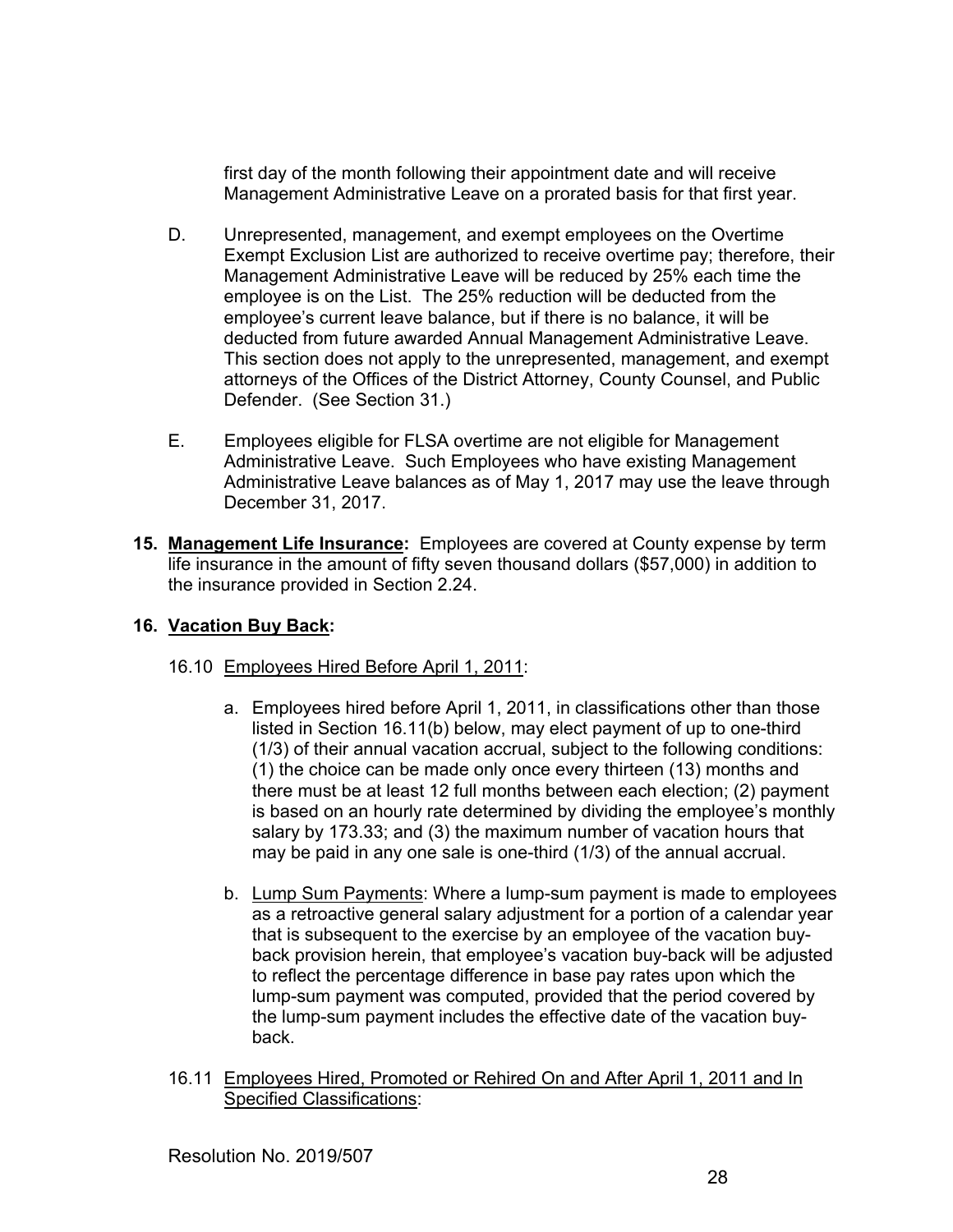first day of the month following their appointment date and will receive Management Administrative Leave on a prorated basis for that first year.

- D. Unrepresented, management, and exempt employees on the Overtime Exempt Exclusion List are authorized to receive overtime pay; therefore, their Management Administrative Leave will be reduced by 25% each time the employee is on the List. The 25% reduction will be deducted from the employee's current leave balance, but if there is no balance, it will be deducted from future awarded Annual Management Administrative Leave. This section does not apply to the unrepresented, management, and exempt attorneys of the Offices of the District Attorney, County Counsel, and Public Defender. (See Section 31.)
- E. Employees eligible for FLSA overtime are not eligible for Management Administrative Leave. Such Employees who have existing Management Administrative Leave balances as of May 1, 2017 may use the leave through December 31, 2017.
- **15. Management Life Insurance:** Employees are covered at County expense by term life insurance in the amount of fifty seven thousand dollars (\$57,000) in addition to the insurance provided in Section 2.24.

# **16. Vacation Buy Back:**

- 16.10 Employees Hired Before April 1, 2011:
	- a. Employees hired before April 1, 2011, in classifications other than those listed in Section 16.11(b) below, may elect payment of up to one-third (1/3) of their annual vacation accrual, subject to the following conditions: (1) the choice can be made only once every thirteen (13) months and there must be at least 12 full months between each election; (2) payment is based on an hourly rate determined by dividing the employee's monthly salary by 173.33; and (3) the maximum number of vacation hours that may be paid in any one sale is one-third (1/3) of the annual accrual.
	- b. Lump Sum Payments: Where a lump-sum payment is made to employees as a retroactive general salary adjustment for a portion of a calendar year that is subsequent to the exercise by an employee of the vacation buyback provision herein, that employee's vacation buy-back will be adjusted to reflect the percentage difference in base pay rates upon which the lump-sum payment was computed, provided that the period covered by the lump-sum payment includes the effective date of the vacation buyback.
- 16.11 Employees Hired, Promoted or Rehired On and After April 1, 2011 and In Specified Classifications: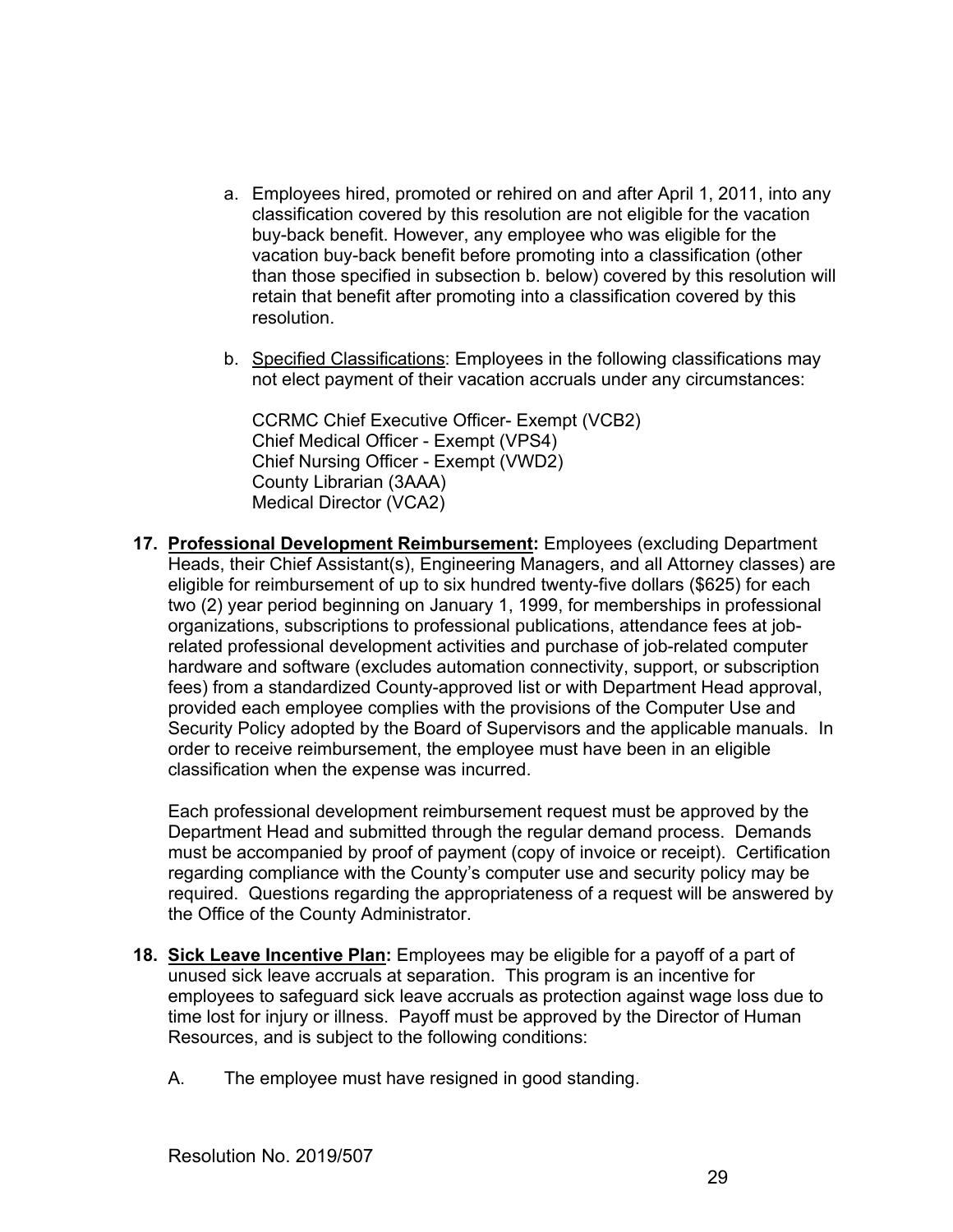- a. Employees hired, promoted or rehired on and after April 1, 2011, into any classification covered by this resolution are not eligible for the vacation buy-back benefit. However, any employee who was eligible for the vacation buy-back benefit before promoting into a classification (other than those specified in subsection b. below) covered by this resolution will retain that benefit after promoting into a classification covered by this resolution.
- b. Specified Classifications: Employees in the following classifications may not elect payment of their vacation accruals under any circumstances:

CCRMC Chief Executive Officer- Exempt (VCB2) Chief Medical Officer - Exempt (VPS4) Chief Nursing Officer - Exempt (VWD2) County Librarian (3AAA) Medical Director (VCA2)

**17. Professional Development Reimbursement:** Employees (excluding Department Heads, their Chief Assistant(s), Engineering Managers, and all Attorney classes) are eligible for reimbursement of up to six hundred twenty-five dollars (\$625) for each two (2) year period beginning on January 1, 1999, for memberships in professional organizations, subscriptions to professional publications, attendance fees at jobrelated professional development activities and purchase of job-related computer hardware and software (excludes automation connectivity, support, or subscription fees) from a standardized County-approved list or with Department Head approval, provided each employee complies with the provisions of the Computer Use and Security Policy adopted by the Board of Supervisors and the applicable manuals. In order to receive reimbursement, the employee must have been in an eligible classification when the expense was incurred.

Each professional development reimbursement request must be approved by the Department Head and submitted through the regular demand process. Demands must be accompanied by proof of payment (copy of invoice or receipt). Certification regarding compliance with the County's computer use and security policy may be required. Questions regarding the appropriateness of a request will be answered by the Office of the County Administrator.

- **18. Sick Leave Incentive Plan:** Employees may be eligible for a payoff of a part of unused sick leave accruals at separation. This program is an incentive for employees to safeguard sick leave accruals as protection against wage loss due to time lost for injury or illness. Payoff must be approved by the Director of Human Resources, and is subject to the following conditions:
	- A. The employee must have resigned in good standing.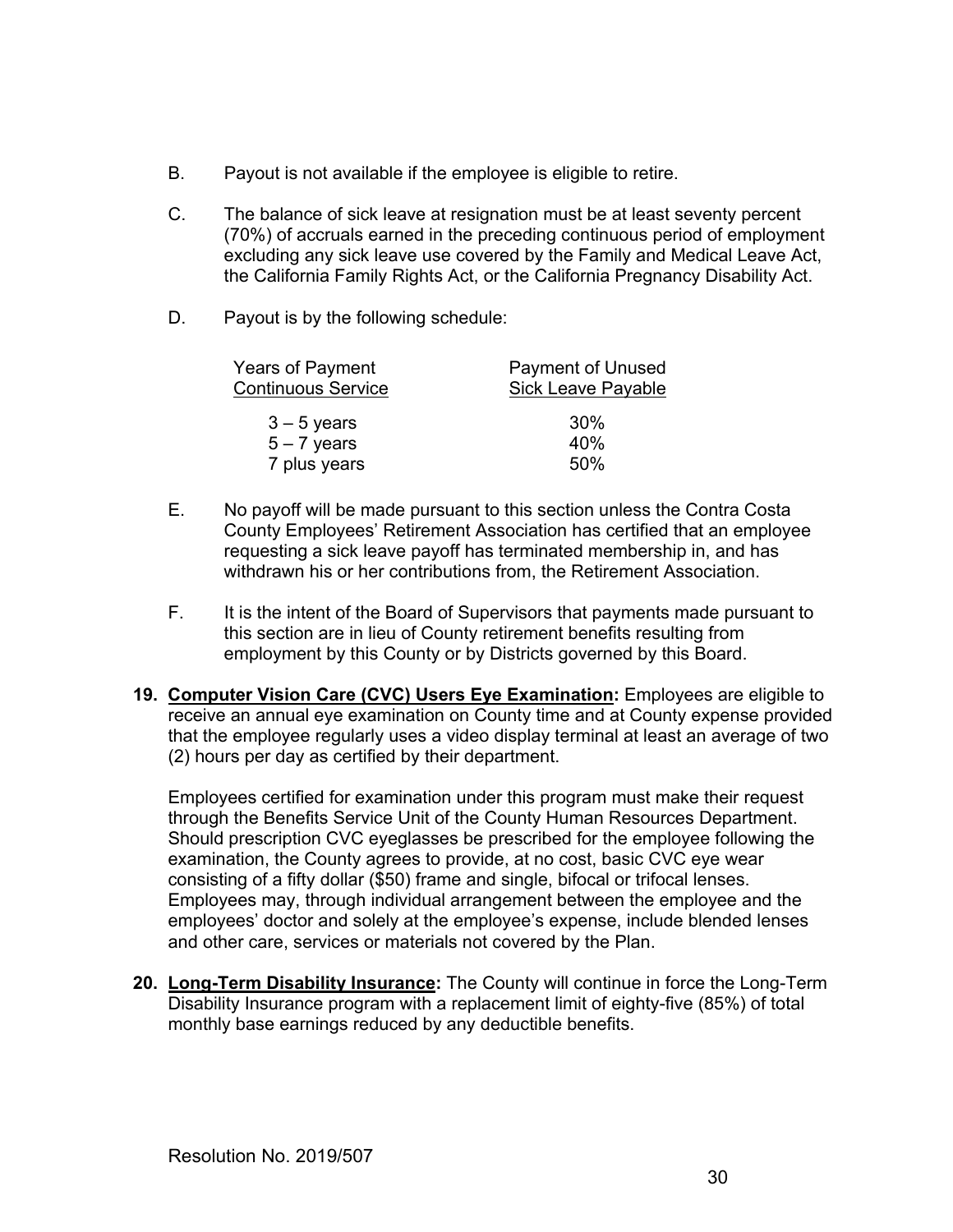- B. Payout is not available if the employee is eligible to retire.
- C. The balance of sick leave at resignation must be at least seventy percent (70%) of accruals earned in the preceding continuous period of employment excluding any sick leave use covered by the Family and Medical Leave Act, the California Family Rights Act, or the California Pregnancy Disability Act.
- D. Payout is by the following schedule:

| Years of Payment<br><b>Continuous Service</b> | Payment of Unused<br><b>Sick Leave Payable</b> |  |
|-----------------------------------------------|------------------------------------------------|--|
| $3 - 5$ years                                 | 30%                                            |  |
| $5 - 7$ years                                 | 40%                                            |  |
| 7 plus years                                  | 50%                                            |  |

- E. No payoff will be made pursuant to this section unless the Contra Costa County Employees' Retirement Association has certified that an employee requesting a sick leave payoff has terminated membership in, and has withdrawn his or her contributions from, the Retirement Association.
- F. It is the intent of the Board of Supervisors that payments made pursuant to this section are in lieu of County retirement benefits resulting from employment by this County or by Districts governed by this Board.
- **19. Computer Vision Care (CVC) Users Eye Examination:** Employees are eligible to receive an annual eye examination on County time and at County expense provided that the employee regularly uses a video display terminal at least an average of two (2) hours per day as certified by their department.

Employees certified for examination under this program must make their request through the Benefits Service Unit of the County Human Resources Department. Should prescription CVC eyeglasses be prescribed for the employee following the examination, the County agrees to provide, at no cost, basic CVC eye wear consisting of a fifty dollar (\$50) frame and single, bifocal or trifocal lenses. Employees may, through individual arrangement between the employee and the employees' doctor and solely at the employee's expense, include blended lenses and other care, services or materials not covered by the Plan.

**20. Long-Term Disability Insurance:** The County will continue in force the Long-Term Disability Insurance program with a replacement limit of eighty-five (85%) of total monthly base earnings reduced by any deductible benefits.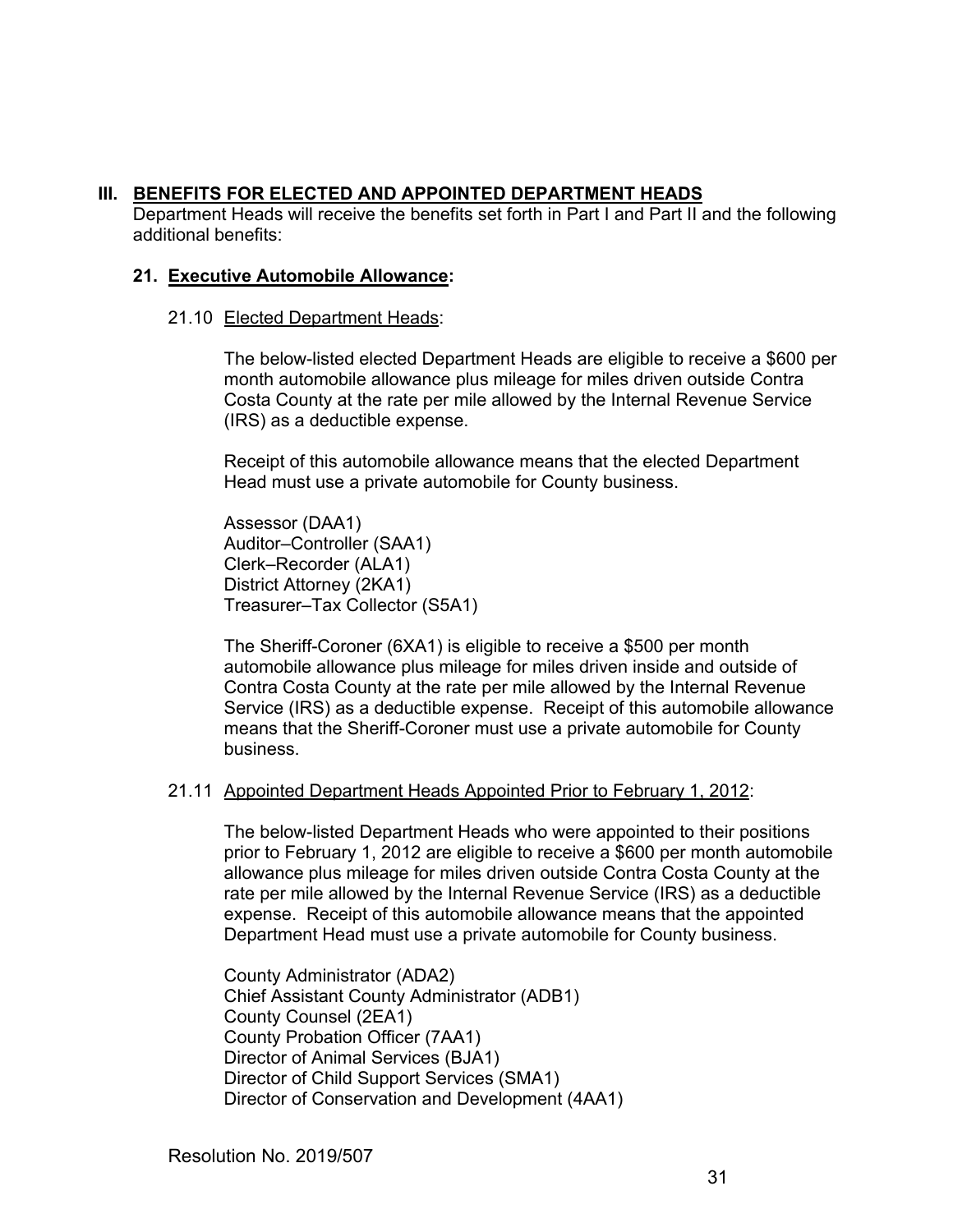## **III. BENEFITS FOR ELECTED AND APPOINTED DEPARTMENT HEADS**

 Department Heads will receive the benefits set forth in Part I and Part II and the following additional benefits:

## **21. Executive Automobile Allowance:**

## 21.10 Elected Department Heads:

The below-listed elected Department Heads are eligible to receive a \$600 per month automobile allowance plus mileage for miles driven outside Contra Costa County at the rate per mile allowed by the Internal Revenue Service (IRS) as a deductible expense.

Receipt of this automobile allowance means that the elected Department Head must use a private automobile for County business.

Assessor (DAA1) Auditor–Controller (SAA1) Clerk–Recorder (ALA1) District Attorney (2KA1) Treasurer–Tax Collector (S5A1)

The Sheriff-Coroner (6XA1) is eligible to receive a \$500 per month automobile allowance plus mileage for miles driven inside and outside of Contra Costa County at the rate per mile allowed by the Internal Revenue Service (IRS) as a deductible expense. Receipt of this automobile allowance means that the Sheriff-Coroner must use a private automobile for County business.

## 21.11 Appointed Department Heads Appointed Prior to February 1, 2012:

The below-listed Department Heads who were appointed to their positions prior to February 1, 2012 are eligible to receive a \$600 per month automobile allowance plus mileage for miles driven outside Contra Costa County at the rate per mile allowed by the Internal Revenue Service (IRS) as a deductible expense. Receipt of this automobile allowance means that the appointed Department Head must use a private automobile for County business.

County Administrator (ADA2) Chief Assistant County Administrator (ADB1) County Counsel (2EA1) County Probation Officer (7AA1) Director of Animal Services (BJA1) Director of Child Support Services (SMA1) Director of Conservation and Development (4AA1)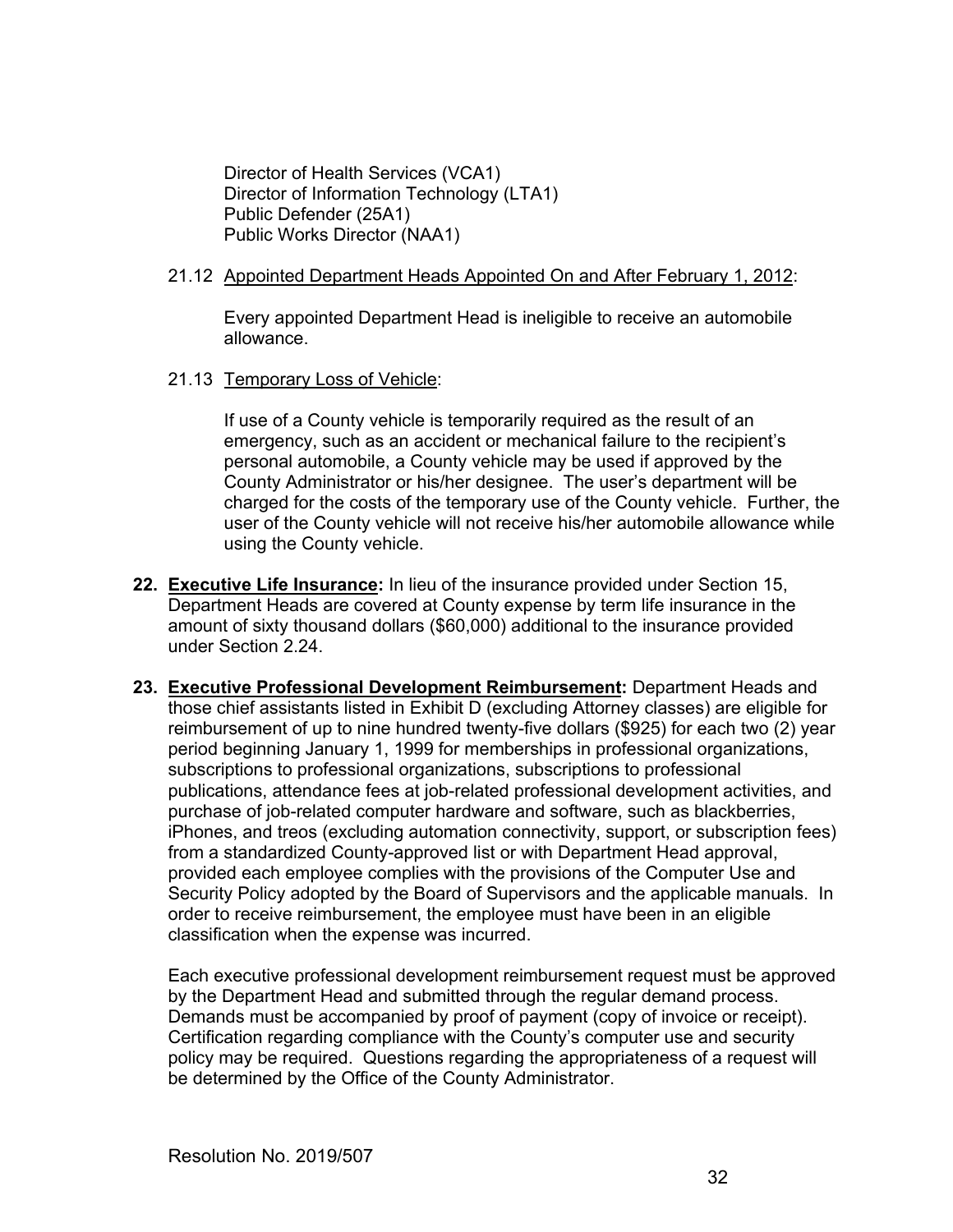Director of Health Services (VCA1) Director of Information Technology (LTA1) Public Defender (25A1) Public Works Director (NAA1)

#### 21.12 Appointed Department Heads Appointed On and After February 1, 2012:

Every appointed Department Head is ineligible to receive an automobile allowance.

21.13 Temporary Loss of Vehicle:

If use of a County vehicle is temporarily required as the result of an emergency, such as an accident or mechanical failure to the recipient's personal automobile, a County vehicle may be used if approved by the County Administrator or his/her designee. The user's department will be charged for the costs of the temporary use of the County vehicle. Further, the user of the County vehicle will not receive his/her automobile allowance while using the County vehicle.

- **22. Executive Life Insurance:** In lieu of the insurance provided under Section 15, Department Heads are covered at County expense by term life insurance in the amount of sixty thousand dollars (\$60,000) additional to the insurance provided under Section 2.24.
- **23. Executive Professional Development Reimbursement:** Department Heads and those chief assistants listed in Exhibit D (excluding Attorney classes) are eligible for reimbursement of up to nine hundred twenty-five dollars (\$925) for each two (2) year period beginning January 1, 1999 for memberships in professional organizations, subscriptions to professional organizations, subscriptions to professional publications, attendance fees at job-related professional development activities, and purchase of job-related computer hardware and software, such as blackberries, iPhones, and treos (excluding automation connectivity, support, or subscription fees) from a standardized County-approved list or with Department Head approval, provided each employee complies with the provisions of the Computer Use and Security Policy adopted by the Board of Supervisors and the applicable manuals. In order to receive reimbursement, the employee must have been in an eligible classification when the expense was incurred.

Each executive professional development reimbursement request must be approved by the Department Head and submitted through the regular demand process. Demands must be accompanied by proof of payment (copy of invoice or receipt). Certification regarding compliance with the County's computer use and security policy may be required. Questions regarding the appropriateness of a request will be determined by the Office of the County Administrator.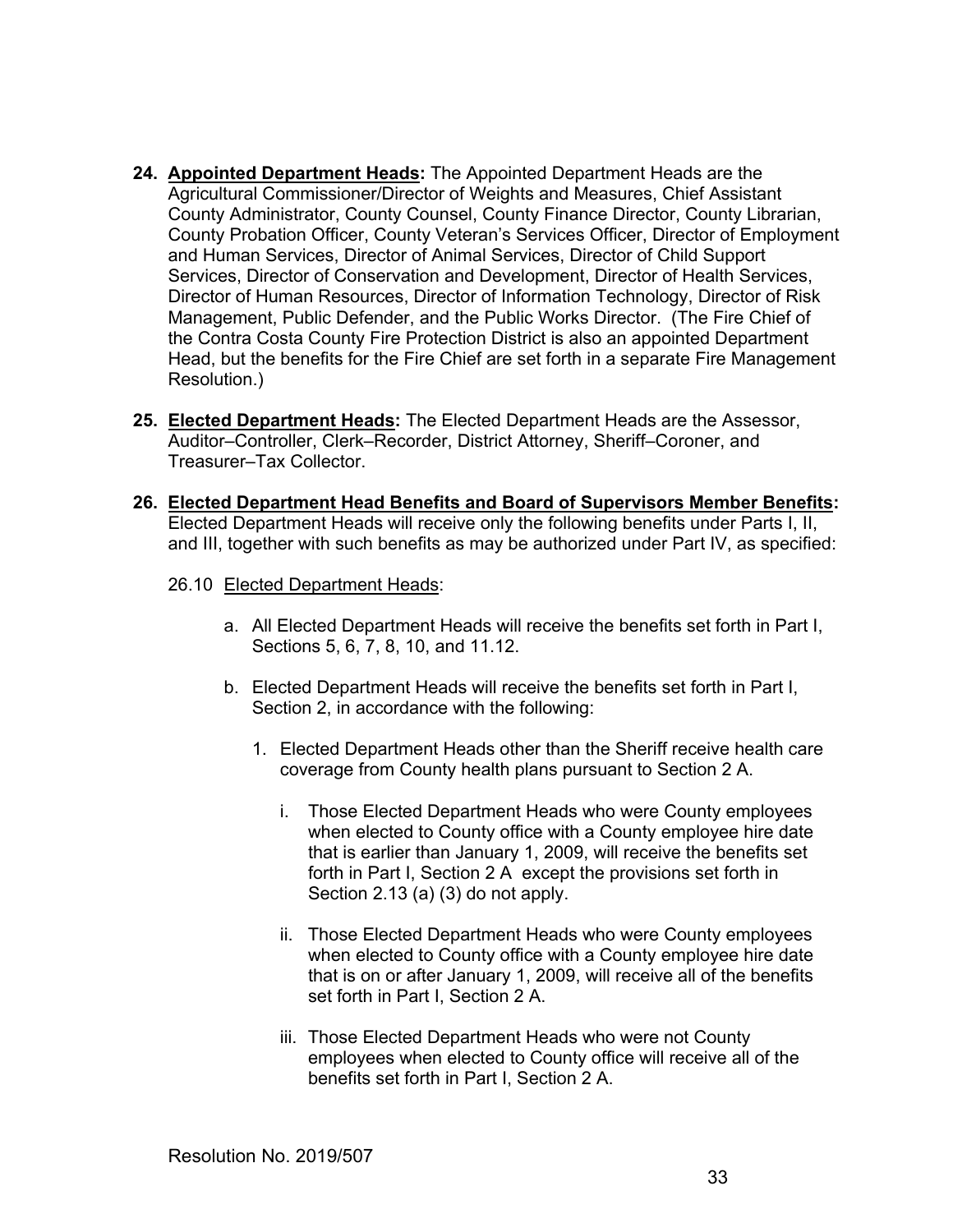- **24. Appointed Department Heads:** The Appointed Department Heads are the Agricultural Commissioner/Director of Weights and Measures, Chief Assistant County Administrator, County Counsel, County Finance Director, County Librarian, County Probation Officer, County Veteran's Services Officer, Director of Employment and Human Services, Director of Animal Services, Director of Child Support Services, Director of Conservation and Development, Director of Health Services, Director of Human Resources, Director of Information Technology, Director of Risk Management, Public Defender, and the Public Works Director. (The Fire Chief of the Contra Costa County Fire Protection District is also an appointed Department Head, but the benefits for the Fire Chief are set forth in a separate Fire Management Resolution.)
- **25. Elected Department Heads:** The Elected Department Heads are the Assessor, Auditor–Controller, Clerk–Recorder, District Attorney, Sheriff–Coroner, and Treasurer–Tax Collector.
- **26. Elected Department Head Benefits and Board of Supervisors Member Benefits:** Elected Department Heads will receive only the following benefits under Parts I, II, and III, together with such benefits as may be authorized under Part IV, as specified:
	- 26.10 Elected Department Heads:
		- a. All Elected Department Heads will receive the benefits set forth in Part I, Sections 5, 6, 7, 8, 10, and 11.12.
		- b. Elected Department Heads will receive the benefits set forth in Part I, Section 2, in accordance with the following:
			- 1. Elected Department Heads other than the Sheriff receive health care coverage from County health plans pursuant to Section 2 A.
				- i. Those Elected Department Heads who were County employees when elected to County office with a County employee hire date that is earlier than January 1, 2009, will receive the benefits set forth in Part I, Section 2 A except the provisions set forth in Section 2.13 (a) (3) do not apply.
				- ii. Those Elected Department Heads who were County employees when elected to County office with a County employee hire date that is on or after January 1, 2009, will receive all of the benefits set forth in Part I, Section 2 A.
				- iii. Those Elected Department Heads who were not County employees when elected to County office will receive all of the benefits set forth in Part I, Section 2 A.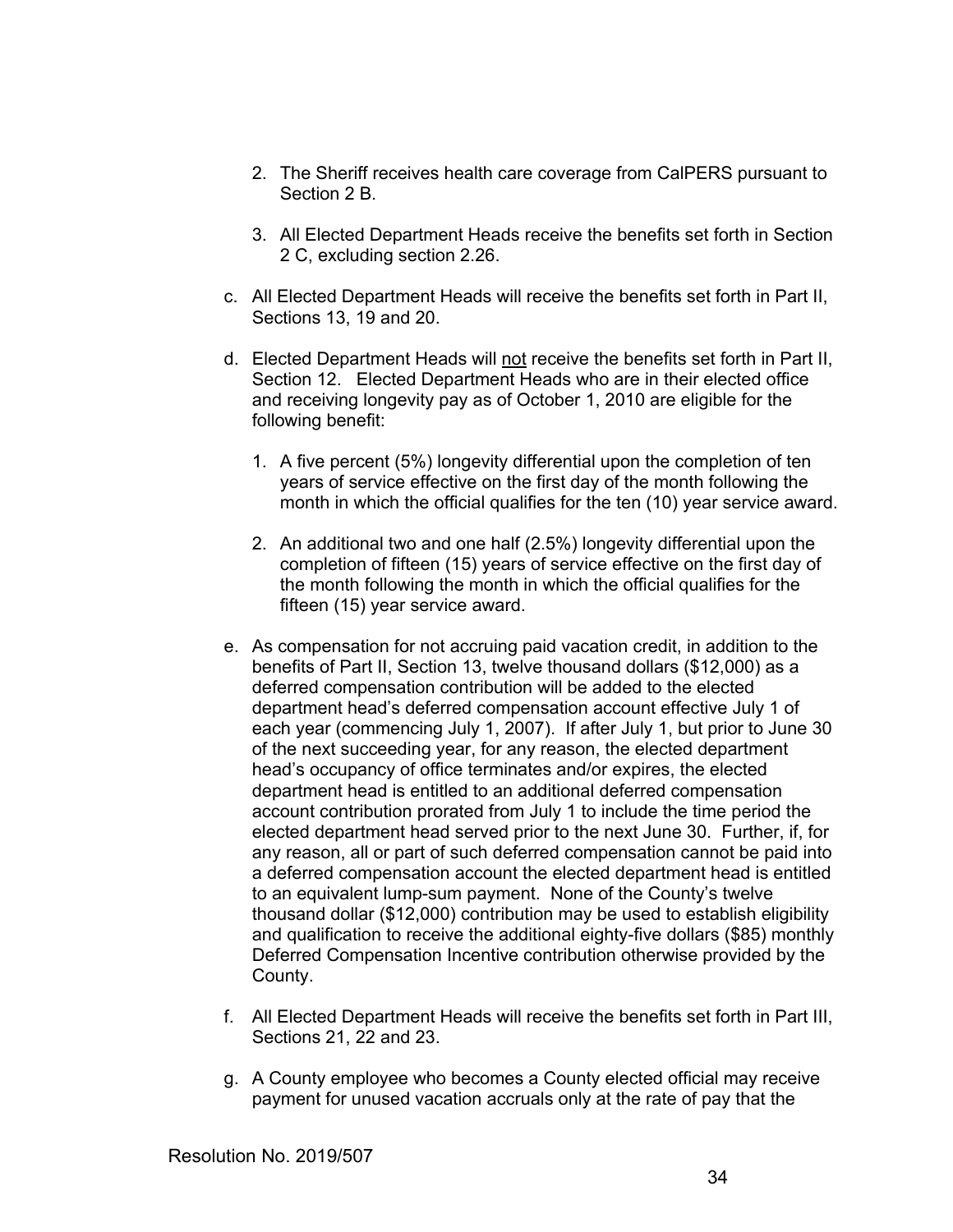- 2. The Sheriff receives health care coverage from CalPERS pursuant to Section 2 B.
- 3. All Elected Department Heads receive the benefits set forth in Section 2 C, excluding section 2.26.
- c. All Elected Department Heads will receive the benefits set forth in Part II, Sections 13, 19 and 20.
- d. Elected Department Heads will not receive the benefits set forth in Part II, Section 12. Elected Department Heads who are in their elected office and receiving longevity pay as of October 1, 2010 are eligible for the following benefit:
	- 1. A five percent (5%) longevity differential upon the completion of ten years of service effective on the first day of the month following the month in which the official qualifies for the ten (10) year service award.
	- 2. An additional two and one half (2.5%) longevity differential upon the completion of fifteen (15) years of service effective on the first day of the month following the month in which the official qualifies for the fifteen (15) year service award.
- e. As compensation for not accruing paid vacation credit, in addition to the benefits of Part II, Section 13, twelve thousand dollars (\$12,000) as a deferred compensation contribution will be added to the elected department head's deferred compensation account effective July 1 of each year (commencing July 1, 2007). If after July 1, but prior to June 30 of the next succeeding year, for any reason, the elected department head's occupancy of office terminates and/or expires, the elected department head is entitled to an additional deferred compensation account contribution prorated from July 1 to include the time period the elected department head served prior to the next June 30. Further, if, for any reason, all or part of such deferred compensation cannot be paid into a deferred compensation account the elected department head is entitled to an equivalent lump-sum payment. None of the County's twelve thousand dollar (\$12,000) contribution may be used to establish eligibility and qualification to receive the additional eighty-five dollars (\$85) monthly Deferred Compensation Incentive contribution otherwise provided by the County.
- f. All Elected Department Heads will receive the benefits set forth in Part III, Sections 21, 22 and 23.
- g. A County employee who becomes a County elected official may receive payment for unused vacation accruals only at the rate of pay that the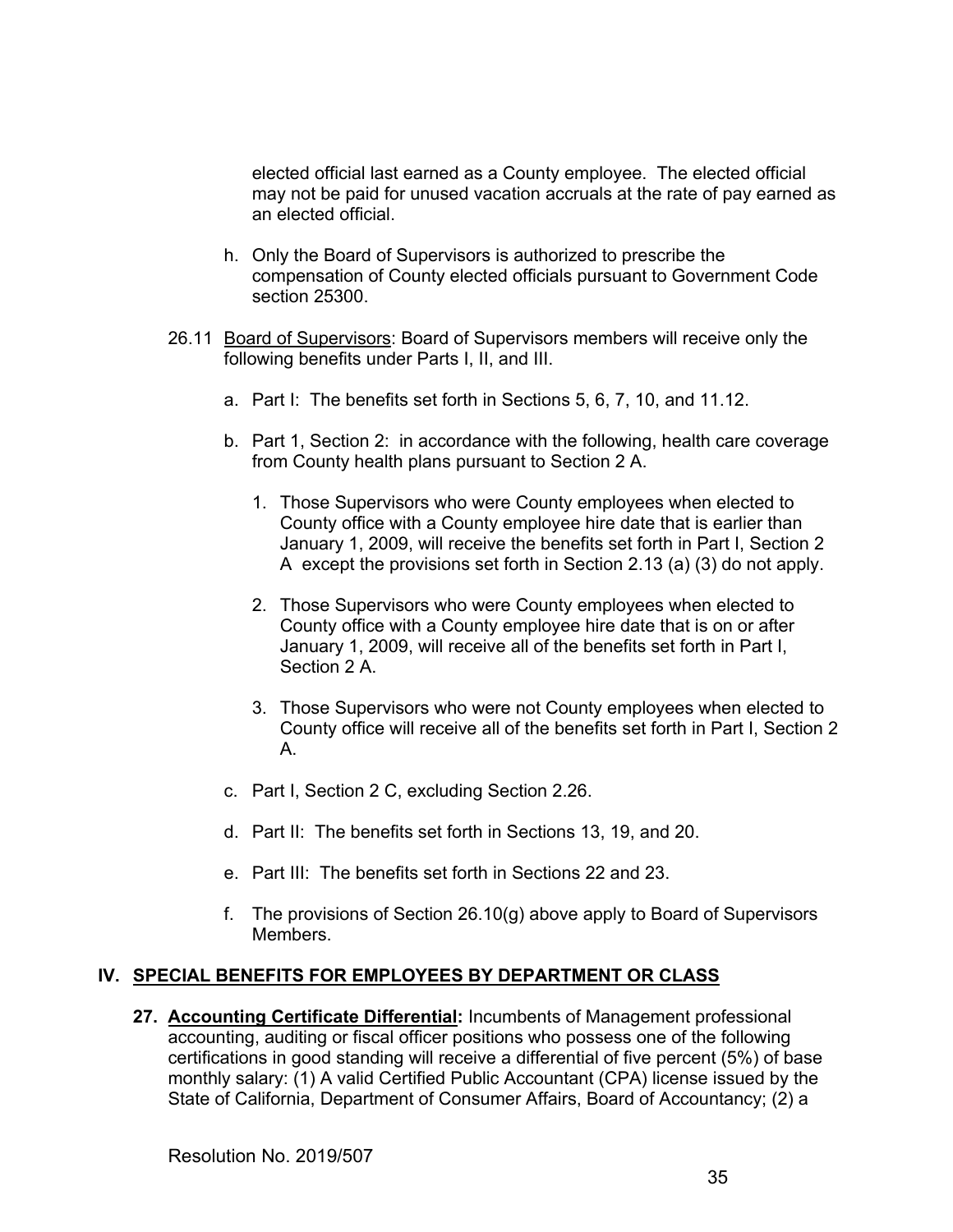elected official last earned as a County employee. The elected official may not be paid for unused vacation accruals at the rate of pay earned as an elected official.

- h. Only the Board of Supervisors is authorized to prescribe the compensation of County elected officials pursuant to Government Code section 25300.
- 26.11Board of Supervisors: Board of Supervisors members will receive only the following benefits under Parts I, II, and III.
	- a. Part I: The benefits set forth in Sections 5, 6, 7, 10, and 11.12.
	- b. Part 1, Section 2: in accordance with the following, health care coverage from County health plans pursuant to Section 2 A.
		- 1. Those Supervisors who were County employees when elected to County office with a County employee hire date that is earlier than January 1, 2009, will receive the benefits set forth in Part I, Section 2 A except the provisions set forth in Section 2.13 (a) (3) do not apply.
		- 2. Those Supervisors who were County employees when elected to County office with a County employee hire date that is on or after January 1, 2009, will receive all of the benefits set forth in Part I, Section 2 A.
		- 3. Those Supervisors who were not County employees when elected to County office will receive all of the benefits set forth in Part I, Section 2 A.
	- c. Part I, Section 2 C, excluding Section 2.26.
	- d. Part II: The benefits set forth in Sections 13, 19, and 20.
	- e. Part III: The benefits set forth in Sections 22 and 23.
	- f. The provisions of Section 26.10(g) above apply to Board of Supervisors Members.

## **IV. SPECIAL BENEFITS FOR EMPLOYEES BY DEPARTMENT OR CLASS**

**27. Accounting Certificate Differential:** Incumbents of Management professional accounting, auditing or fiscal officer positions who possess one of the following certifications in good standing will receive a differential of five percent (5%) of base monthly salary: (1) A valid Certified Public Accountant (CPA) license issued by the State of California, Department of Consumer Affairs, Board of Accountancy; (2) a

Resolution No. 2019/507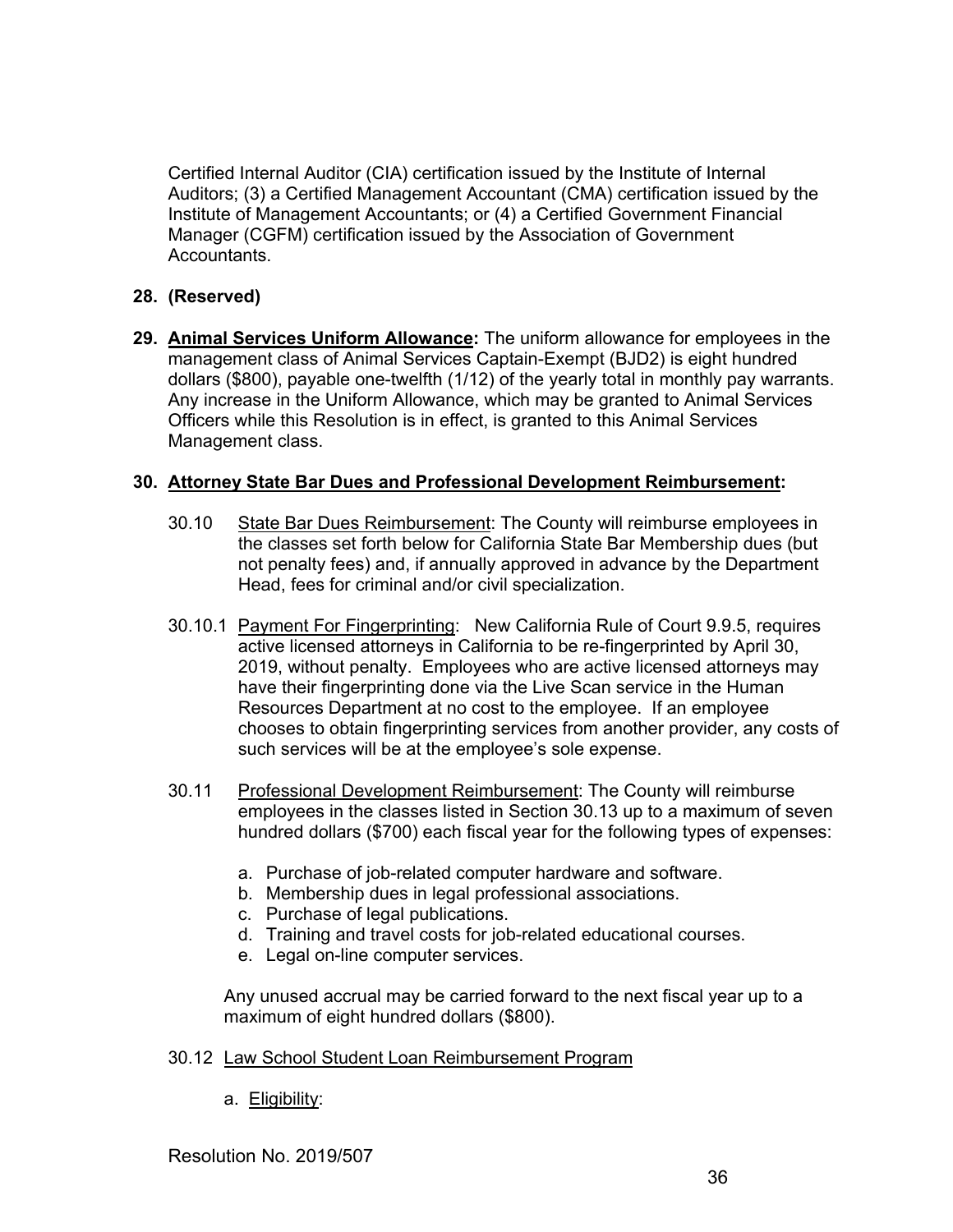Certified Internal Auditor (CIA) certification issued by the Institute of Internal Auditors; (3) a Certified Management Accountant (CMA) certification issued by the Institute of Management Accountants; or (4) a Certified Government Financial Manager (CGFM) certification issued by the Association of Government **Accountants** 

## **28. (Reserved)**

**29. Animal Services Uniform Allowance:** The uniform allowance for employees in the management class of Animal Services Captain-Exempt (BJD2) is eight hundred dollars (\$800), payable one-twelfth (1/12) of the yearly total in monthly pay warrants. Any increase in the Uniform Allowance, which may be granted to Animal Services Officers while this Resolution is in effect, is granted to this Animal Services Management class.

## **30. Attorney State Bar Dues and Professional Development Reimbursement:**

- 30.10 State Bar Dues Reimbursement: The County will reimburse employees in the classes set forth below for California State Bar Membership dues (but not penalty fees) and, if annually approved in advance by the Department Head, fees for criminal and/or civil specialization.
- 30.10.1 Payment For Fingerprinting: New California Rule of Court 9.9.5, requires active licensed attorneys in California to be re-fingerprinted by April 30, 2019, without penalty. Employees who are active licensed attorneys may have their fingerprinting done via the Live Scan service in the Human Resources Department at no cost to the employee. If an employee chooses to obtain fingerprinting services from another provider, any costs of such services will be at the employee's sole expense.
- 30.11 Professional Development Reimbursement: The County will reimburse employees in the classes listed in Section 30.13 up to a maximum of seven hundred dollars (\$700) each fiscal year for the following types of expenses:
	- a. Purchase of job-related computer hardware and software.
	- b. Membership dues in legal professional associations.
	- c. Purchase of legal publications.
	- d. Training and travel costs for job-related educational courses.
	- e. Legal on-line computer services.

Any unused accrual may be carried forward to the next fiscal year up to a maximum of eight hundred dollars (\$800).

- 30.12 Law School Student Loan Reimbursement Program
	- a. Eligibility:

Resolution No. 2019/507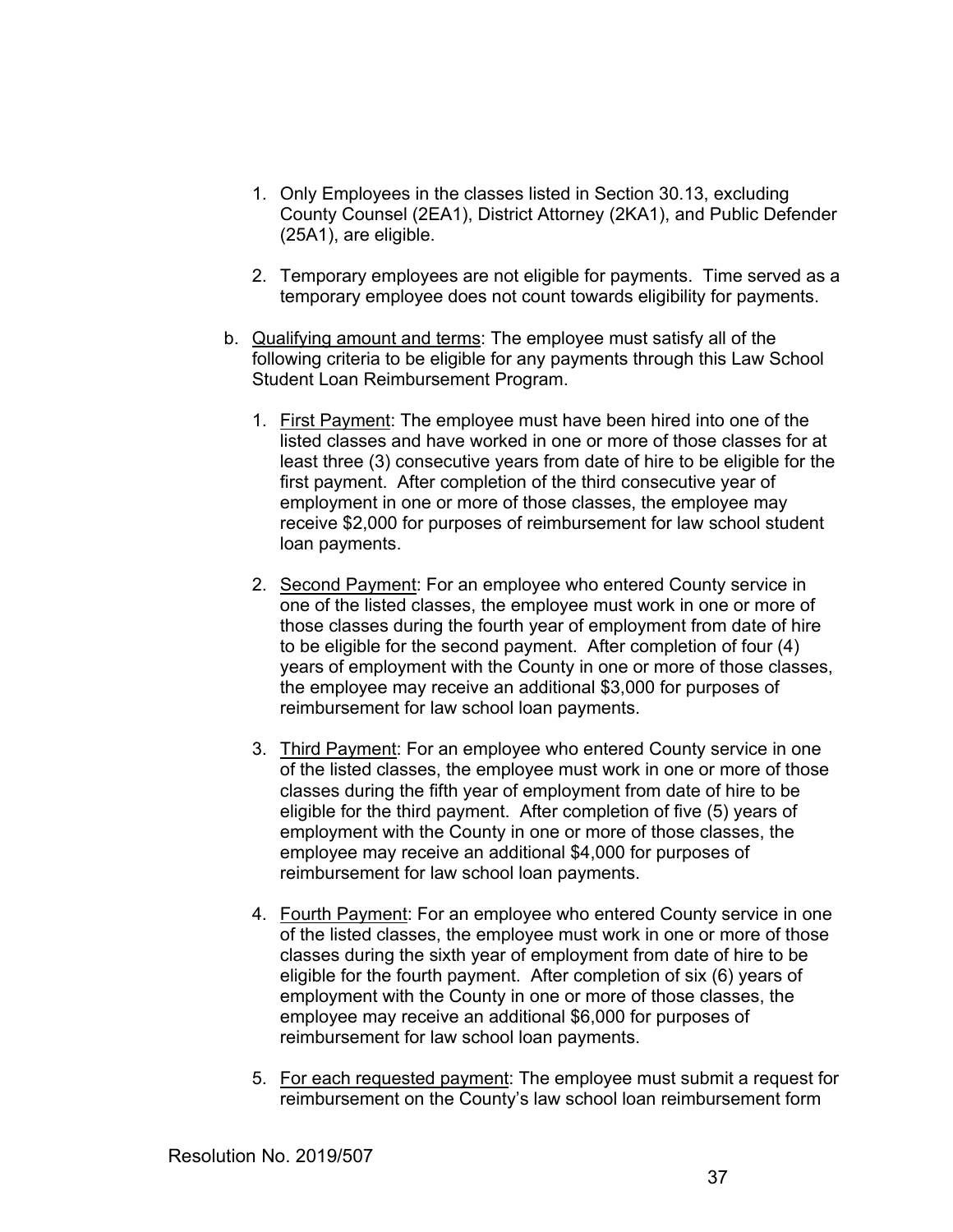- 1. Only Employees in the classes listed in Section 30.13, excluding County Counsel (2EA1), District Attorney (2KA1), and Public Defender (25A1), are eligible.
- 2. Temporary employees are not eligible for payments. Time served as a temporary employee does not count towards eligibility for payments.
- b. Qualifying amount and terms: The employee must satisfy all of the following criteria to be eligible for any payments through this Law School Student Loan Reimbursement Program.
	- 1. First Payment: The employee must have been hired into one of the listed classes and have worked in one or more of those classes for at least three (3) consecutive years from date of hire to be eligible for the first payment. After completion of the third consecutive year of employment in one or more of those classes, the employee may receive \$2,000 for purposes of reimbursement for law school student loan payments.
	- 2. Second Payment: For an employee who entered County service in one of the listed classes, the employee must work in one or more of those classes during the fourth year of employment from date of hire to be eligible for the second payment. After completion of four (4) years of employment with the County in one or more of those classes, the employee may receive an additional \$3,000 for purposes of reimbursement for law school loan payments.
	- 3. Third Payment: For an employee who entered County service in one of the listed classes, the employee must work in one or more of those classes during the fifth year of employment from date of hire to be eligible for the third payment. After completion of five (5) years of employment with the County in one or more of those classes, the employee may receive an additional \$4,000 for purposes of reimbursement for law school loan payments.
	- 4. Fourth Payment: For an employee who entered County service in one of the listed classes, the employee must work in one or more of those classes during the sixth year of employment from date of hire to be eligible for the fourth payment. After completion of six (6) years of employment with the County in one or more of those classes, the employee may receive an additional \$6,000 for purposes of reimbursement for law school loan payments.
	- 5.For each requested payment: The employee must submit a request for reimbursement on the County's law school loan reimbursement form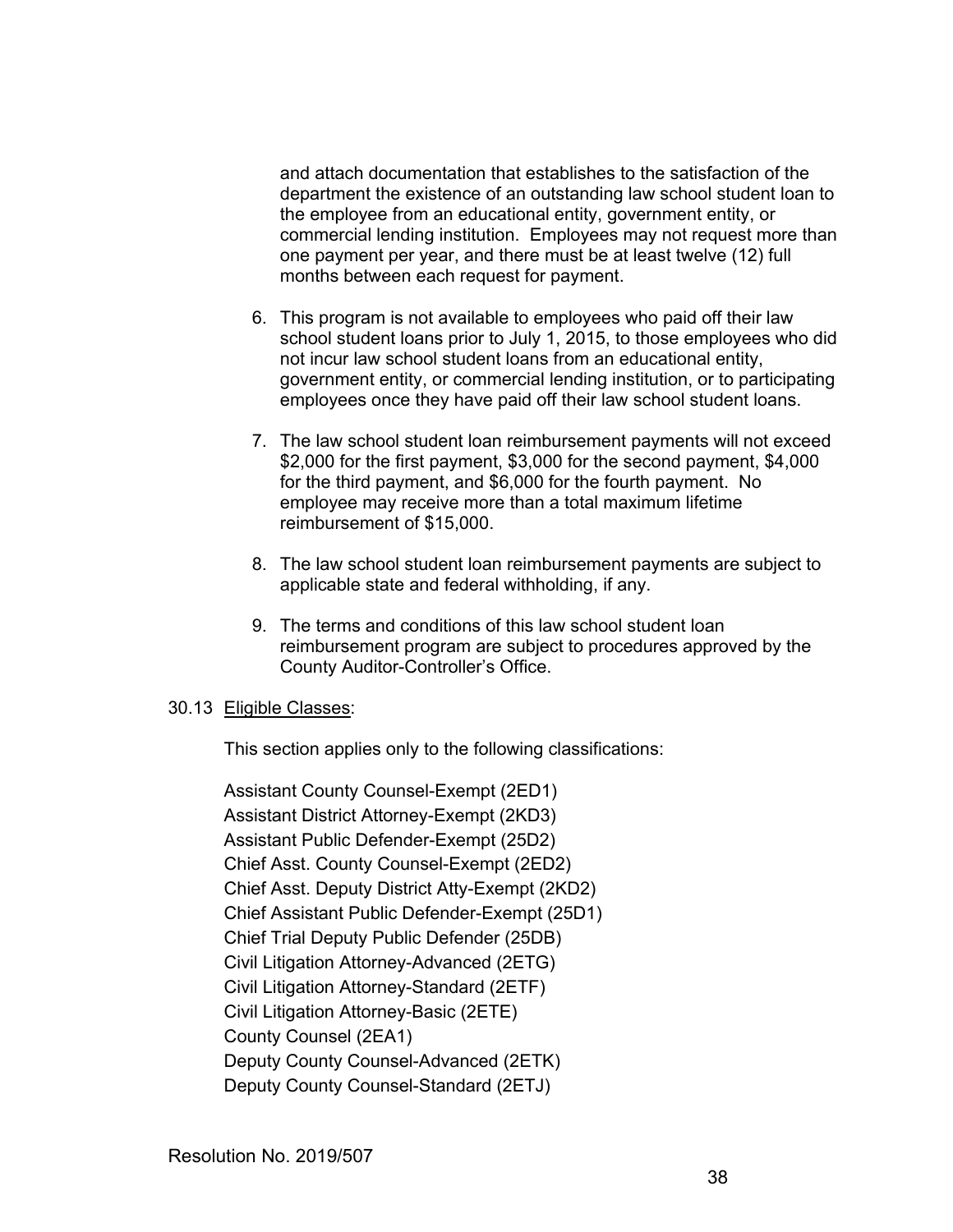and attach documentation that establishes to the satisfaction of the department the existence of an outstanding law school student loan to the employee from an educational entity, government entity, or commercial lending institution. Employees may not request more than one payment per year, and there must be at least twelve (12) full months between each request for payment.

- 6. This program is not available to employees who paid off their law school student loans prior to July 1, 2015, to those employees who did not incur law school student loans from an educational entity, government entity, or commercial lending institution, or to participating employees once they have paid off their law school student loans.
- 7.The law school student loan reimbursement payments will not exceed \$2,000 for the first payment, \$3,000 for the second payment, \$4,000 for the third payment, and \$6,000 for the fourth payment. No employee may receive more than a total maximum lifetime reimbursement of \$15,000.
- 8. The law school student loan reimbursement payments are subject to applicable state and federal withholding, if any.
- 9. The terms and conditions of this law school student loan reimbursement program are subject to procedures approved by the County Auditor-Controller's Office.

## 30.13 Eligible Classes:

This section applies only to the following classifications:

 Assistant County Counsel-Exempt (2ED1) Assistant District Attorney-Exempt (2KD3) Assistant Public Defender-Exempt (25D2) Chief Asst. County Counsel-Exempt (2ED2) Chief Asst. Deputy District Atty-Exempt (2KD2) Chief Assistant Public Defender-Exempt (25D1) Chief Trial Deputy Public Defender (25DB) Civil Litigation Attorney-Advanced (2ETG) Civil Litigation Attorney-Standard (2ETF) Civil Litigation Attorney-Basic (2ETE) County Counsel (2EA1) Deputy County Counsel-Advanced (2ETK) Deputy County Counsel-Standard (2ETJ)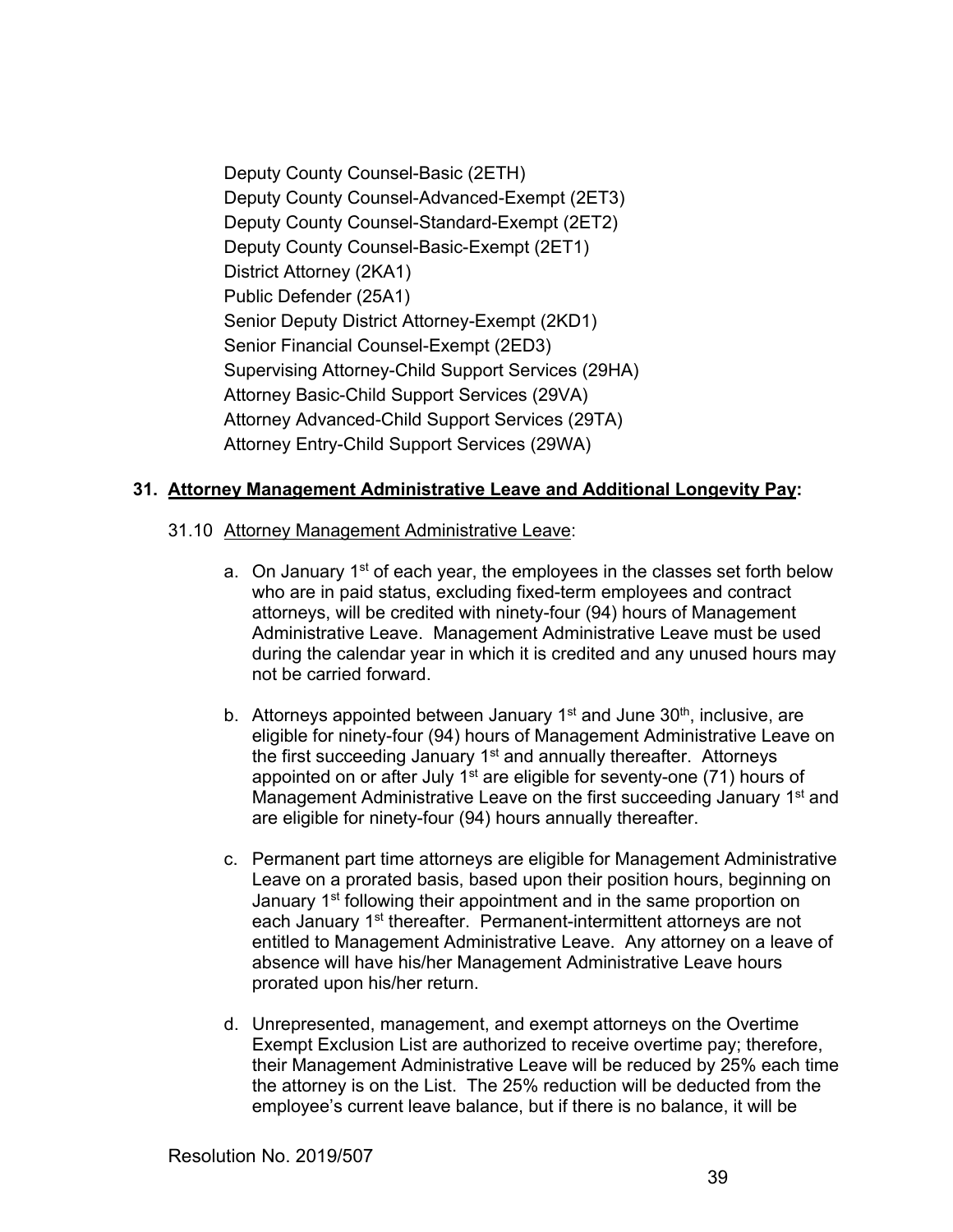Deputy County Counsel-Basic (2ETH) Deputy County Counsel-Advanced-Exempt (2ET3) Deputy County Counsel-Standard-Exempt (2ET2) Deputy County Counsel-Basic-Exempt (2ET1) District Attorney (2KA1) Public Defender (25A1) Senior Deputy District Attorney-Exempt (2KD1) Senior Financial Counsel-Exempt (2ED3) Supervising Attorney-Child Support Services (29HA) Attorney Basic-Child Support Services (29VA) Attorney Advanced-Child Support Services (29TA) Attorney Entry-Child Support Services (29WA)

## **31. Attorney Management Administrative Leave and Additional Longevity Pay:**

## 31.10 Attorney Management Administrative Leave:

- a. On January 1<sup>st</sup> of each year, the employees in the classes set forth below who are in paid status, excluding fixed-term employees and contract attorneys, will be credited with ninety-four (94) hours of Management Administrative Leave. Management Administrative Leave must be used during the calendar year in which it is credited and any unused hours may not be carried forward.
- b. Attorneys appointed between January  $1<sup>st</sup>$  and June  $30<sup>th</sup>$ , inclusive, are eligible for ninety-four (94) hours of Management Administrative Leave on the first succeeding January 1<sup>st</sup> and annually thereafter. Attorneys appointed on or after July  $1<sup>st</sup>$  are eligible for seventy-one (71) hours of Management Administrative Leave on the first succeeding January 1<sup>st</sup> and are eligible for ninety-four (94) hours annually thereafter.
- c. Permanent part time attorneys are eligible for Management Administrative Leave on a prorated basis, based upon their position hours, beginning on January 1<sup>st</sup> following their appointment and in the same proportion on each January 1<sup>st</sup> thereafter. Permanent-intermittent attorneys are not entitled to Management Administrative Leave. Any attorney on a leave of absence will have his/her Management Administrative Leave hours prorated upon his/her return.
- d. Unrepresented, management, and exempt attorneys on the Overtime Exempt Exclusion List are authorized to receive overtime pay; therefore, their Management Administrative Leave will be reduced by 25% each time the attorney is on the List. The 25% reduction will be deducted from the employee's current leave balance, but if there is no balance, it will be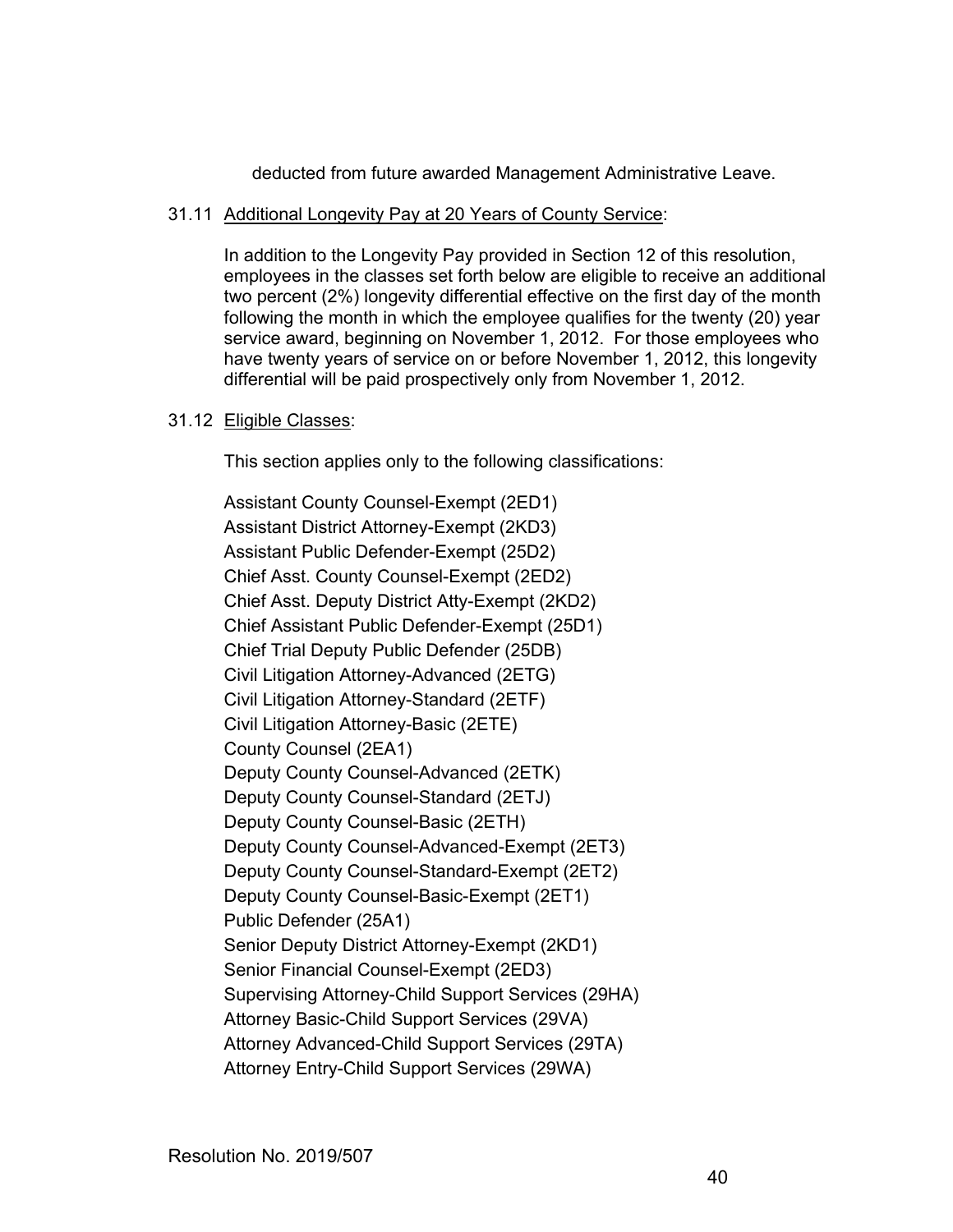deducted from future awarded Management Administrative Leave.

#### 31.11 Additional Longevity Pay at 20 Years of County Service:

In addition to the Longevity Pay provided in Section 12 of this resolution, employees in the classes set forth below are eligible to receive an additional two percent (2%) longevity differential effective on the first day of the month following the month in which the employee qualifies for the twenty (20) year service award, beginning on November 1, 2012. For those employees who have twenty years of service on or before November 1, 2012, this longevity differential will be paid prospectively only from November 1, 2012.

## 31.12 Eligible Classes:

This section applies only to the following classifications:

 Assistant County Counsel-Exempt (2ED1) Assistant District Attorney-Exempt (2KD3) Assistant Public Defender-Exempt (25D2) Chief Asst. County Counsel-Exempt (2ED2) Chief Asst. Deputy District Atty-Exempt (2KD2) Chief Assistant Public Defender-Exempt (25D1) Chief Trial Deputy Public Defender (25DB) Civil Litigation Attorney-Advanced (2ETG) Civil Litigation Attorney-Standard (2ETF) Civil Litigation Attorney-Basic (2ETE) County Counsel (2EA1) Deputy County Counsel-Advanced (2ETK) Deputy County Counsel-Standard (2ETJ) Deputy County Counsel-Basic (2ETH) Deputy County Counsel-Advanced-Exempt (2ET3) Deputy County Counsel-Standard-Exempt (2ET2) Deputy County Counsel-Basic-Exempt (2ET1) Public Defender (25A1) Senior Deputy District Attorney-Exempt (2KD1) Senior Financial Counsel-Exempt (2ED3) Supervising Attorney-Child Support Services (29HA) Attorney Basic-Child Support Services (29VA) Attorney Advanced-Child Support Services (29TA) Attorney Entry-Child Support Services (29WA)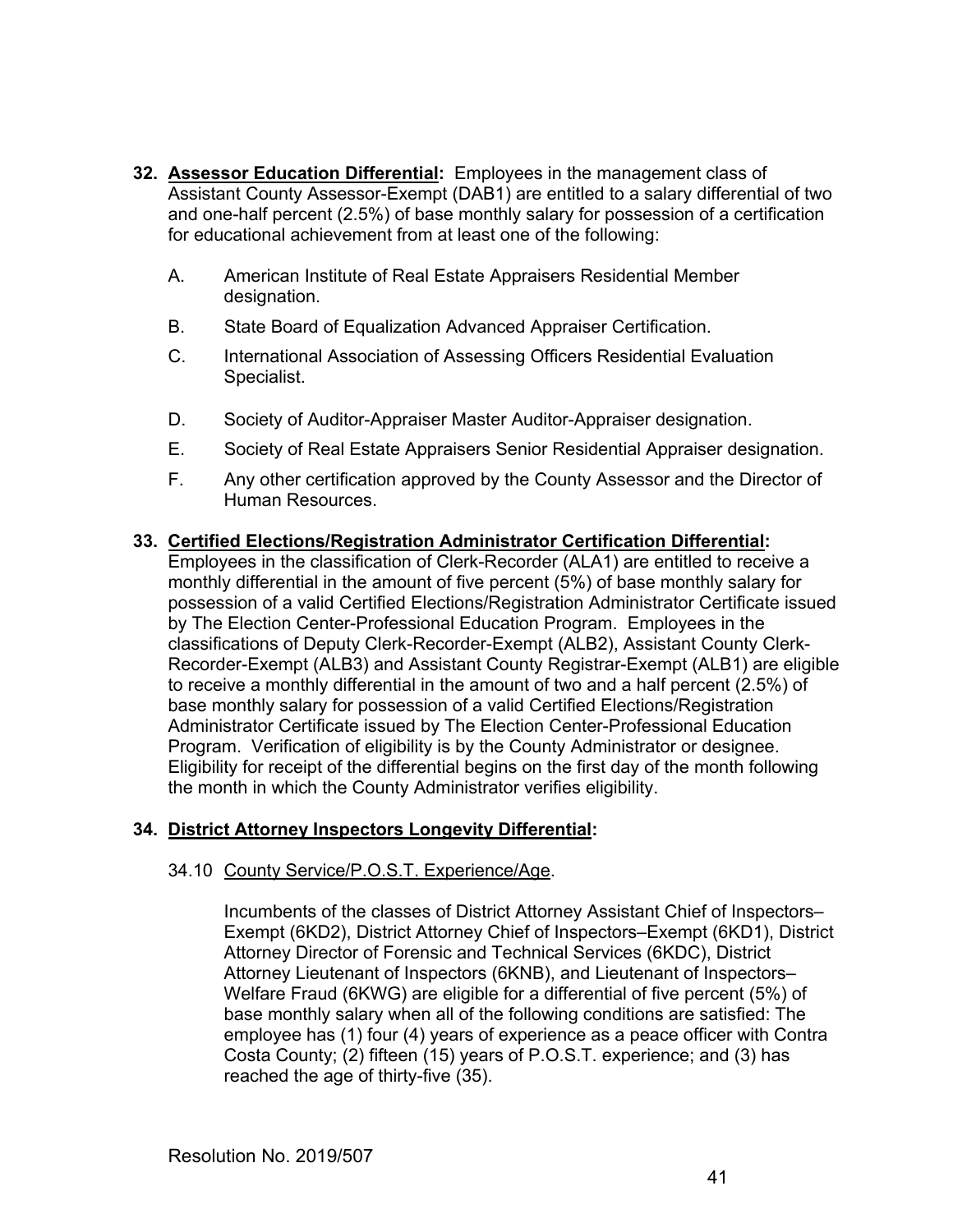- **32. Assessor Education Differential:** Employees in the management class of Assistant County Assessor-Exempt (DAB1) are entitled to a salary differential of two and one-half percent (2.5%) of base monthly salary for possession of a certification for educational achievement from at least one of the following:
	- A. American Institute of Real Estate Appraisers Residential Member designation.
	- B. State Board of Equalization Advanced Appraiser Certification.
	- C. International Association of Assessing Officers Residential Evaluation Specialist.
	- D. Society of Auditor-Appraiser Master Auditor-Appraiser designation.
	- E. Society of Real Estate Appraisers Senior Residential Appraiser designation.
	- F. Any other certification approved by the County Assessor and the Director of Human Resources.

## **33. Certified Elections/Registration Administrator Certification Differential:**

Employees in the classification of Clerk-Recorder (ALA1) are entitled to receive a monthly differential in the amount of five percent (5%) of base monthly salary for possession of a valid Certified Elections/Registration Administrator Certificate issued by The Election Center-Professional Education Program. Employees in the classifications of Deputy Clerk-Recorder-Exempt (ALB2), Assistant County Clerk-Recorder-Exempt (ALB3) and Assistant County Registrar-Exempt (ALB1) are eligible to receive a monthly differential in the amount of two and a half percent (2.5%) of base monthly salary for possession of a valid Certified Elections/Registration Administrator Certificate issued by The Election Center-Professional Education Program. Verification of eligibility is by the County Administrator or designee. Eligibility for receipt of the differential begins on the first day of the month following the month in which the County Administrator verifies eligibility.

## **34. District Attorney Inspectors Longevity Differential:**

## 34.10 County Service/P.O.S.T. Experience/Age.

 Incumbents of the classes of District Attorney Assistant Chief of Inspectors– Exempt (6KD2), District Attorney Chief of Inspectors–Exempt (6KD1), District Attorney Director of Forensic and Technical Services (6KDC), District Attorney Lieutenant of Inspectors (6KNB), and Lieutenant of Inspectors– Welfare Fraud (6KWG) are eligible for a differential of five percent (5%) of base monthly salary when all of the following conditions are satisfied: The employee has (1) four (4) years of experience as a peace officer with Contra Costa County; (2) fifteen (15) years of P.O.S.T. experience; and (3) has reached the age of thirty-five (35).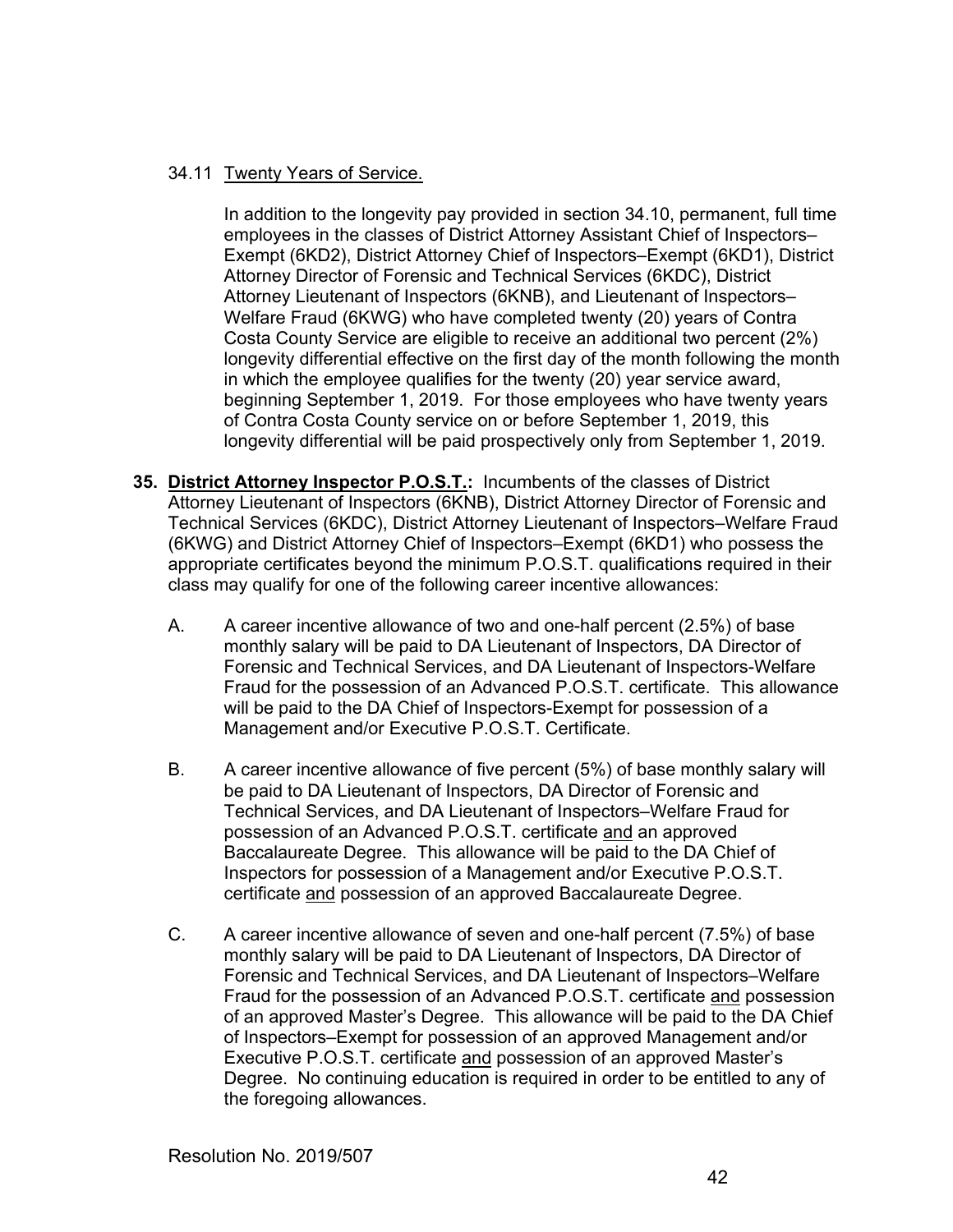## 34.11 Twenty Years of Service.

 In addition to the longevity pay provided in section 34.10, permanent, full time employees in the classes of District Attorney Assistant Chief of Inspectors– Exempt (6KD2), District Attorney Chief of Inspectors–Exempt (6KD1), District Attorney Director of Forensic and Technical Services (6KDC), District Attorney Lieutenant of Inspectors (6KNB), and Lieutenant of Inspectors– Welfare Fraud (6KWG) who have completed twenty (20) years of Contra Costa County Service are eligible to receive an additional two percent (2%) longevity differential effective on the first day of the month following the month in which the employee qualifies for the twenty (20) year service award, beginning September 1, 2019. For those employees who have twenty years of Contra Costa County service on or before September 1, 2019, this longevity differential will be paid prospectively only from September 1, 2019.

- **35. District Attorney Inspector P.O.S.T.:** Incumbents of the classes of District Attorney Lieutenant of Inspectors (6KNB), District Attorney Director of Forensic and Technical Services (6KDC), District Attorney Lieutenant of Inspectors–Welfare Fraud (6KWG) and District Attorney Chief of Inspectors–Exempt (6KD1) who possess the appropriate certificates beyond the minimum P.O.S.T. qualifications required in their class may qualify for one of the following career incentive allowances:
	- A. A career incentive allowance of two and one-half percent (2.5%) of base monthly salary will be paid to DA Lieutenant of Inspectors, DA Director of Forensic and Technical Services, and DA Lieutenant of Inspectors-Welfare Fraud for the possession of an Advanced P.O.S.T. certificate. This allowance will be paid to the DA Chief of Inspectors-Exempt for possession of a Management and/or Executive P.O.S.T. Certificate.
	- B. A career incentive allowance of five percent (5%) of base monthly salary will be paid to DA Lieutenant of Inspectors, DA Director of Forensic and Technical Services, and DA Lieutenant of Inspectors–Welfare Fraud for possession of an Advanced P.O.S.T. certificate and an approved Baccalaureate Degree. This allowance will be paid to the DA Chief of Inspectors for possession of a Management and/or Executive P.O.S.T. certificate and possession of an approved Baccalaureate Degree.
	- C. A career incentive allowance of seven and one-half percent (7.5%) of base monthly salary will be paid to DA Lieutenant of Inspectors, DA Director of Forensic and Technical Services, and DA Lieutenant of Inspectors–Welfare Fraud for the possession of an Advanced P.O.S.T. certificate and possession of an approved Master's Degree. This allowance will be paid to the DA Chief of Inspectors–Exempt for possession of an approved Management and/or Executive P.O.S.T. certificate and possession of an approved Master's Degree. No continuing education is required in order to be entitled to any of the foregoing allowances.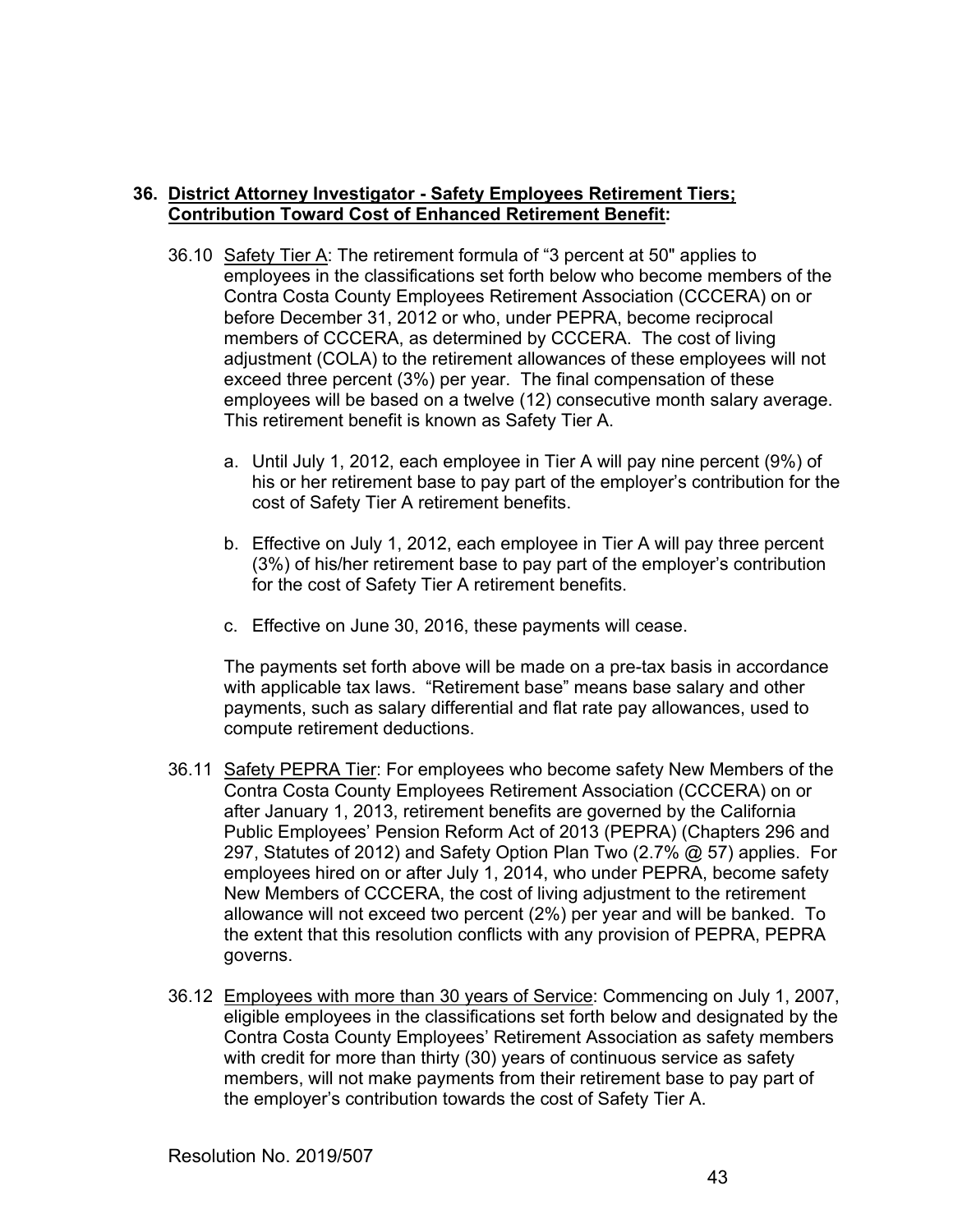## **36. District Attorney Investigator - Safety Employees Retirement Tiers; Contribution Toward Cost of Enhanced Retirement Benefit:**

- 36.10 Safety Tier A: The retirement formula of "3 percent at 50" applies to employees in the classifications set forth below who become members of the Contra Costa County Employees Retirement Association (CCCERA) on or before December 31, 2012 or who, under PEPRA, become reciprocal members of CCCERA, as determined by CCCERA. The cost of living adjustment (COLA) to the retirement allowances of these employees will not exceed three percent (3%) per year. The final compensation of these employees will be based on a twelve (12) consecutive month salary average. This retirement benefit is known as Safety Tier A.
	- a. Until July 1, 2012, each employee in Tier A will pay nine percent (9%) of his or her retirement base to pay part of the employer's contribution for the cost of Safety Tier A retirement benefits.
	- b. Effective on July 1, 2012, each employee in Tier A will pay three percent (3%) of his/her retirement base to pay part of the employer's contribution for the cost of Safety Tier A retirement benefits.
	- c. Effective on June 30, 2016, these payments will cease.

The payments set forth above will be made on a pre-tax basis in accordance with applicable tax laws. "Retirement base" means base salary and other payments, such as salary differential and flat rate pay allowances, used to compute retirement deductions.

- 36.11 Safety PEPRA Tier: For employees who become safety New Members of the Contra Costa County Employees Retirement Association (CCCERA) on or after January 1, 2013, retirement benefits are governed by the California Public Employees' Pension Reform Act of 2013 (PEPRA) (Chapters 296 and 297, Statutes of 2012) and Safety Option Plan Two (2.7% @ 57) applies. For employees hired on or after July 1, 2014, who under PEPRA, become safety New Members of CCCERA, the cost of living adjustment to the retirement allowance will not exceed two percent (2%) per year and will be banked. To the extent that this resolution conflicts with any provision of PEPRA, PEPRA governs.
- 36.12 Employees with more than 30 years of Service: Commencing on July 1, 2007, eligible employees in the classifications set forth below and designated by the Contra Costa County Employees' Retirement Association as safety members with credit for more than thirty (30) years of continuous service as safety members, will not make payments from their retirement base to pay part of the employer's contribution towards the cost of Safety Tier A.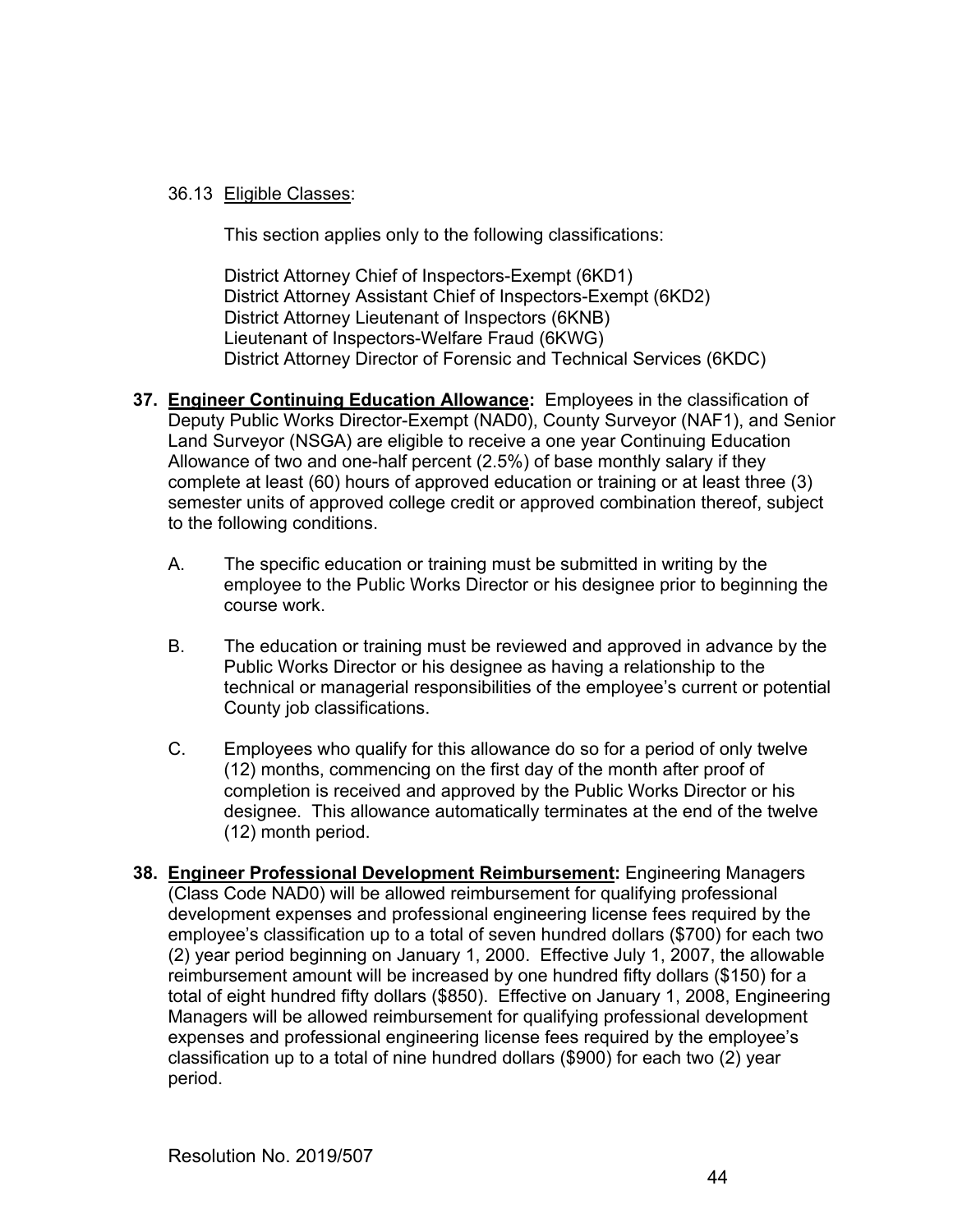## 36.13 Eligible Classes:

This section applies only to the following classifications:

 District Attorney Chief of Inspectors-Exempt (6KD1) District Attorney Assistant Chief of Inspectors-Exempt (6KD2) District Attorney Lieutenant of Inspectors (6KNB) Lieutenant of Inspectors-Welfare Fraud (6KWG) District Attorney Director of Forensic and Technical Services (6KDC)

- **37. Engineer Continuing Education Allowance:** Employees in the classification of Deputy Public Works Director-Exempt (NAD0), County Surveyor (NAF1), and Senior Land Surveyor (NSGA) are eligible to receive a one year Continuing Education Allowance of two and one-half percent (2.5%) of base monthly salary if they complete at least (60) hours of approved education or training or at least three (3) semester units of approved college credit or approved combination thereof, subject to the following conditions.
	- A. The specific education or training must be submitted in writing by the employee to the Public Works Director or his designee prior to beginning the course work.
	- B. The education or training must be reviewed and approved in advance by the Public Works Director or his designee as having a relationship to the technical or managerial responsibilities of the employee's current or potential County job classifications.
	- C. Employees who qualify for this allowance do so for a period of only twelve (12) months, commencing on the first day of the month after proof of completion is received and approved by the Public Works Director or his designee. This allowance automatically terminates at the end of the twelve (12) month period.
- **38. Engineer Professional Development Reimbursement:** Engineering Managers (Class Code NAD0) will be allowed reimbursement for qualifying professional development expenses and professional engineering license fees required by the employee's classification up to a total of seven hundred dollars (\$700) for each two (2) year period beginning on January 1, 2000. Effective July 1, 2007, the allowable reimbursement amount will be increased by one hundred fifty dollars (\$150) for a total of eight hundred fifty dollars (\$850). Effective on January 1, 2008, Engineering Managers will be allowed reimbursement for qualifying professional development expenses and professional engineering license fees required by the employee's classification up to a total of nine hundred dollars (\$900) for each two (2) year period.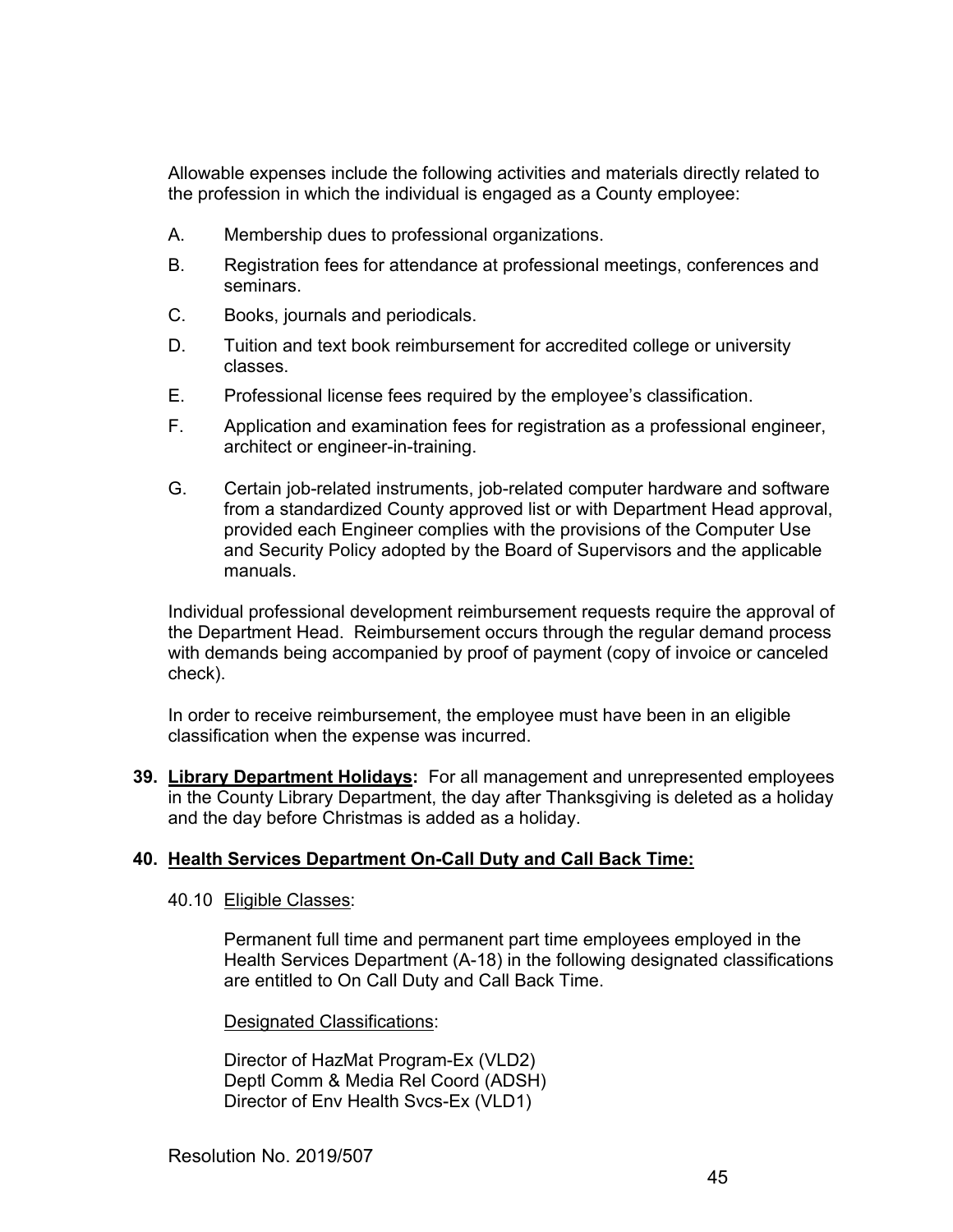Allowable expenses include the following activities and materials directly related to the profession in which the individual is engaged as a County employee:

- A. Membership dues to professional organizations.
- B. Registration fees for attendance at professional meetings, conferences and seminars.
- C. Books, journals and periodicals.
- D. Tuition and text book reimbursement for accredited college or university classes.
- E. Professional license fees required by the employee's classification.
- F. Application and examination fees for registration as a professional engineer, architect or engineer-in-training.
- G. Certain job-related instruments, job-related computer hardware and software from a standardized County approved list or with Department Head approval, provided each Engineer complies with the provisions of the Computer Use and Security Policy adopted by the Board of Supervisors and the applicable manuals.

Individual professional development reimbursement requests require the approval of the Department Head. Reimbursement occurs through the regular demand process with demands being accompanied by proof of payment (copy of invoice or canceled check).

In order to receive reimbursement, the employee must have been in an eligible classification when the expense was incurred.

**39. Library Department Holidays:** For all management and unrepresented employees in the County Library Department, the day after Thanksgiving is deleted as a holiday and the day before Christmas is added as a holiday.

## **40. Health Services Department On-Call Duty and Call Back Time:**

## 40.10 Eligible Classes:

Permanent full time and permanent part time employees employed in the Health Services Department (A-18) in the following designated classifications are entitled to On Call Duty and Call Back Time.

Designated Classifications:

 Director of HazMat Program-Ex (VLD2) Deptl Comm & Media Rel Coord (ADSH) Director of Env Health Svcs-Ex (VLD1)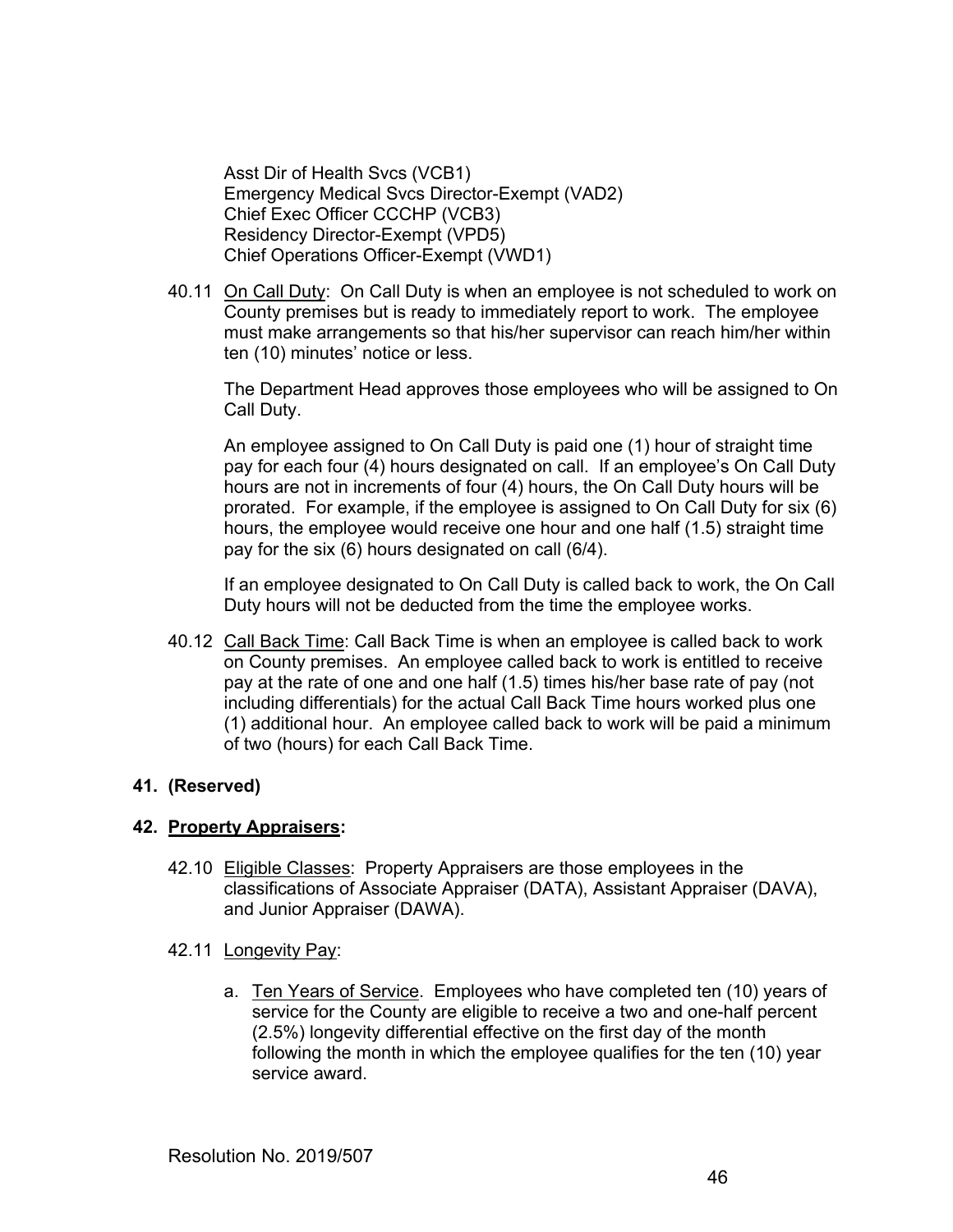Asst Dir of Health Svcs (VCB1) Emergency Medical Svcs Director-Exempt (VAD2) Chief Exec Officer CCCHP (VCB3) Residency Director-Exempt (VPD5) Chief Operations Officer-Exempt (VWD1)

40.11 On Call Duty: On Call Duty is when an employee is not scheduled to work on County premises but is ready to immediately report to work. The employee must make arrangements so that his/her supervisor can reach him/her within ten (10) minutes' notice or less.

The Department Head approves those employees who will be assigned to On Call Duty.

An employee assigned to On Call Duty is paid one (1) hour of straight time pay for each four (4) hours designated on call. If an employee's On Call Duty hours are not in increments of four (4) hours, the On Call Duty hours will be prorated. For example, if the employee is assigned to On Call Duty for six (6) hours, the employee would receive one hour and one half (1.5) straight time pay for the six (6) hours designated on call (6/4).

If an employee designated to On Call Duty is called back to work, the On Call Duty hours will not be deducted from the time the employee works.

40.12 Call Back Time: Call Back Time is when an employee is called back to work on County premises. An employee called back to work is entitled to receive pay at the rate of one and one half (1.5) times his/her base rate of pay (not including differentials) for the actual Call Back Time hours worked plus one (1) additional hour. An employee called back to work will be paid a minimum of two (hours) for each Call Back Time.

## **41. (Reserved)**

## **42. Property Appraisers:**

- 42.10 Eligible Classes: Property Appraisers are those employees in the classifications of Associate Appraiser (DATA), Assistant Appraiser (DAVA), and Junior Appraiser (DAWA).
- 42.11 Longevity Pay:
	- a. Ten Years of Service. Employees who have completed ten (10) years of service for the County are eligible to receive a two and one-half percent (2.5%) longevity differential effective on the first day of the month following the month in which the employee qualifies for the ten (10) year service award.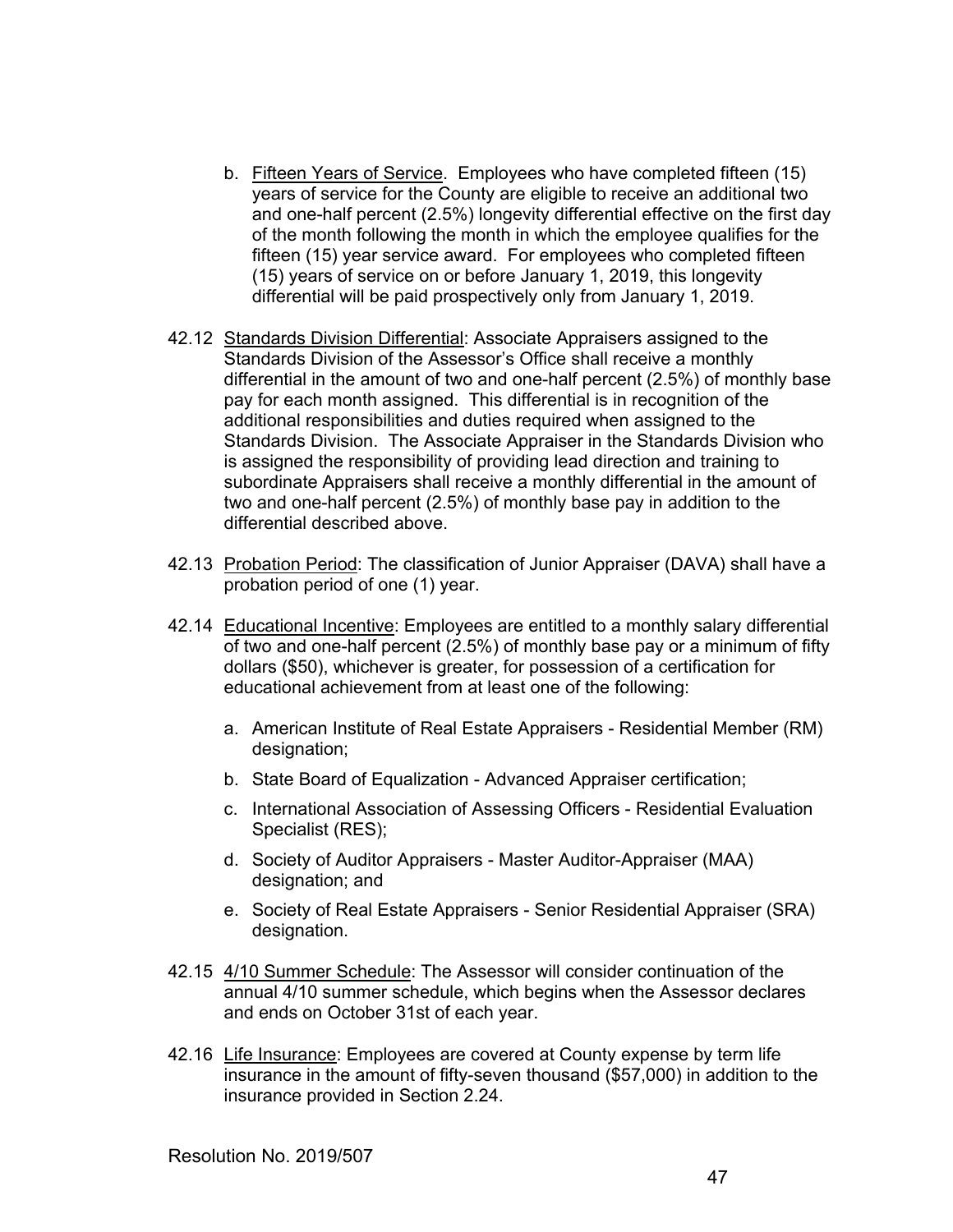- b. Fifteen Years of Service. Employees who have completed fifteen (15) years of service for the County are eligible to receive an additional two and one-half percent (2.5%) longevity differential effective on the first day of the month following the month in which the employee qualifies for the fifteen (15) year service award. For employees who completed fifteen (15) years of service on or before January 1, 2019, this longevity differential will be paid prospectively only from January 1, 2019.
- 42.12 Standards Division Differential: Associate Appraisers assigned to the Standards Division of the Assessor's Office shall receive a monthly differential in the amount of two and one-half percent (2.5%) of monthly base pay for each month assigned. This differential is in recognition of the additional responsibilities and duties required when assigned to the Standards Division. The Associate Appraiser in the Standards Division who is assigned the responsibility of providing lead direction and training to subordinate Appraisers shall receive a monthly differential in the amount of two and one-half percent (2.5%) of monthly base pay in addition to the differential described above.
- 42.13 Probation Period: The classification of Junior Appraiser (DAVA) shall have a probation period of one (1) year.
- 42.14 Educational Incentive: Employees are entitled to a monthly salary differential of two and one-half percent (2.5%) of monthly base pay or a minimum of fifty dollars (\$50), whichever is greater, for possession of a certification for educational achievement from at least one of the following:
	- a. American Institute of Real Estate Appraisers Residential Member (RM) designation;
	- b. State Board of Equalization Advanced Appraiser certification;
	- c. International Association of Assessing Officers Residential Evaluation Specialist (RES);
	- d. Society of Auditor Appraisers Master Auditor-Appraiser (MAA) designation; and
	- e. Society of Real Estate Appraisers Senior Residential Appraiser (SRA) designation.
- 42.15 4/10 Summer Schedule: The Assessor will consider continuation of the annual 4/10 summer schedule, which begins when the Assessor declares and ends on October 31st of each year.
- 42.16 Life Insurance: Employees are covered at County expense by term life insurance in the amount of fifty-seven thousand (\$57,000) in addition to the insurance provided in Section 2.24.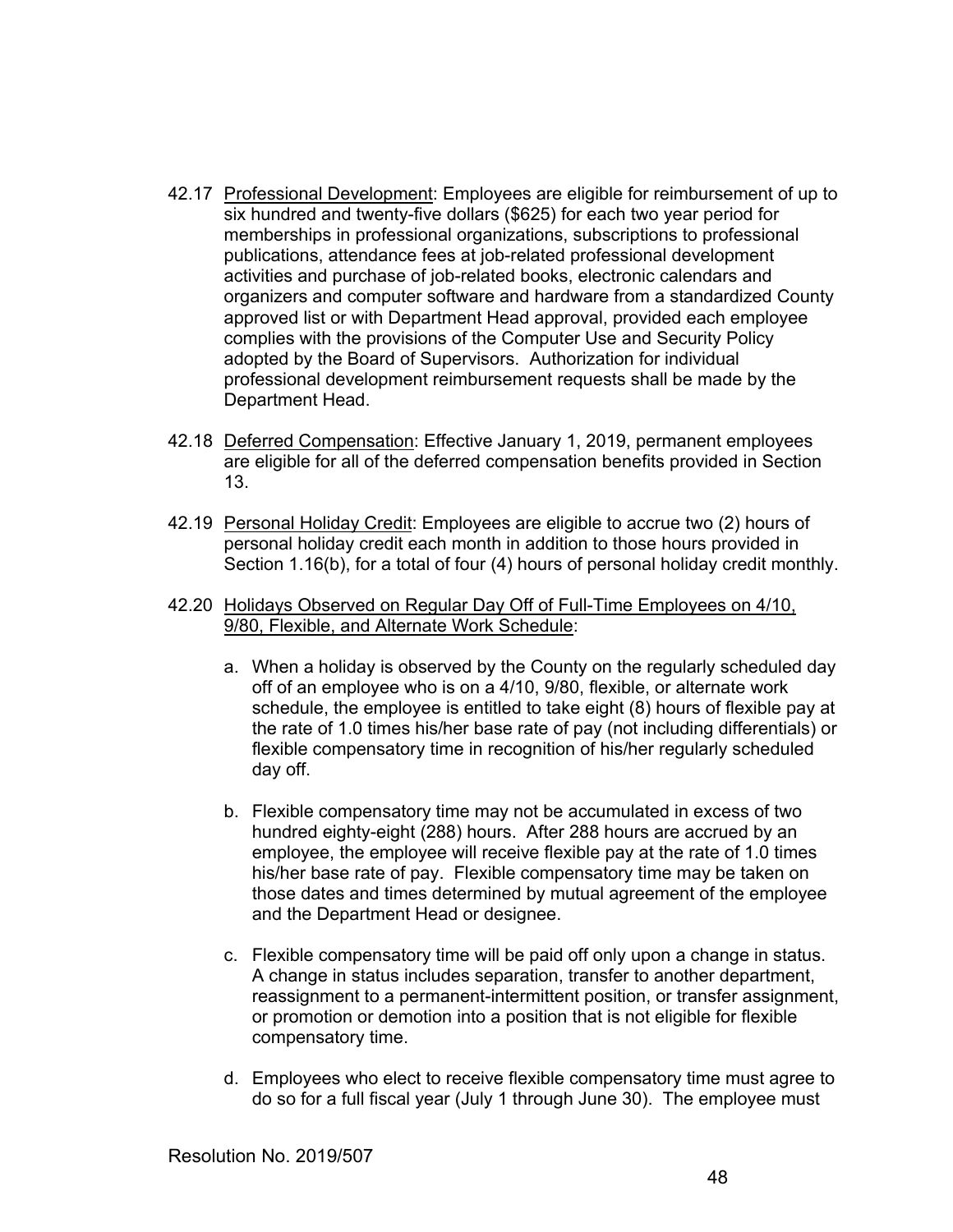- 42.17 Professional Development: Employees are eligible for reimbursement of up to six hundred and twenty-five dollars (\$625) for each two year period for memberships in professional organizations, subscriptions to professional publications, attendance fees at job-related professional development activities and purchase of job-related books, electronic calendars and organizers and computer software and hardware from a standardized County approved list or with Department Head approval, provided each employee complies with the provisions of the Computer Use and Security Policy adopted by the Board of Supervisors. Authorization for individual professional development reimbursement requests shall be made by the Department Head.
- 42.18 Deferred Compensation: Effective January 1, 2019, permanent employees are eligible for all of the deferred compensation benefits provided in Section 13.
- 42.19 Personal Holiday Credit: Employees are eligible to accrue two (2) hours of personal holiday credit each month in addition to those hours provided in Section 1.16(b), for a total of four (4) hours of personal holiday credit monthly.
- 42.20 Holidays Observed on Regular Day Off of Full-Time Employees on 4/10, 9/80, Flexible, and Alternate Work Schedule:
	- a. When a holiday is observed by the County on the regularly scheduled day off of an employee who is on a 4/10, 9/80, flexible, or alternate work schedule, the employee is entitled to take eight (8) hours of flexible pay at the rate of 1.0 times his/her base rate of pay (not including differentials) or flexible compensatory time in recognition of his/her regularly scheduled day off.
	- b. Flexible compensatory time may not be accumulated in excess of two hundred eighty-eight (288) hours. After 288 hours are accrued by an employee, the employee will receive flexible pay at the rate of 1.0 times his/her base rate of pay. Flexible compensatory time may be taken on those dates and times determined by mutual agreement of the employee and the Department Head or designee.
	- c. Flexible compensatory time will be paid off only upon a change in status. A change in status includes separation, transfer to another department, reassignment to a permanent-intermittent position, or transfer assignment, or promotion or demotion into a position that is not eligible for flexible compensatory time.
	- d. Employees who elect to receive flexible compensatory time must agree to do so for a full fiscal year (July 1 through June 30). The employee must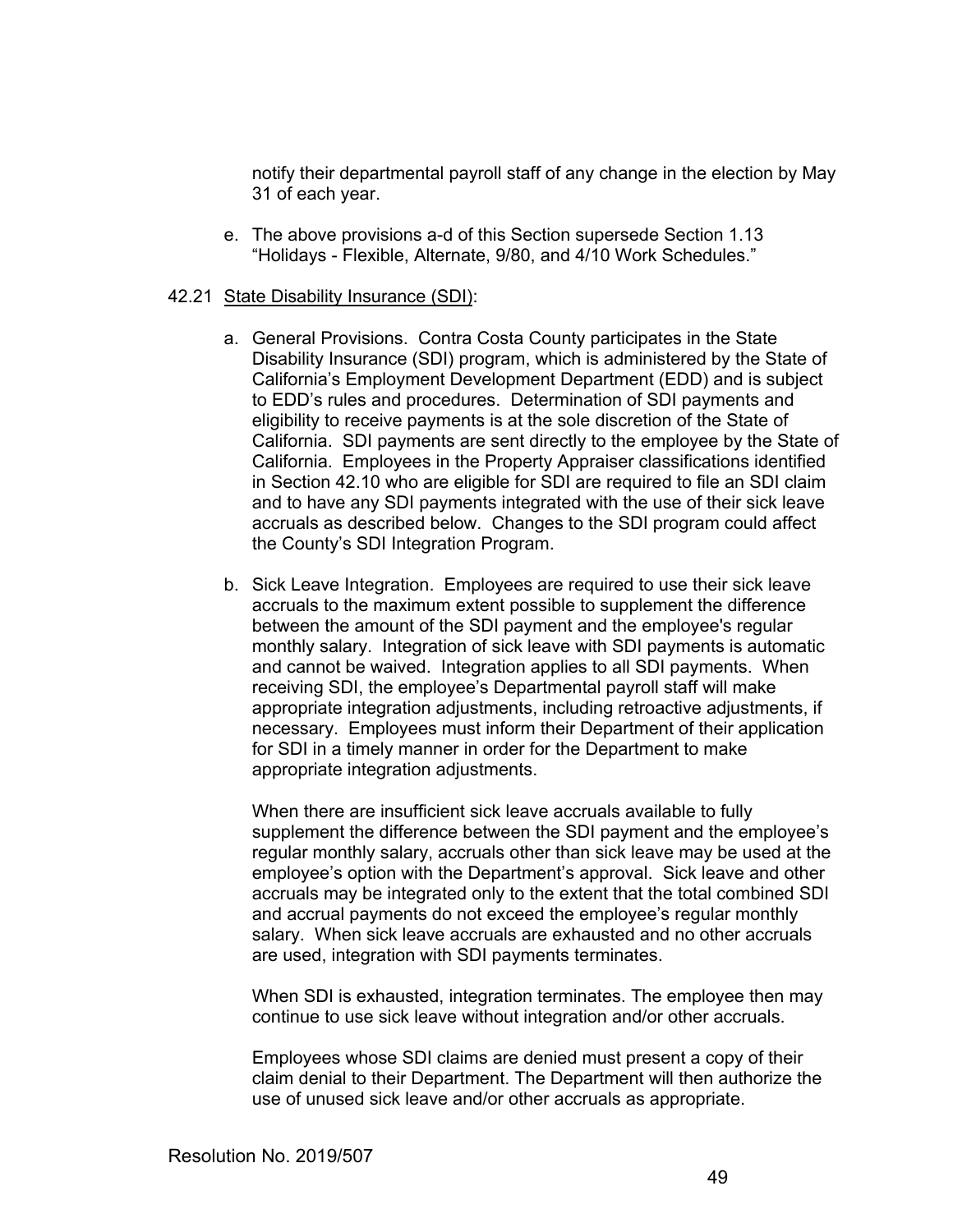notify their departmental payroll staff of any change in the election by May 31 of each year.

e. The above provisions a-d of this Section supersede Section 1.13 "Holidays - Flexible, Alternate, 9/80, and 4/10 Work Schedules."

#### 42.21 State Disability Insurance (SDI):

- a. General Provisions. Contra Costa County participates in the State Disability Insurance (SDI) program, which is administered by the State of California's Employment Development Department (EDD) and is subject to EDD's rules and procedures. Determination of SDI payments and eligibility to receive payments is at the sole discretion of the State of California. SDI payments are sent directly to the employee by the State of California. Employees in the Property Appraiser classifications identified in Section 42.10 who are eligible for SDI are required to file an SDI claim and to have any SDI payments integrated with the use of their sick leave accruals as described below. Changes to the SDI program could affect the County's SDI Integration Program.
- b. Sick Leave Integration. Employees are required to use their sick leave accruals to the maximum extent possible to supplement the difference between the amount of the SDI payment and the employee's regular monthly salary. Integration of sick leave with SDI payments is automatic and cannot be waived. Integration applies to all SDI payments. When receiving SDI, the employee's Departmental payroll staff will make appropriate integration adjustments, including retroactive adjustments, if necessary. Employees must inform their Department of their application for SDI in a timely manner in order for the Department to make appropriate integration adjustments.

 When there are insufficient sick leave accruals available to fully supplement the difference between the SDI payment and the employee's regular monthly salary, accruals other than sick leave may be used at the employee's option with the Department's approval. Sick leave and other accruals may be integrated only to the extent that the total combined SDI and accrual payments do not exceed the employee's regular monthly salary. When sick leave accruals are exhausted and no other accruals are used, integration with SDI payments terminates.

 When SDI is exhausted, integration terminates. The employee then may continue to use sick leave without integration and/or other accruals.

 Employees whose SDI claims are denied must present a copy of their claim denial to their Department. The Department will then authorize the use of unused sick leave and/or other accruals as appropriate.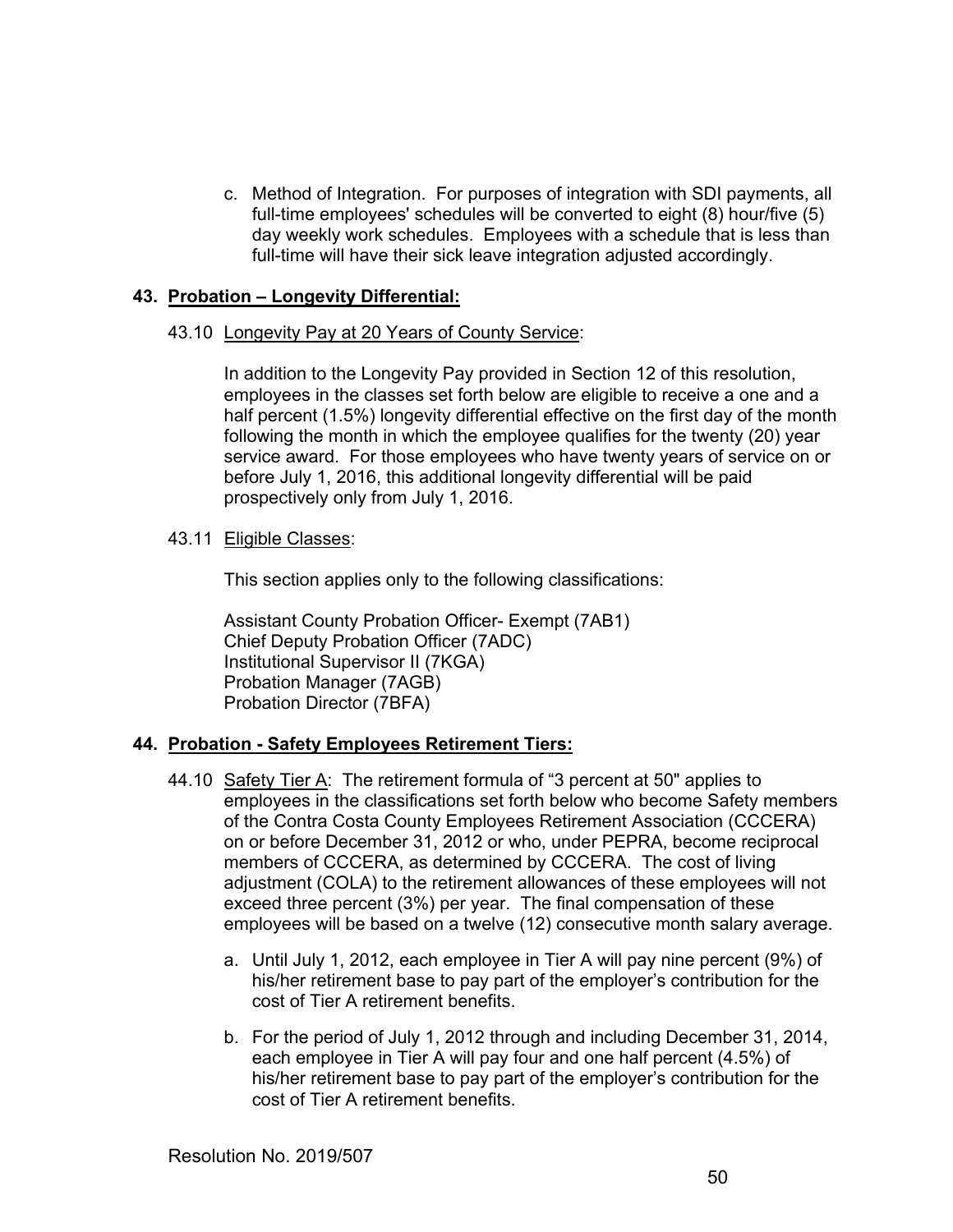c. Method of Integration. For purposes of integration with SDI payments, all full-time employees' schedules will be converted to eight (8) hour/five (5) day weekly work schedules. Employees with a schedule that is less than full-time will have their sick leave integration adjusted accordingly.

## **43. Probation – Longevity Differential:**

## 43.10 Longevity Pay at 20 Years of County Service:

In addition to the Longevity Pay provided in Section 12 of this resolution, employees in the classes set forth below are eligible to receive a one and a half percent (1.5%) longevity differential effective on the first day of the month following the month in which the employee qualifies for the twenty (20) year service award. For those employees who have twenty years of service on or before July 1, 2016, this additional longevity differential will be paid prospectively only from July 1, 2016.

## 43.11 Eligible Classes:

This section applies only to the following classifications:

Assistant County Probation Officer- Exempt (7AB1) Chief Deputy Probation Officer (7ADC) Institutional Supervisor II (7KGA) Probation Manager (7AGB) Probation Director (7BFA)

## **44. Probation - Safety Employees Retirement Tiers:**

- 44.10 Safety Tier A: The retirement formula of "3 percent at 50" applies to employees in the classifications set forth below who become Safety members of the Contra Costa County Employees Retirement Association (CCCERA) on or before December 31, 2012 or who, under PEPRA, become reciprocal members of CCCERA, as determined by CCCERA. The cost of living adjustment (COLA) to the retirement allowances of these employees will not exceed three percent (3%) per year. The final compensation of these employees will be based on a twelve (12) consecutive month salary average.
	- a. Until July 1, 2012, each employee in Tier A will pay nine percent (9%) of his/her retirement base to pay part of the employer's contribution for the cost of Tier A retirement benefits.
	- b. For the period of July 1, 2012 through and including December 31, 2014, each employee in Tier A will pay four and one half percent (4.5%) of his/her retirement base to pay part of the employer's contribution for the cost of Tier A retirement benefits.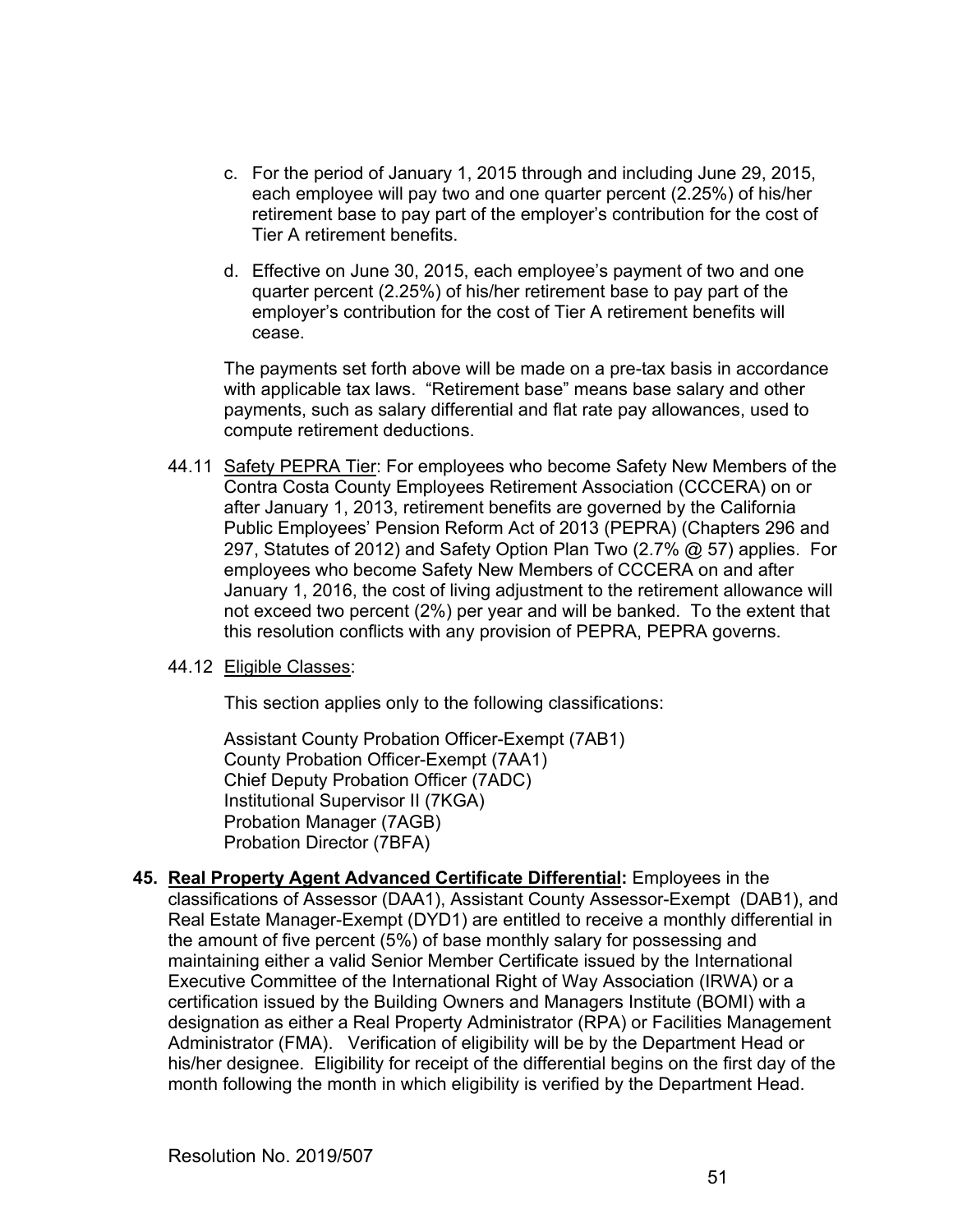- c. For the period of January 1, 2015 through and including June 29, 2015, each employee will pay two and one quarter percent (2.25%) of his/her retirement base to pay part of the employer's contribution for the cost of Tier A retirement benefits.
- d. Effective on June 30, 2015, each employee's payment of two and one quarter percent (2.25%) of his/her retirement base to pay part of the employer's contribution for the cost of Tier A retirement benefits will cease.

The payments set forth above will be made on a pre-tax basis in accordance with applicable tax laws. "Retirement base" means base salary and other payments, such as salary differential and flat rate pay allowances, used to compute retirement deductions.

44.11 Safety PEPRA Tier: For employees who become Safety New Members of the Contra Costa County Employees Retirement Association (CCCERA) on or after January 1, 2013, retirement benefits are governed by the California Public Employees' Pension Reform Act of 2013 (PEPRA) (Chapters 296 and 297, Statutes of 2012) and Safety Option Plan Two (2.7% @ 57) applies. For employees who become Safety New Members of CCCERA on and after January 1, 2016, the cost of living adjustment to the retirement allowance will not exceed two percent (2%) per year and will be banked. To the extent that this resolution conflicts with any provision of PEPRA, PEPRA governs.

## 44.12 Eligible Classes:

This section applies only to the following classifications:

 Assistant County Probation Officer-Exempt (7AB1) County Probation Officer-Exempt (7AA1) Chief Deputy Probation Officer (7ADC) Institutional Supervisor II (7KGA) Probation Manager (7AGB) Probation Director (7BFA)

**45. Real Property Agent Advanced Certificate Differential:** Employees in the classifications of Assessor (DAA1), Assistant County Assessor-Exempt (DAB1), and Real Estate Manager-Exempt (DYD1) are entitled to receive a monthly differential in the amount of five percent (5%) of base monthly salary for possessing and maintaining either a valid Senior Member Certificate issued by the International Executive Committee of the International Right of Way Association (IRWA) or a certification issued by the Building Owners and Managers Institute (BOMI) with a designation as either a Real Property Administrator (RPA) or Facilities Management Administrator (FMA). Verification of eligibility will be by the Department Head or his/her designee. Eligibility for receipt of the differential begins on the first day of the month following the month in which eligibility is verified by the Department Head.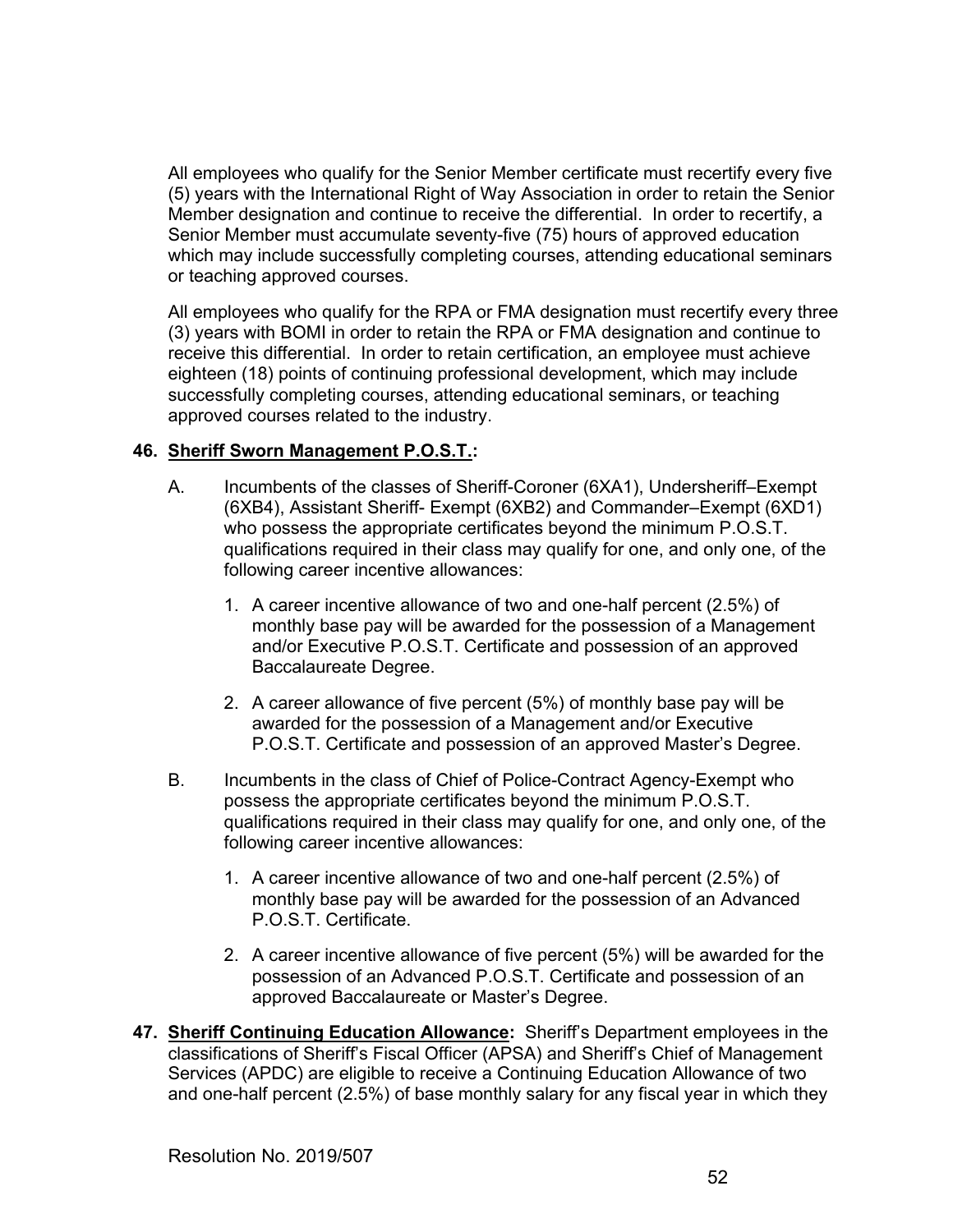All employees who qualify for the Senior Member certificate must recertify every five (5) years with the International Right of Way Association in order to retain the Senior Member designation and continue to receive the differential. In order to recertify, a Senior Member must accumulate seventy-five (75) hours of approved education which may include successfully completing courses, attending educational seminars or teaching approved courses.

All employees who qualify for the RPA or FMA designation must recertify every three (3) years with BOMI in order to retain the RPA or FMA designation and continue to receive this differential. In order to retain certification, an employee must achieve eighteen (18) points of continuing professional development, which may include successfully completing courses, attending educational seminars, or teaching approved courses related to the industry.

# **46. Sheriff Sworn Management P.O.S.T.:**

- A. Incumbents of the classes of Sheriff-Coroner (6XA1), Undersheriff–Exempt (6XB4), Assistant Sheriff- Exempt (6XB2) and Commander–Exempt (6XD1) who possess the appropriate certificates beyond the minimum P.O.S.T. qualifications required in their class may qualify for one, and only one, of the following career incentive allowances:
	- 1. A career incentive allowance of two and one-half percent (2.5%) of monthly base pay will be awarded for the possession of a Management and/or Executive P.O.S.T. Certificate and possession of an approved Baccalaureate Degree.
	- 2. A career allowance of five percent (5%) of monthly base pay will be awarded for the possession of a Management and/or Executive P.O.S.T. Certificate and possession of an approved Master's Degree.
- B. Incumbents in the class of Chief of Police-Contract Agency-Exempt who possess the appropriate certificates beyond the minimum P.O.S.T. qualifications required in their class may qualify for one, and only one, of the following career incentive allowances:
	- 1. A career incentive allowance of two and one-half percent (2.5%) of monthly base pay will be awarded for the possession of an Advanced P.O.S.T. Certificate.
	- 2. A career incentive allowance of five percent (5%) will be awarded for the possession of an Advanced P.O.S.T. Certificate and possession of an approved Baccalaureate or Master's Degree.
- **47. Sheriff Continuing Education Allowance:** Sheriff's Department employees in the classifications of Sheriff's Fiscal Officer (APSA) and Sheriff's Chief of Management Services (APDC) are eligible to receive a Continuing Education Allowance of two and one-half percent (2.5%) of base monthly salary for any fiscal year in which they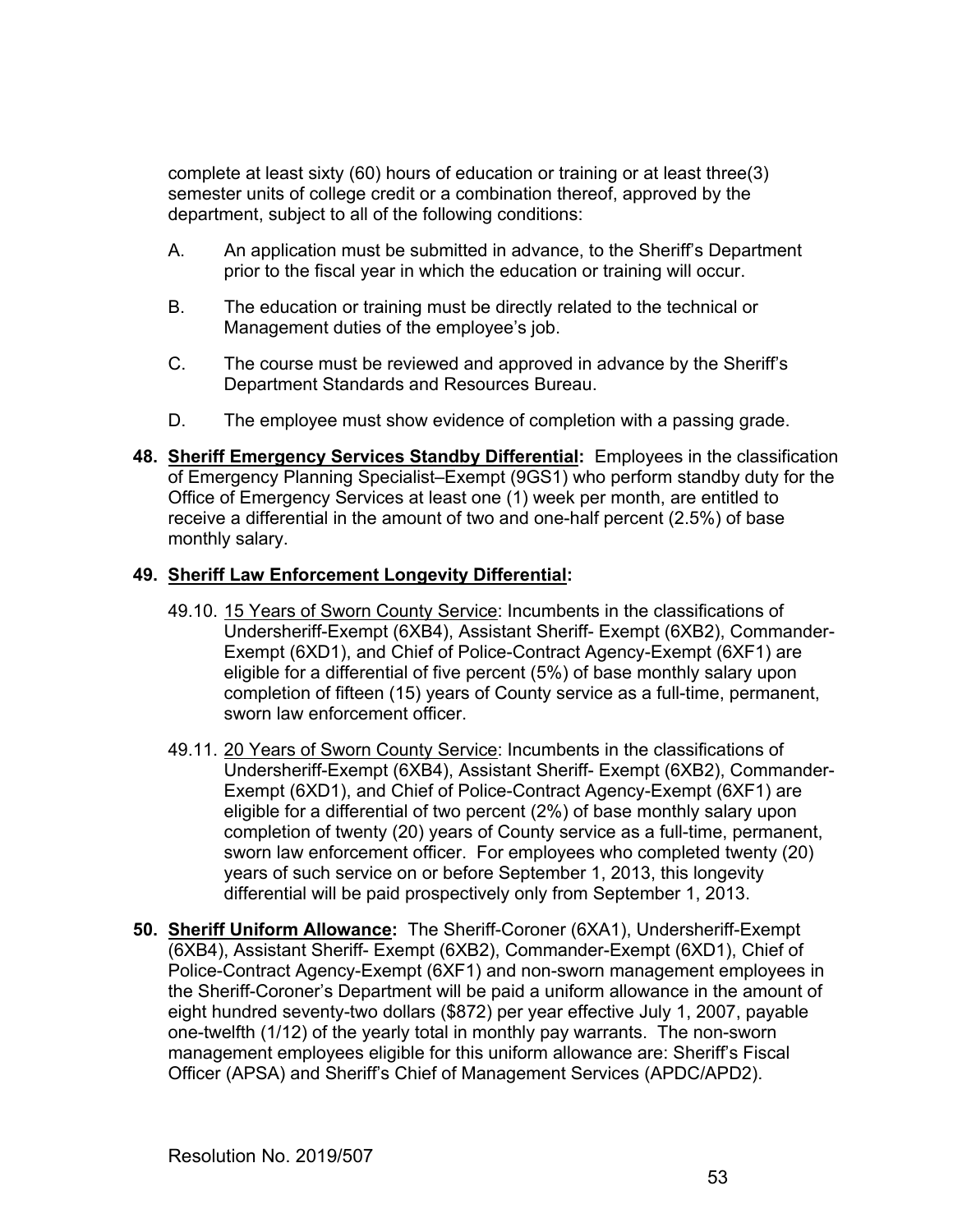complete at least sixty (60) hours of education or training or at least three(3) semester units of college credit or a combination thereof, approved by the department, subject to all of the following conditions:

- A. An application must be submitted in advance, to the Sheriff's Department prior to the fiscal year in which the education or training will occur.
- B. The education or training must be directly related to the technical or Management duties of the employee's job.
- C. The course must be reviewed and approved in advance by the Sheriff's Department Standards and Resources Bureau.
- D. The employee must show evidence of completion with a passing grade.
- **48. Sheriff Emergency Services Standby Differential:** Employees in the classification of Emergency Planning Specialist–Exempt (9GS1) who perform standby duty for the Office of Emergency Services at least one (1) week per month, are entitled to receive a differential in the amount of two and one-half percent (2.5%) of base monthly salary.

## **49. Sheriff Law Enforcement Longevity Differential:**

- 49.10. 15 Years of Sworn County Service: Incumbents in the classifications of Undersheriff-Exempt (6XB4), Assistant Sheriff- Exempt (6XB2), Commander-Exempt (6XD1), and Chief of Police-Contract Agency-Exempt (6XF1) are eligible for a differential of five percent (5%) of base monthly salary upon completion of fifteen (15) years of County service as a full-time, permanent, sworn law enforcement officer.
- 49.11. 20 Years of Sworn County Service: Incumbents in the classifications of Undersheriff-Exempt (6XB4), Assistant Sheriff- Exempt (6XB2), Commander-Exempt (6XD1), and Chief of Police-Contract Agency-Exempt (6XF1) are eligible for a differential of two percent (2%) of base monthly salary upon completion of twenty (20) years of County service as a full-time, permanent, sworn law enforcement officer. For employees who completed twenty (20) years of such service on or before September 1, 2013, this longevity differential will be paid prospectively only from September 1, 2013.
- **50. Sheriff Uniform Allowance:** The Sheriff-Coroner (6XA1), Undersheriff-Exempt (6XB4), Assistant Sheriff- Exempt (6XB2), Commander-Exempt (6XD1), Chief of Police-Contract Agency-Exempt (6XF1) and non-sworn management employees in the Sheriff-Coroner's Department will be paid a uniform allowance in the amount of eight hundred seventy-two dollars (\$872) per year effective July 1, 2007, payable one-twelfth (1/12) of the yearly total in monthly pay warrants. The non-sworn management employees eligible for this uniform allowance are: Sheriff's Fiscal Officer (APSA) and Sheriff's Chief of Management Services (APDC/APD2).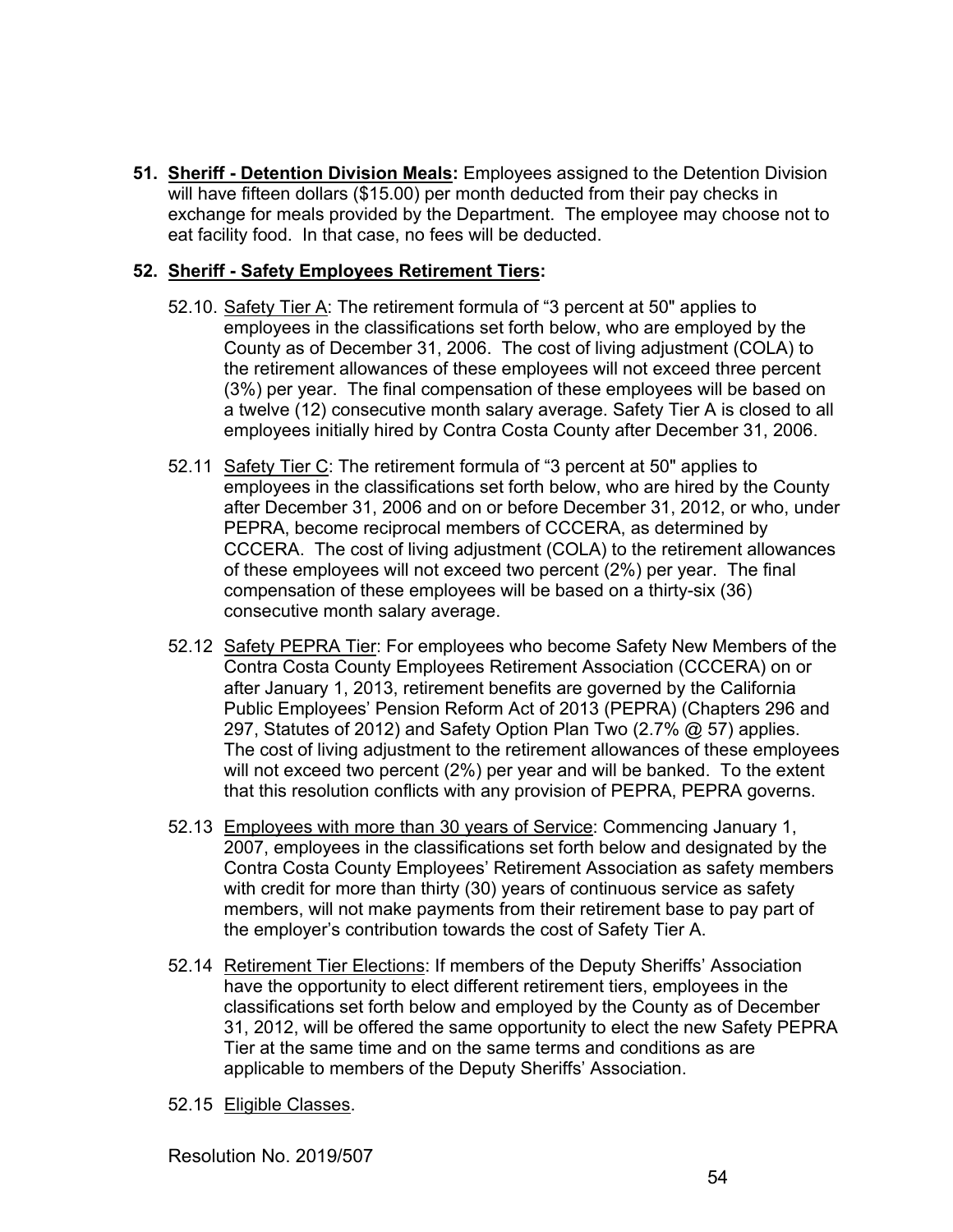**51. Sheriff - Detention Division Meals:** Employees assigned to the Detention Division will have fifteen dollars (\$15.00) per month deducted from their pay checks in exchange for meals provided by the Department. The employee may choose not to eat facility food. In that case, no fees will be deducted.

## **52. Sheriff - Safety Employees Retirement Tiers:**

- 52.10. Safety Tier A: The retirement formula of "3 percent at 50" applies to employees in the classifications set forth below, who are employed by the County as of December 31, 2006. The cost of living adjustment (COLA) to the retirement allowances of these employees will not exceed three percent (3%) per year. The final compensation of these employees will be based on a twelve (12) consecutive month salary average. Safety Tier A is closed to all employees initially hired by Contra Costa County after December 31, 2006.
- 52.11 Safety Tier C: The retirement formula of "3 percent at 50" applies to employees in the classifications set forth below, who are hired by the County after December 31, 2006 and on or before December 31, 2012, or who, under PEPRA, become reciprocal members of CCCERA, as determined by CCCERA. The cost of living adjustment (COLA) to the retirement allowances of these employees will not exceed two percent (2%) per year. The final compensation of these employees will be based on a thirty-six (36) consecutive month salary average.
- 52.12 Safety PEPRA Tier: For employees who become Safety New Members of the Contra Costa County Employees Retirement Association (CCCERA) on or after January 1, 2013, retirement benefits are governed by the California Public Employees' Pension Reform Act of 2013 (PEPRA) (Chapters 296 and 297, Statutes of 2012) and Safety Option Plan Two (2.7% @ 57) applies. The cost of living adjustment to the retirement allowances of these employees will not exceed two percent (2%) per year and will be banked. To the extent that this resolution conflicts with any provision of PEPRA, PEPRA governs.
- 52.13 Employees with more than 30 years of Service: Commencing January 1, 2007, employees in the classifications set forth below and designated by the Contra Costa County Employees' Retirement Association as safety members with credit for more than thirty (30) years of continuous service as safety members, will not make payments from their retirement base to pay part of the employer's contribution towards the cost of Safety Tier A.
- 52.14 Retirement Tier Elections: If members of the Deputy Sheriffs' Association have the opportunity to elect different retirement tiers, employees in the classifications set forth below and employed by the County as of December 31, 2012, will be offered the same opportunity to elect the new Safety PEPRA Tier at the same time and on the same terms and conditions as are applicable to members of the Deputy Sheriffs' Association.
- 52.15 Eligible Classes.

Resolution No. 2019/507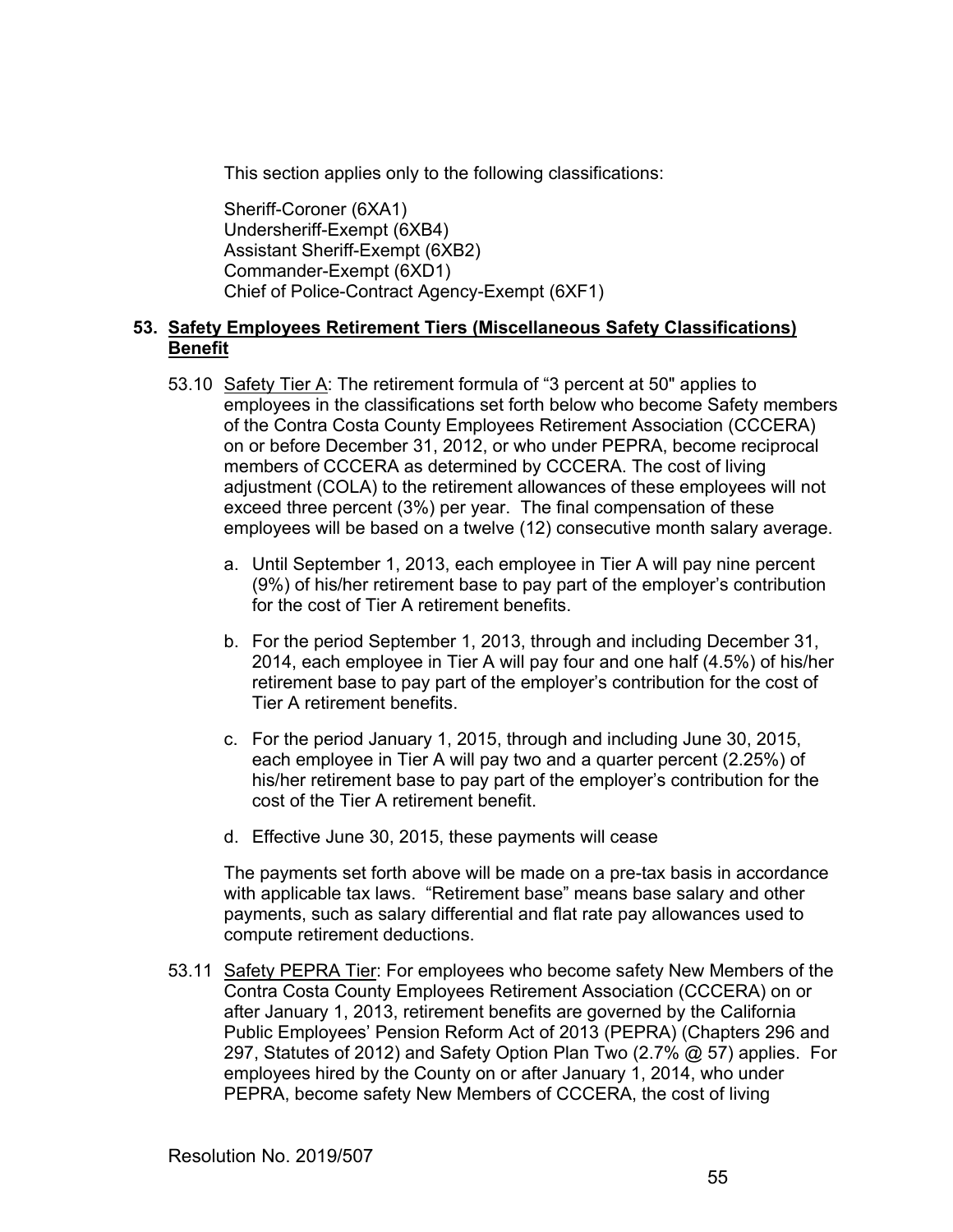This section applies only to the following classifications:

 Sheriff-Coroner (6XA1) Undersheriff-Exempt (6XB4) Assistant Sheriff-Exempt (6XB2) Commander-Exempt (6XD1) Chief of Police-Contract Agency-Exempt (6XF1)

## **53. Safety Employees Retirement Tiers (Miscellaneous Safety Classifications) Benefit**

- 53.10 Safety Tier A: The retirement formula of "3 percent at 50" applies to employees in the classifications set forth below who become Safety members of the Contra Costa County Employees Retirement Association (CCCERA) on or before December 31, 2012, or who under PEPRA, become reciprocal members of CCCERA as determined by CCCERA. The cost of living adjustment (COLA) to the retirement allowances of these employees will not exceed three percent (3%) per year. The final compensation of these employees will be based on a twelve (12) consecutive month salary average.
	- a. Until September 1, 2013, each employee in Tier A will pay nine percent (9%) of his/her retirement base to pay part of the employer's contribution for the cost of Tier A retirement benefits.
	- b. For the period September 1, 2013, through and including December 31, 2014, each employee in Tier A will pay four and one half (4.5%) of his/her retirement base to pay part of the employer's contribution for the cost of Tier A retirement benefits.
	- c. For the period January 1, 2015, through and including June 30, 2015, each employee in Tier A will pay two and a quarter percent (2.25%) of his/her retirement base to pay part of the employer's contribution for the cost of the Tier A retirement benefit.
	- d. Effective June 30, 2015, these payments will cease

The payments set forth above will be made on a pre-tax basis in accordance with applicable tax laws. "Retirement base" means base salary and other payments, such as salary differential and flat rate pay allowances used to compute retirement deductions.

53.11 Safety PEPRA Tier: For employees who become safety New Members of the Contra Costa County Employees Retirement Association (CCCERA) on or after January 1, 2013, retirement benefits are governed by the California Public Employees' Pension Reform Act of 2013 (PEPRA) (Chapters 296 and 297, Statutes of 2012) and Safety Option Plan Two (2.7% @ 57) applies. For employees hired by the County on or after January 1, 2014, who under PEPRA, become safety New Members of CCCERA, the cost of living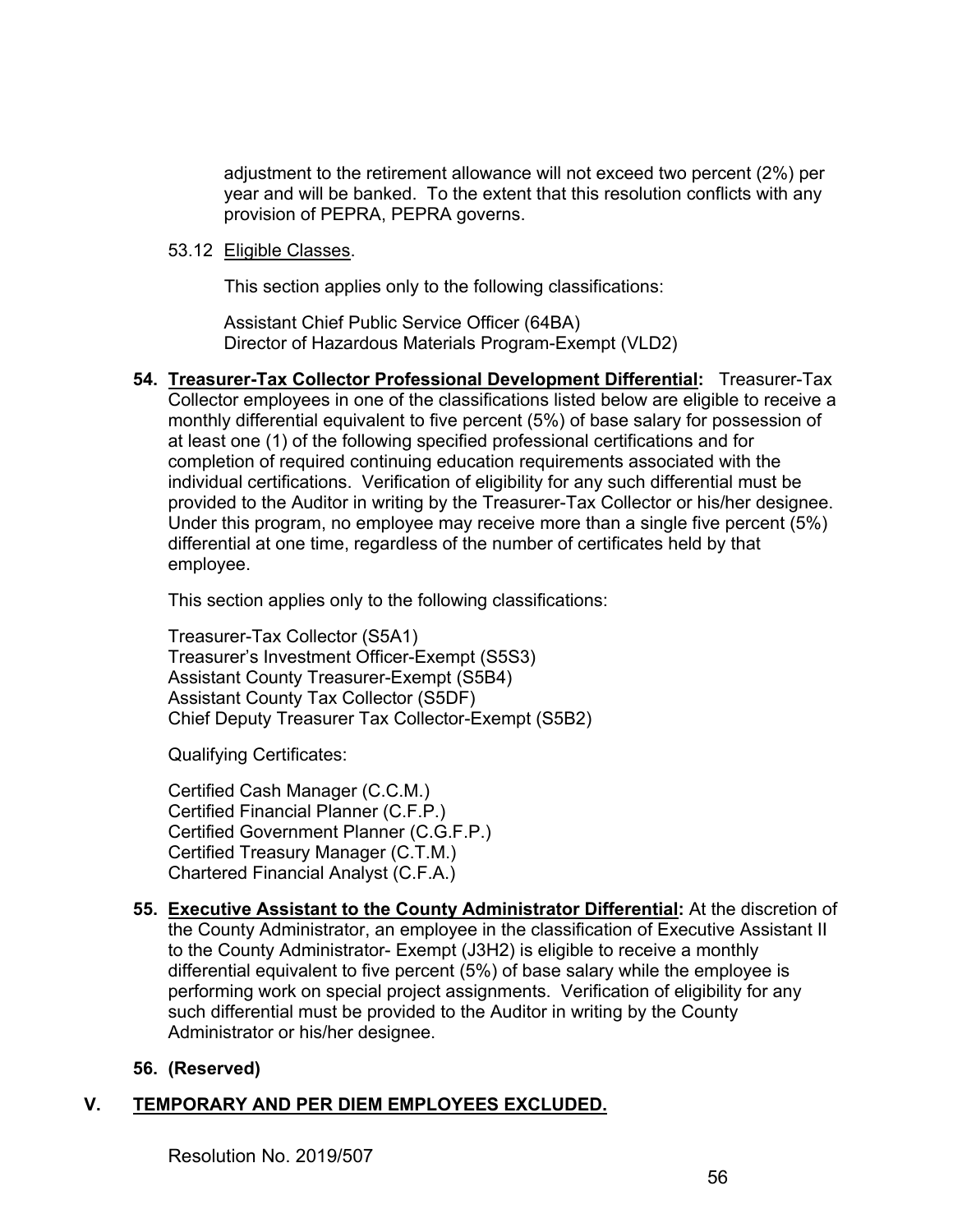adjustment to the retirement allowance will not exceed two percent (2%) per year and will be banked. To the extent that this resolution conflicts with any provision of PEPRA, PEPRA governs.

#### 53.12 Eligible Classes.

This section applies only to the following classifications:

 Assistant Chief Public Service Officer (64BA) Director of Hazardous Materials Program-Exempt (VLD2)

**54. Treasurer-Tax Collector Professional Development Differential:** Treasurer-Tax Collector employees in one of the classifications listed below are eligible to receive a monthly differential equivalent to five percent (5%) of base salary for possession of at least one (1) of the following specified professional certifications and for completion of required continuing education requirements associated with the individual certifications. Verification of eligibility for any such differential must be provided to the Auditor in writing by the Treasurer-Tax Collector or his/her designee. Under this program, no employee may receive more than a single five percent (5%) differential at one time, regardless of the number of certificates held by that employee.

This section applies only to the following classifications:

 Treasurer-Tax Collector (S5A1) Treasurer's Investment Officer-Exempt (S5S3) Assistant County Treasurer-Exempt (S5B4) Assistant County Tax Collector (S5DF) Chief Deputy Treasurer Tax Collector-Exempt (S5B2)

Qualifying Certificates:

Certified Cash Manager (C.C.M.) Certified Financial Planner (C.F.P.) Certified Government Planner (C.G.F.P.) Certified Treasury Manager (C.T.M.) Chartered Financial Analyst (C.F.A.)

**55. Executive Assistant to the County Administrator Differential:** At the discretion of the County Administrator, an employee in the classification of Executive Assistant II to the County Administrator- Exempt (J3H2) is eligible to receive a monthly differential equivalent to five percent (5%) of base salary while the employee is performing work on special project assignments. Verification of eligibility for any such differential must be provided to the Auditor in writing by the County Administrator or his/her designee.

## **56. (Reserved)**

## **V. TEMPORARY AND PER DIEM EMPLOYEES EXCLUDED.**

Resolution No. 2019/507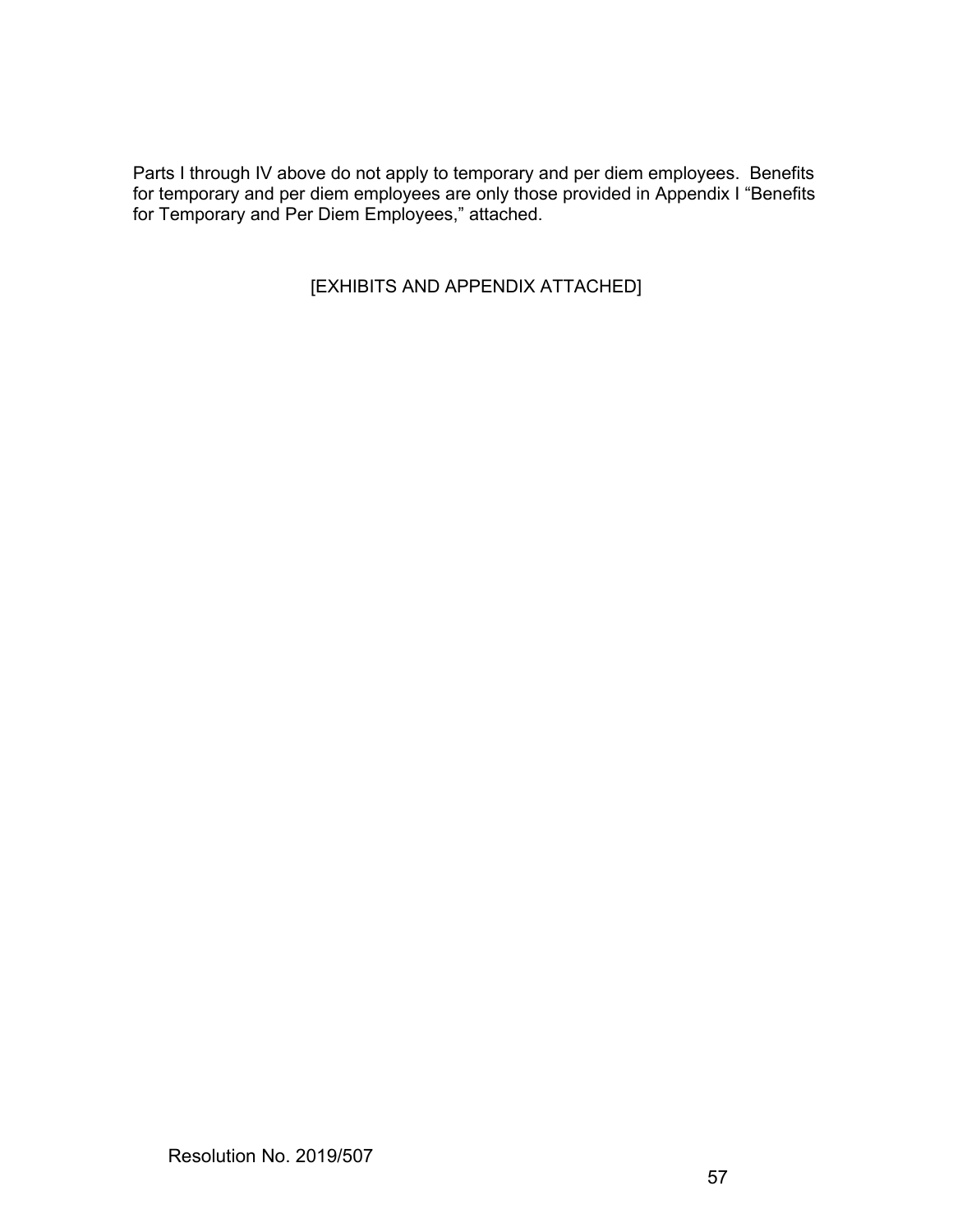Parts I through IV above do not apply to temporary and per diem employees. Benefits for temporary and per diem employees are only those provided in Appendix I "Benefits for Temporary and Per Diem Employees," attached.

[EXHIBITS AND APPENDIX ATTACHED]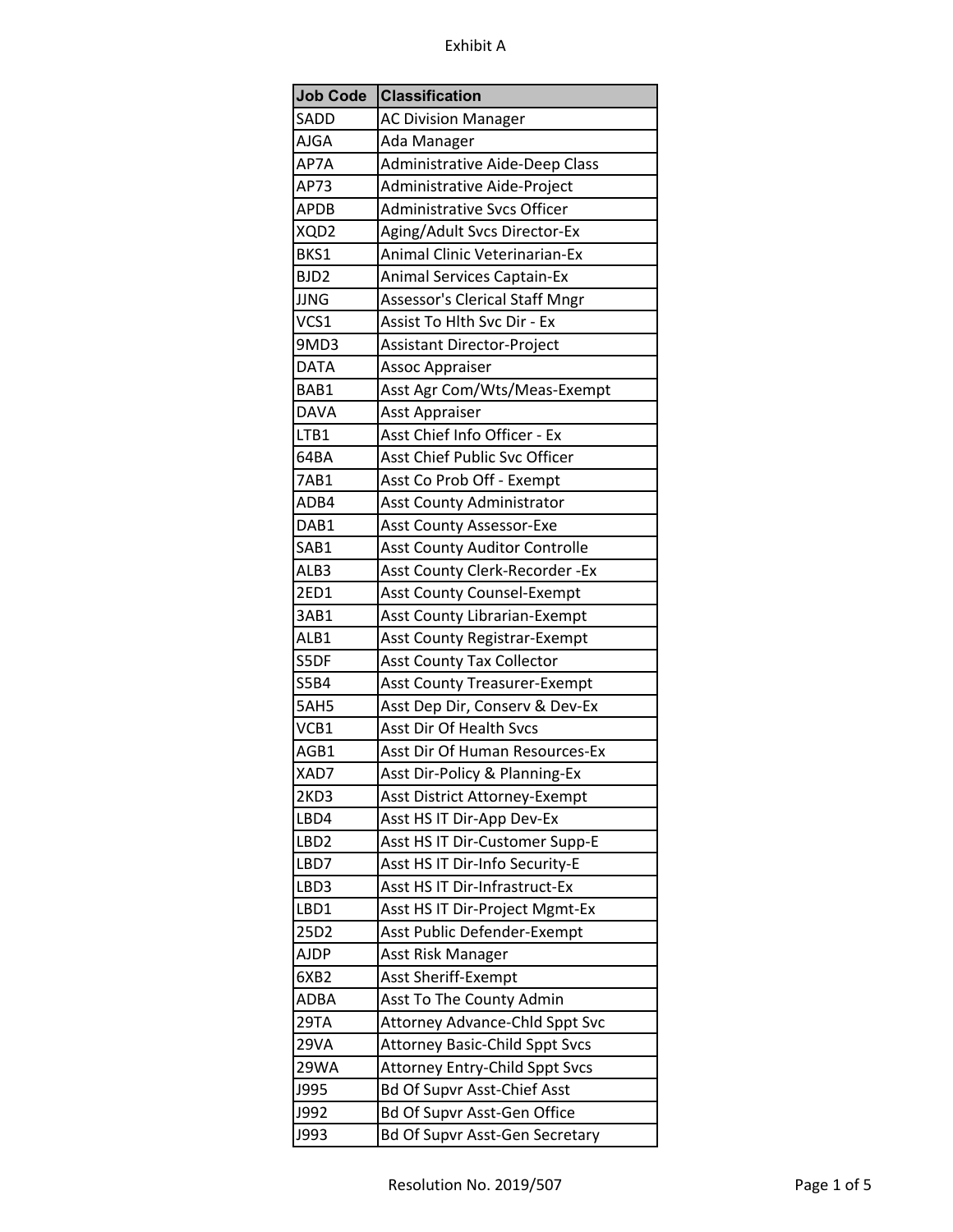| <b>Job Code</b>  | <b>Classification</b>                 |
|------------------|---------------------------------------|
| SADD             | <b>AC Division Manager</b>            |
| AJGA             | Ada Manager                           |
| AP7A             | <b>Administrative Aide-Deep Class</b> |
| AP73             | Administrative Aide-Project           |
| <b>APDB</b>      | <b>Administrative Svcs Officer</b>    |
| XQD2             | Aging/Adult Svcs Director-Ex          |
| BKS1             | <b>Animal Clinic Veterinarian-Ex</b>  |
| BJD <sub>2</sub> | <b>Animal Services Captain-Ex</b>     |
| <b>JJNG</b>      | <b>Assessor's Clerical Staff Mngr</b> |
| VCS1             | Assist To Hlth Svc Dir - Ex           |
| 9MD3             | Assistant Director-Project            |
| <b>DATA</b>      | Assoc Appraiser                       |
| BAB1             | Asst Agr Com/Wts/Meas-Exempt          |
| DAVA             | Asst Appraiser                        |
| LTB1             | Asst Chief Info Officer - Ex          |
| 64BA             | Asst Chief Public Svc Officer         |
| 7AB1             | Asst Co Prob Off - Exempt             |
| ADB4             | <b>Asst County Administrator</b>      |
| DAB1             | <b>Asst County Assessor-Exe</b>       |
| SAB1             | <b>Asst County Auditor Controlle</b>  |
| ALB3             | Asst County Clerk-Recorder - Ex       |
| 2ED1             | Asst County Counsel-Exempt            |
| 3AB1             | <b>Asst County Librarian-Exempt</b>   |
| ALB1             | <b>Asst County Registrar-Exempt</b>   |
| S5DF             | <b>Asst County Tax Collector</b>      |
| <b>S5B4</b>      | <b>Asst County Treasurer-Exempt</b>   |
| 5AH5             | Asst Dep Dir, Conserv & Dev-Ex        |
| VCB1             | <b>Asst Dir Of Health Svcs</b>        |
| AGB1             | Asst Dir Of Human Resources-Ex        |
| XAD7             | Asst Dir-Policy & Planning-Ex         |
| 2KD3             | Asst District Attorney-Exempt         |
| LBD4             | Asst HS IT Dir-App Dev-Ex             |
| LBD <sub>2</sub> | Asst HS IT Dir-Customer Supp-E        |
| LBD7             | Asst HS IT Dir-Info Security-E        |
| LBD3             | Asst HS IT Dir-Infrastruct-Ex         |
| LBD1             | Asst HS IT Dir-Project Mgmt-Ex        |
| 25D2             | Asst Public Defender-Exempt           |
| <b>AJDP</b>      | Asst Risk Manager                     |
| 6XB2             | Asst Sheriff-Exempt                   |
| ADBA             | Asst To The County Admin              |
| 29TA             | <b>Attorney Advance-Chld Sppt Svc</b> |
| 29VA             | <b>Attorney Basic-Child Sppt Svcs</b> |
| 29WA             | <b>Attorney Entry-Child Sppt Svcs</b> |
| J995             | <b>Bd Of Supvr Asst-Chief Asst</b>    |
| J992             | Bd Of Supvr Asst-Gen Office           |
| <b>J993</b>      | <b>Bd Of Supvr Asst-Gen Secretary</b> |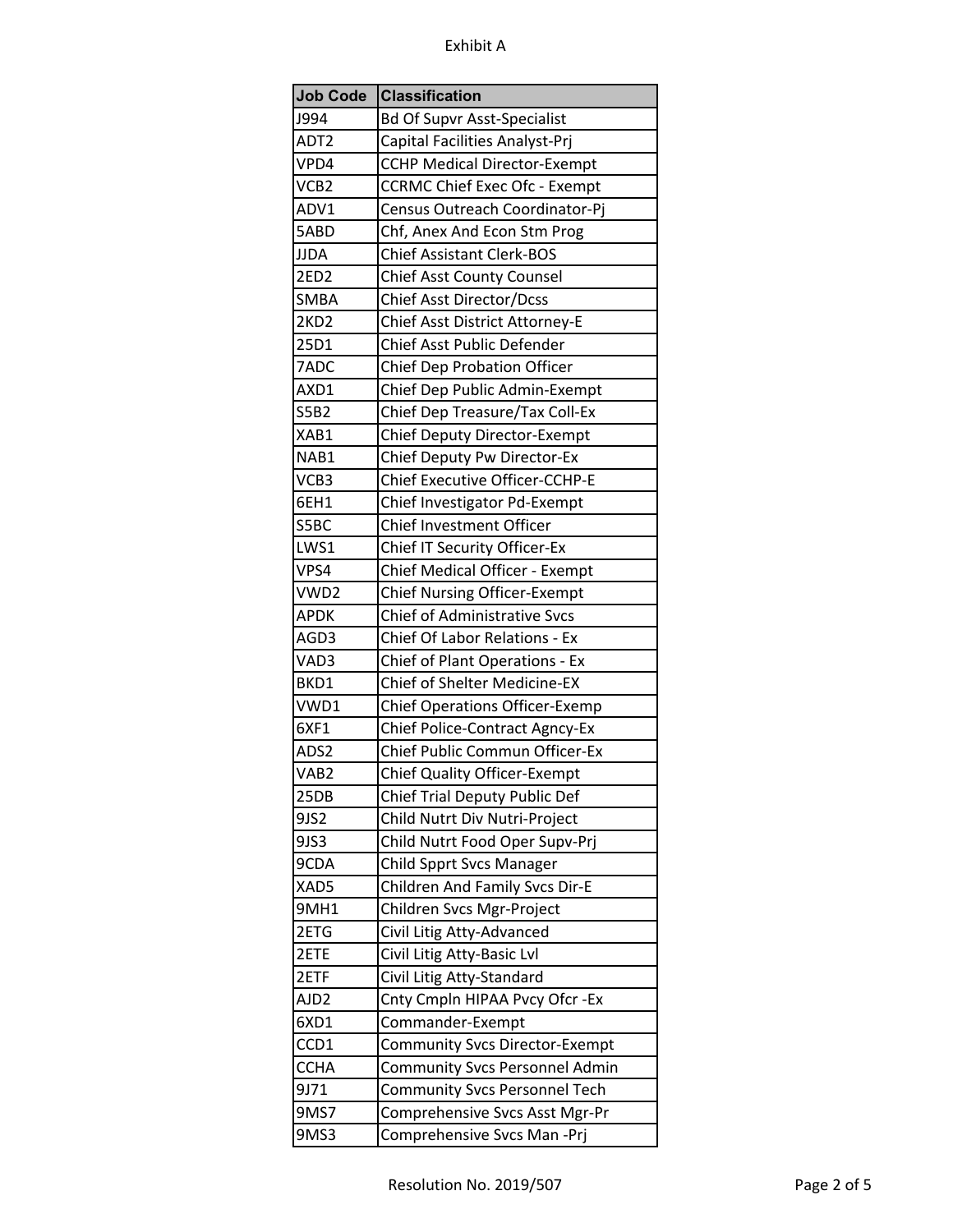| <b>Job Code</b>  | <b>Classification</b>                 |
|------------------|---------------------------------------|
| J994             | <b>Bd Of Supvr Asst-Specialist</b>    |
| ADT <sub>2</sub> | Capital Facilities Analyst-Prj        |
| VPD4             | <b>CCHP Medical Director-Exempt</b>   |
| VCB <sub>2</sub> | <b>CCRMC Chief Exec Ofc - Exempt</b>  |
| ADV1             | Census Outreach Coordinator-Pj        |
| 5ABD             | Chf, Anex And Econ Stm Prog           |
| <b>JJDA</b>      | <b>Chief Assistant Clerk-BOS</b>      |
| 2ED <sub>2</sub> | <b>Chief Asst County Counsel</b>      |
| <b>SMBA</b>      | <b>Chief Asst Director/Dcss</b>       |
| 2KD <sub>2</sub> | Chief Asst District Attorney-E        |
| 25D1             | Chief Asst Public Defender            |
| 7ADC             | <b>Chief Dep Probation Officer</b>    |
| AXD1             | Chief Dep Public Admin-Exempt         |
| <b>S5B2</b>      | Chief Dep Treasure/Tax Coll-Ex        |
| XAB1             | Chief Deputy Director-Exempt          |
| NAB1             | Chief Deputy Pw Director-Ex           |
| VCB3             | Chief Executive Officer-CCHP-E        |
| 6EH1             | Chief Investigator Pd-Exempt          |
| S5BC             | <b>Chief Investment Officer</b>       |
| LWS1             | Chief IT Security Officer-Ex          |
| VPS4             | Chief Medical Officer - Exempt        |
| VWD2             | <b>Chief Nursing Officer-Exempt</b>   |
| <b>APDK</b>      | Chief of Administrative Svcs          |
| AGD3             | <b>Chief Of Labor Relations - Ex</b>  |
| VAD3             | Chief of Plant Operations - Ex        |
| BKD1             | <b>Chief of Shelter Medicine-EX</b>   |
| VWD1             | <b>Chief Operations Officer-Exemp</b> |
| 6XF1             | Chief Police-Contract Agncy-Ex        |
| ADS2             | Chief Public Commun Officer-Ex        |
| VAB <sub>2</sub> | <b>Chief Quality Officer-Exempt</b>   |
| 25DB             | Chief Trial Deputy Public Def         |
| 9JS2             | Child Nutrt Div Nutri-Project         |
| 9JS3             | Child Nutrt Food Oper Supv-Prj        |
| 9CDA             | <b>Child Spprt Svcs Manager</b>       |
| XAD5             | <b>Children And Family Svcs Dir-E</b> |
| 9MH1             | Children Svcs Mgr-Project             |
| 2ETG             | Civil Litig Atty-Advanced             |
| 2ETE             | Civil Litig Atty-Basic Lvl            |
| 2ETF             | Civil Litig Atty-Standard             |
| AJD <sub>2</sub> | Cnty Cmpln HIPAA Pvcy Ofcr -Ex        |
| 6XD1             | Commander-Exempt                      |
| CCD1             | <b>Community Svcs Director-Exempt</b> |
| <b>CCHA</b>      | <b>Community Svcs Personnel Admin</b> |
| 9J71             | <b>Community Svcs Personnel Tech</b>  |
| 9MS7             | Comprehensive Svcs Asst Mgr-Pr        |
| 9MS3             | Comprehensive Svcs Man -Prj           |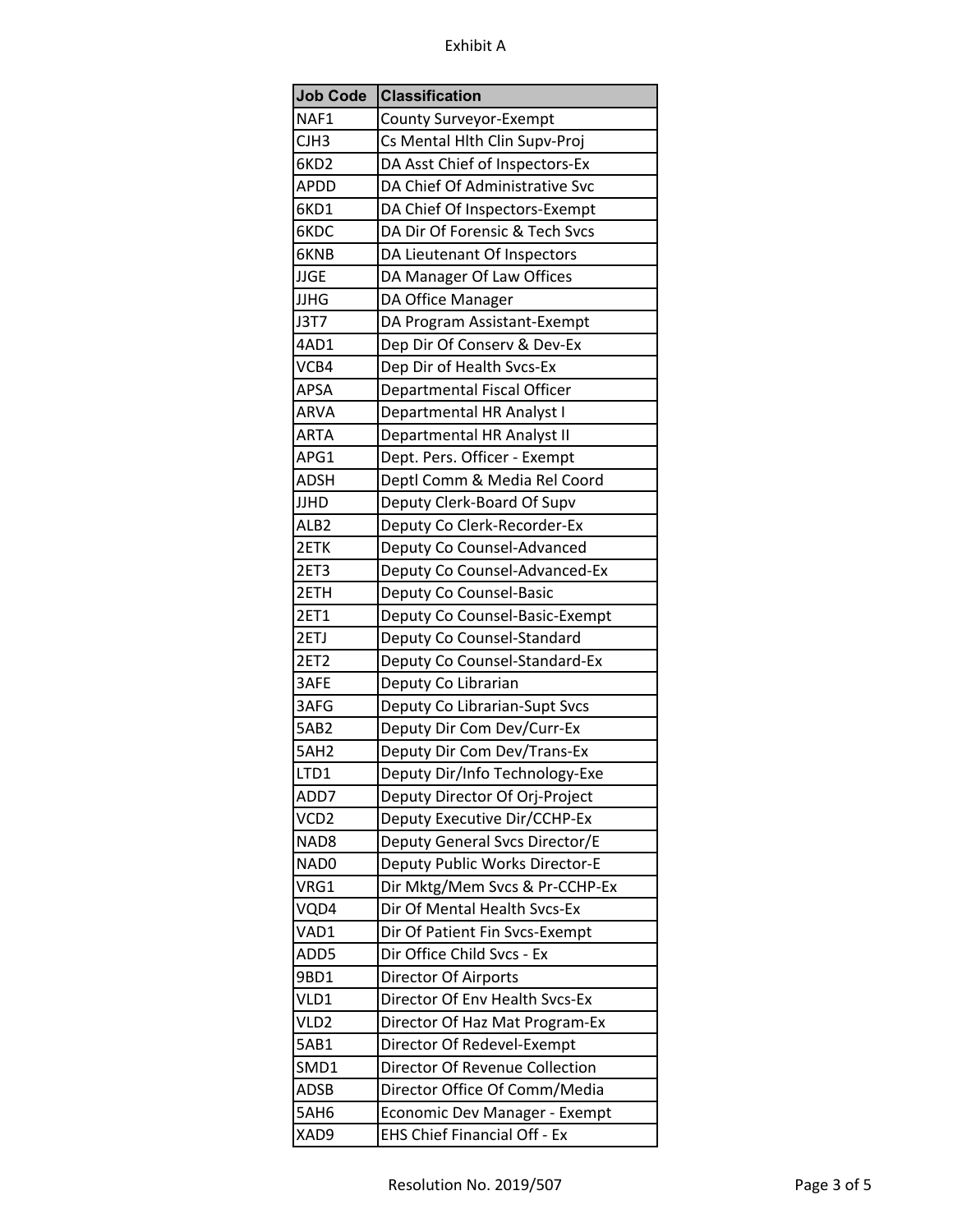| <b>Job Code</b>  | <b>Classification</b>               |
|------------------|-------------------------------------|
| NAF1             | County Surveyor-Exempt              |
| CJH3             | Cs Mental Hlth Clin Supv-Proj       |
| 6KD <sub>2</sub> | DA Asst Chief of Inspectors-Ex      |
| APDD             | DA Chief Of Administrative Svc      |
| 6KD1             | DA Chief Of Inspectors-Exempt       |
| 6KDC             | DA Dir Of Forensic & Tech Svcs      |
| 6KNB             | DA Lieutenant Of Inspectors         |
| <b>JJGE</b>      | DA Manager Of Law Offices           |
| <b>JJHG</b>      | DA Office Manager                   |
| J3T7             | DA Program Assistant-Exempt         |
| 4AD1             | Dep Dir Of Conserv & Dev-Ex         |
| VCB4             | Dep Dir of Health Svcs-Ex           |
| <b>APSA</b>      | Departmental Fiscal Officer         |
| ARVA             | Departmental HR Analyst I           |
| <b>ARTA</b>      | Departmental HR Analyst II          |
| APG1             | Dept. Pers. Officer - Exempt        |
| <b>ADSH</b>      | Deptl Comm & Media Rel Coord        |
| JJHD             | Deputy Clerk-Board Of Supv          |
| ALB <sub>2</sub> | Deputy Co Clerk-Recorder-Ex         |
| 2ETK             | Deputy Co Counsel-Advanced          |
| 2ET3             | Deputy Co Counsel-Advanced-Ex       |
| 2ETH             | Deputy Co Counsel-Basic             |
| <b>2ET1</b>      | Deputy Co Counsel-Basic-Exempt      |
| 2ETJ             | Deputy Co Counsel-Standard          |
| <b>2ET2</b>      | Deputy Co Counsel-Standard-Ex       |
| 3AFE             | Deputy Co Librarian                 |
| 3AFG             | Deputy Co Librarian-Supt Svcs       |
| 5AB <sub>2</sub> | Deputy Dir Com Dev/Curr-Ex          |
| 5AH <sub>2</sub> | Deputy Dir Com Dev/Trans-Ex         |
| LTD1             | Deputy Dir/Info Technology-Exe      |
| ADD7             | Deputy Director Of Orj-Project      |
| VCD <sub>2</sub> | Deputy Executive Dir/CCHP-Ex        |
| NAD <sub>8</sub> | Deputy General Svcs Director/E      |
| NAD0             | Deputy Public Works Director-E      |
| VRG1             | Dir Mktg/Mem Svcs & Pr-CCHP-Ex      |
| VQD4             | Dir Of Mental Health Svcs-Ex        |
| VAD1             | Dir Of Patient Fin Svcs-Exempt      |
| ADD5             | Dir Office Child Svcs - Ex          |
| 9BD1             | Director Of Airports                |
| VLD1             | Director Of Env Health Svcs-Ex      |
| VLD <sub>2</sub> | Director Of Haz Mat Program-Ex      |
| 5AB1             | Director Of Redevel-Exempt          |
| SMD1             | Director Of Revenue Collection      |
| <b>ADSB</b>      | Director Office Of Comm/Media       |
| 5AH6             | Economic Dev Manager - Exempt       |
| XAD9             | <b>EHS Chief Financial Off - Ex</b> |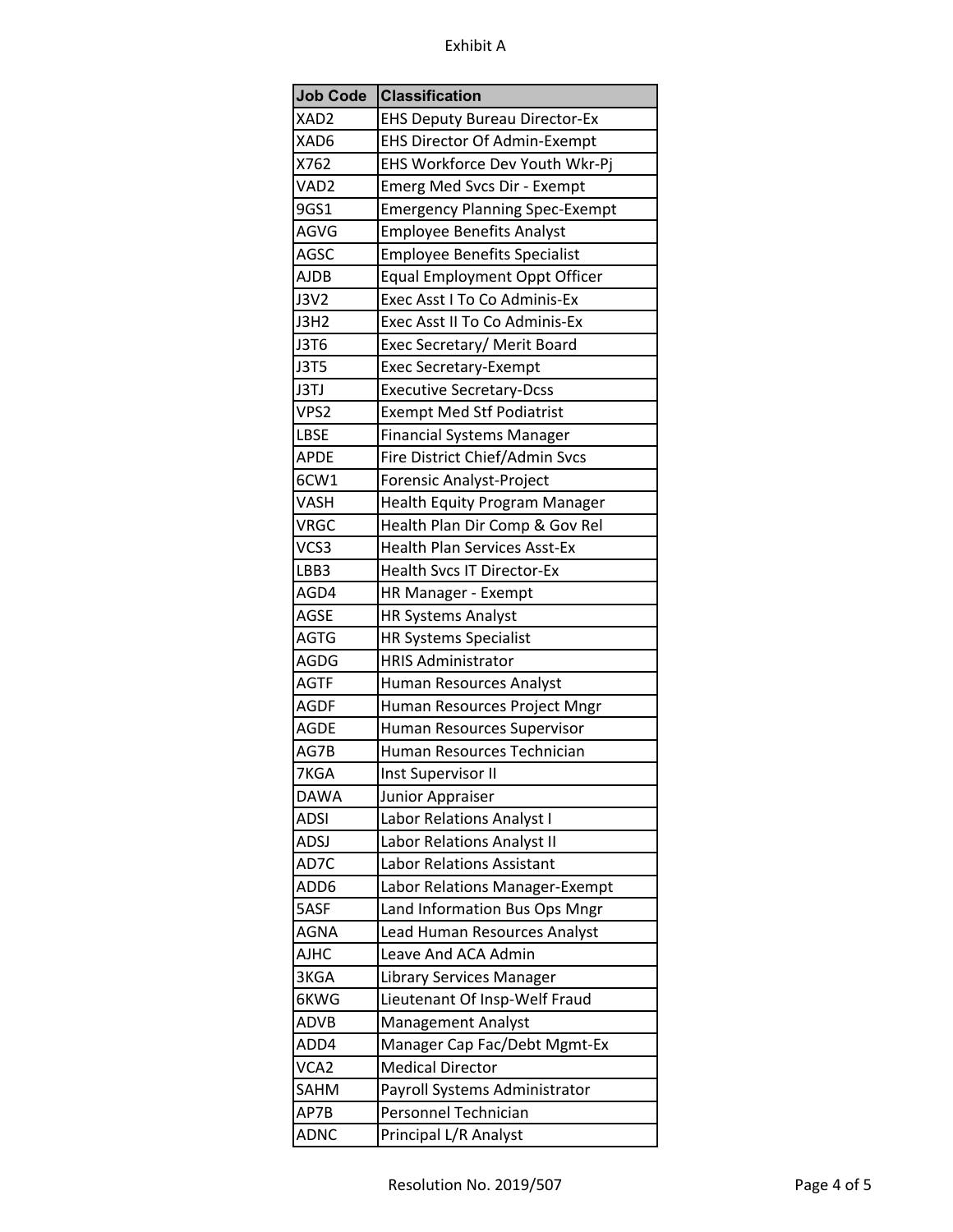| <b>Job Code</b>  | <b>Classification</b>                 |
|------------------|---------------------------------------|
| XAD <sub>2</sub> | <b>EHS Deputy Bureau Director-Ex</b>  |
| XAD6             | <b>EHS Director Of Admin-Exempt</b>   |
| X762             | EHS Workforce Dev Youth Wkr-Pj        |
| VAD <sub>2</sub> | Emerg Med Svcs Dir - Exempt           |
| 9GS1             | <b>Emergency Planning Spec-Exempt</b> |
| AGVG             | <b>Employee Benefits Analyst</b>      |
| AGSC             | <b>Employee Benefits Specialist</b>   |
| <b>AJDB</b>      | <b>Equal Employment Oppt Officer</b>  |
| <b>J3V2</b>      | Exec Asst I To Co Adminis-Ex          |
| J3H2             | Exec Asst II To Co Adminis-Ex         |
| J3T6             | Exec Secretary/ Merit Board           |
| J3T5             | <b>Exec Secretary-Exempt</b>          |
| J3TJ             | <b>Executive Secretary-Dcss</b>       |
| VPS2             | <b>Exempt Med Stf Podiatrist</b>      |
| LBSE             | <b>Financial Systems Manager</b>      |
| <b>APDE</b>      | Fire District Chief/Admin Svcs        |
| 6CW1             | Forensic Analyst-Project              |
| <b>VASH</b>      | <b>Health Equity Program Manager</b>  |
| <b>VRGC</b>      | Health Plan Dir Comp & Gov Rel        |
| VCS3             | <b>Health Plan Services Asst-Ex</b>   |
| LBB3             | <b>Health Svcs IT Director-Ex</b>     |
| AGD4             | HR Manager - Exempt                   |
| <b>AGSE</b>      | <b>HR Systems Analyst</b>             |
| <b>AGTG</b>      | <b>HR Systems Specialist</b>          |
| AGDG             | <b>HRIS Administrator</b>             |
| <b>AGTF</b>      | Human Resources Analyst               |
| <b>AGDF</b>      | Human Resources Project Mngr          |
| <b>AGDE</b>      | Human Resources Supervisor            |
| AG7B             | Human Resources Technician            |
| 7KGA             | Inst Supervisor II                    |
| <b>DAWA</b>      | Junior Appraiser                      |
| ADSI             | Labor Relations Analyst I             |
| ADSJ             | Labor Relations Analyst II            |
| AD7C             | <b>Labor Relations Assistant</b>      |
| ADD6             | Labor Relations Manager-Exempt        |
| 5ASF             | Land Information Bus Ops Mngr         |
| AGNA             | Lead Human Resources Analyst          |
| <b>AJHC</b>      | Leave And ACA Admin                   |
| 3KGA             | <b>Library Services Manager</b>       |
| 6KWG             | Lieutenant Of Insp-Welf Fraud         |
| <b>ADVB</b>      | <b>Management Analyst</b>             |
| ADD4             | Manager Cap Fac/Debt Mgmt-Ex          |
| VCA <sub>2</sub> | <b>Medical Director</b>               |
| SAHM             | Payroll Systems Administrator         |
| AP7B             | Personnel Technician                  |
| <b>ADNC</b>      | Principal L/R Analyst                 |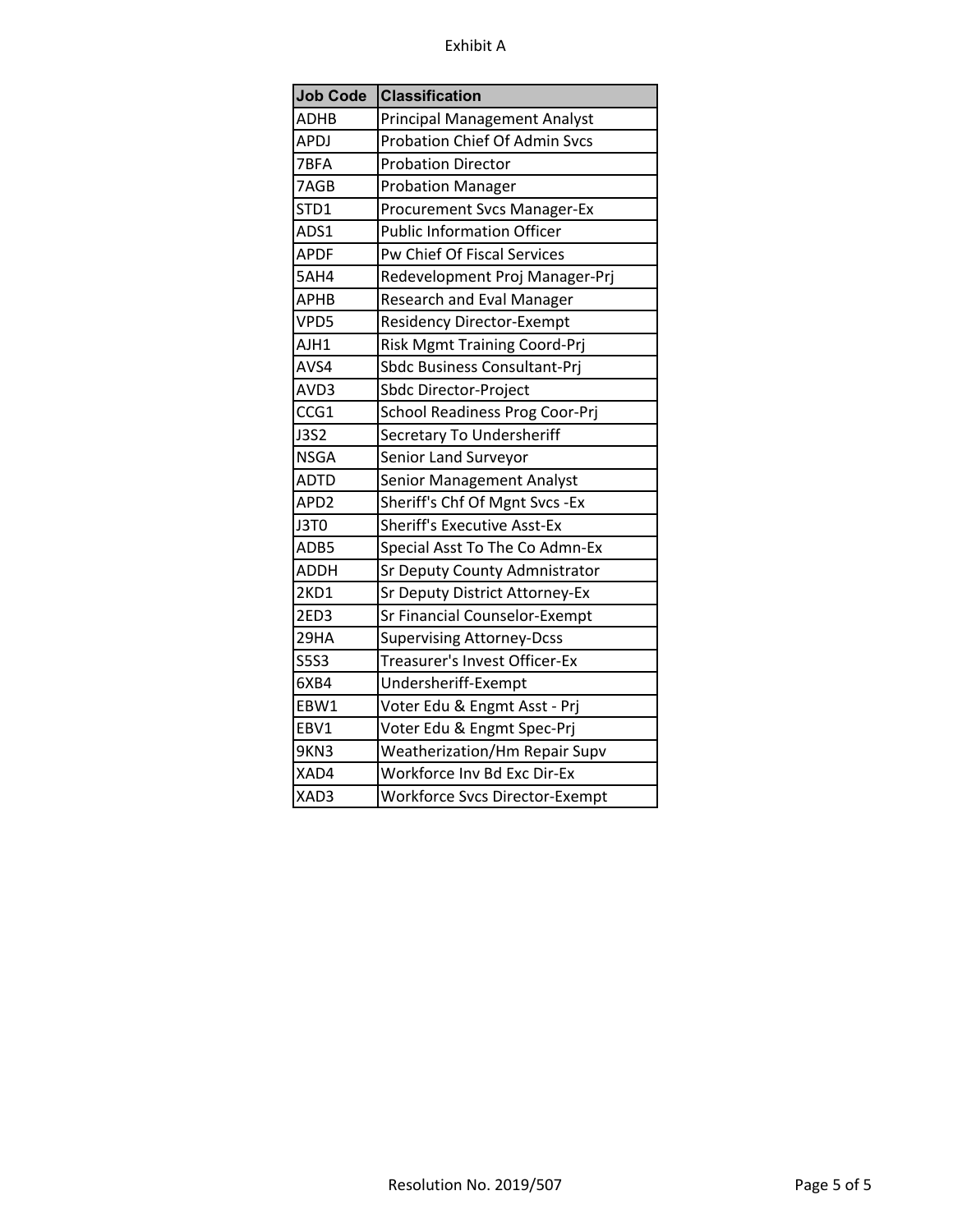| <b>Job Code</b>  | <b>Classification</b>                 |
|------------------|---------------------------------------|
| <b>ADHB</b>      | <b>Principal Management Analyst</b>   |
| <b>APDJ</b>      | Probation Chief Of Admin Svcs         |
| 7BFA             | <b>Probation Director</b>             |
| 7AGB             | <b>Probation Manager</b>              |
| STD1             | <b>Procurement Svcs Manager-Ex</b>    |
| ADS1             | <b>Public Information Officer</b>     |
| <b>APDF</b>      | Pw Chief Of Fiscal Services           |
| 5AH4             | Redevelopment Proj Manager-Prj        |
| <b>APHB</b>      | Research and Eval Manager             |
| VPD5             | Residency Director-Exempt             |
| AJH1             | Risk Mgmt Training Coord-Prj          |
| AVS4             | Sbdc Business Consultant-Prj          |
| AVD3             | Sbdc Director-Project                 |
| CCG1             | School Readiness Prog Coor-Prj        |
| <b>J3S2</b>      | Secretary To Undersheriff             |
| <b>NSGA</b>      | Senior Land Surveyor                  |
| <b>ADTD</b>      | <b>Senior Management Analyst</b>      |
| APD <sub>2</sub> | Sheriff's Chf Of Mgnt Svcs - Ex       |
| J3T0             | <b>Sheriff's Executive Asst-Ex</b>    |
| ADB5             | Special Asst To The Co Admn-Ex        |
| ADDH             | Sr Deputy County Admnistrator         |
| 2KD1             | Sr Deputy District Attorney-Ex        |
| 2ED3             | Sr Financial Counselor-Exempt         |
| 29HA             | <b>Supervising Attorney-Dcss</b>      |
| <b>S5S3</b>      | Treasurer's Invest Officer-Ex         |
| 6XB4             | Undersheriff-Exempt                   |
| EBW1             | Voter Edu & Engmt Asst - Prj          |
| EBV1             | Voter Edu & Engmt Spec-Prj            |
| 9KN3             | Weatherization/Hm Repair Supv         |
| XAD4             | Workforce Inv Bd Exc Dir-Ex           |
| XAD3             | <b>Workforce Svcs Director-Exempt</b> |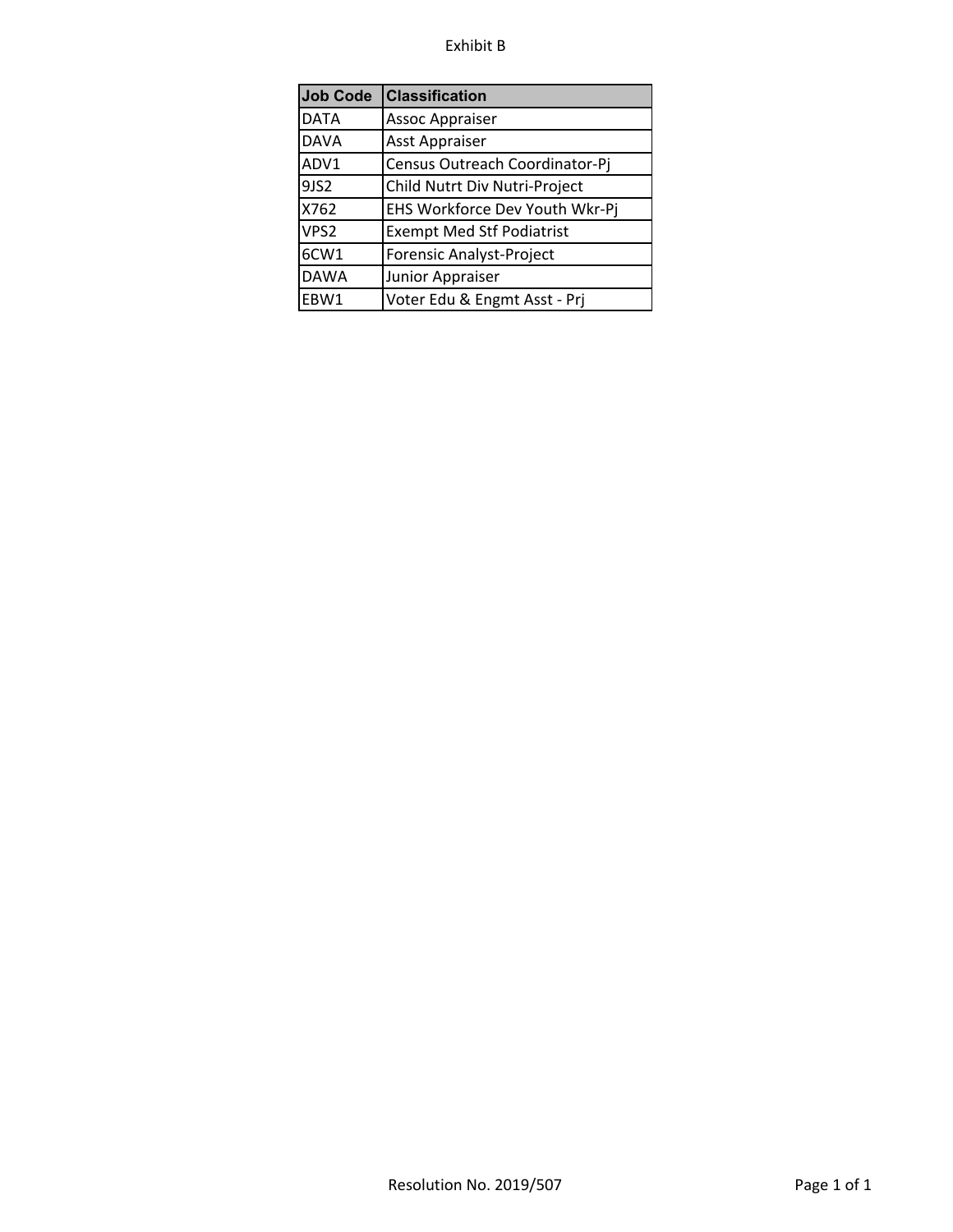# Exhibit B

| <b>Job Code</b>  | <b>Classification</b>            |
|------------------|----------------------------------|
| <b>DATA</b>      | <b>Assoc Appraiser</b>           |
| <b>DAVA</b>      | Asst Appraiser                   |
| ADV1             | Census Outreach Coordinator-Pj   |
| 9JS2             | Child Nutrt Div Nutri-Project    |
| X762             | EHS Workforce Dev Youth Wkr-Pj   |
| VPS <sub>2</sub> | <b>Exempt Med Stf Podiatrist</b> |
| 6CW1             | Forensic Analyst-Project         |
| <b>DAWA</b>      | Junior Appraiser                 |
| EBW1             | Voter Edu & Engmt Asst - Prj     |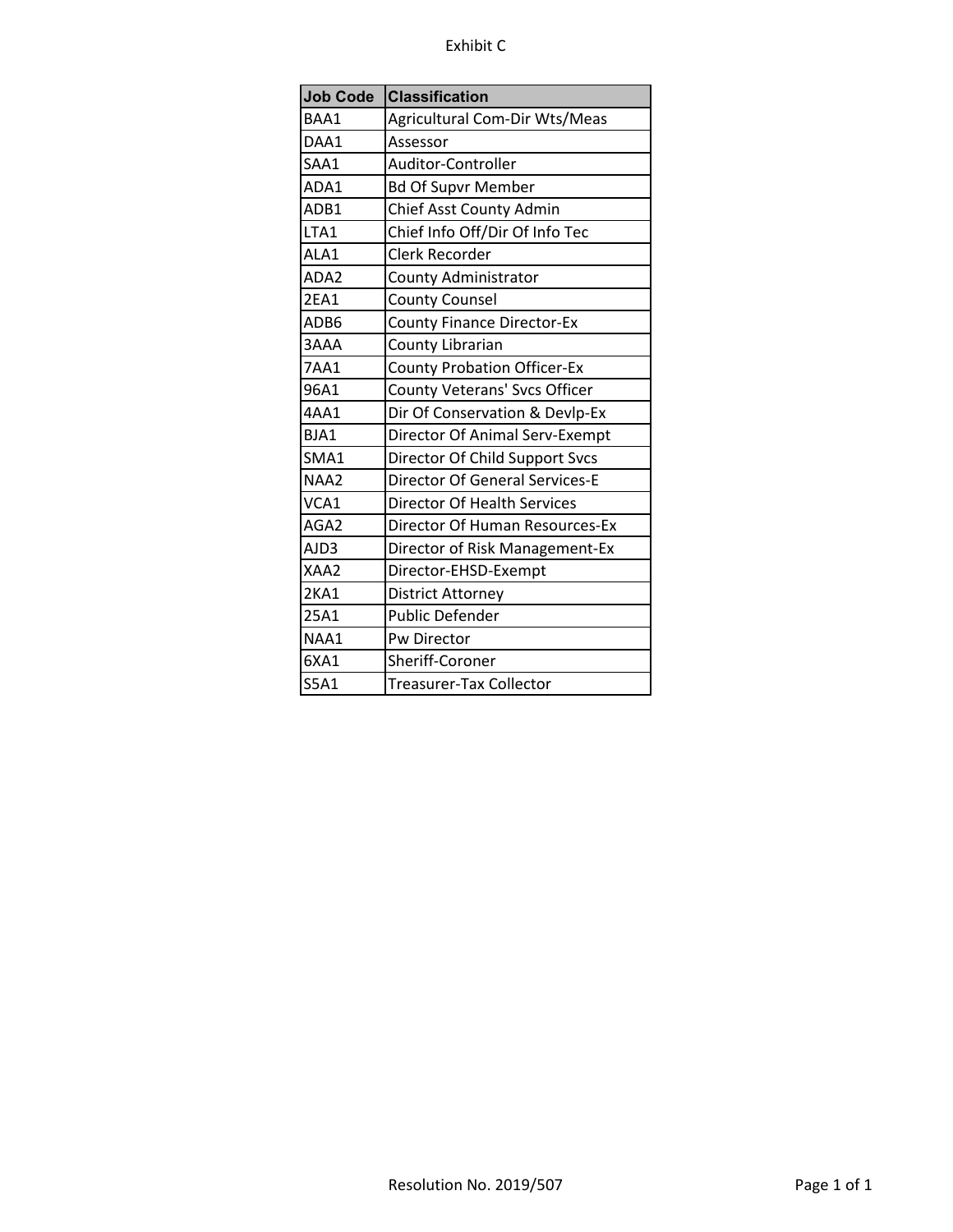# Exhibit C

| <b>Job Code</b> | <b>Classification</b>                 |
|-----------------|---------------------------------------|
| BAA1            | <b>Agricultural Com-Dir Wts/Meas</b>  |
| DAA1            | Assessor                              |
| SAA1            | Auditor-Controller                    |
| ADA1            | <b>Bd Of Supvr Member</b>             |
| ADB1            | Chief Asst County Admin               |
| LTA1            | Chief Info Off/Dir Of Info Tec        |
| ALA1            | <b>Clerk Recorder</b>                 |
| ADA2            | <b>County Administrator</b>           |
| 2EA1            | <b>County Counsel</b>                 |
| ADB6            | <b>County Finance Director-Ex</b>     |
| 3AAA            | County Librarian                      |
| <b>7AA1</b>     | <b>County Probation Officer-Ex</b>    |
| 96A1            | County Veterans' Svcs Officer         |
| 4AA1            | Dir Of Conservation & Devlp-Ex        |
| BJA1            | Director Of Animal Serv-Exempt        |
| SMA1            | Director Of Child Support Svcs        |
| NAA2            | <b>Director Of General Services-E</b> |
| VCA1            | <b>Director Of Health Services</b>    |
| AGA2            | Director Of Human Resources-Ex        |
| AJD3            | Director of Risk Management-Ex        |
| XAA2            | Director-EHSD-Exempt                  |
| 2KA1            | <b>District Attorney</b>              |
| 25A1            | <b>Public Defender</b>                |
| NAA1            | Pw Director                           |
| 6XA1            | Sheriff-Coroner                       |
| <b>S5A1</b>     | <b>Treasurer-Tax Collector</b>        |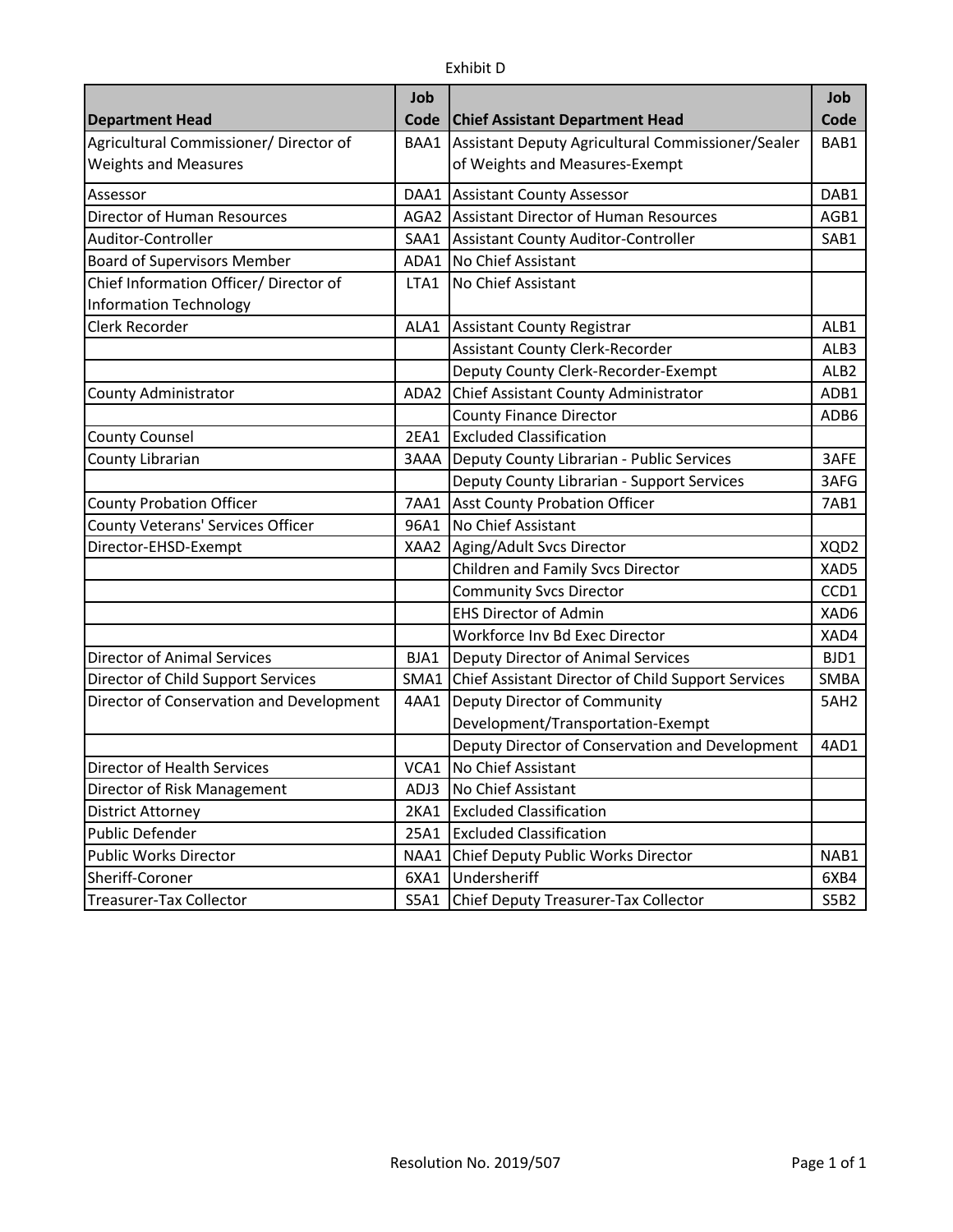|                                          | Job         |                                                         | Job              |
|------------------------------------------|-------------|---------------------------------------------------------|------------------|
| <b>Department Head</b>                   | Code        | <b>Chief Assistant Department Head</b>                  | Code             |
| Agricultural Commissioner/ Director of   | BAA1        | Assistant Deputy Agricultural Commissioner/Sealer       | BAB1             |
| <b>Weights and Measures</b>              |             | of Weights and Measures-Exempt                          |                  |
| Assessor                                 | DAA1        | <b>Assistant County Assessor</b>                        | DAB1             |
| Director of Human Resources              |             | AGA2 Assistant Director of Human Resources              | AGB1             |
| Auditor-Controller                       | SAA1        | Assistant County Auditor-Controller                     | SAB1             |
| <b>Board of Supervisors Member</b>       | ADA1        | No Chief Assistant                                      |                  |
| Chief Information Officer/ Director of   | LTA1        | No Chief Assistant                                      |                  |
| <b>Information Technology</b>            |             |                                                         |                  |
| Clerk Recorder                           | ALA1        | <b>Assistant County Registrar</b>                       | ALB1             |
|                                          |             | <b>Assistant County Clerk-Recorder</b>                  | ALB3             |
|                                          |             | Deputy County Clerk-Recorder-Exempt                     | ALB <sub>2</sub> |
| County Administrator                     | ADA2        | Chief Assistant County Administrator                    | ADB1             |
|                                          |             | <b>County Finance Director</b>                          | ADB6             |
| <b>County Counsel</b>                    | <b>2EA1</b> | <b>Excluded Classification</b>                          |                  |
| County Librarian                         | 3AAA        | Deputy County Librarian - Public Services               | 3AFE             |
|                                          |             | Deputy County Librarian - Support Services              | 3AFG             |
| <b>County Probation Officer</b>          | <b>7AA1</b> | <b>Asst County Probation Officer</b>                    | 7AB1             |
| <b>County Veterans' Services Officer</b> | 96A1        | No Chief Assistant                                      |                  |
| Director-EHSD-Exempt                     | XAA2        | Aging/Adult Svcs Director                               | XQD2             |
|                                          |             | Children and Family Svcs Director                       | XAD5             |
|                                          |             | <b>Community Svcs Director</b>                          | CCD1             |
|                                          |             | <b>EHS Director of Admin</b>                            | XAD6             |
|                                          |             | Workforce Inv Bd Exec Director                          | XAD4             |
| <b>Director of Animal Services</b>       | BJA1        | Deputy Director of Animal Services                      | BJD1             |
| Director of Child Support Services       |             | SMA1 Chief Assistant Director of Child Support Services | <b>SMBA</b>      |
| Director of Conservation and Development | 4AA1        | Deputy Director of Community                            | 5AH <sub>2</sub> |
|                                          |             | Development/Transportation-Exempt                       |                  |
|                                          |             | Deputy Director of Conservation and Development         | 4AD1             |
| Director of Health Services              | VCA1        | No Chief Assistant                                      |                  |
| Director of Risk Management              | ADJ3        | No Chief Assistant                                      |                  |
| <b>District Attorney</b>                 | 2KA1        | <b>Excluded Classification</b>                          |                  |
| <b>Public Defender</b>                   | 25A1        | <b>Excluded Classification</b>                          |                  |
| <b>Public Works Director</b>             | NAA1        | Chief Deputy Public Works Director                      | NAB1             |
| Sheriff-Coroner                          | 6XA1        | Undersheriff                                            | 6XB4             |
| Treasurer-Tax Collector                  | S5A1        | Chief Deputy Treasurer-Tax Collector                    | S5B2             |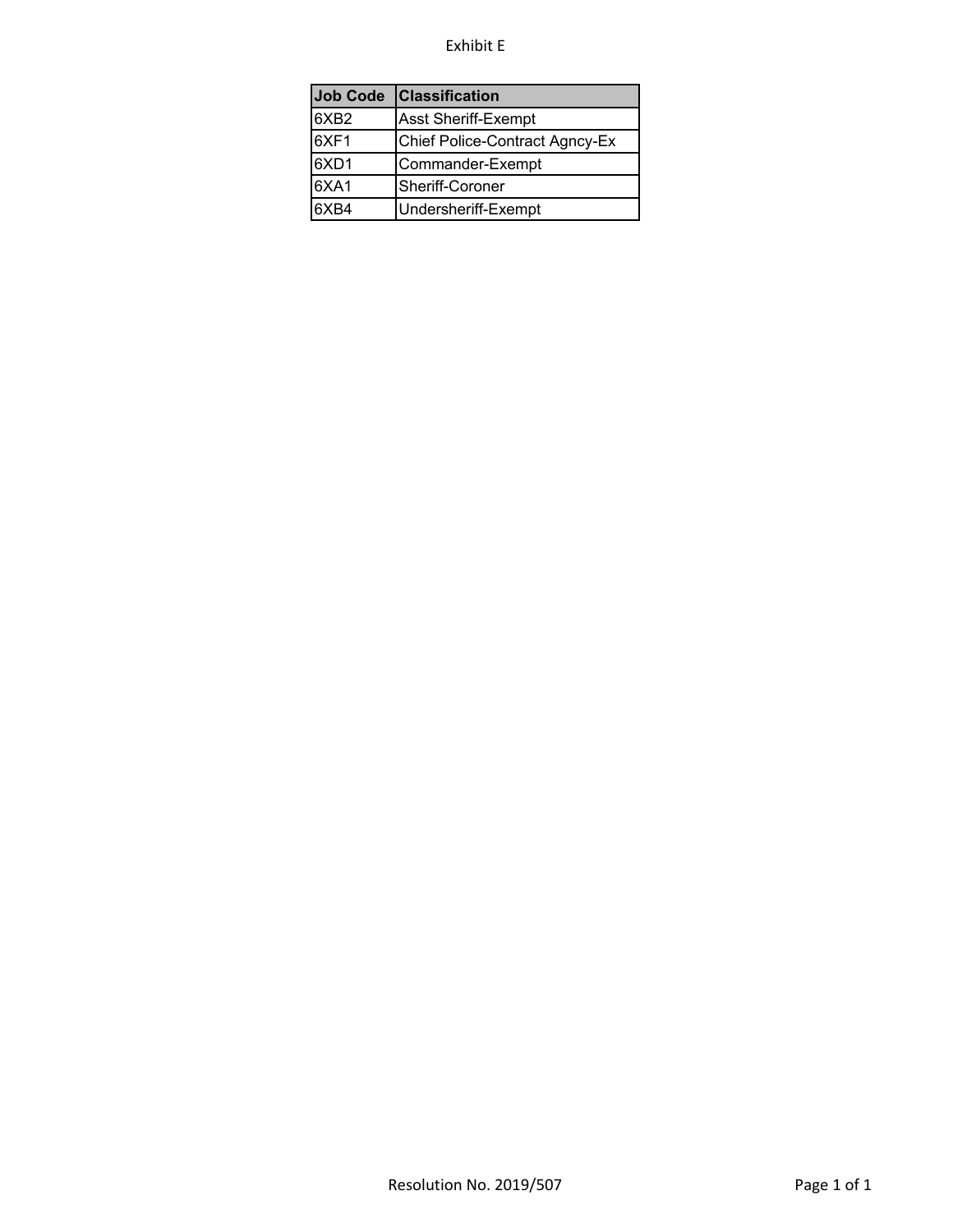#### Exhibit E

| <b>Job Code</b>  | <b>Classification</b>          |
|------------------|--------------------------------|
| 6XB <sub>2</sub> | <b>Asst Sheriff-Exempt</b>     |
| 6XF1             | Chief Police-Contract Agncy-Ex |
| 6XD1             | Commander-Exempt               |
| 6XA1             | Sheriff-Coroner                |
| 6XB4             | Undersheriff-Exempt            |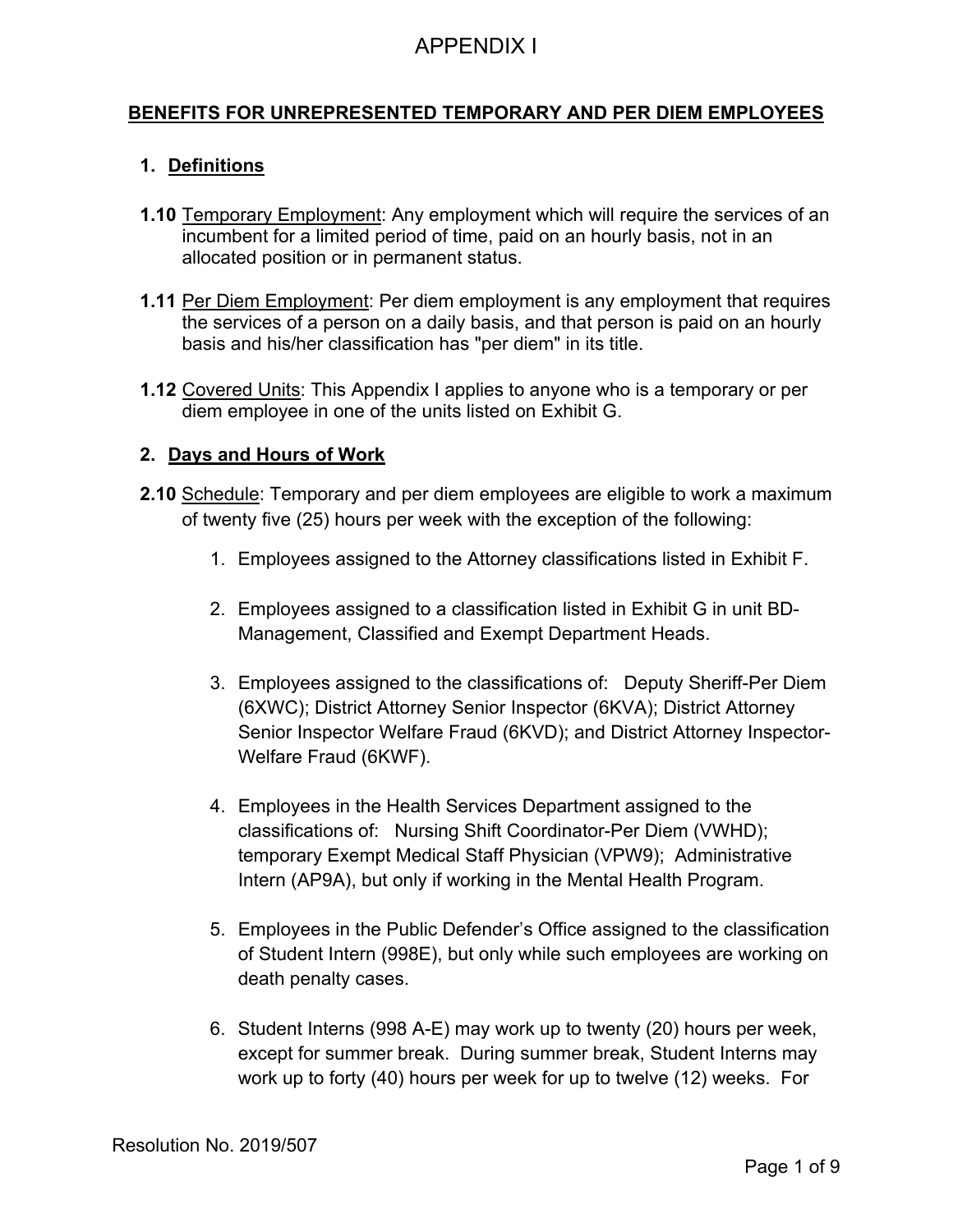### **BENEFITS FOR UNREPRESENTED TEMPORARY AND PER DIEM EMPLOYEES**

### **1. Definitions**

- **1.10** Temporary Employment: Any employment which will require the services of an incumbent for a limited period of time, paid on an hourly basis, not in an allocated position or in permanent status.
- **1.11** Per Diem Employment: Per diem employment is any employment that requires the services of a person on a daily basis, and that person is paid on an hourly basis and his/her classification has "per diem" in its title.
- **1.12** Covered Units: This Appendix I applies to anyone who is a temporary or per diem employee in one of the units listed on Exhibit G.

#### **2. Days and Hours of Work**

- **2.10** Schedule: Temporary and per diem employees are eligible to work a maximum of twenty five (25) hours per week with the exception of the following:
	- 1. Employees assigned to the Attorney classifications listed in Exhibit F.
	- 2. Employees assigned to a classification listed in Exhibit G in unit BD-Management, Classified and Exempt Department Heads.
	- 3. Employees assigned to the classifications of: Deputy Sheriff-Per Diem (6XWC); District Attorney Senior Inspector (6KVA); District Attorney Senior Inspector Welfare Fraud (6KVD); and District Attorney Inspector-Welfare Fraud (6KWF).
	- 4. Employees in the Health Services Department assigned to the classifications of: Nursing Shift Coordinator-Per Diem (VWHD); temporary Exempt Medical Staff Physician (VPW9); Administrative Intern (AP9A), but only if working in the Mental Health Program.
	- 5. Employees in the Public Defender's Office assigned to the classification of Student Intern (998E), but only while such employees are working on death penalty cases.
	- 6. Student Interns (998 A-E) may work up to twenty (20) hours per week, except for summer break. During summer break, Student Interns may work up to forty (40) hours per week for up to twelve (12) weeks. For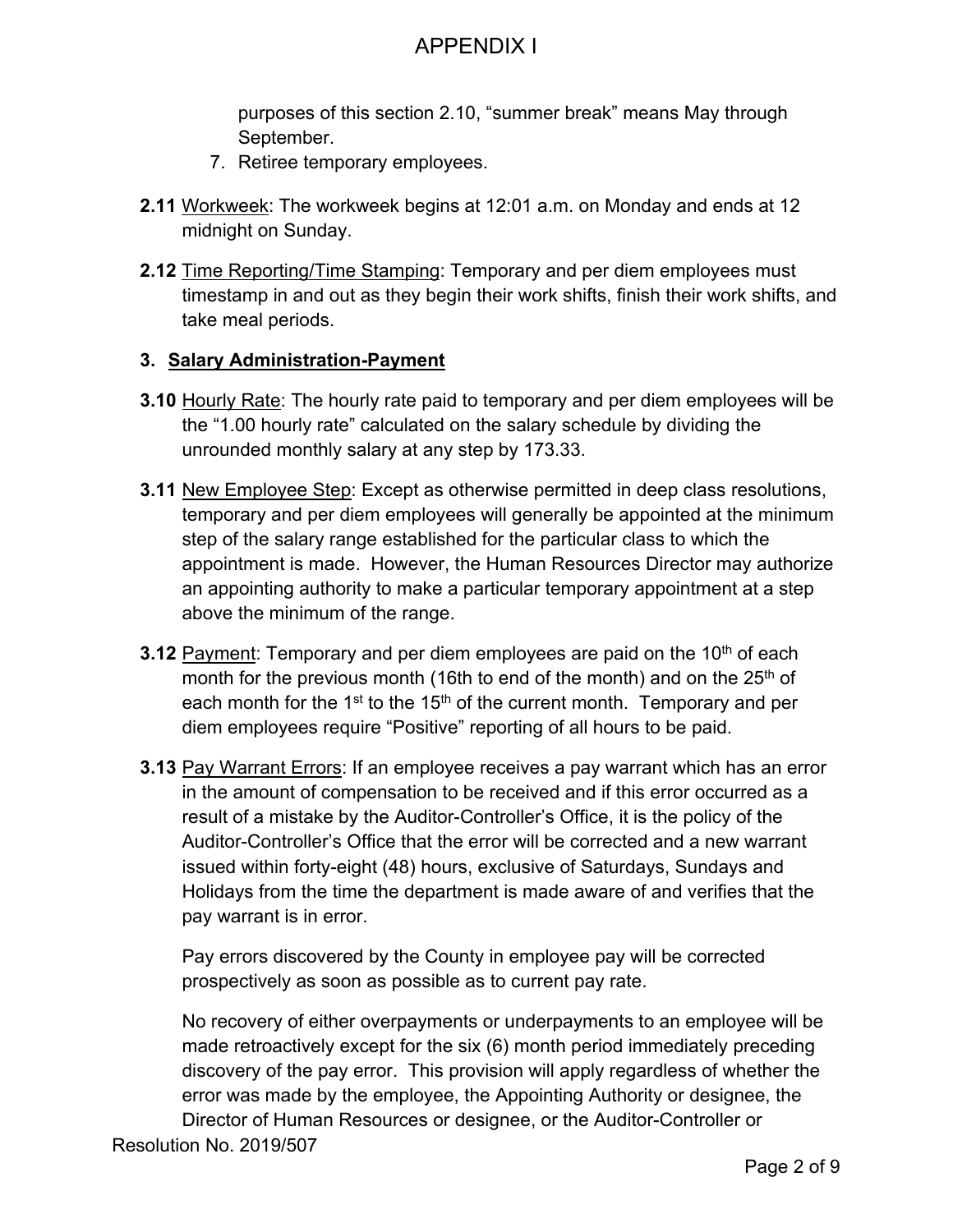purposes of this section 2.10, "summer break" means May through September.

- 7. Retiree temporary employees.
- **2.11** Workweek: The workweek begins at 12:01 a.m. on Monday and ends at 12 midnight on Sunday.
- **2.12** Time Reporting/Time Stamping: Temporary and per diem employees must timestamp in and out as they begin their work shifts, finish their work shifts, and take meal periods.

#### **3. Salary Administration-Payment**

- **3.10** Hourly Rate: The hourly rate paid to temporary and per diem employees will be the "1.00 hourly rate" calculated on the salary schedule by dividing the unrounded monthly salary at any step by 173.33.
- **3.11** New Employee Step: Except as otherwise permitted in deep class resolutions, temporary and per diem employees will generally be appointed at the minimum step of the salary range established for the particular class to which the appointment is made. However, the Human Resources Director may authorize an appointing authority to make a particular temporary appointment at a step above the minimum of the range.
- **3.12** Payment: Temporary and per diem employees are paid on the 10<sup>th</sup> of each month for the previous month (16th to end of the month) and on the  $25<sup>th</sup>$  of each month for the 1<sup>st</sup> to the 15<sup>th</sup> of the current month. Temporary and per diem employees require "Positive" reporting of all hours to be paid.
- **3.13** Pay Warrant Errors: If an employee receives a pay warrant which has an error in the amount of compensation to be received and if this error occurred as a result of a mistake by the Auditor-Controller's Office, it is the policy of the Auditor-Controller's Office that the error will be corrected and a new warrant issued within forty-eight (48) hours, exclusive of Saturdays, Sundays and Holidays from the time the department is made aware of and verifies that the pay warrant is in error.

Pay errors discovered by the County in employee pay will be corrected prospectively as soon as possible as to current pay rate.

No recovery of either overpayments or underpayments to an employee will be made retroactively except for the six (6) month period immediately preceding discovery of the pay error. This provision will apply regardless of whether the error was made by the employee, the Appointing Authority or designee, the Director of Human Resources or designee, or the Auditor-Controller or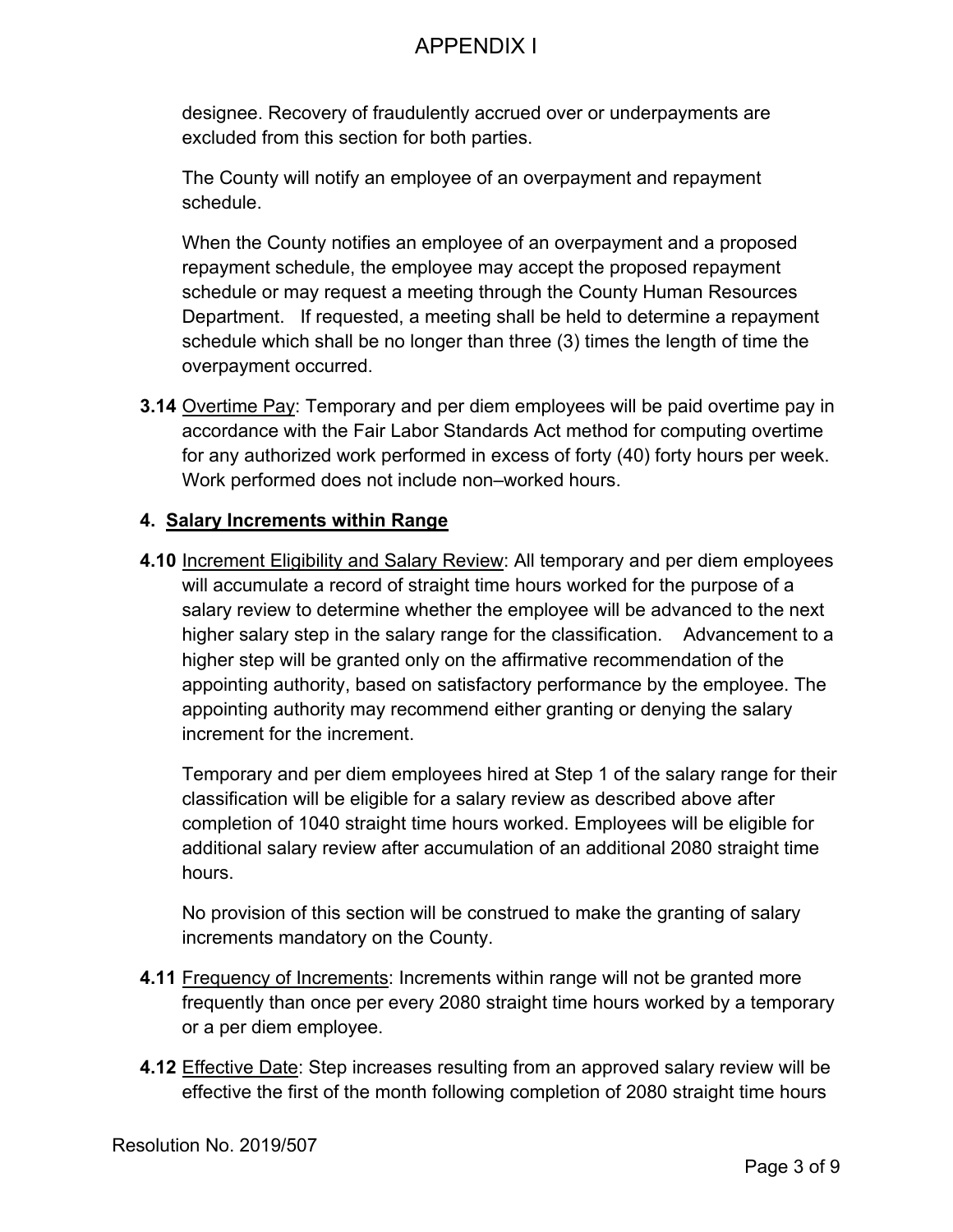designee. Recovery of fraudulently accrued over or underpayments are excluded from this section for both parties.

The County will notify an employee of an overpayment and repayment schedule.

When the County notifies an employee of an overpayment and a proposed repayment schedule, the employee may accept the proposed repayment schedule or may request a meeting through the County Human Resources Department. If requested, a meeting shall be held to determine a repayment schedule which shall be no longer than three (3) times the length of time the overpayment occurred.

**3.14** Overtime Pay: Temporary and per diem employees will be paid overtime pay in accordance with the Fair Labor Standards Act method for computing overtime for any authorized work performed in excess of forty (40) forty hours per week. Work performed does not include non–worked hours.

### **4. Salary Increments within Range**

**4.10** Increment Eligibility and Salary Review: All temporary and per diem employees will accumulate a record of straight time hours worked for the purpose of a salary review to determine whether the employee will be advanced to the next higher salary step in the salary range for the classification. Advancement to a higher step will be granted only on the affirmative recommendation of the appointing authority, based on satisfactory performance by the employee. The appointing authority may recommend either granting or denying the salary increment for the increment.

Temporary and per diem employees hired at Step 1 of the salary range for their classification will be eligible for a salary review as described above after completion of 1040 straight time hours worked. Employees will be eligible for additional salary review after accumulation of an additional 2080 straight time hours.

No provision of this section will be construed to make the granting of salary increments mandatory on the County.

- **4.11** Frequency of Increments: Increments within range will not be granted more frequently than once per every 2080 straight time hours worked by a temporary or a per diem employee.
- **4.12** Effective Date: Step increases resulting from an approved salary review will be effective the first of the month following completion of 2080 straight time hours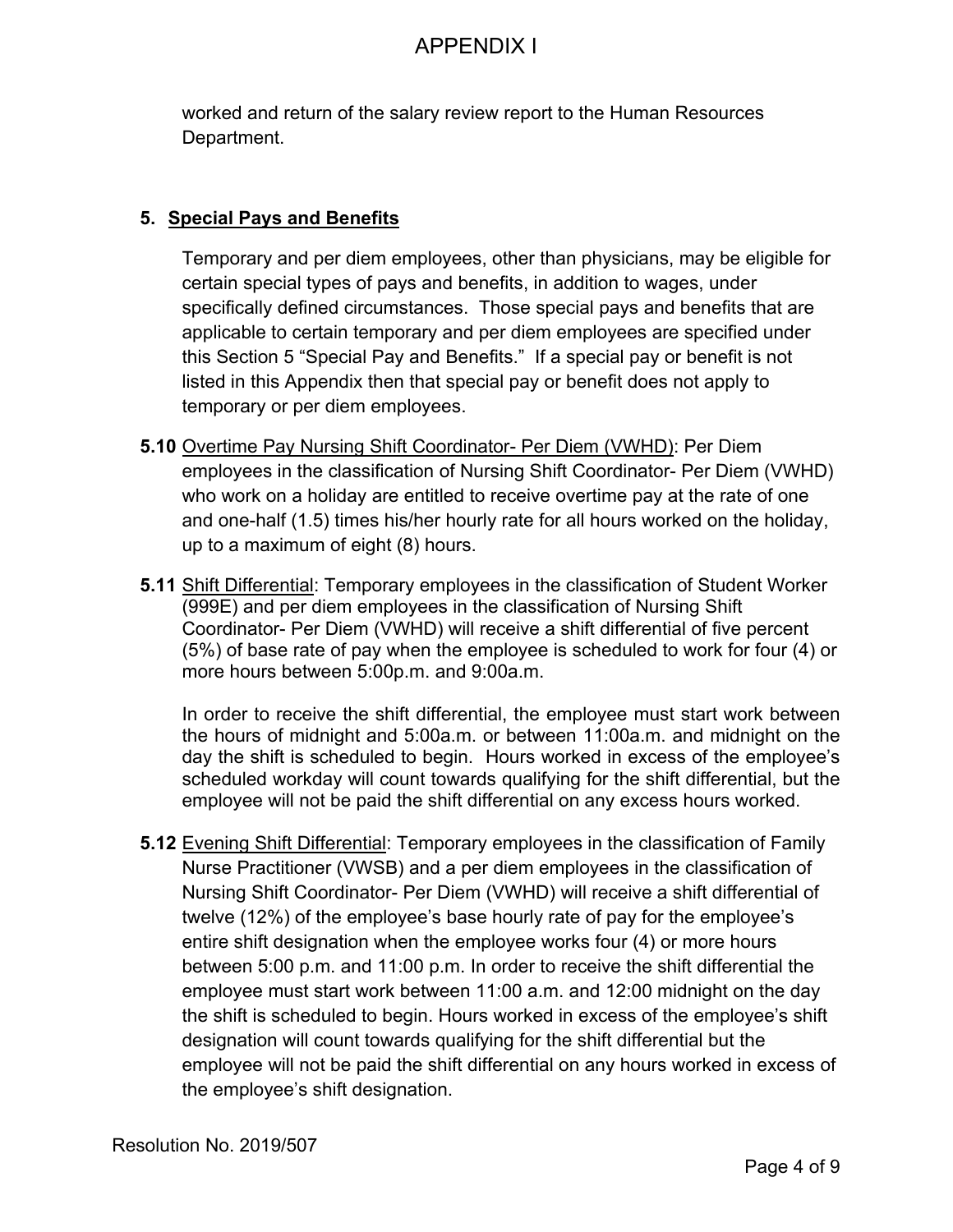worked and return of the salary review report to the Human Resources Department.

### **5. Special Pays and Benefits**

Temporary and per diem employees, other than physicians, may be eligible for certain special types of pays and benefits, in addition to wages, under specifically defined circumstances. Those special pays and benefits that are applicable to certain temporary and per diem employees are specified under this Section 5 "Special Pay and Benefits." If a special pay or benefit is not listed in this Appendix then that special pay or benefit does not apply to temporary or per diem employees.

- **5.10** Overtime Pay Nursing Shift Coordinator- Per Diem (VWHD): Per Diem employees in the classification of Nursing Shift Coordinator- Per Diem (VWHD) who work on a holiday are entitled to receive overtime pay at the rate of one and one-half (1.5) times his/her hourly rate for all hours worked on the holiday, up to a maximum of eight (8) hours.
- **5.11** Shift Differential: Temporary employees in the classification of Student Worker (999E) and per diem employees in the classification of Nursing Shift Coordinator- Per Diem (VWHD) will receive a shift differential of five percent (5%) of base rate of pay when the employee is scheduled to work for four (4) or more hours between 5:00p.m. and 9:00a.m.

In order to receive the shift differential, the employee must start work between the hours of midnight and 5:00a.m. or between 11:00a.m. and midnight on the day the shift is scheduled to begin. Hours worked in excess of the employee's scheduled workday will count towards qualifying for the shift differential, but the employee will not be paid the shift differential on any excess hours worked.

**5.12** Evening Shift Differential: Temporary employees in the classification of Family Nurse Practitioner (VWSB) and a per diem employees in the classification of Nursing Shift Coordinator- Per Diem (VWHD) will receive a shift differential of twelve (12%) of the employee's base hourly rate of pay for the employee's entire shift designation when the employee works four (4) or more hours between 5:00 p.m. and 11:00 p.m. In order to receive the shift differential the employee must start work between 11:00 a.m. and 12:00 midnight on the day the shift is scheduled to begin. Hours worked in excess of the employee's shift designation will count towards qualifying for the shift differential but the employee will not be paid the shift differential on any hours worked in excess of the employee's shift designation.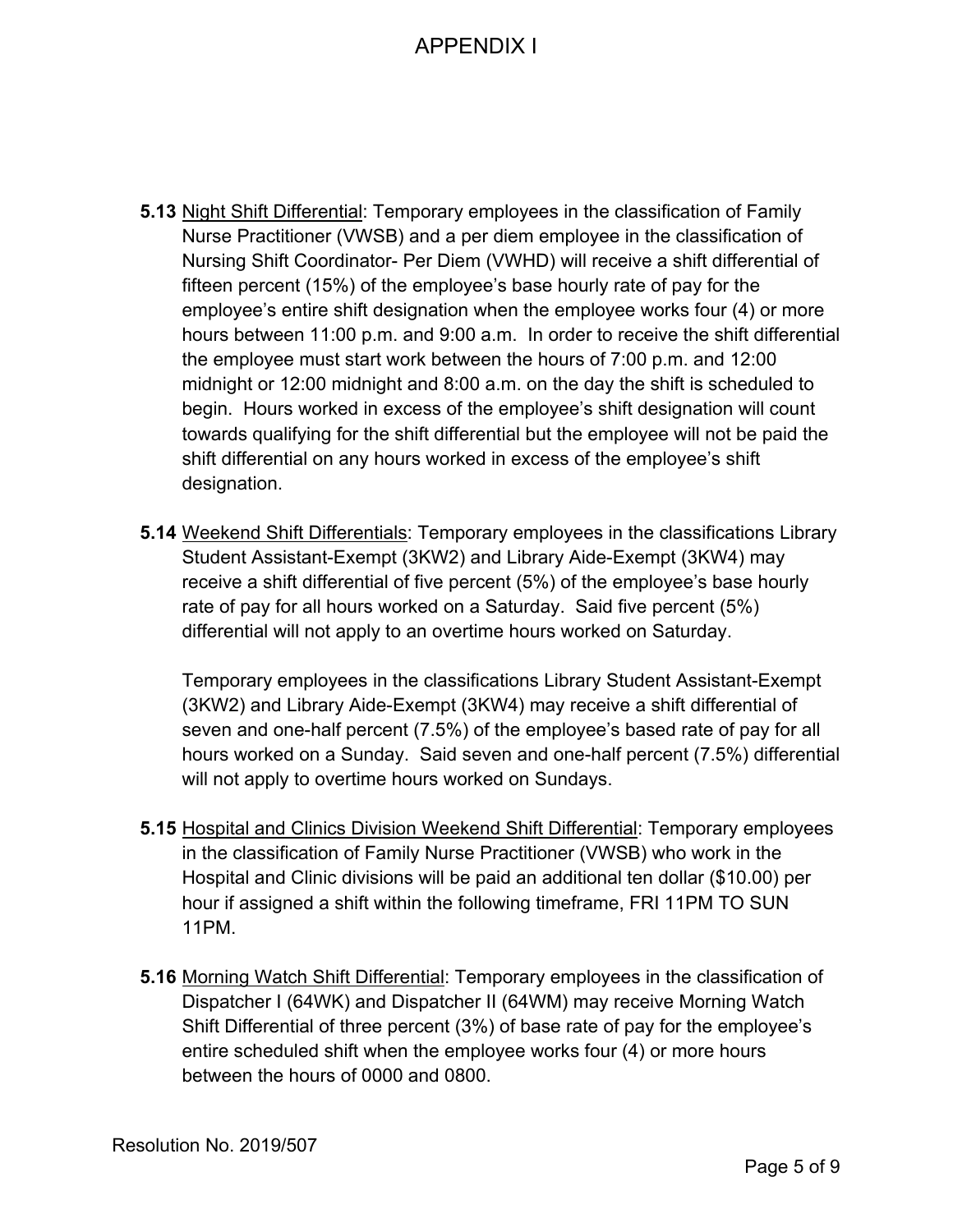- **5.13** Night Shift Differential: Temporary employees in the classification of Family Nurse Practitioner (VWSB) and a per diem employee in the classification of Nursing Shift Coordinator- Per Diem (VWHD) will receive a shift differential of fifteen percent (15%) of the employee's base hourly rate of pay for the employee's entire shift designation when the employee works four (4) or more hours between 11:00 p.m. and 9:00 a.m. In order to receive the shift differential the employee must start work between the hours of 7:00 p.m. and 12:00 midnight or 12:00 midnight and 8:00 a.m. on the day the shift is scheduled to begin. Hours worked in excess of the employee's shift designation will count towards qualifying for the shift differential but the employee will not be paid the shift differential on any hours worked in excess of the employee's shift designation.
- **5.14** Weekend Shift Differentials: Temporary employees in the classifications Library Student Assistant-Exempt (3KW2) and Library Aide-Exempt (3KW4) may receive a shift differential of five percent (5%) of the employee's base hourly rate of pay for all hours worked on a Saturday. Said five percent (5%) differential will not apply to an overtime hours worked on Saturday.

Temporary employees in the classifications Library Student Assistant-Exempt (3KW2) and Library Aide-Exempt (3KW4) may receive a shift differential of seven and one-half percent (7.5%) of the employee's based rate of pay for all hours worked on a Sunday. Said seven and one-half percent (7.5%) differential will not apply to overtime hours worked on Sundays.

- **5.15** Hospital and Clinics Division Weekend Shift Differential: Temporary employees in the classification of Family Nurse Practitioner (VWSB) who work in the Hospital and Clinic divisions will be paid an additional ten dollar (\$10.00) per hour if assigned a shift within the following timeframe, FRI 11PM TO SUN 11PM.
- **5.16** Morning Watch Shift Differential: Temporary employees in the classification of Dispatcher I (64WK) and Dispatcher II (64WM) may receive Morning Watch Shift Differential of three percent (3%) of base rate of pay for the employee's entire scheduled shift when the employee works four (4) or more hours between the hours of 0000 and 0800.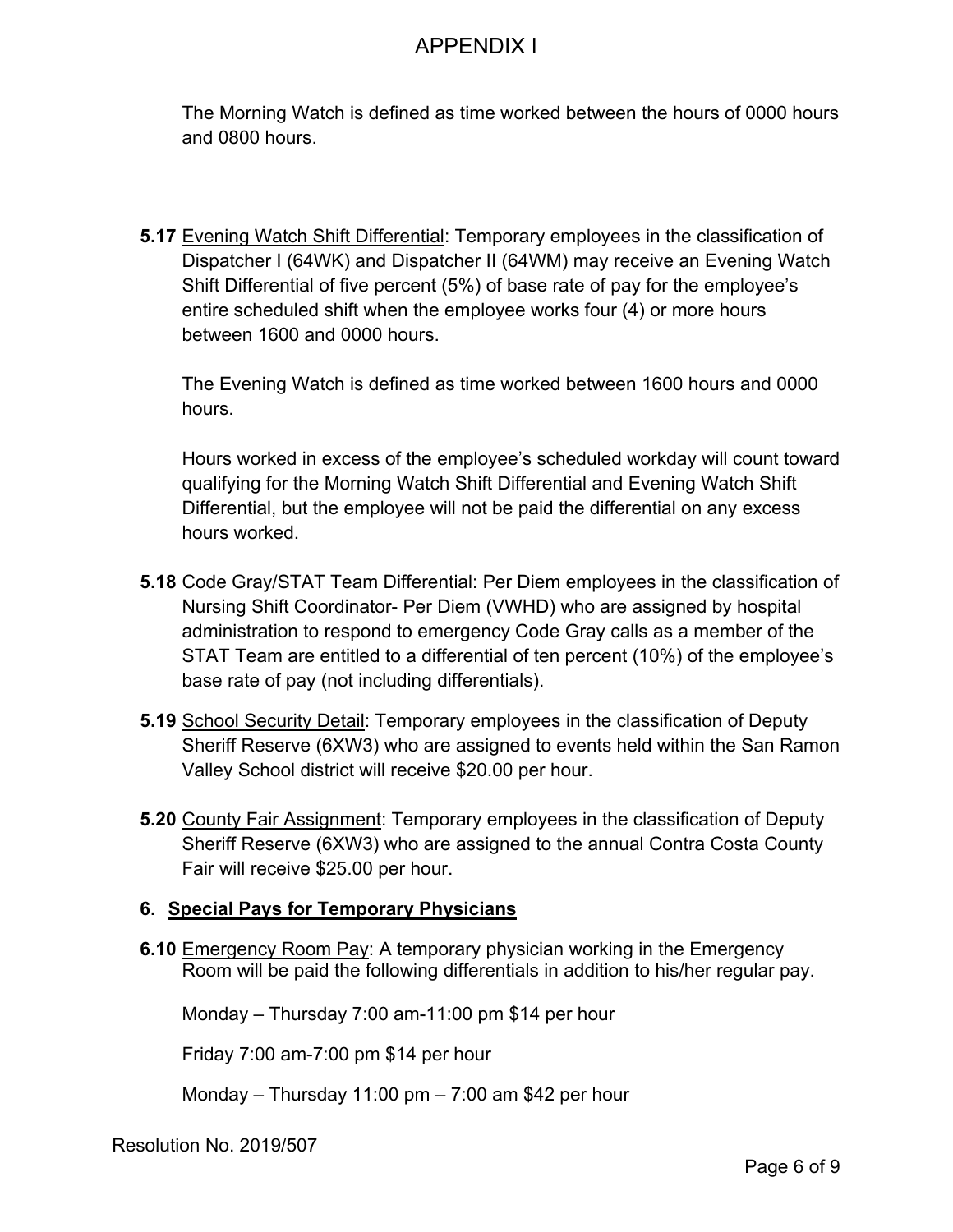The Morning Watch is defined as time worked between the hours of 0000 hours and 0800 hours.

**5.17** Evening Watch Shift Differential: Temporary employees in the classification of Dispatcher I (64WK) and Dispatcher II (64WM) may receive an Evening Watch Shift Differential of five percent (5%) of base rate of pay for the employee's entire scheduled shift when the employee works four (4) or more hours between 1600 and 0000 hours.

The Evening Watch is defined as time worked between 1600 hours and 0000 hours.

Hours worked in excess of the employee's scheduled workday will count toward qualifying for the Morning Watch Shift Differential and Evening Watch Shift Differential, but the employee will not be paid the differential on any excess hours worked.

- **5.18** Code Gray/STAT Team Differential: Per Diem employees in the classification of Nursing Shift Coordinator- Per Diem (VWHD) who are assigned by hospital administration to respond to emergency Code Gray calls as a member of the STAT Team are entitled to a differential of ten percent (10%) of the employee's base rate of pay (not including differentials).
- **5.19** School Security Detail: Temporary employees in the classification of Deputy Sheriff Reserve (6XW3) who are assigned to events held within the San Ramon Valley School district will receive \$20.00 per hour.
- **5.20** County Fair Assignment: Temporary employees in the classification of Deputy Sheriff Reserve (6XW3) who are assigned to the annual Contra Costa County Fair will receive \$25.00 per hour.

### **6. Special Pays for Temporary Physicians**

**6.10** Emergency Room Pay: A temporary physician working in the Emergency Room will be paid the following differentials in addition to his/her regular pay.

Monday – Thursday 7:00 am-11:00 pm \$14 per hour

Friday 7:00 am-7:00 pm \$14 per hour

Monday – Thursday 11:00 pm – 7:00 am \$42 per hour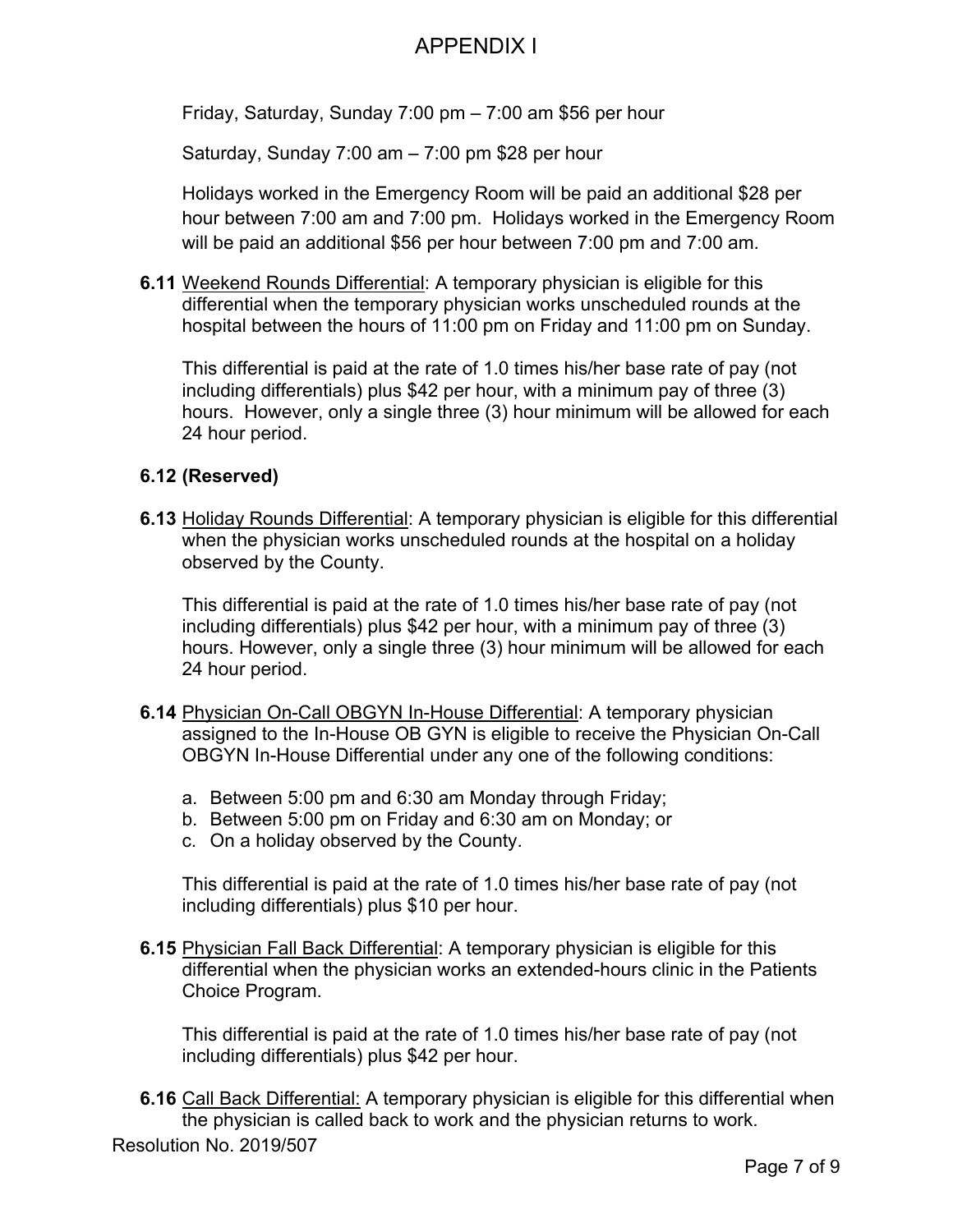Friday, Saturday, Sunday 7:00 pm – 7:00 am \$56 per hour

Saturday, Sunday 7:00 am – 7:00 pm \$28 per hour

Holidays worked in the Emergency Room will be paid an additional \$28 per hour between 7:00 am and 7:00 pm. Holidays worked in the Emergency Room will be paid an additional \$56 per hour between 7:00 pm and 7:00 am.

**6.11** Weekend Rounds Differential: A temporary physician is eligible for this differential when the temporary physician works unscheduled rounds at the hospital between the hours of 11:00 pm on Friday and 11:00 pm on Sunday.

This differential is paid at the rate of 1.0 times his/her base rate of pay (not including differentials) plus \$42 per hour, with a minimum pay of three (3) hours. However, only a single three (3) hour minimum will be allowed for each 24 hour period.

#### **6.12 (Reserved)**

**6.13** Holiday Rounds Differential: A temporary physician is eligible for this differential when the physician works unscheduled rounds at the hospital on a holiday observed by the County.

This differential is paid at the rate of 1.0 times his/her base rate of pay (not including differentials) plus \$42 per hour, with a minimum pay of three (3) hours. However, only a single three (3) hour minimum will be allowed for each 24 hour period.

- **6.14** Physician On-Call OBGYN In-House Differential: A temporary physician assigned to the In-House OB GYN is eligible to receive the Physician On-Call OBGYN In-House Differential under any one of the following conditions:
	- a. Between 5:00 pm and 6:30 am Monday through Friday;
	- b. Between 5:00 pm on Friday and 6:30 am on Monday; or
	- c. On a holiday observed by the County.

This differential is paid at the rate of 1.0 times his/her base rate of pay (not including differentials) plus \$10 per hour.

**6.15** Physician Fall Back Differential: A temporary physician is eligible for this differential when the physician works an extended-hours clinic in the Patients Choice Program.

This differential is paid at the rate of 1.0 times his/her base rate of pay (not including differentials) plus \$42 per hour.

Resolution No. 2019/507 **6.16** Call Back Differential: A temporary physician is eligible for this differential when the physician is called back to work and the physician returns to work.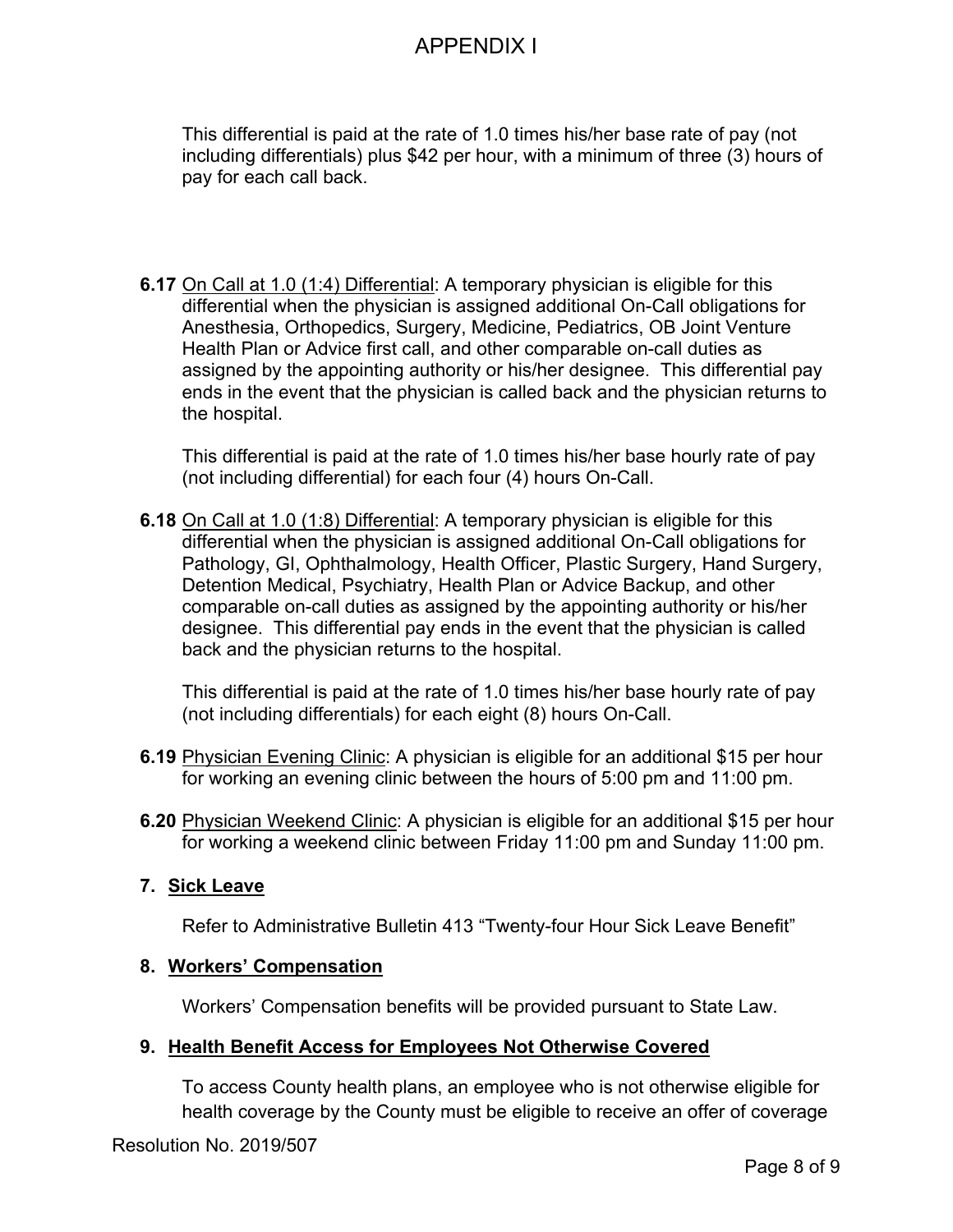This differential is paid at the rate of 1.0 times his/her base rate of pay (not including differentials) plus \$42 per hour, with a minimum of three (3) hours of pay for each call back.

**6.17** On Call at 1.0 (1:4) Differential: A temporary physician is eligible for this differential when the physician is assigned additional On-Call obligations for Anesthesia, Orthopedics, Surgery, Medicine, Pediatrics, OB Joint Venture Health Plan or Advice first call, and other comparable on-call duties as assigned by the appointing authority or his/her designee. This differential pay ends in the event that the physician is called back and the physician returns to the hospital.

This differential is paid at the rate of 1.0 times his/her base hourly rate of pay (not including differential) for each four (4) hours On-Call.

**6.18** On Call at 1.0 (1:8) Differential: A temporary physician is eligible for this differential when the physician is assigned additional On-Call obligations for Pathology, GI, Ophthalmology, Health Officer, Plastic Surgery, Hand Surgery, Detention Medical, Psychiatry, Health Plan or Advice Backup, and other comparable on-call duties as assigned by the appointing authority or his/her designee. This differential pay ends in the event that the physician is called back and the physician returns to the hospital.

This differential is paid at the rate of 1.0 times his/her base hourly rate of pay (not including differentials) for each eight (8) hours On-Call.

- **6.19** Physician Evening Clinic: A physician is eligible for an additional \$15 per hour for working an evening clinic between the hours of 5:00 pm and 11:00 pm.
- **6.20** Physician Weekend Clinic: A physician is eligible for an additional \$15 per hour for working a weekend clinic between Friday 11:00 pm and Sunday 11:00 pm.

#### **7. Sick Leave**

Refer to Administrative Bulletin 413 "Twenty-four Hour Sick Leave Benefit"

#### **8. Workers' Compensation**

Workers' Compensation benefits will be provided pursuant to State Law.

### **9. Health Benefit Access for Employees Not Otherwise Covered**

To access County health plans, an employee who is not otherwise eligible for health coverage by the County must be eligible to receive an offer of coverage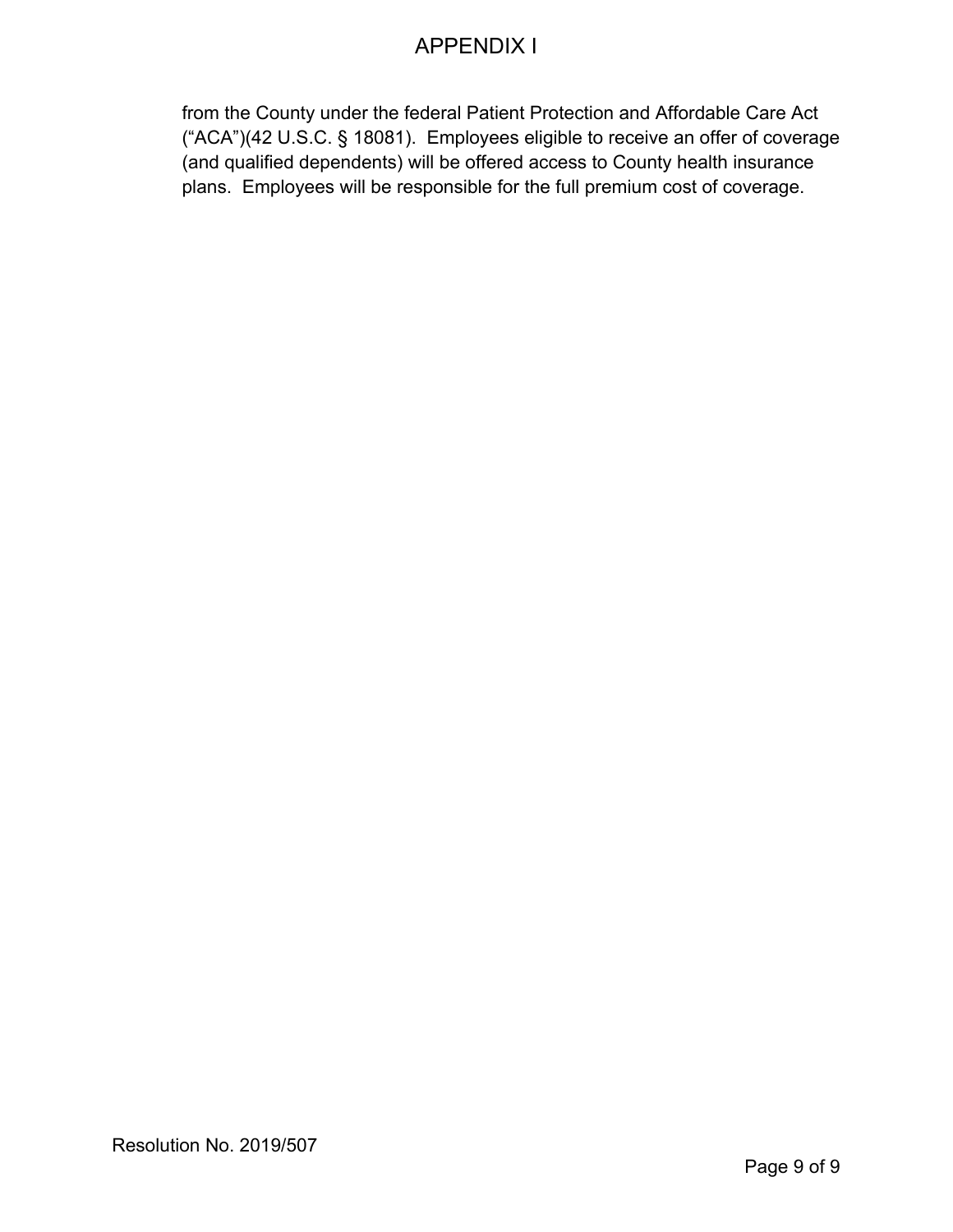from the County under the federal Patient Protection and Affordable Care Act ("ACA")(42 U.S.C. § 18081). Employees eligible to receive an offer of coverage (and qualified dependents) will be offered access to County health insurance plans. Employees will be responsible for the full premium cost of coverage.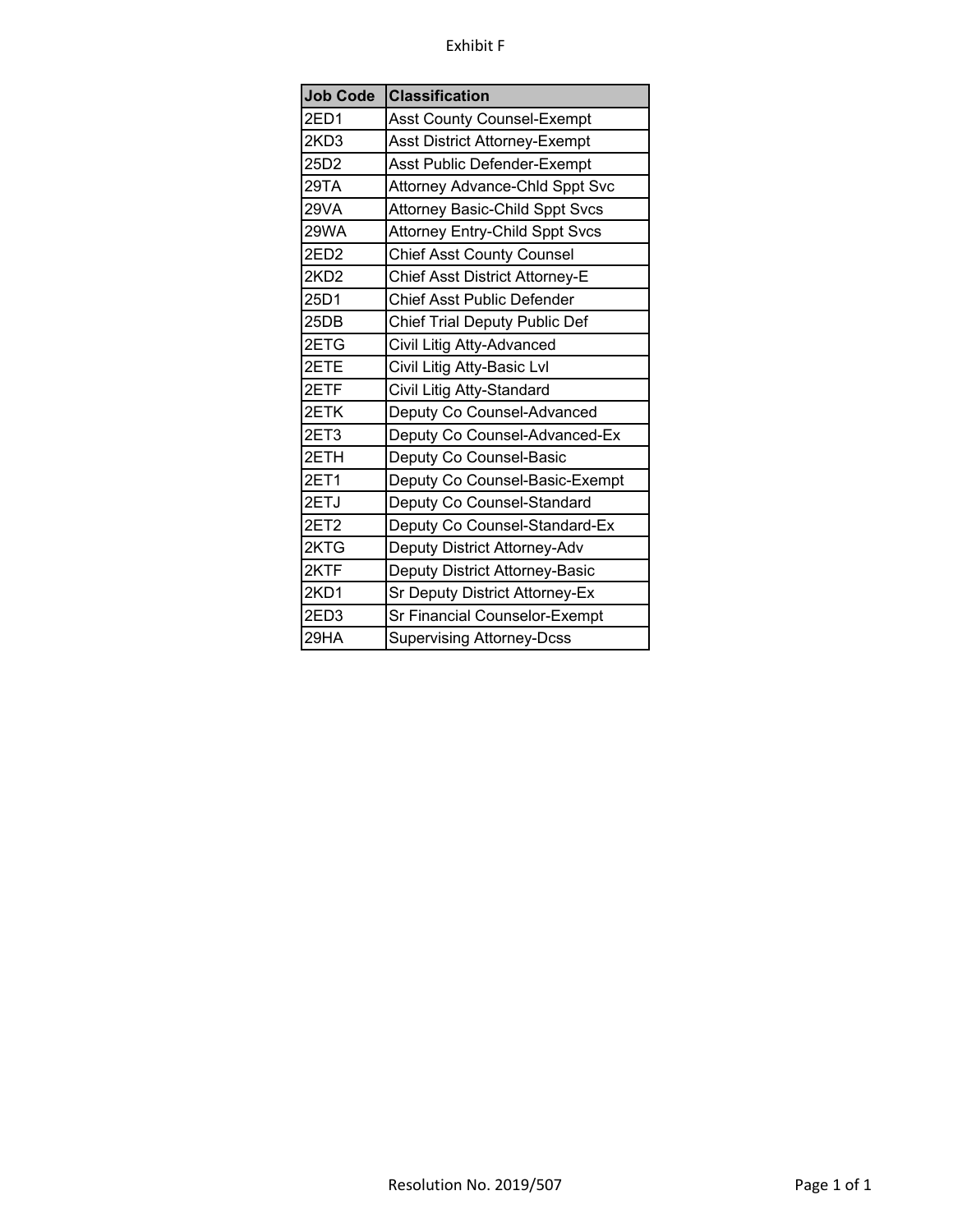#### Exhibit F

| <b>Job Code</b>  | <b>Classification</b>                 |
|------------------|---------------------------------------|
| 2ED1             | Asst County Counsel-Exempt            |
| 2KD3             | Asst District Attorney-Exempt         |
| 25D2             | Asst Public Defender-Exempt           |
| 29TA             | Attorney Advance-Chld Sppt Svc        |
| 29VA             | <b>Attorney Basic-Child Sppt Svcs</b> |
| 29WA             | <b>Attorney Entry-Child Sppt Svcs</b> |
| 2ED <sub>2</sub> | <b>Chief Asst County Counsel</b>      |
| 2KD <sub>2</sub> | Chief Asst District Attorney-E        |
| 25D1             | <b>Chief Asst Public Defender</b>     |
| 25DB             | <b>Chief Trial Deputy Public Def</b>  |
| 2ETG             | Civil Litig Atty-Advanced             |
| 2ETE             | Civil Litig Atty-Basic Lvl            |
| 2ETF             | Civil Litig Atty-Standard             |
| 2ETK             | Deputy Co Counsel-Advanced            |
| 2ET3             | Deputy Co Counsel-Advanced-Ex         |
| 2ETH             | Deputy Co Counsel-Basic               |
| 2ET1             | Deputy Co Counsel-Basic-Exempt        |
| 2ETJ             | Deputy Co Counsel-Standard            |
| 2ET2             | Deputy Co Counsel-Standard-Ex         |
| 2KTG             | Deputy District Attorney-Adv          |
| 2KTF             | Deputy District Attorney-Basic        |
| 2KD1             | Sr Deputy District Attorney-Ex        |
| 2ED3             | Sr Financial Counselor-Exempt         |
| 29HA             | <b>Supervising Attorney-Dcss</b>      |